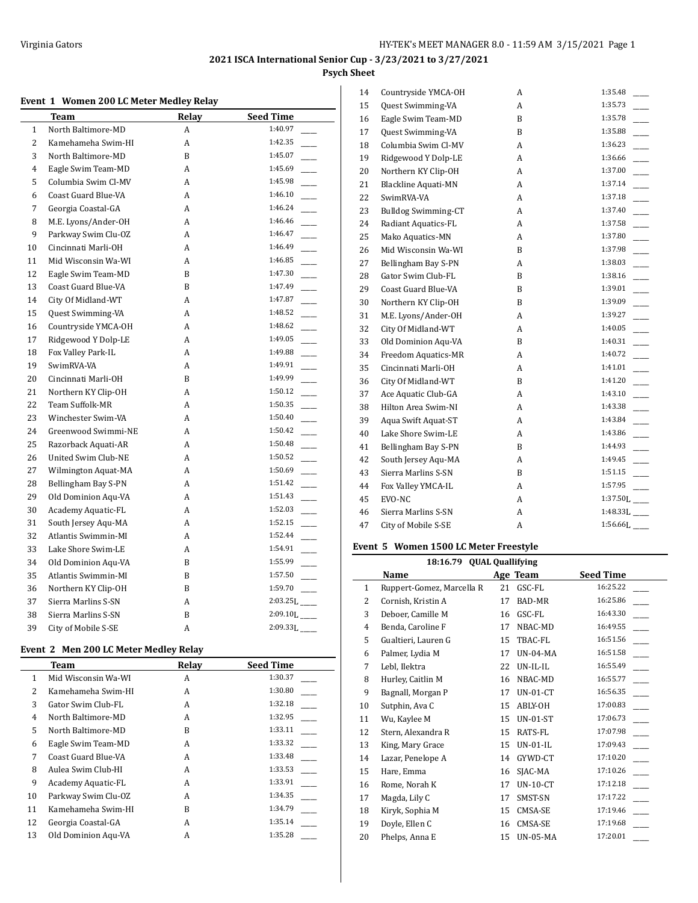## **Event 1 Women 200 LC Meter Medley Relay**

|                | <b>Team</b>            | Relay | <b>Seed Time</b>                    |
|----------------|------------------------|-------|-------------------------------------|
| 1              | North Baltimore-MD     | A     | 1:40.97                             |
| $\overline{2}$ | Kamehameha Swim-HI     | A     | 1:42.35                             |
| 3              | North Baltimore-MD     | B     | 1:45.07                             |
| 4              | Eagle Swim Team-MD     | A     | 1:45.69                             |
| 5              | Columbia Swim Cl-MV    | A     | 1:45.98                             |
| 6              | Coast Guard Blue-VA    | А     | 1:46.10                             |
| 7              | Georgia Coastal-GA     | A     | 1:46.24<br>$\overline{\phantom{a}}$ |
| 8              | M.E. Lyons/Ander-OH    | A     | 1:46.46                             |
| 9              | Parkway Swim Clu-OZ    | A     | 1:46.47                             |
| 10             | Cincinnati Marli-OH    | A     | 1:46.49                             |
| 11             | Mid Wisconsin Wa-WI    | А     | 1:46.85                             |
| 12             | Eagle Swim Team-MD     | B     | 1:47.30                             |
| 13             | Coast Guard Blue-VA    | B     | 1:47.49                             |
| 14             | City Of Midland-WT     | A     | 1:47.87<br>$\sim$                   |
| 15             | Quest Swimming-VA      | A     | 1:48.52<br>$\overline{\phantom{a}}$ |
| 16             | Countryside YMCA-OH    | A     | 1:48.62                             |
| 17             | Ridgewood Y Dolp-LE    | A     | 1:49.05                             |
| 18             | Fox Valley Park-IL     | A     | 1:49.88                             |
| 19             | SwimRVA-VA             | A     | 1:49.91                             |
| 20             | Cincinnati Marli-OH    | B     | 1:49.99                             |
| 21             | Northern KY Clip-OH    | A     | 1:50.12                             |
| 22             | <b>Team Suffolk-MR</b> | A     | 1:50.35<br>$\sim$                   |
| 23             | Winchester Swim-VA     | A     | 1:50.40<br>$\overline{\phantom{a}}$ |
| 24             | Greenwood Swimmi-NE    | A     | 1:50.42<br>$\overline{\phantom{a}}$ |
| 25             | Razorback Aquati-AR    | A     | 1:50.48                             |
| 26             | United Swim Club-NE    | A     | 1:50.52                             |
| 27             | Wilmington Aquat-MA    | А     | 1:50.69                             |
| 28             | Bellingham Bay S-PN    | A     | 1:51.42                             |
| 29             | Old Dominion Aqu-VA    | А     | 1:51.43                             |
| 30             | Academy Aquatic-FL     | A     | 1:52.03                             |
| 31             | South Jersey Aqu-MA    | А     | 1:52.15<br>$\overline{\phantom{a}}$ |
| 32             | Atlantis Swimmin-MI    | A     | 1:52.44                             |
| 33             | Lake Shore Swim-LE     | A     | 1:54.91                             |
| 34             | Old Dominion Aqu-VA    | B     | 1:55.99                             |
| 35             | Atlantis Swimmin-MI    | B     | 1:57.50                             |
| 36             | Northern KY Clip-OH    | B     | 1:59.70                             |
| 37             | Sierra Marlins S-SN    | А     | $2:03.25L$ <sub>____</sub>          |
| 38             | Sierra Marlins S-SN    | B     | $2:09.10L$ <sub>---</sub>           |
| 39             | City of Mobile S-SE    | A     | $2:09.33L$ <sub>___</sub>           |

## **Event 2 Men 200 LC Meter Medley Relay**

|    | Team                | Relay | <b>Seed Time</b> |
|----|---------------------|-------|------------------|
| 1  | Mid Wisconsin Wa-WI | A     | 1:30.37          |
| 2  | Kamehameha Swim-HI  | A     | 1:30.80          |
| 3  | Gator Swim Club-FL  | A     | 1:32.18          |
| 4  | North Baltimore-MD  | A     | 1:32.95          |
| 5  | North Baltimore-MD  | B     | 1:33.11          |
| 6  | Eagle Swim Team-MD  | A     | 1:33.32          |
| 7  | Coast Guard Blue-VA | A     | 1:33.48          |
| 8  | Aulea Swim Club-HI  | A     | 1:33.53          |
| 9  | Academy Aquatic-FL  | A     | 1:33.91          |
| 10 | Parkway Swim Clu-OZ | A     | 1:34.35          |
| 11 | Kamehameha Swim-HI  | B     | 1:34.79          |
| 12 | Georgia Coastal-GA  | A     | 1:35.14          |
| 13 | Old Dominion Agu-VA | A     | 1:35.28          |

| 14 | Countryside YMCA-OH        | A | 1:35.48                    |
|----|----------------------------|---|----------------------------|
| 15 | <b>Quest Swimming-VA</b>   | A | 1:35.73                    |
| 16 | Eagle Swim Team-MD         | B | 1:35.78                    |
| 17 | Quest Swimming-VA          | B | 1:35.88                    |
| 18 | Columbia Swim Cl-MV        | A | 1:36.23                    |
| 19 | Ridgewood Y Dolp-LE        | A | 1:36.66                    |
| 20 | Northern KY Clip-OH        | A | 1:37.00                    |
| 21 | <b>Blackline Aquati-MN</b> | A | 1:37.14                    |
| 22 | SwimRVA-VA                 | A | 1:37.18                    |
| 23 | <b>Bulldog Swimming-CT</b> | A | 1:37.40                    |
| 24 | Radiant Aquatics-FL        | A | 1:37.58                    |
| 25 | Mako Aquatics-MN           | A | 1:37.80                    |
| 26 | Mid Wisconsin Wa-WI        | B | 1:37.98                    |
| 27 | Bellingham Bay S-PN        | A | 1:38.03                    |
| 28 | Gator Swim Club-FL         | B | 1:38.16                    |
| 29 | Coast Guard Blue-VA        | B | 1:39.01                    |
| 30 | Northern KY Clip-OH        | B | 1:39.09                    |
| 31 | M.E. Lyons/Ander-OH        | A | 1:39.27                    |
| 32 | City Of Midland-WT         | A | 1:40.05                    |
| 33 | Old Dominion Aqu-VA        | B | 1:40.31                    |
| 34 | Freedom Aquatics-MR        | A | 1:40.72                    |
| 35 | Cincinnati Marli-OH        | A | 1:41.01                    |
| 36 | City Of Midland-WT         | B | 1:41.20                    |
| 37 | Ace Aquatic Club-GA        | A | 1:43.10                    |
| 38 | Hilton Area Swim-NI        | A | 1:43.38                    |
| 39 | Aqua Swift Aquat-ST        | A | 1:43.84                    |
| 40 | Lake Shore Swim-LE         | A | 1:43.86                    |
| 41 | Bellingham Bay S-PN        | B | 1:44.93                    |
| 42 | South Jersey Aqu-MA        | A | 1:49.45                    |
| 43 | Sierra Marlins S-SN        | B | 1:51.15                    |
| 44 | Fox Valley YMCA-IL         | A | 1:57.95                    |
| 45 | EVO-NC                     | A | $1:37.50L$ <sub>____</sub> |
| 46 | Sierra Marlins S-SN        | A | $1:48.33L$ <sub>____</sub> |
| 47 | City of Mobile S-SE        | A | $1:56.66L$ <sub>____</sub> |
|    |                            |   |                            |

## **Event 5 Women 1500 LC Meter Freestyle**

| 18:16.79 QUAL Quallifying |                           |    |                 |                  |  |
|---------------------------|---------------------------|----|-----------------|------------------|--|
|                           | Name                      |    | Age Team        | <b>Seed Time</b> |  |
| $\mathbf{1}$              | Ruppert-Gomez, Marcella R | 21 | GSC-FL          | 16:25.22         |  |
| 2                         | Cornish, Kristin A        | 17 | BAD-MR          | 16:25.86         |  |
| 3                         | Deboer, Camille M         | 16 | GSC-FL          | 16:43.30         |  |
| 4                         | Benda, Caroline F         | 17 | NBAC-MD         | 16:49.55         |  |
| 5                         | Gualtieri, Lauren G       | 15 | TBAC-FL         | 16:51.56         |  |
| 6                         | Palmer, Lydia M           | 17 | <b>UN-04-MA</b> | 16:51.58         |  |
| 7                         | Lebl, Ilektra             | 22 | UN-IL-IL        | 16:55.49         |  |
| 8                         | Hurley, Caitlin M         | 16 | NBAC-MD         | 16:55.77         |  |
| 9                         | Bagnall, Morgan P         | 17 | $UN-01-CT$      | 16:56.35         |  |
| 10                        | Sutphin, Ava C            | 15 | ABLY-OH         | 17:00.83         |  |
| 11                        | Wu, Kaylee M              | 15 | <b>UN-01-ST</b> | 17:06.73         |  |
| 12                        | Stern, Alexandra R        | 15 | RATS-FL         | 17:07.98         |  |
| 13                        | King, Mary Grace          | 15 | $UN-01-IL$      | 17:09.43         |  |
| 14                        | Lazar, Penelope A         | 14 | GYWD-CT         | 17:10.20         |  |
| 15                        | Hare, Emma                | 16 | SJAC-MA         | 17:10.26         |  |
| 16                        | Rome, Norah K             | 17 | $UN-10-CT$      | 17:12.18         |  |
| 17                        | Magda, Lily C             | 17 | SMST-SN         | 17:17.22         |  |
| 18                        | Kiryk, Sophia M           | 15 | CMSA-SE         | 17:19.46         |  |
| 19                        | Doyle, Ellen C            | 16 | CMSA-SE         | 17:19.68         |  |
| 20                        | Phelps, Anna E            | 15 | <b>UN-05-MA</b> | 17:20.01         |  |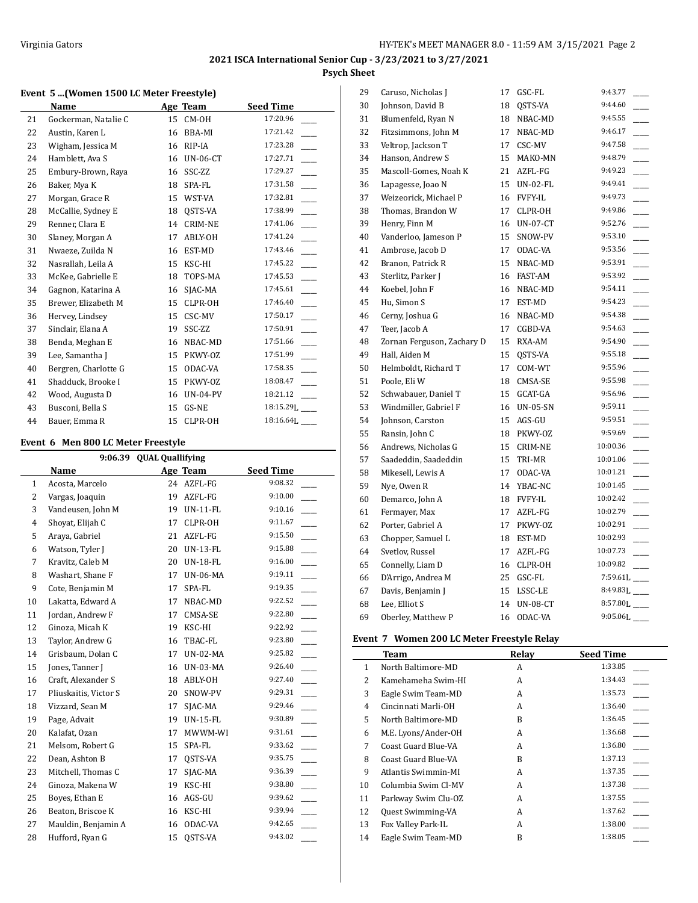#### **Event 5 ...(Women 1500 LC Meter Freestyle)**

|    | Name                 |    | Age Team        | <b>Seed Time</b> |
|----|----------------------|----|-----------------|------------------|
| 21 | Gockerman, Natalie C | 15 | CM-OH           | 17:20.96         |
| 22 | Austin, Karen L      | 16 | BBA-MI          | 17:21.42         |
| 23 | Wigham, Jessica M    | 16 | RIP-IA          | 17:23.28         |
| 24 | Hamblett, Ava S      | 16 | <b>UN-06-CT</b> | 17:27.71         |
| 25 | Embury-Brown, Raya   | 16 | SSC-ZZ          | 17:29.27         |
| 26 | Baker, Mya K         | 18 | SPA-FL          | 17:31.58         |
| 27 | Morgan, Grace R      | 15 | WST-VA          | 17:32.81         |
| 28 | McCallie, Sydney E   | 18 | OSTS-VA         | 17:38.99         |
| 29 | Renner, Clara E      | 14 | <b>CRIM-NE</b>  | 17:41.06         |
| 30 | Slaney, Morgan A     | 17 | ABLY-OH         | 17:41.24         |
| 31 | Nwaeze, Zuilda N     | 16 | EST-MD          | 17:43.46         |
| 32 | Nasrallah, Leila A   | 15 | KSC-HI          | 17:45.22         |
| 33 | McKee, Gabrielle E   | 18 | TOPS-MA         | 17:45.53         |
| 34 | Gagnon, Katarina A   | 16 | SJAC-MA         | 17:45.61         |
| 35 | Brewer, Elizabeth M  | 15 | CLPR-OH         | 17:46.40         |
| 36 | Hervey, Lindsey      | 15 | CSC-MV          | 17:50.17         |
| 37 | Sinclair, Elana A    | 19 | SSC-ZZ          | 17:50.91         |
| 38 | Benda, Meghan E      | 16 | NBAC-MD         | 17:51.66         |
| 39 | Lee, Samantha J      | 15 | PKWY-OZ         | 17:51.99         |
| 40 | Bergren, Charlotte G | 15 | ODAC-VA         | 17:58.35         |
| 41 | Shadduck, Brooke I   | 15 | PKWY-OZ         | 18:08.47         |
| 42 | Wood, Augusta D      | 16 | $UN-04-PV$      | 18:21.12         |
| 43 | Busconi, Bella S     | 15 | GS-NE           | 18:15.29J        |
| 44 | Bauer, Emma R        | 15 | CLPR-OH         | 18:16.64]        |

#### **Event 6 Men 800 LC Meter Freestyle**

| <b>QUAL Quallifying</b><br>9:06.39 |                       |    |                 |                  |
|------------------------------------|-----------------------|----|-----------------|------------------|
|                                    | Name                  |    | Age Team        | <b>Seed Time</b> |
| $\mathbf{1}$                       | Acosta, Marcelo       | 24 | AZFL-FG         | 9:08.32          |
| 2                                  | Vargas, Joaquin       | 19 | AZFL-FG         | 9:10.00          |
| 3                                  | Vandeusen, John M     | 19 | <b>UN-11-FL</b> | 9:10.16          |
| $\overline{4}$                     | Shoyat, Elijah C      | 17 | CLPR-OH         | 9:11.67          |
| 5                                  | Araya, Gabriel        | 21 | AZFL-FG         | 9:15.50          |
| 6                                  | Watson, Tyler J       | 20 | UN-13-FL        | 9:15.88          |
| 7                                  | Kravitz, Caleb M      | 20 | <b>UN-18-FL</b> | 9:16.00          |
| 8                                  | Washart, Shane F      | 17 | <b>UN-06-MA</b> | 9:19.11          |
| 9                                  | Cote, Benjamin M      | 17 | SPA-FL          | 9:19.35          |
| 10                                 | Lakatta, Edward A     | 17 | NBAC-MD         | 9:22.52          |
| 11                                 | Jordan, Andrew F      | 17 | CMSA-SE         | 9:22.80          |
| 12                                 | Ginoza, Micah K       | 19 | KSC-HI          | 9:22.92          |
| 13                                 | Taylor, Andrew G      | 16 | TBAC-FL         | 9:23.80          |
| 14                                 | Grisbaum, Dolan C     | 17 | <b>UN-02-MA</b> | 9:25.82          |
| 15                                 | Jones, Tanner J       | 16 | UN-03-MA        | 9:26.40          |
| 16                                 | Craft, Alexander S    | 18 | ABLY-OH         | 9:27.40          |
| 17                                 | Pliuskaitis, Victor S | 20 | SNOW-PV         | 9:29.31          |
| 18                                 | Vizzard, Sean M       | 17 | SJAC-MA         | 9:29.46          |
| 19                                 | Page, Advait          | 19 | <b>UN-15-FL</b> | 9:30.89          |
| 20                                 | Kalafat, Ozan         | 17 | MWWM-WI         | 9:31.61          |
| 21                                 | Melsom, Robert G      | 15 | SPA-FL          | 9:33.62          |
| 22                                 | Dean, Ashton B        | 17 | QSTS-VA         | 9:35.75          |
| 23                                 | Mitchell, Thomas C    | 17 | SJAC-MA         | 9:36.39          |
| 24                                 | Ginoza, Makena W      | 19 | KSC-HI          | 9:38.80          |
| 25                                 | Boyes, Ethan E        | 16 | AGS-GU          | 9:39.62          |
| 26                                 | Beaton, Briscoe K     | 16 | KSC-HI          | 9:39.94          |
| 27                                 | Mauldin, Benjamin A   | 16 | ODAC-VA         | 9:42.65          |
| 28                                 | Hufford, Ryan G       | 15 | OSTS-VA         | 9:43.02          |

| 29 | Caruso, Nicholas J         | 17 | GSC-FL          | 9:43.77                   |
|----|----------------------------|----|-----------------|---------------------------|
| 30 | Johnson, David B           | 18 | QSTS-VA         | 9:44.60                   |
| 31 | Blumenfeld, Ryan N         | 18 | NBAC-MD         | 9:45.55                   |
| 32 | Fitzsimmons, John M        | 17 | NBAC-MD         | 9:46.17                   |
| 33 | Veltrop, Jackson T         | 17 | CSC-MV          | 9:47.58                   |
| 34 | Hanson, Andrew S           | 15 | MAKO-MN         | 9:48.79                   |
| 35 | Mascoll-Gomes, Noah K      | 21 | AZFL-FG         | 9:49.23                   |
| 36 | Lapagesse, Joao N          | 15 | UN-02-FL        | 9:49.41                   |
| 37 | Weizeorick, Michael P      | 16 | FVFY-IL         | 9:49.73                   |
| 38 | Thomas, Brandon W          | 17 | CLPR-OH         | 9:49.86                   |
| 39 | Henry, Finn M              | 16 | <b>UN-07-CT</b> | 9:52.76                   |
| 40 | Vanderloo, Jameson P       | 15 | SNOW-PV         | 9:53.10                   |
| 41 | Ambrose, Jacob D           | 17 | ODAC-VA         | 9:53.56                   |
| 42 | Branon, Patrick R          | 15 | NBAC-MD         | 9:53.91                   |
| 43 | Sterlitz, Parker J         | 16 | FAST-AM         | 9:53.92                   |
| 44 | Koebel, John F             | 16 | NBAC-MD         | 9:54.11                   |
| 45 | Hu, Simon S                |    | 17 EST-MD       | 9:54.23                   |
| 46 | Cerny, Joshua G            | 16 | NBAC-MD         | 9:54.38                   |
| 47 | Teer, Jacob A              | 17 | CGBD-VA         | 9:54.63                   |
| 48 | Zornan Ferguson, Zachary D | 15 | RXA-AM          | 9:54.90                   |
| 49 | Hall, Aiden M              | 15 | QSTS-VA         | 9:55.18                   |
| 50 | Helmboldt, Richard T       | 17 | COM-WT          | 9:55.96                   |
| 51 | Poole, Eli W               | 18 | CMSA-SE         | 9:55.98                   |
| 52 | Schwabauer, Daniel T       | 15 | GCAT-GA         | 9:56.96                   |
| 53 | Windmiller, Gabriel F      | 16 | <b>UN-05-SN</b> | 9:59.11                   |
| 54 | Johnson, Carston           | 15 | AGS-GU          | 9:59.51                   |
| 55 | Ransin, John C             | 18 | PKWY-0Z         | 9:59.69                   |
| 56 | Andrews, Nicholas G        | 15 | CRIM-NE         | 10:00.36                  |
| 57 | Saadeddin, Saadeddin       | 15 | TRI-MR          | 10:01.06                  |
| 58 | Mikesell, Lewis A          | 17 | ODAC-VA         | 10:01.21                  |
| 59 | Nye, Owen R                | 14 | YBAC-NC         | 10:01.45                  |
| 60 | Demarco, John A            | 18 | FVFY-IL         | 10:02.42                  |
| 61 | Fermayer, Max              | 17 | AZFL-FG         | 10:02.79                  |
| 62 | Porter, Gabriel A          | 17 | PKWY-OZ         | 10:02.91                  |
| 63 | Chopper, Samuel L          | 18 | EST-MD          | 10:02.93                  |
| 64 | Svetlov, Russel            | 17 | AZFL-FG         | 10:07.73                  |
| 65 | Connelly, Liam D           |    | 16 CLPR-OH      | 10:09.82                  |
| 66 | D'Arrigo, Andrea M         |    | 25 GSC-FL       | $7:59.61L$ <sub>---</sub> |
| 67 | Davis, Benjamin J          | 15 | LSSC-LE         | 8:49.83L                  |
| 68 | Lee, Elliot S              | 14 | <b>UN-08-CT</b> | $8:57.80L$ <sub>---</sub> |
| 69 | Oberley, Matthew P         | 16 | ODAC-VA         | 9:05.06L                  |

## **Event 7 Women 200 LC Meter Freestyle Relay**

|    | Team                     | Relay | <b>Seed Time</b> |
|----|--------------------------|-------|------------------|
| 1  | North Baltimore-MD       | A     | 1:33.85          |
| 2  | Kamehameha Swim-HI       | A     | 1:34.43          |
| 3  | Eagle Swim Team-MD       | A     | 1:35.73          |
| 4  | Cincinnati Marli-OH      | A     | 1:36.40          |
| 5  | North Baltimore-MD       | B     | 1:36.45          |
| 6  | M.E. Lyons/Ander-OH      | A     | 1:36.68          |
| 7  | Coast Guard Blue-VA      | A     | 1:36.80          |
| 8  | Coast Guard Blue-VA      | B     | 1:37.13          |
| 9  | Atlantis Swimmin-MI      | A     | 1:37.35          |
| 10 | Columbia Swim Cl-MV      | A     | 1:37.38          |
| 11 | Parkway Swim Clu-OZ      | A     | 1:37.55          |
| 12 | <b>Quest Swimming-VA</b> | A     | 1:37.62          |
| 13 | Fox Valley Park-IL       | A     | 1:38.00          |
| 14 | Eagle Swim Team-MD       | B     | 1:38.05          |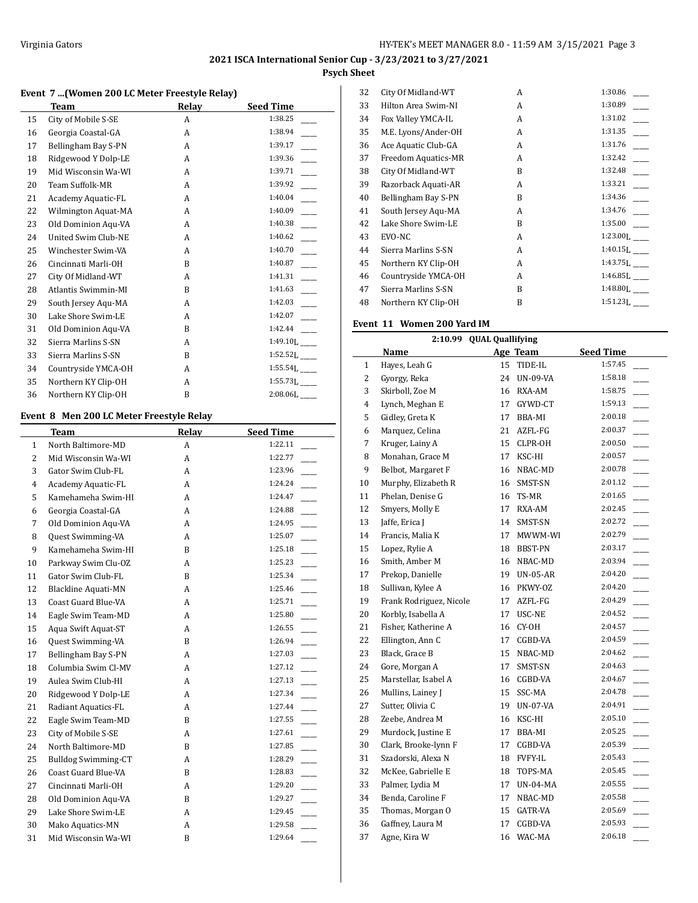# **2021 ISCA International Senior Cup - 3/23/2021 to 3/27/2021**

## **Psych Sheet**

## **Event 7 ...(Women 200 LC Meter Freestyle Relay)**

|    | Team                | Relay | <b>Seed Time</b>           |
|----|---------------------|-------|----------------------------|
| 15 | City of Mobile S-SE | A     | 1:38.25                    |
| 16 | Georgia Coastal-GA  | A     | 1:38.94                    |
| 17 | Bellingham Bay S-PN | A     | 1:39.17                    |
| 18 | Ridgewood Y Dolp-LE | A     | 1:39.36                    |
| 19 | Mid Wisconsin Wa-WI | A     | 1:39.71                    |
| 20 | Team Suffolk-MR     | A     | 1:39.92                    |
| 21 | Academy Aquatic-FL  | A     | 1:40.04                    |
| 22 | Wilmington Aquat-MA | A     | 1:40.09                    |
| 23 | Old Dominion Aqu-VA | A     | 1:40.38                    |
| 24 | United Swim Club-NE | A     | 1:40.62                    |
| 25 | Winchester Swim-VA  | A     | 1:40.70                    |
| 26 | Cincinnati Marli-OH | B     | 1:40.87                    |
| 27 | City Of Midland-WT  | A     | 1:41.31                    |
| 28 | Atlantis Swimmin-MI | B     | 1:41.63                    |
| 29 | South Jersey Aqu-MA | A     | 1:42.03                    |
| 30 | Lake Shore Swim-LE  | A     | 1:42.07                    |
| 31 | Old Dominion Aqu-VA | B     | 1:42.44                    |
| 32 | Sierra Marlins S-SN | A     | $1:49.10L$ <sub>---</sub>  |
| 33 | Sierra Marlins S-SN | B     | $1:52.52L$ <sub>---</sub>  |
| 34 | Countryside YMCA-OH | A     | 1:55.54L                   |
| 35 | Northern KY Clip-OH | A     | $1:55.73L$ <sub>____</sub> |
| 36 | Northern KY Clip-OH | B     | $2:08.06$ .                |

## **Event 8 Men 200 LC Meter Freestyle Relay**

 $\overline{a}$ 

|                | Team                       | Relay | <b>Seed Time</b> |
|----------------|----------------------------|-------|------------------|
| 1              | North Baltimore-MD         | A     | 1:22.11          |
| $\overline{2}$ | Mid Wisconsin Wa-WI        | A     | 1:22.77          |
| 3              | Gator Swim Club-FL         | A     | 1:23.96          |
| $\overline{4}$ | Academy Aquatic-FL         | A     | 1:24.24          |
| 5              | Kamehameha Swim-HI         | A     | 1:24.47          |
| 6              | Georgia Coastal-GA         | A     | 1:24.88          |
| 7              | Old Dominion Aqu-VA        | A     | 1:24.95          |
| 8              | Quest Swimming-VA          | A     | 1:25.07          |
| 9              | Kamehameha Swim-HI         | B     | 1:25.18          |
| 10             | Parkway Swim Clu-OZ        | A     | 1:25.23          |
| 11             | Gator Swim Club-FL         | B     | 1:25.34          |
| 12             | <b>Blackline Aquati-MN</b> | A     | 1:25.46          |
| 13             | Coast Guard Blue-VA        | A     | 1:25.71          |
| 14             | Eagle Swim Team-MD         | A     | 1:25.80          |
| 15             | Aqua Swift Aquat-ST        | A     | 1:26.55          |
| 16             | Quest Swimming-VA          | B     | 1:26.94          |
| 17             | Bellingham Bay S-PN        | A     | 1:27.03          |
| 18             | Columbia Swim Cl-MV        | A     | 1:27.12          |
| 19             | Aulea Swim Club-HI         | A     | 1:27.13          |
| 20             | Ridgewood Y Dolp-LE        | A     | 1:27.34          |
| 21             | Radiant Aquatics-FL        | A     | 1:27.44          |
| 22             | Eagle Swim Team-MD         | B     | 1:27.55          |
| 23             | City of Mobile S-SE        | A     | 1:27.61          |
| 24             | North Baltimore-MD         | B     | 1:27.85          |
| 25             | <b>Bulldog Swimming-CT</b> | A     | 1:28.29          |
| 26             | Coast Guard Blue-VA        | B     | 1:28.83          |
| 27             | Cincinnati Marli-OH        | A     | 1:29.20          |
| 28             | Old Dominion Aqu-VA        | B     | 1:29.27          |
| 29             | Lake Shore Swim-LE         | A     | 1:29.45          |
| 30             | Mako Aquatics-MN           | A     | 1:29.58          |
| 31             | Mid Wisconsin Wa-WI        | B     | 1:29.64          |

| City Of Midland-WT  | A | 1:30.86  |
|---------------------|---|----------|
| Hilton Area Swim-NI | A | 1:30.89  |
| Fox Valley YMCA-IL  | A | 1:31.02  |
| M.E. Lyons/Ander-OH | A | 1:31.35  |
| Ace Aquatic Club-GA | A | 1:31.76  |
| Freedom Aquatics-MR | A | 1:32.42  |
| City Of Midland-WT  | B | 1:32.48  |
| Razorback Aquati-AR | A | 1:33.21  |
| Bellingham Bay S-PN | B | 1:34.36  |
| South Jersey Agu-MA | A | 1:34.76  |
| Lake Shore Swim-LE  | B | 1:35.00  |
| EVO-NC              | A | 1:23.00L |
| Sierra Marlins S-SN | A | 1:40.15L |
| Northern KY Clip-OH | A | 1:43.75L |
| Countryside YMCA-OH | A | 1:46.85L |
| Sierra Marlins S-SN | B | 1:48.80L |
| Northern KY Clip-OH | B | 1:51.23L |
|                     |   |          |

#### **Event 11 Women 200 Yard IM**

|              | 2:10.99 QUAL Quallifying |    |                |                                       |  |
|--------------|--------------------------|----|----------------|---------------------------------------|--|
|              | Name                     |    | Age Team       | <b>Seed Time</b>                      |  |
| $\mathbf{1}$ | Hayes, Leah G            | 15 | TIDE-IL        | 1:57.45                               |  |
| 2            | Gyorgy, Reka             | 24 | UN-09-VA       | 1:58.18                               |  |
| 3            | Skirboll, Zoe M          | 16 | RXA-AM         | 1:58.75                               |  |
| 4            | Lynch, Meghan E          | 17 | GYWD-CT        | 1:59.13                               |  |
| 5            | Gidley, Greta K          | 17 | BBA-MI         | 2:00.18                               |  |
| 6            | Marquez, Celina          | 21 | AZFL-FG        | 2:00.37                               |  |
| 7            | Kruger, Lainy A          | 15 | CLPR-OH        | 2:00.50<br>$\mathcal{L}(\mathcal{L})$ |  |
| 8            | Monahan, Grace M         | 17 | KSC-HI         | 2:00.57                               |  |
| 9            | Belbot, Margaret F       | 16 | NBAC-MD        | 2:00.78                               |  |
| 10           | Murphy, Elizabeth R      | 16 | SMST-SN        | 2:01.12                               |  |
| 11           | Phelan, Denise G         | 16 | TS-MR          | 2:01.65<br>$\overline{\phantom{a}}$   |  |
| 12           | Smyers, Molly E          | 17 | RXA-AM         | 2:02.45                               |  |
| 13           | Jaffe, Erica J           | 14 | SMST-SN        | 2:02.72                               |  |
| 14           | Francis, Malia K         | 17 | MWWM-WI        | 2:02.79<br>$\overline{\phantom{a}}$   |  |
| 15           | Lopez, Rylie A           | 18 | BBST-PN        | 2:03.17                               |  |
| 16           | Smith, Amber M           | 16 | NBAC-MD        | 2:03.94                               |  |
| 17           | Prekop, Danielle         | 19 | $UN-05-AR$     | 2:04.20<br>$\overline{\phantom{0}}$   |  |
| 18           | Sullivan, Kylee A        | 16 | PKWY-OZ        | 2:04.20                               |  |
| 19           | Frank Rodriguez, Nicole  | 17 | AZFL-FG        | 2:04.29                               |  |
| 20           | Korbly, Isabella A       | 17 | USC-NE         | 2:04.52<br>$\overline{\phantom{a}}$   |  |
| 21           | Fisher, Katherine A      | 16 | CY-OH          | 2:04.57                               |  |
| 22           | Ellington, Ann C         | 17 | CGBD-VA        | 2:04.59                               |  |
| 23           | Black, Grace B           | 15 | NBAC-MD        | 2:04.62                               |  |
| 24           | Gore, Morgan A           | 17 | SMST-SN        | 2:04.63                               |  |
| 25           | Marstellar, Isabel A     | 16 | CGBD-VA        | 2:04.67                               |  |
| 26           | Mullins, Lainey J        | 15 | SSC-MA         | 2:04.78                               |  |
| 27           | Sutter, Olivia C         | 19 | UN-07-VA       | 2:04.91                               |  |
| 28           | Zeebe, Andrea M          | 16 | KSC-HI         | 2:05.10                               |  |
| 29           | Murdock, Justine E       | 17 | BBA-MI         | 2:05.25<br>$\overline{\phantom{0}}$   |  |
| 30           | Clark, Brooke-lynn F     | 17 | CGBD-VA        | 2:05.39<br>$\mathcal{L}(\mathcal{L})$ |  |
| 31           | Szadorski, Alexa N       | 18 | <b>FVFY-IL</b> | 2:05.43<br>$\overline{\phantom{a}}$   |  |
| 32           | McKee, Gabrielle E       | 18 | TOPS-MA        | 2:05.45<br>$\overline{\phantom{a}}$   |  |
| 33           | Palmer, Lydia M          | 17 | UN-04-MA       | 2:05.55                               |  |
| 34           | Benda, Caroline F        | 17 | NBAC-MD        | 2:05.58                               |  |
| 35           | Thomas, Morgan O         | 15 | GATR-VA        | 2:05.69                               |  |
| 36           | Gaffney, Laura M         | 17 | CGBD-VA        | 2:05.93                               |  |
| 37           | Agne, Kira W             | 16 | WAC-MA         | 2:06.18                               |  |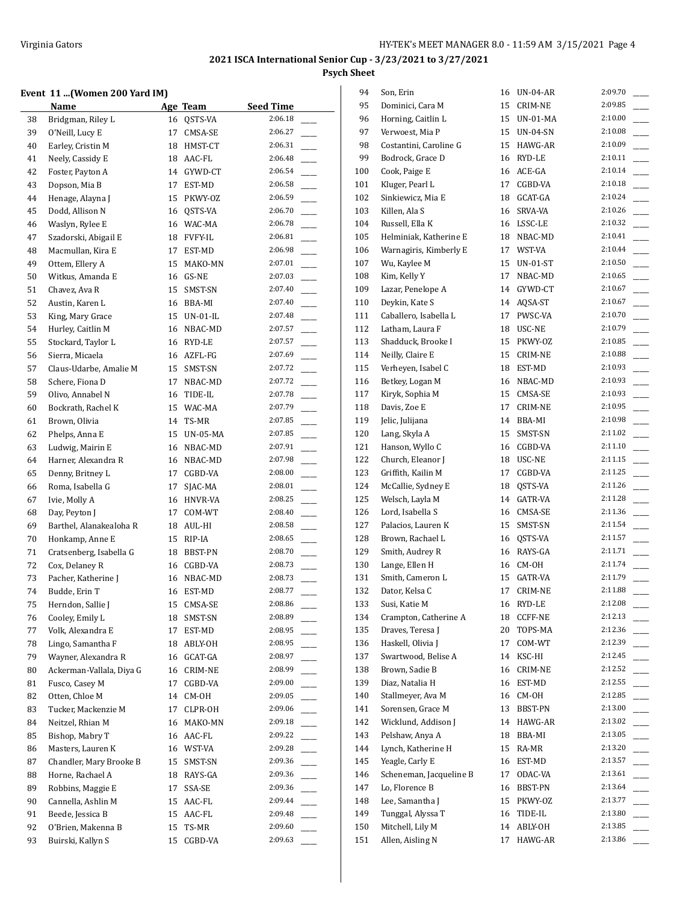## **Event 11 ...(Women 200 Yard IM)**

|          | Event 11 (Women 200 Yard IM)             |    |                          |                         |
|----------|------------------------------------------|----|--------------------------|-------------------------|
|          | Name                                     |    | Age Team                 | <b>Seed Time</b>        |
| 38       | Bridgman, Riley L                        |    | 16 QSTS-VA               | 2:06.18                 |
| 39       | O'Neill, Lucy E                          | 17 | CMSA-SE                  | 2:06.27                 |
| 40       | Earley, Cristin M                        |    | 18 HMST-CT               | 2:06.31                 |
| 41       | Neely, Cassidy E                         |    | 18 AAC-FL                | 2:06.48                 |
| 42       | Foster, Payton A                         |    | 14 GYWD-CT               | 2:06.54                 |
| 43       | Dopson, Mia B                            |    | 17 EST-MD                | 2:06.58                 |
| 44       | Henage, Alayna J                         | 15 | PKWY-OZ                  | 2:06.59                 |
| 45       | Dodd, Allison N                          |    | 16 QSTS-VA               | 2:06.70                 |
| 46       | Waslyn, Rylee E                          |    | 16 WAC-MA                | 2:06.78                 |
| 47       | Szadorski, Abigail E                     |    | 18 FVFY-IL               | 2:06.81                 |
| 48       | Macmullan, Kira E                        |    | 17 EST-MD                | 2:06.98                 |
| 49       | Ottem, Ellery A                          | 15 | MAKO-MN                  | 2:07.01                 |
| 50       | Witkus, Amanda E                         |    | 16 GS-NE                 | 2:07.03                 |
| 51       | Chavez, Ava R                            | 15 | SMST-SN                  | 2:07.40                 |
| 52       | Austin, Karen L                          |    | 16 BBA-MI                | 2:07.40                 |
| 53       | King, Mary Grace                         |    | 15 UN-01-IL              | 2:07.48                 |
| 54       | Hurley, Caitlin M                        |    | 16 NBAC-MD               | 2:07.57                 |
| 55       | Stockard, Taylor L                       |    | 16 RYD-LE                | 2:07.57                 |
| 56       | Sierra, Micaela                          |    | 16 AZFL-FG               | 2:07.69                 |
| 57       | Claus-Udarbe, Amalie M                   |    | 15 SMST-SN               | 2:07.72                 |
| 58       | Schere, Fiona D                          |    | 17 NBAC-MD               | 2:07.72                 |
| 59       | Olivo, Annabel N                         | 16 | TIDE-IL                  | 2:07.78                 |
| 60       | Bockrath, Rachel K                       | 15 | WAC-MA                   | 2:07.79                 |
| 61       | Brown, Olivia                            | 14 | TS-MR                    | 2:07.85<br>$\mathbb{R}$ |
| 62       | Phelps, Anna E                           | 15 | UN-05-MA                 | 2:07.85                 |
| 63       | Ludwig, Mairin E                         |    | 16 NBAC-MD               | 2:07.91                 |
| 64       | Harner, Alexandra R                      |    | 16 NBAC-MD               | 2:07.98                 |
| 65       | Denny, Britney L                         | 17 | CGBD-VA                  | 2:08.00                 |
| 66       | Roma, Isabella G                         | 17 | SJAC-MA                  | 2:08.01                 |
| 67       | Ivie, Molly A                            |    | 16 HNVR-VA               | 2:08.25                 |
| 68       | Day, Peyton J                            |    | 17 COM-WT                | 2:08.40                 |
| 69       | Barthel, Alanakealoha R                  |    | 18 AUL-HI                | 2:08.58                 |
| 70       | Honkamp, Anne E                          |    | 15 RIP-IA                | 2:08.65                 |
|          | Cratsenberg, Isabella G                  |    |                          | 2:08.70                 |
| 71<br>72 |                                          |    | 18 BBST-PN<br>16 CGBD-VA | 2:08.73                 |
|          | Cox, Delaney R                           |    |                          | 2:08.73                 |
| 73<br>74 | Pacher, Katherine J                      |    | 16 NBAC-MD               | 2:08.77                 |
|          | Budde, Erin T                            |    | 16 EST-MD                |                         |
| 75       | Herndon, Sallie J                        | 15 | CMSA-SE                  | 2:08.86<br>2:08.89      |
| 76       | Cooley, Emily L                          | 18 | SMST-SN                  |                         |
| 77       | Volk, Alexandra E                        | 17 | EST-MD                   | 2:08.95                 |
| 78       | Lingo, Samantha F<br>Wayner, Alexandra R | 18 | ABLY-OH                  | 2:08.95<br>2:08.97      |
| 79       |                                          | 16 | GCAT-GA                  |                         |
| 80       | Ackerman-Vallala, Diya G                 | 16 | CRIM-NE                  | 2:08.99<br>2:09.00      |
| 81       | Fusco, Casey M                           | 17 | CGBD-VA                  |                         |
| 82       | Otten, Chloe M                           | 14 | CM-OH                    | 2:09.05                 |
| 83       | Tucker, Mackenzie M                      | 17 | CLPR-OH                  | 2:09.06                 |
| 84       | Neitzel, Rhian M                         | 16 | MAKO-MN                  | 2:09.18                 |
| 85       | Bishop, Mabry T                          | 16 | AAC-FL                   | 2:09.22                 |
| 86       | Masters, Lauren K                        | 16 | WST-VA                   | 2:09.28                 |
| 87       | Chandler, Mary Brooke B                  | 15 | SMST-SN                  | 2:09.36                 |
| 88       | Horne, Rachael A                         | 18 | RAYS-GA                  | 2:09.36                 |
| 89       | Robbins, Maggie E                        | 17 | SSA-SE                   | 2:09.36                 |
| 90       | Cannella, Ashlin M                       |    | 15 AAC-FL                | 2:09.44                 |
| 91       | Beede, Jessica B                         | 15 | AAC-FL                   | 2:09.48                 |
| 92       | O'Brien, Makenna B                       | 15 | TS-MR                    | 2:09.60                 |
| 93       | Buirski, Kallyn S                        | 15 | CGBD-VA                  | 2:09.63                 |

| 94  | Son, Erin               | 16 | <b>UN-04-AR</b> | 2:09.70 |
|-----|-------------------------|----|-----------------|---------|
| 95  | Dominici, Cara M        | 15 | CRIM-NE         | 2:09.85 |
| 96  | Horning, Caitlin L      | 15 | UN-01-MA        | 2:10.00 |
| 97  | Verwoest, Mia P         | 15 | UN-04-SN        | 2:10.08 |
| 98  | Costantini, Caroline G  | 15 | HAWG-AR         | 2:10.09 |
| 99  | Bodrock, Grace D        | 16 | RYD-LE          | 2:10.11 |
| 100 | Cook, Paige E           | 16 | ACE-GA          | 2:10.14 |
| 101 | Kluger, Pearl L         | 17 | CGBD-VA         | 2:10.18 |
| 102 | Sinkiewicz, Mia E       | 18 | GCAT-GA         | 2:10.24 |
| 103 | Killen, Ala S           | 16 | SRVA-VA         | 2:10.26 |
| 104 | Russell, Ella K         | 16 | LSSC-LE         | 2:10.32 |
| 105 | Helminiak, Katherine E  | 18 | NBAC-MD         | 2:10.41 |
| 106 | Warnagiris, Kimberly E  | 17 | WST-VA          | 2:10.44 |
| 107 | Wu, Kaylee M            | 15 | UN-01-ST        | 2:10.50 |
| 108 | Kim, Kelly Y            | 17 | NBAC-MD         | 2:10.65 |
| 109 | Lazar, Penelope A       | 14 | GYWD-CT         | 2:10.67 |
| 110 | Deykin, Kate S          | 14 | AQSA-ST         | 2:10.67 |
| 111 | Caballero, Isabella L   | 17 | PWSC-VA         | 2:10.70 |
| 112 | Latham, Laura F         | 18 | USC-NE          | 2:10.79 |
| 113 | Shadduck, Brooke I      | 15 | PKWY-OZ         | 2:10.85 |
| 114 | Neilly, Claire E        | 15 | CRIM-NE         | 2:10.88 |
| 115 | Verheyen, Isabel C      | 18 | EST-MD          | 2:10.93 |
| 116 | Betkey, Logan M         | 16 | NBAC-MD         | 2:10.93 |
|     |                         |    |                 | 2:10.93 |
| 117 | Kiryk, Sophia M         | 15 | CMSA-SE         | 2:10.95 |
| 118 | Davis, Zoe E            | 17 | CRIM-NE         |         |
| 119 | Jelic, Julijana         | 14 | BBA-MI          | 2:10.98 |
| 120 | Lang, Skyla A           | 15 | SMST-SN         | 2:11.02 |
| 121 | Hanson, Wyllo C         | 16 | CGBD-VA         | 2:11.10 |
| 122 | Church, Eleanor J       | 18 | USC-NE          | 2:11.15 |
| 123 | Griffith, Kailin M      | 17 | CGBD-VA         | 2:11.25 |
| 124 | McCallie, Sydney E      | 18 | QSTS-VA         | 2:11.26 |
| 125 | Welsch, Layla M         | 14 | GATR-VA         | 2:11.28 |
| 126 | Lord, Isabella S        | 16 | CMSA-SE         | 2:11.36 |
| 127 | Palacios, Lauren K      | 15 | SMST-SN         | 2:11.54 |
| 128 | Brown, Rachael L        | 16 | QSTS-VA         | 2:11.57 |
| 129 | Smith, Audrey R         |    | 16 RAYS-GA      | 2:11.71 |
| 130 | Lange, Ellen H          | 16 | CM-OH           | 2:11.74 |
| 131 | Smith, Cameron L        | 15 | GATR-VA         | 2:11.79 |
| 132 | Dator, Kelsa C          | 17 | <b>CRIM-NE</b>  | 2:11.88 |
| 133 | Susi, Katie M           | 16 | RYD-LE          | 2:12.08 |
| 134 | Crampton, Catherine A   | 18 | <b>CCFF-NE</b>  | 2:12.13 |
| 135 | Draves, Teresa J        | 20 | TOPS-MA         | 2:12.36 |
| 136 | Haskell, Olivia J       | 17 | COM-WT          | 2:12.39 |
| 137 | Swartwood, Belise A     | 14 | KSC-HI          | 2:12.45 |
| 138 | Brown, Sadie B          | 16 | CRIM-NE         | 2:12.52 |
| 139 | Diaz, Natalia H         | 16 | EST-MD          | 2:12.55 |
| 140 | Stallmeyer, Ava M       | 16 | CM-OH           | 2:12.85 |
| 141 | Sorensen, Grace M       | 13 | BBST-PN         | 2:13.00 |
| 142 | Wicklund, Addison J     | 14 | HAWG-AR         | 2:13.02 |
| 143 | Pelshaw, Anya A         | 18 | BBA-MI          | 2:13.05 |
| 144 | Lynch, Katherine H      | 15 | RA-MR           | 2:13.20 |
| 145 | Yeagle, Carly E         | 16 | EST-MD          | 2:13.57 |
| 146 | Scheneman, Jacqueline B | 17 | ODAC-VA         | 2:13.61 |
| 147 | Lo, Florence B          | 16 | BBST-PN         | 2:13.64 |
| 148 | Lee, Samantha J         | 15 | PKWY-OZ         | 2:13.77 |
| 149 | Tunggal, Alyssa T       | 16 | TIDE-IL         | 2:13.80 |
| 150 | Mitchell, Lily M        | 14 | ABLY-OH         | 2:13.85 |
| 151 | Allen, Aisling N        | 17 | HAWG-AR         | 2:13.86 |
|     |                         |    |                 |         |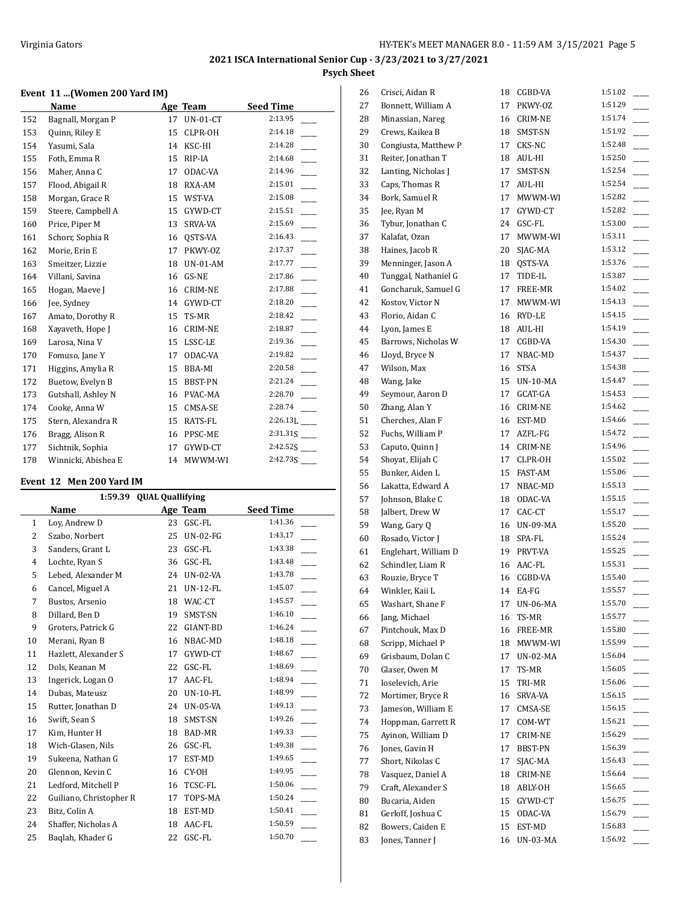#### **Event 11 ...(Women 200 Yard IM)**

|     | Name                |    | Age Team        | <b>Seed Time</b> |
|-----|---------------------|----|-----------------|------------------|
| 152 | Bagnall, Morgan P   | 17 | <b>UN-01-CT</b> | 2:13.95          |
| 153 | Quinn, Riley E      | 15 | CLPR-OH         | 2:14.18          |
| 154 | Yasumi, Sala        | 14 | KSC-HI          | 2:14.28          |
| 155 | Foth, Emma R        | 15 | RIP-IA          | 2:14.68          |
| 156 | Maher, Anna C       | 17 | ODAC-VA         | 2:14.96          |
| 157 | Flood, Abigail R    | 18 | RXA-AM          | 2:15.01          |
| 158 | Morgan, Grace R     | 15 | WST-VA          | 2:15.08          |
| 159 | Steere, Campbell A  | 15 | GYWD-CT         | 2:15.51          |
| 160 | Price, Piper M      | 13 | SRVA-VA         | 2:15.69          |
| 161 | Schorr, Sophia R    | 16 | OSTS-VA         | 2:16.43          |
| 162 | Morie, Erin E       | 17 | PKWY-OZ         | 2:17.37          |
| 163 | Smeitzer, Lizzie    | 18 | <b>UN-01-AM</b> | 2:17.77          |
| 164 | Villani, Savina     | 16 | GS-NE           | 2:17.86          |
| 165 | Hogan, Maeve J      | 16 | <b>CRIM-NE</b>  | 2:17.88          |
| 166 | Jee, Sydney         | 14 | GYWD-CT         | 2:18.20          |
| 167 | Amato, Dorothy R    | 15 | TS-MR           | 2:18.42          |
| 168 | Xayaveth, Hope J    | 16 | <b>CRIM-NE</b>  | 2:18.87          |
| 169 | Larosa, Nina V      | 15 | LSSC-LE         | 2:19.36          |
| 170 | Fomuso, Jane Y      | 17 | ODAC-VA         | 2:19.82          |
| 171 | Higgins, Amylia R   | 15 | BBA-MI          | 2:20.58          |
| 172 | Buetow, Evelyn B    | 15 | BBST-PN         | 2:21.24          |
| 173 | Gutshall, Ashley N  | 16 | PVAC-MA         | 2:28.70          |
| 174 | Cooke, Anna W       | 15 | CMSA-SE         | 2:28.74          |
| 175 | Stern, Alexandra R  | 15 | RATS-FL         | 2:26.13L         |
| 176 | Bragg, Alison R     | 16 | PPSC-ME         | 2:31.31S         |
| 177 | Sichtnik, Sophia    | 17 | GYWD-CT         | 2:42.52S         |
| 178 | Winnicki, Abishea E | 14 | MWWM-WI         |                  |

#### **Event 12 Men 200 Yard IM**

| <b>QUAL Quallifying</b><br>1:59.39 |                         |    |                 |                  |  |
|------------------------------------|-------------------------|----|-----------------|------------------|--|
|                                    | Name                    |    | Age Team        | <b>Seed Time</b> |  |
| $\mathbf{1}$                       | Lov, Andrew D           | 23 | GSC-FL          | 1:41.36          |  |
| 2                                  | Szabo, Norbert          | 25 | <b>UN-02-FG</b> | 1:43.17          |  |
| 3                                  | Sanders, Grant L        | 23 | GSC-FL          | 1:43.38          |  |
| 4                                  | Lochte, Ryan S          | 36 | GSC-FL          | 1:43.48          |  |
| 5                                  | Lebed, Alexander M      | 24 | <b>UN-02-VA</b> | 1:43.78          |  |
| 6                                  | Cancel, Miguel A        | 21 | <b>UN-12-FL</b> | 1:45.07          |  |
| 7                                  | Bustos, Arsenio         | 18 | WAC-CT          | 1:45.57          |  |
| 8                                  | Dillard, Ben D          | 19 | SMST-SN         | 1:46.10          |  |
| 9                                  | Groters, Patrick G      | 22 | GIANT-BD        | 1:46.24          |  |
| 10                                 | Merani, Ryan B          | 16 | NBAC-MD         | 1:48.18          |  |
| 11                                 | Hazlett, Alexander S    | 17 | GYWD-CT         | 1:48.67          |  |
| 12                                 | Dols, Keanan M          | 22 | GSC-FL          | 1:48.69          |  |
| 13                                 | Ingerick, Logan O       | 17 | AAC-FL          | 1:48.94          |  |
| 14                                 | Dubas, Mateusz          | 20 | <b>UN-10-FL</b> | 1:48.99          |  |
| 15                                 | Rutter, Jonathan D      | 24 | <b>UN-05-VA</b> | 1:49.13          |  |
| 16                                 | Swift, Sean S           | 18 | SMST-SN         | 1:49.26          |  |
| 17                                 | Kim, Hunter H           | 18 | BAD-MR          | 1:49.33          |  |
| 18                                 | Wich-Glasen, Nils       | 26 | GSC-FL          | 1:49.38          |  |
| 19                                 | Sukeena, Nathan G       | 17 | EST-MD          | 1:49.65          |  |
| 20                                 | Glennon, Kevin C        | 16 | CY-OH           | 1:49.95          |  |
| 21                                 | Ledford, Mitchell P     | 16 | TCSC-FL         | 1:50.06          |  |
| 22                                 | Guiliano, Christopher R | 17 | TOPS-MA         | 1:50.24          |  |
| 23                                 | Bitz, Colin A           | 18 | EST-MD          | 1:50.41          |  |
| 24                                 | Shaffer, Nicholas A     | 18 | AAC-FL          | 1:50.59          |  |
| 25                                 | Baglah, Khader G        | 22 | GSC-FL          | 1:50.70          |  |

| 26 | Crisci, Aidan R                         | 18 | CGBD-VA            | 1:51.02 |
|----|-----------------------------------------|----|--------------------|---------|
| 27 | Bonnett, William A                      | 17 | PKWY-0Z            | 1:51.29 |
| 28 | Minassian, Nareg                        | 16 | CRIM-NE            | 1:51.74 |
| 29 | Crews, Kaikea B                         | 18 | SMST-SN            | 1:51.92 |
| 30 | Congiusta, Matthew P                    | 17 | CKS-NC             | 1:52.48 |
| 31 | Reiter, Jonathan T                      | 18 | AUL-HI             | 1:52.50 |
| 32 | Lanting, Nicholas J                     | 17 | SMST-SN            | 1:52.54 |
| 33 | Caps, Thomas R                          | 17 | AUL-HI             | 1:52.54 |
| 34 | Bork, Samuel R                          | 17 | MWWM-WI            | 1:52.82 |
| 35 | Jee, Ryan M                             |    | 17 GYWD-CT         | 1:52.82 |
| 36 | Tybur, Jonathan C                       |    | 24 GSC-FL          | 1:53.00 |
| 37 | Kalafat, Ozan                           | 17 | MWWM-WI            | 1:53.11 |
| 38 | Haines, Jacob R                         | 20 | SJAC-MA            | 1:53.12 |
| 39 | Menninger, Jason A                      | 18 | QSTS-VA            | 1:53.76 |
| 40 | Tunggal, Nathaniel G                    | 17 | TIDE-IL            | 1:53.87 |
| 41 | Goncharuk, Samuel G                     | 17 | FREE-MR            | 1:54.02 |
| 42 | Kostov, Victor N                        | 17 | MWWM-WI            | 1:54.13 |
| 43 | Florio, Aidan C                         | 16 | RYD-LE             | 1:54.15 |
| 44 | Lyon, James E                           | 18 | AUL-HI             | 1:54.19 |
| 45 | Barrows, Nicholas W                     | 17 | CGBD-VA            | 1:54.30 |
| 46 | Lloyd, Bryce N                          | 17 | NBAC-MD            | 1:54.37 |
| 47 | Wilson, Max                             | 16 | STSA               | 1:54.38 |
| 48 | Wang, Jake                              | 15 | UN-10-MA           | 1:54.47 |
| 49 | Seymour, Aaron D                        | 17 | GCAT-GA            | 1:54.53 |
| 50 | Zhang, Alan Y                           |    | 16 CRIM-NE         | 1:54.62 |
| 51 | Cherches, Alan F                        |    | 16 EST-MD          | 1:54.66 |
| 52 | Fuchs, William P                        | 17 | AZFL-FG            | 1:54.72 |
| 53 | Caputo, Quinn J                         | 14 | CRIM-NE            | 1:54.96 |
| 54 | Shoyat, Elijah C                        | 17 | CLPR-OH            | 1:55.02 |
| 55 | Bunker, Aiden L                         | 15 | FAST-AM            | 1:55.06 |
| 56 | Lakatta, Edward A                       | 17 | NBAC-MD            | 1:55.13 |
| 57 | Johnson, Blake C                        |    | 18 ODAC-VA         | 1:55.15 |
| 58 | Jalbert, Drew W                         |    | 17 CAC-CT          | 1:55.17 |
| 59 | Wang, Gary Q                            |    | 16 UN-09-MA        | 1:55.20 |
| 60 | Rosado, Victor J                        | 18 | SPA-FL             | 1:55.24 |
| 61 | Englehart, William D                    | 19 | PRVT-VA            | 1:55.25 |
| 62 | Schindler, Liam R                       |    | 16 AAC-FL          | 1:55.31 |
| 63 | Rouzie, Bryce T                         | 16 | CGBD-VA            | 1:55.40 |
| 64 | Winkler, Kaii L                         | 14 | EA-FG              | 1:55.57 |
| 65 | Washart, Shane F                        | 17 | UN-06-MA           | 1:55.70 |
| 66 | Jang, Michael                           | 16 | TS-MR              | 1:55.77 |
| 67 | Pintchouk, Max D                        | 16 | FREE-MR            | 1:55.80 |
| 68 | Scripp, Michael P                       | 18 | MWWM-WI            | 1:55.99 |
| 69 | Grisbaum, Dolan C                       | 17 | <b>UN-02-MA</b>    | 1:56.04 |
| 70 | Glaser, Owen M                          | 17 | TS-MR              | 1:56.05 |
| 71 | Ioselevich, Arie                        | 15 |                    | 1:56.06 |
|    |                                         |    | TRI-MR             | 1:56.15 |
| 72 | Mortimer, Bryce R<br>Jameson, William E | 16 | SRVA-VA            | 1:56.15 |
| 73 |                                         | 17 | CMSA-SE<br>COM-WT  | 1:56.21 |
| 74 | Hoppman, Garrett R                      | 17 |                    | 1:56.29 |
| 75 | Ayinon, William D                       | 17 | CRIM-NE<br>BBST-PN | 1:56.39 |
| 76 | Jones, Gavin H                          | 17 |                    |         |
| 77 | Short, Nikolas C                        | 17 | SJAC-MA            | 1:56.43 |
| 78 | Vasquez, Daniel A                       | 18 | CRIM-NE            | 1:56.64 |
| 79 | Craft, Alexander S                      | 18 | ABLY-OH            | 1:56.65 |
| 80 | Bucaria, Aiden                          | 15 | GYWD-CT            | 1:56.75 |
| 81 | Gerloff, Joshua C                       | 15 | ODAC-VA            | 1:56.79 |
| 82 | Bowers, Caiden E                        | 15 | EST-MD             | 1:56.83 |
| 83 | Jones, Tanner J                         | 16 | UN-03-MA           | 1:56.92 |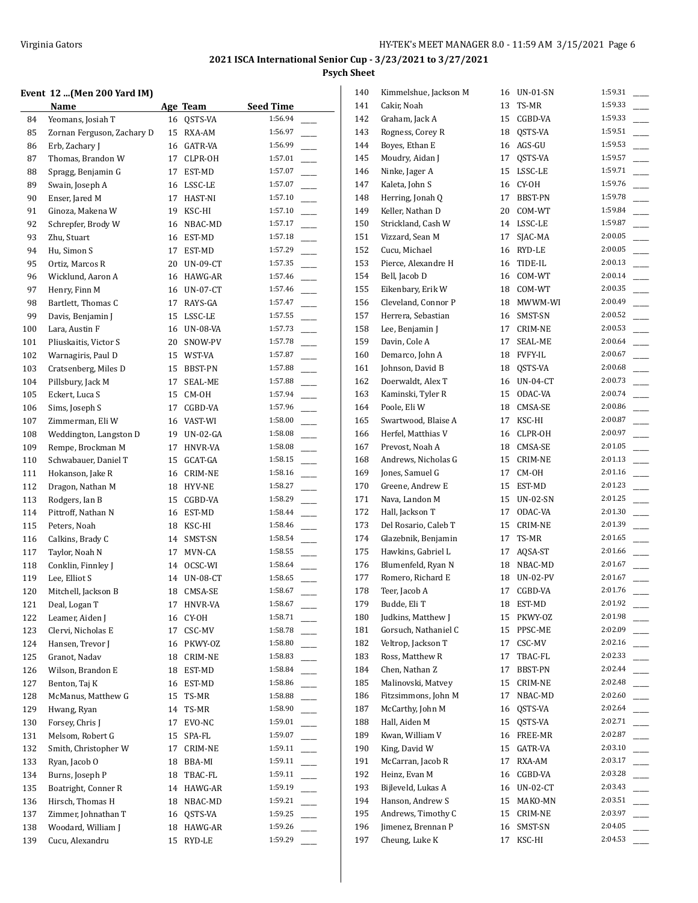## **Event 12 ...(Men 200 Yard IM)**

|            | Event 12 (Men 200 Yard IM) |    |             |                             |
|------------|----------------------------|----|-------------|-----------------------------|
|            | Name                       |    | Age Team    | <b>Seed Time</b><br>1:56.94 |
| 84         | Yeomans, Josiah T          | 16 | QSTS-VA     | 1:56.97                     |
| 85         | Zornan Ferguson, Zachary D | 15 | RXA-AM      |                             |
| 86         | Erb, Zachary J             | 16 | GATR-VA     | 1:56.99                     |
| 87         | Thomas, Brandon W          | 17 | CLPR-OH     | 1:57.01                     |
| 88         | Spragg, Benjamin G         | 17 | EST-MD      | 1:57.07                     |
| 89         | Swain, Joseph A            | 16 | LSSC-LE     | 1:57.07                     |
| 90         | Enser, Jared M             | 17 | HAST-NI     | 1:57.10                     |
| 91         | Ginoza, Makena W           | 19 | KSC-HI      | 1:57.10                     |
| 92         | Schrepfer, Brody W         | 16 | NBAC-MD     | 1:57.17                     |
| 93         | Zhu, Stuart                |    | 16 EST-MD   | 1:57.18                     |
| 94         | Hu, Simon S                | 17 | EST-MD      | 1:57.29                     |
| 95         | Ortiz, Marcos R            | 20 | UN-09-CT    | 1:57.35                     |
| 96         | Wicklund, Aaron A          | 16 | HAWG-AR     | 1:57.46                     |
| 97         | Henry, Finn M              | 16 | UN-07-CT    | 1:57.46                     |
| 98         | Bartlett, Thomas C         | 17 | RAYS-GA     | 1:57.47                     |
| 99         | Davis, Benjamin J          | 15 | LSSC-LE     | 1:57.55                     |
| 100        | Lara, Austin F             | 16 | UN-08-VA    | 1:57.73                     |
| 101        | Pliuskaitis, Victor S      | 20 | SNOW-PV     | 1:57.78                     |
| 102        | Warnagiris, Paul D         | 15 | WST-VA      | 1:57.87                     |
| 103        | Cratsenberg, Miles D       | 15 | BBST-PN     | 1:57.88                     |
| 104        | Pillsbury, Jack M          | 17 | SEAL-ME     | 1:57.88                     |
| 105        | Eckert, Luca S             | 15 | CM-OH       | 1:57.94                     |
| 106        | Sims, Joseph S             | 17 | CGBD-VA     | 1:57.96                     |
| 107        | Zimmerman, Eli W           | 16 | VAST-WI     | 1:58.00                     |
| 108        | Weddington, Langston D     | 19 | UN-02-GA    | 1:58.08                     |
| 109        | Rempe, Brockman M          | 17 | HNVR-VA     | 1:58.08                     |
| 110        | Schwabauer, Daniel T       | 15 | GCAT-GA     | 1:58.15                     |
| 111        | Hokanson, Jake R           | 16 | CRIM-NE     | 1:58.16                     |
| 112        | Dragon, Nathan M           | 18 | HYV-NE      | 1:58.27                     |
| 113        | Rodgers, Ian B             | 15 | CGBD-VA     | 1:58.29                     |
| 114        | Pittroff, Nathan N         | 16 | EST-MD      | 1:58.44                     |
| 115        | Peters, Noah               | 18 | KSC-HI      | 1:58.46                     |
| 116        | Calkins, Brady C           | 14 | SMST-SN     | 1:58.54                     |
| 117        | Taylor, Noah N             | 17 | MVN-CA      | 1:58.55                     |
| 118        | Conklin, Finnley J         | 14 | OCSC-WI     | 1:58.64                     |
| 119        | Lee, Elliot S              |    | 14 UN-08-CT | 1:58.65                     |
| 120        | Mitchell, Jackson B        |    | 18 CMSA-SE  | 1:58.67                     |
| 121        | Deal, Logan T              | 17 | HNVR-VA     | 1:58.67                     |
| 122        | Leamer, Aiden J            | 16 | CY-OH       | 1:58.71                     |
| 123        | Clervi, Nicholas E         | 17 | CSC-MV      | 1:58.78                     |
| 124        | Hansen, Trevor J           | 16 | PKWY-OZ     | 1:58.80                     |
| 125        | Granot, Nadav              | 18 | CRIM-NE     | 1:58.83                     |
| 126        | Wilson, Brandon E          | 18 | EST-MD      | 1:58.84                     |
| 127        | Benton, Taj K              | 16 | EST-MD      | 1:58.86                     |
| 128        | McManus, Matthew G         | 15 | TS-MR       | 1:58.88                     |
| 129        | Hwang, Ryan                | 14 | TS-MR       | 1:58.90                     |
| 130        | Forsey, Chris J            | 17 | EVO-NC      | 1:59.01                     |
| 131        | Melsom, Robert G           | 15 | SPA-FL      | 1:59.07                     |
| 132        | Smith, Christopher W       | 17 | CRIM-NE     | 1:59.11                     |
| 133        | Ryan, Jacob O              | 18 | BBA-MI      | 1:59.11                     |
| 134        | Burns, Joseph P            | 18 | TBAC-FL     | 1:59.11                     |
| 135        | Boatright, Conner R        | 14 | HAWG-AR     | 1:59.19                     |
| 136        | Hirsch, Thomas H           | 18 | NBAC-MD     | 1:59.21                     |
| 137        | Zimmer, Johnathan T        | 16 | QSTS-VA     | 1:59.25                     |
|            | Woodard, William J         | 18 | HAWG-AR     | 1:59.26                     |
| 138<br>139 | Cucu, Alexandru            | 15 | RYD-LE      | 1:59.29                     |
|            |                            |    |             |                             |

| 140 | Kimmelshue, Jackson M | 16 | UN-01-SN   | 1:59.31 |
|-----|-----------------------|----|------------|---------|
| 141 | Cakir, Noah           | 13 | TS-MR      | 1:59.33 |
| 142 | Graham, Jack A        | 15 | CGBD-VA    | 1:59.33 |
| 143 | Rogness, Corey R      | 18 | QSTS-VA    | 1:59.51 |
| 144 | Boyes, Ethan E        | 16 | AGS-GU     | 1:59.53 |
| 145 | Moudry, Aidan J       | 17 | QSTS-VA    | 1:59.57 |
| 146 | Ninke, Jager A        | 15 | LSSC-LE    | 1:59.71 |
| 147 | Kaleta, John S        | 16 | CY-OH      | 1:59.76 |
| 148 | Herring, Jonah Q      | 17 | BBST-PN    | 1:59.78 |
| 149 | Keller, Nathan D      | 20 | COM-WT     | 1:59.84 |
| 150 | Strickland, Cash W    | 14 | LSSC-LE    | 1:59.87 |
| 151 | Vizzard, Sean M       | 17 | SJAC-MA    | 2:00.05 |
| 152 | Cucu, Michael         | 16 | RYD-LE     | 2:00.05 |
| 153 | Pierce, Alexandre H   | 16 | TIDE-IL    | 2:00.13 |
| 154 | Bell, Jacob D         | 16 | COM-WT     | 2:00.14 |
| 155 | Eikenbary, Erik W     | 18 | COM-WT     | 2:00.35 |
| 156 | Cleveland, Connor P   | 18 | MWWM-WI    | 2:00.49 |
| 157 | Herrera, Sebastian    | 16 | SMST-SN    | 2:00.52 |
| 158 | Lee, Benjamin J       | 17 | CRIM-NE    | 2:00.53 |
| 159 | Davin, Cole A         | 17 | SEAL-ME    | 2:00.64 |
| 160 | Demarco, John A       |    | 18 FVFY-IL | 2:00.67 |
|     |                       |    |            | 2:00.68 |
| 161 | Johnson, David B      | 18 | QSTS-VA    | 2:00.73 |
| 162 | Doerwaldt, Alex T     | 16 | UN-04-CT   |         |
| 163 | Kaminski, Tyler R     | 15 | ODAC-VA    | 2:00.74 |
| 164 | Poole, Eli W          | 18 | CMSA-SE    | 2:00.86 |
| 165 | Swartwood, Blaise A   | 17 | KSC-HI     | 2:00.87 |
| 166 | Herfel, Matthias V    | 16 | CLPR-OH    | 2:00.97 |
| 167 | Prevost, Noah A       | 18 | CMSA-SE    | 2:01.05 |
| 168 | Andrews, Nicholas G   | 15 | CRIM-NE    | 2:01.13 |
| 169 | Jones, Samuel G       | 17 | CM-OH      | 2:01.16 |
| 170 | Greene, Andrew E      | 15 | EST-MD     | 2:01.23 |
| 171 | Nava, Landon M        | 15 | UN-02-SN   | 2:01.25 |
| 172 | Hall, Jackson T       | 17 | ODAC-VA    | 2:01.30 |
| 173 | Del Rosario, Caleb T  | 15 | CRIM-NE    | 2:01.39 |
| 174 | Glazebnik, Benjamin   |    | 17 TS-MR   | 2:01.65 |
| 175 | Hawkins, Gabriel L    | 17 | AQSA-ST    | 2:01.66 |
| 176 | Blumenfeld, Ryan N    | 18 | NBAC-MD    | 2:01.67 |
| 177 | Romero, Richard E     | 18 | UN-02-PV   | 2:01.67 |
| 178 | Teer, Jacob A         | 17 | CGBD-VA    | 2:01.76 |
| 179 | Budde, Eli T          | 18 | EST-MD     | 2:01.92 |
| 180 | Judkins, Matthew J    | 15 | PKWY-OZ    | 2:01.98 |
| 181 | Gorsuch, Nathaniel C  | 15 | PPSC-ME    | 2:02.09 |
| 182 | Veltrop, Jackson T    | 17 | CSC-MV     | 2:02.16 |
| 183 | Ross, Matthew R       | 17 | TBAC-FL    | 2:02.33 |
| 184 | Chen, Nathan Z        | 17 | BBST-PN    | 2:02.44 |
| 185 | Malinovski, Matvey    | 15 | CRIM-NE    | 2:02.48 |
| 186 | Fitzsimmons, John M   | 17 | NBAC-MD    | 2:02.60 |
| 187 | McCarthy, John M      | 16 | QSTS-VA    | 2:02.64 |
| 188 | Hall, Aiden M         | 15 | QSTS-VA    | 2:02.71 |
| 189 | Kwan, William V       | 16 | FREE-MR    | 2:02.87 |
| 190 | King, David W         | 15 | GATR-VA    | 2:03.10 |
| 191 | McCarran, Jacob R     | 17 | RXA-AM     | 2:03.17 |
| 192 | Heinz, Evan M         | 16 | CGBD-VA    | 2:03.28 |
| 193 | Bijleveld, Lukas A    | 16 | UN-02-CT   | 2:03.43 |
| 194 | Hanson, Andrew S      | 15 | MAKO-MN    | 2:03.51 |
| 195 | Andrews, Timothy C    | 15 | CRIM-NE    | 2:03.97 |
| 196 | Jimenez, Brennan P    | 16 | SMST-SN    | 2:04.05 |
| 197 | Cheung, Luke K        | 17 | KSC-HI     | 2:04.53 |
|     |                       |    |            |         |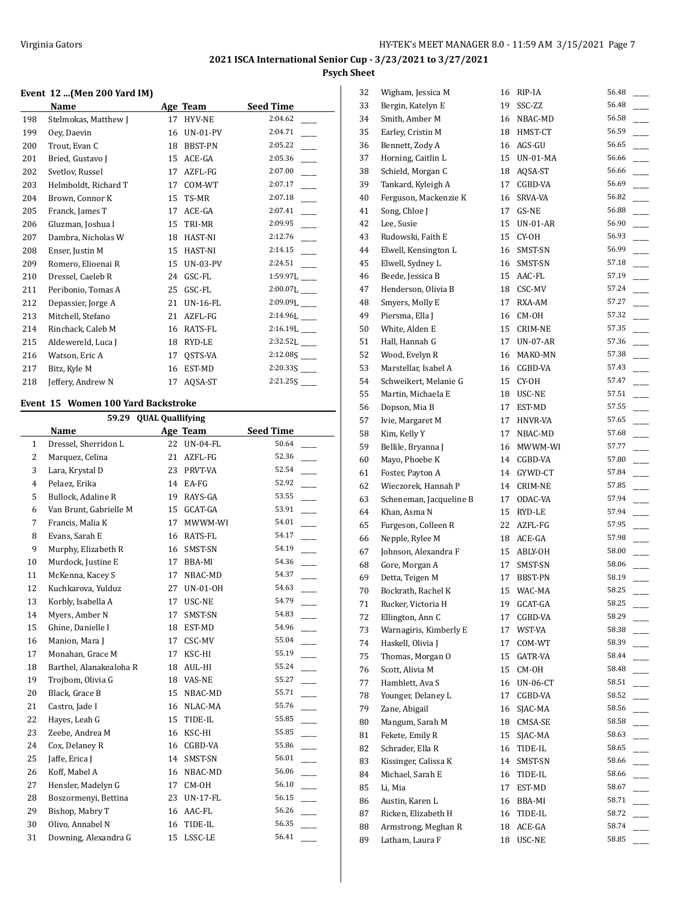## **Event 12 ...(Men 200 Yard IM)**

|     | Name                 |    | Age Team        | <b>Seed Time</b>           |
|-----|----------------------|----|-----------------|----------------------------|
| 198 | Stelmokas, Matthew J | 17 | HYV-NE          | 2:04.62                    |
| 199 | Oey, Daevin          | 16 | UN-01-PV        | 2:04.71                    |
| 200 | Trout, Evan C        | 18 | BBST-PN         | 2:05.22                    |
| 201 | Bried, Gustavo J     | 15 | ACE-GA          | 2:05.36                    |
| 202 | Svetlov, Russel      | 17 | AZFL-FG         | 2:07.00                    |
| 203 | Helmboldt, Richard T | 17 | COM-WT          | 2:07.17                    |
| 204 | Brown, Connor K      | 15 | TS-MR           | 2:07.18                    |
| 205 | Franck, James T      | 17 | ACE-GA          | 2:07.41                    |
| 206 | Gluzman, Joshua I    | 15 | TRI-MR          | 2:09.95                    |
| 207 | Dambra, Nicholas W   | 18 | HAST-NI         | 2:12.76                    |
| 208 | Enser, Justin M      | 15 | HAST-NI         | 2:14.15                    |
| 209 | Romero, Elioenai R   | 15 | <b>UN-03-PV</b> | 2:24.51                    |
| 210 | Dressel, Caeleb R    | 24 | GSC-FL          | $1:59.97L$ <sub>___</sub>  |
| 211 | Peribonio, Tomas A   | 25 | GSC-FL          | 2:00.07L                   |
| 212 | Depassier, Jorge A   | 21 | <b>UN-16-FL</b> | $2:09.09L$ <sub>---</sub>  |
| 213 | Mitchell, Stefano    | 21 | AZFL-FG         | 2:14.96L___                |
| 214 | Rinchack, Caleb M    | 16 | RATS-FL         | $2:16.19L$ <sub>----</sub> |
| 215 | Aldewereld, Luca J   | 18 | RYD-LE          | $2:32.52L$ <sub>____</sub> |
| 216 | Watson, Eric A       | 17 | OSTS-VA         | $2:12.08S$ <sub>---</sub>  |
| 217 | Bitz, Kyle M         | 16 | EST-MD          |                            |
| 218 | Jeffery, Andrew N    | 17 | AQSA-ST         | $2:21.25S$ <sub>____</sub> |

#### **Event 15 Women 100 Yard Backstroke**

L

|                | 59.29                   | <b>QUAL Quallifying</b> |                 |                  |
|----------------|-------------------------|-------------------------|-----------------|------------------|
|                | Name                    |                         | Age Team        | <b>Seed Time</b> |
| 1              | Dressel, Sherridon L    | 22                      | <b>UN-04-FL</b> | 50.64            |
| 2              | Marquez, Celina         | 21                      | AZFL-FG         | 52.36            |
| 3              | Lara, Krystal D         | 23                      | PRVT-VA         | 52.54            |
| $\overline{4}$ | Pelaez, Erika           | 14                      | EA-FG           | 52.92            |
| 5              | Bullock, Adaline R      | 19                      | RAYS-GA         | 53.55            |
| 6              | Van Brunt, Gabrielle M  | 15                      | GCAT-GA         | 53.91            |
| 7              | Francis, Malia K        | 17                      | MWWM-WI         | 54.01            |
| 8              | Evans, Sarah E          | 16                      | RATS-FL         | 54.17            |
| 9              | Murphy, Elizabeth R     | 16                      | SMST-SN         | 54.19            |
| 10             | Murdock, Justine E      | 17                      | BBA-MI          | 54.36            |
| 11             | McKenna, Kacey S        | 17                      | NBAC-MD         | 54.37            |
| 12             | Kuchkarova, Yulduz      | 27                      | UN-01-OH        | 54.63            |
| 13             | Korbly, Isabella A      | 17                      | USC-NE          | 54.79            |
| 14             | Myers, Amber N          | 17                      | SMST-SN         | 54.83            |
| 15             | Ghine, Danielle I       | 18                      | EST-MD          | 54.96            |
| 16             | Manion, Mara J          | 17                      | CSC-MV          | 55.04            |
| 17             | Monahan, Grace M        | 17                      | KSC-HI          | 55.19            |
| 18             | Barthel, Alanakealoha R | 18                      | AUL-HI          | 55.24            |
| 19             | Trojbom, Olivia G       | 18                      | VAS-NE          | 55.27            |
| 20             | Black, Grace B          | 15                      | NBAC-MD         | 55.71            |
| 21             | Castro, Jade I          | 16                      | NLAC-MA         | 55.76            |
| 22             | Hayes, Leah G           | 15                      | TIDE-IL         | 55.85            |
| 23             | Zeebe, Andrea M         | 16                      | KSC-HI          | 55.85            |
| 24             | Cox, Delaney R          | 16                      | CGBD-VA         | 55.86            |
| 25             | Jaffe, Erica J          | 14                      | SMST-SN         | 56.01            |
| 26             | Koff, Mabel A           | 16                      | NBAC-MD         | 56.06            |
| 27             | Hensler, Madelyn G      | 17                      | CM-OH           | 56.10            |
| 28             | Boszormenyi, Bettina    | 23                      | <b>UN-17-FL</b> | 56.15            |
| 29             | Bishop, Mabry T         | 16                      | AAC-FL          | 56.26            |
| 30             | Olivo, Annabel N        | 16                      | TIDE-IL         | 56.35            |
| 31             | Downing, Alexandra G    | 15                      | LSSC-LE         | 56.41            |

| 32 | Wigham, Jessica M       | 16 | RIP-IA          | 56.48 |
|----|-------------------------|----|-----------------|-------|
| 33 | Bergin, Katelyn E       | 19 | SSC-ZZ          | 56.48 |
| 34 | Smith, Amber M          |    | 16 NBAC-MD      | 56.58 |
| 35 | Earley, Cristin M       | 18 | HMST-CT         | 56.59 |
| 36 | Bennett, Zody A         | 16 | AGS-GU          | 56.65 |
| 37 | Horning, Caitlin L      | 15 | UN-01-MA        | 56.66 |
| 38 | Schield, Morgan C       | 18 | AQSA-ST         | 56.66 |
| 39 | Tankard, Kyleigh A      | 17 | CGBD-VA         | 56.69 |
| 40 | Ferguson, Mackenzie K   | 16 | SRVA-VA         | 56.82 |
| 41 | Song, Chloe J           | 17 | GS-NE           | 56.88 |
| 42 | Lee, Susie              | 15 | UN-01-AR        | 56.90 |
| 43 | Rudowski, Faith E       | 15 | CY-OH           | 56.93 |
| 44 | Elwell, Kensington L    | 16 | SMST-SN         | 56.99 |
| 45 | Elwell, Sydney L        | 16 | SMST-SN         | 57.18 |
| 46 | Beede, Jessica B        | 15 | AAC-FL          | 57.19 |
| 47 | Henderson, Olivia B     | 18 | CSC-MV          | 57.24 |
| 48 | Smyers, Molly E         | 17 | RXA-AM          | 57.27 |
| 49 | Piersma, Ella J         | 16 | CM-OH           | 57.32 |
|    |                         | 15 |                 | 57.35 |
| 50 | White, Alden E          |    | CRIM-NE         | 57.36 |
| 51 | Hall, Hannah G          | 17 | <b>UN-07-AR</b> |       |
| 52 | Wood, Evelyn R          |    | 16 MAKO-MN      | 57.38 |
| 53 | Marstellar, Isabel A    |    | 16 CGBD-VA      | 57.43 |
| 54 | Schweikert, Melanie G   | 15 | CY-OH           | 57.47 |
| 55 | Martin, Michaela E      |    | 18 USC-NE       | 57.51 |
| 56 | Dopson, Mia B           | 17 | EST-MD          | 57.55 |
| 57 | Ivie, Margaret M        | 17 | HNVR-VA         | 57.65 |
| 58 | Kim, Kelly Y            | 17 | NBAC-MD         | 57.68 |
| 59 | Bellile, Bryanna J      | 16 | MWWM-WI         | 57.77 |
| 60 | Mayo, Phoebe K          | 14 | CGBD-VA         | 57.80 |
| 61 | Foster, Payton A        | 14 | GYWD-CT         | 57.84 |
| 62 | Wieczorek, Hannah P     | 14 | CRIM-NE         | 57.85 |
| 63 | Scheneman, Jacqueline B | 17 | ODAC-VA         | 57.94 |
| 64 | Khan, Asma N            |    | 15 RYD-LE       | 57.94 |
| 65 | Furgeson, Colleen R     | 22 | AZFL-FG         | 57.95 |
| 66 | Nepple, Rylee M         |    | 18 ACE-GA       | 57.98 |
| 67 | Johnson, Alexandra F    |    | 15 ABLY-OH      | 58.00 |
| 68 | Gore, Morgan A          | 17 | SMST-SN         | 58.06 |
| 69 | Detta, Teigen M         | 17 | BBST-PN         | 58.19 |
| 70 | Bockrath, Rachel K      | 15 | WAC-MA          | 58.25 |
| 71 | Rucker, Victoria H      | 19 | GCAT-GA         | 58.25 |
| 72 | Ellington, Ann C        | 17 | CGBD-VA         | 58.29 |
| 73 | Warnagiris, Kimberly E  | 17 | WST-VA          | 58.38 |
| 74 | Haskell, Olivia J       | 17 | COM-WT          | 58.39 |
| 75 | Thomas, Morgan O        | 15 | GATR-VA         | 58.44 |
| 76 | Scott, Alivia M         | 15 | CM-OH           | 58.48 |
| 77 | Hamblett, Ava S         | 16 | <b>UN-06-CT</b> | 58.51 |
| 78 | Younger, Delaney L      | 17 | CGBD-VA         | 58.52 |
| 79 | Zane, Abigail           | 16 | SJAC-MA         | 58.56 |
| 80 | Mangum, Sarah M         | 18 | CMSA-SE         | 58.58 |
| 81 | Fekete, Emily R         | 15 | SJAC-MA         | 58.63 |
| 82 | Schrader, Ella R        | 16 | TIDE-IL         | 58.65 |
| 83 | Kissinger, Calissa K    | 14 | SMST-SN         | 58.66 |
| 84 | Michael, Sarah E        | 16 | TIDE-IL         | 58.66 |
| 85 | Li, Mia                 | 17 | EST-MD          | 58.67 |
| 86 | Austin, Karen L         | 16 | BBA-MI          | 58.71 |
| 87 | Ricken, Elizabeth H     | 16 | TIDE-IL         | 58.72 |
| 88 | Armstrong, Meghan R     | 18 | ACE-GA          | 58.74 |
| 89 | Latham, Laura F         | 18 | USC-NE          | 58.85 |
|    |                         |    |                 |       |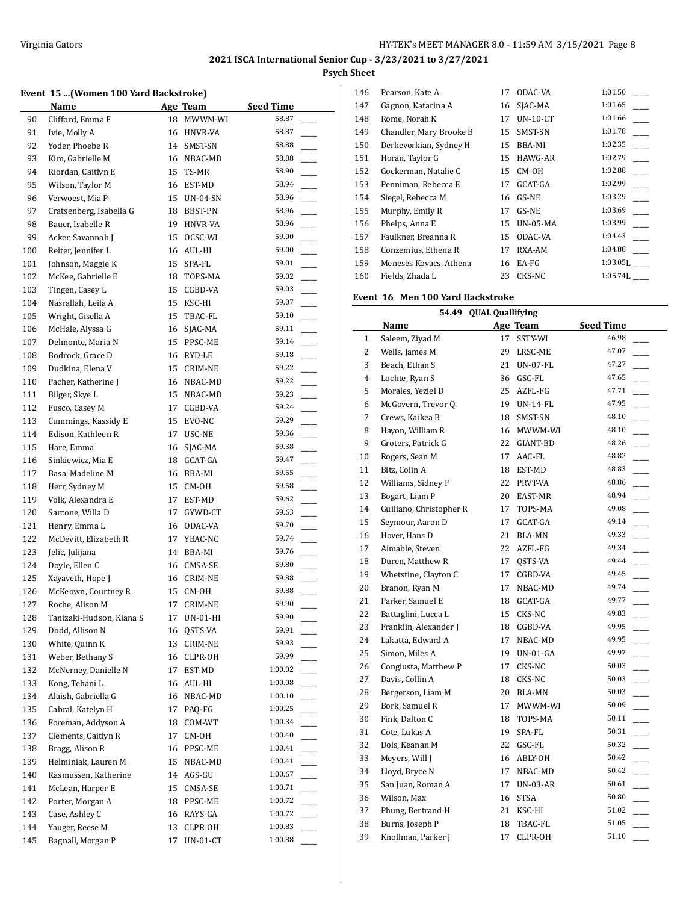#### **Event 15 ...(Women 100 Yard Backstroke)**

|     | Name                     |    | Age Team                               | <b>Seed Time</b>       |  |
|-----|--------------------------|----|----------------------------------------|------------------------|--|
| 90  | Clifford, Emma F         | 18 | MWWM-WI                                | 58.87                  |  |
| 91  | Ivie, Molly A            | 16 | HNVR-VA                                | 58.87                  |  |
| 92  | Yoder, Phoebe R          | 14 | SMST-SN                                | 58.88                  |  |
| 93  | Kim, Gabrielle M         |    | 16 NBAC-MD                             | 58.88                  |  |
| 94  | Riordan, Caitlyn E       | 15 | TS-MR                                  | 58.90                  |  |
| 95  | Wilson, Taylor M         | 16 | EST-MD                                 | 58.94                  |  |
| 96  | Verwoest, Mia P          | 15 | <b>UN-04-SN</b>                        | 58.96                  |  |
| 97  | Cratsenberg, Isabella G  | 18 | BBST-PN                                | 58.96<br>$\frac{1}{2}$ |  |
| 98  | Bauer, Isabelle R        | 19 | HNVR-VA                                | 58.96                  |  |
| 99  | Acker, Savannah J        | 15 | OCSC-WI                                | 59.00                  |  |
| 100 | Reiter, Jennifer L       | 16 | AUL-HI                                 | 59.00                  |  |
| 101 | Johnson, Maggie K        | 15 | SPA-FL                                 | 59.01                  |  |
| 102 | McKee, Gabrielle E       | 18 | TOPS-MA                                | 59.02                  |  |
| 103 | Tingen, Casey L          | 15 | CGBD-VA                                | 59.03                  |  |
| 104 | Nasrallah, Leila A       | 15 | KSC-HI                                 | 59.07                  |  |
| 105 | Wright, Gisella A        | 15 | TBAC-FL                                | 59.10                  |  |
| 106 | McHale, Alyssa G         | 16 | SJAC-MA                                | 59.11                  |  |
| 107 | Delmonte, Maria N        | 15 | PPSC-ME                                | 59.14                  |  |
| 108 | Bodrock, Grace D         | 16 | RYD-LE                                 | 59.18                  |  |
| 109 | Dudkina, Elena V         | 15 | CRIM-NE                                | 59.22                  |  |
| 110 | Pacher, Katherine J      | 16 | NBAC-MD                                | 59.22                  |  |
| 111 | Bilger, Skye L           | 15 | NBAC-MD                                | 59.23                  |  |
| 112 | Fusco, Casey M           | 17 | CGBD-VA                                | 59.24                  |  |
| 113 | Cummings, Kassidy E      | 15 | EVO-NC                                 | 59.29                  |  |
| 114 | Edison, Kathleen R       | 17 | USC-NE                                 | 59.36                  |  |
| 115 | Hare, Emma               | 16 | SJAC-MA                                | 59.38                  |  |
| 116 | Sinkiewicz, Mia E        | 18 | GCAT-GA                                | 59.47                  |  |
| 117 | Basa, Madeline M         | 16 | BBA-MI                                 | 59.55                  |  |
| 118 | Herr, Sydney M           | 15 | CM-OH                                  | 59.58                  |  |
| 119 | Volk, Alexandra E        | 17 | EST-MD                                 | 59.62                  |  |
| 120 | Sarcone, Willa D         | 17 | GYWD-CT                                | 59.63                  |  |
| 121 | Henry, Emma L            | 16 | ODAC-VA                                | 59.70                  |  |
| 122 | McDevitt, Elizabeth R    | 17 | YBAC-NC                                | 59.74                  |  |
| 123 | Jelic, Julijana          | 14 | BBA-MI                                 | 59.76                  |  |
| 124 | Doyle, Ellen C           | 16 | CMSA-SE                                | 59.80                  |  |
| 125 | Xayaveth, Hope J         | 16 | CRIM-NE                                | 59.88                  |  |
| 126 | McKeown, Courtney R      | 15 | CM-OH                                  | 59.88                  |  |
| 127 | Roche, Alison M          | 17 | <b>CRIM-NE</b>                         | 59.90                  |  |
| 128 | Tanizaki-Hudson, Kiana S | 17 | UN-01-HI                               | 59.90                  |  |
| 129 | Dodd, Allison N          | 16 | QSTS-VA                                | 59.91                  |  |
| 130 | White, Quinn K           | 13 | CRIM-NE                                | 59.93                  |  |
| 131 | Weber, Bethany S         | 16 | CLPR-OH                                | 59.99                  |  |
| 132 | McNerney, Danielle N     | 17 | EST-MD                                 | 1:00.02                |  |
| 133 | Kong, Tehani L           | 16 | AUL-HI                                 | 1:00.08                |  |
| 134 | Alaish, Gabriella G      | 16 | NBAC-MD                                | 1:00.10                |  |
| 135 | Cabral, Katelyn H        | 17 | PAQ-FG                                 | 1:00.25                |  |
| 136 | Foreman, Addyson A       | 18 | COM-WT                                 | 1:00.34                |  |
| 137 | Clements, Caitlyn R      | 17 | $\mathsf{CM}\text{-}\mathsf{OH}$       | 1:00.40                |  |
| 138 | Bragg, Alison R          | 16 | PPSC-ME                                | 1:00.41                |  |
| 139 | Helminiak, Lauren M      | 15 | NBAC-MD                                | 1:00.41                |  |
| 140 | Rasmussen, Katherine     | 14 | AGS-GU                                 | 1:00.67                |  |
| 141 | McLean, Harper E         | 15 | $\ensuremath{\mathsf{CMSA\text{-}SE}}$ | 1:00.71                |  |
| 142 | Porter, Morgan A         | 18 | PPSC-ME                                | 1:00.72                |  |
| 143 | Case, Ashley C           | 16 | RAYS-GA                                | 1:00.72                |  |
| 144 | Yauger, Reese M          | 13 | CLPR-OH                                | 1:00.83                |  |
| 145 | Bagnall, Morgan P        | 17 | $UN-01-CT$                             | 1:00.88                |  |

| 146 | Pearson, Kate A         | 17 | ODAC-VA         | 1:01.50                |
|-----|-------------------------|----|-----------------|------------------------|
| 147 | Gagnon, Katarina A      | 16 | SJAC-MA         | 1:01.65                |
| 148 | Rome, Norah K           | 17 | $UN-10-CT$      | 1:01.66                |
| 149 | Chandler, Mary Brooke B | 15 | SMST-SN         | 1:01.78                |
| 150 | Derkevorkian, Sydney H  | 15 | BBA-MI          | 1:02.35                |
| 151 | Horan, Taylor G         | 15 | <b>HAWG-AR</b>  | 1:02.79                |
| 152 | Gockerman, Natalie C    | 15 | CM-OH           | 1:02.88                |
| 153 | Penniman, Rebecca E     | 17 | GCAT-GA         | 1:02.99                |
| 154 | Siegel, Rebecca M       | 16 | GS-NE           | 1:03.29                |
| 155 | Murphy, Emily R         | 17 | GS-NE           | 1:03.69                |
| 156 | Phelps, Anna E          | 15 | <b>UN-05-MA</b> | 1:03.99                |
| 157 | Faulkner, Breanna R     | 15 | ODAC-VA         | 1:04.43                |
| 158 | Conzemius, Ethena R     | 17 | RXA-AM          | 1:04.88                |
| 159 | Meneses Kovacs, Athena  | 16 | EA-FG           | $1:03.05$ <sub>I</sub> |
| 160 | Fields, Zhada L         | 23 | CKS-NC          | $1:05.74$ [            |

#### **Event 16 Men 100 Yard Backstroke**

|                | 54.49 QUAL Quallifying  |    |             |                                   |  |  |
|----------------|-------------------------|----|-------------|-----------------------------------|--|--|
|                | Name                    |    | Age Team    | <b>Seed Time</b>                  |  |  |
| 1              | Saleem, Ziyad M         | 17 | SSTY-WI     | 46.98                             |  |  |
| $\overline{2}$ | Wells, James M          | 29 | LRSC-ME     | 47.07                             |  |  |
| 3              | Beach, Ethan S          |    | 21 UN-07-FL | 47.27                             |  |  |
| 4              | Lochte, Ryan S          |    | 36 GSC-FL   | 47.65                             |  |  |
| 5              | Morales, Yeziel D       | 25 | AZFL-FG     | 47.71                             |  |  |
| 6              | McGovern, Trevor Q      | 19 | UN-14-FL    | 47.95                             |  |  |
| $\overline{7}$ | Crews, Kaikea B         | 18 | SMST-SN     | 48.10<br>$\overline{\phantom{a}}$ |  |  |
| 8              | Hayon, William R        | 16 | MWWM-WI     | 48.10                             |  |  |
| 9              | Groters, Patrick G      | 22 | GIANT-BD    | 48.26                             |  |  |
| 10             | Rogers, Sean M          | 17 | AAC-FL      | 48.82                             |  |  |
| 11             | Bitz, Colin A           | 18 | EST-MD      | 48.83                             |  |  |
| 12             | Williams, Sidney F      | 22 | PRVT-VA     | 48.86<br>$\overline{\phantom{a}}$ |  |  |
| 13             | Bogart, Liam P          | 20 | EAST-MR     | 48.94<br>$\overline{\phantom{a}}$ |  |  |
| 14             | Guiliano, Christopher R | 17 | TOPS-MA     | 49.08<br>$\overline{\phantom{a}}$ |  |  |
| 15             | Seymour, Aaron D        | 17 | GCAT-GA     | 49.14                             |  |  |
| 16             | Hover, Hans D           | 21 | BLA-MN      | 49.33                             |  |  |
| 17             | Aimable, Steven         | 22 | AZFL-FG     | 49.34                             |  |  |
| 18             | Duren, Matthew R        | 17 | QSTS-VA     | 49.44<br>$\frac{1}{2}$            |  |  |
| 19             | Whetstine, Clayton C    | 17 | CGBD-VA     | 49.45                             |  |  |
| 20             | Branon, Ryan M          | 17 | NBAC-MD     | 49.74                             |  |  |
| 21             | Parker, Samuel E        | 18 | GCAT-GA     | 49.77                             |  |  |
| 22             | Battaglini, Lucca L     | 15 | CKS-NC      | 49.83                             |  |  |
| 23             | Franklin, Alexander J   | 18 | CGBD-VA     | 49.95                             |  |  |
| 24             | Lakatta, Edward A       | 17 | NBAC-MD     | 49.95<br>$\overline{\phantom{a}}$ |  |  |
| 25             | Simon, Miles A          | 19 | $UN-01-GA$  | 49.97                             |  |  |
| 26             | Congiusta, Matthew P    | 17 | CKS-NC      | 50.03                             |  |  |
| 27             | Davis, Collin A         | 18 | CKS-NC      | 50.03                             |  |  |
| 28             | Bergerson, Liam M       | 20 | BLA-MN      | 50.03                             |  |  |
| 29             | Bork, Samuel R          | 17 | MWWM-WI     | 50.09                             |  |  |
| 30             | Fink, Dalton C          | 18 | TOPS-MA     | 50.11<br>$\overline{\phantom{a}}$ |  |  |
| 31             | Cote, Lukas A           | 19 | SPA-FL      | 50.31                             |  |  |
| 32             | Dols, Keanan M          | 22 | GSC-FL      | 50.32                             |  |  |
| 33             | Meyers, Will J          |    | 16 ABLY-OH  | 50.42                             |  |  |
| 34             | Lloyd, Bryce N          | 17 | NBAC-MD     | 50.42                             |  |  |
| 35             | San Juan, Roman A       | 17 | UN-03-AR    | 50.61<br>$\overline{\phantom{a}}$ |  |  |
| 36             | Wilson, Max             | 16 | <b>STSA</b> | 50.80<br>$\frac{1}{1}$            |  |  |
| 37             | Phung, Bertrand H       |    | 21 KSC-HI   | 51.02                             |  |  |
| 38             | Burns, Joseph P         | 18 | TBAC-FL     | 51.05                             |  |  |
| 39             | Knollman, Parker J      | 17 | CLPR-OH     | 51.10                             |  |  |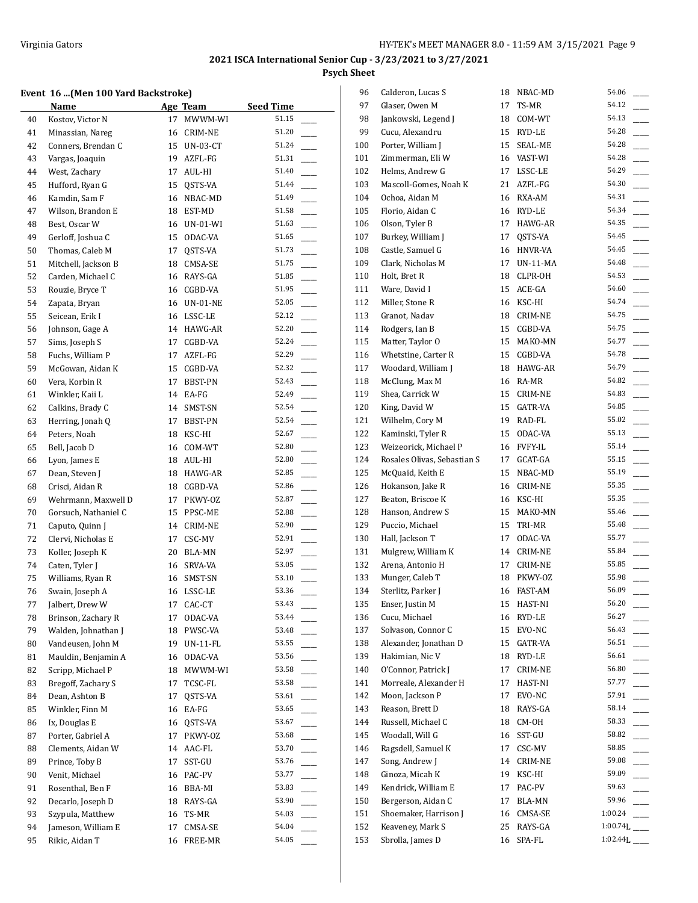## **Event 16 ...(Men 100 Yard Backstroke)**

|    | ivent 16 (Men 100 Yard Backstroke) |    |             |                                   |  |  |  |
|----|------------------------------------|----|-------------|-----------------------------------|--|--|--|
|    | Name                               |    | Age Team    | <b>Seed Time</b>                  |  |  |  |
| 40 | Kostov, Victor N                   | 17 | MWWM-WI     | 51.15                             |  |  |  |
| 41 | Minassian, Nareg                   | 16 | CRIM-NE     | 51.20                             |  |  |  |
| 42 | Conners, Brendan C                 | 15 | UN-03-CT    | 51.24                             |  |  |  |
| 43 | Vargas, Joaquin                    |    | 19 AZFL-FG  | 51.31                             |  |  |  |
| 44 | West, Zachary                      |    | 17 AUL-HI   | 51.40                             |  |  |  |
| 45 | Hufford, Ryan G                    |    | 15 QSTS-VA  | 51.44                             |  |  |  |
| 46 | Kamdin, Sam F                      | 16 | NBAC-MD     | 51.49                             |  |  |  |
| 47 | Wilson, Brandon E                  |    | 18 EST-MD   | 51.58                             |  |  |  |
| 48 | Best, Oscar W                      |    | 16 UN-01-WI | 51.63                             |  |  |  |
| 49 | Gerloff, Joshua C                  |    | 15 ODAC-VA  | 51.65                             |  |  |  |
| 50 | Thomas, Caleb M                    | 17 | QSTS-VA     | 51.73                             |  |  |  |
| 51 | Mitchell, Jackson B                | 18 | CMSA-SE     | 51.75                             |  |  |  |
| 52 | Carden, Michael C                  |    | 16 RAYS-GA  | 51.85                             |  |  |  |
| 53 | Rouzie, Bryce T                    |    | 16 CGBD-VA  | 51.95                             |  |  |  |
| 54 | Zapata, Bryan                      |    | 16 UN-01-NE | 52.05                             |  |  |  |
| 55 | Seicean, Erik I                    |    | 16 LSSC-LE  | 52.12                             |  |  |  |
| 56 | Johnson, Gage A                    |    | 14 HAWG-AR  | 52.20                             |  |  |  |
| 57 | Sims, Joseph S                     | 17 | CGBD-VA     | 52.24                             |  |  |  |
| 58 | Fuchs, William P                   | 17 | AZFL-FG     | 52.29                             |  |  |  |
| 59 | McGowan, Aidan K                   |    | 15 CGBD-VA  | 52.32                             |  |  |  |
| 60 | Vera, Korbin R                     | 17 | BBST-PN     | 52.43                             |  |  |  |
| 61 | Winkler, Kaii L                    |    | 14 EA-FG    | 52.49                             |  |  |  |
| 62 | Calkins, Brady C                   | 14 | SMST-SN     | 52.54                             |  |  |  |
| 63 | Herring, Jonah Q                   | 17 | BBST-PN     | 52.54                             |  |  |  |
|    |                                    |    |             | $\overline{\phantom{a}}$<br>52.67 |  |  |  |
| 64 | Peters, Noah                       | 18 | KSC-HI      | 52.80                             |  |  |  |
| 65 | Bell, Jacob D                      | 16 | COM-WT      | 52.80                             |  |  |  |
| 66 | Lyon, James E                      |    | 18 AUL-HI   | 52.85                             |  |  |  |
| 67 | Dean, Steven J                     |    | 18 HAWG-AR  |                                   |  |  |  |
| 68 | Crisci, Aidan R                    |    | 18 CGBD-VA  | 52.86                             |  |  |  |
| 69 | Wehrmann, Maxwell D                | 17 | PKWY-OZ     | 52.87                             |  |  |  |
| 70 | Gorsuch, Nathaniel C               |    | 15 PPSC-ME  | 52.88                             |  |  |  |
| 71 | Caputo, Quinn J                    |    | 14 CRIM-NE  | 52.90                             |  |  |  |
| 72 | Clervi, Nicholas E                 |    | 17 CSC-MV   | 52.91                             |  |  |  |
| 73 | Koller, Joseph K                   |    | 20 BLA-MN   | 52.97                             |  |  |  |
| 74 | Caten, Tyler J                     |    | 16 SRVA-VA  | 53.05                             |  |  |  |
| 75 | Williams, Ryan R                   |    | 16 SMST-SN  | 53.10                             |  |  |  |
| 76 | Swain, Joseph A                    |    | 16 LSSC-LE  | 53.36                             |  |  |  |
| 77 | Jalbert, Drew W                    | 17 | CAC-CT      | 53.43                             |  |  |  |
| 78 | Brinson, Zachary R                 | 17 | ODAC-VA     | 53.44                             |  |  |  |
| 79 | Walden, Johnathan J                | 18 | PWSC-VA     | 53.48                             |  |  |  |
| 80 | Vandeusen, John M                  | 19 | UN-11-FL    | 53.55                             |  |  |  |
| 81 | Mauldin, Benjamin A                | 16 | ODAC-VA     | 53.56                             |  |  |  |
| 82 | Scripp, Michael P                  | 18 | MWWM-WI     | 53.58                             |  |  |  |
| 83 | Bregoff, Zachary S                 | 17 | TCSC-FL     | 53.58                             |  |  |  |
| 84 | Dean, Ashton B                     | 17 | QSTS-VA     | 53.61                             |  |  |  |
| 85 | Winkler, Finn M                    | 16 | EA-FG       | 53.65                             |  |  |  |
| 86 | Ix, Douglas E                      | 16 | QSTS-VA     | 53.67                             |  |  |  |
| 87 | Porter, Gabriel A                  | 17 | PKWY-OZ     | 53.68                             |  |  |  |
| 88 | Clements, Aidan W                  | 14 | AAC-FL      | 53.70                             |  |  |  |
| 89 | Prince, Toby B                     | 17 | SST-GU      | 53.76                             |  |  |  |
| 90 | Venit, Michael                     | 16 | PAC-PV      | 53.77                             |  |  |  |
| 91 | Rosenthal, Ben F                   | 16 | BBA-MI      | 53.83                             |  |  |  |
| 92 | Decarlo, Joseph D                  | 18 | RAYS-GA     | 53.90                             |  |  |  |
| 93 | Szypula, Matthew                   | 16 | TS-MR       | 54.03                             |  |  |  |
| 94 | Jameson, William E                 | 17 | CMSA-SE     | 54.04                             |  |  |  |
| 95 | Rikic, Aidan T                     | 16 | FREE-MR     | 54.05                             |  |  |  |
|    |                                    |    |             |                                   |  |  |  |

| 96  | Calderon, Lucas S           | 18 | NBAC-MD        | 54.06    |
|-----|-----------------------------|----|----------------|----------|
| 97  | Glaser, Owen M              | 17 | TS-MR          | 54.12    |
| 98  | Jankowski, Legend J         | 18 | COM-WT         | 54.13    |
| 99  | Cucu, Alexandru             | 15 | RYD-LE         | 54.28    |
| 100 | Porter, William J           | 15 | SEAL-ME        | 54.28    |
| 101 | Zimmerman, Eli W            |    | 16 VAST-WI     | 54.28    |
| 102 | Helms, Andrew G             | 17 | LSSC-LE        | 54.29    |
| 103 | Mascoll-Gomes, Noah K       |    | 21 AZFL-FG     | 54.30    |
| 104 | Ochoa, Aidan M              | 16 | RXA-AM         | 54.31    |
| 105 | Florio, Aidan C             | 16 | RYD-LE         | 54.34    |
| 106 | Olson, Tyler B              | 17 | HAWG-AR        | 54.35    |
| 107 | Burkey, William J           | 17 | QSTS-VA        | 54.45    |
| 108 | Castle, Samuel G            | 16 | HNVR-VA        | 54.45    |
| 109 | Clark, Nicholas M           | 17 | UN-11-MA       | 54.48    |
| 110 | Holt, Bret R                | 18 | CLPR-OH        | 54.53    |
| 111 | Ware, David I               | 15 | ACE-GA         | 54.60    |
| 112 | Miller, Stone R             | 16 | KSC-HI         | 54.74    |
| 113 | Granot, Nadav               | 18 | CRIM-NE        | 54.75    |
| 114 | Rodgers, Ian B              | 15 | CGBD-VA        | 54.75    |
| 115 | Matter, Taylor O            | 15 | MAKO-MN        | 54.77    |
| 116 | Whetstine, Carter R         | 15 | CGBD-VA        | 54.78    |
| 117 | Woodard, William J          | 18 | HAWG-AR        | 54.79    |
| 118 | McClung, Max M              | 16 | RA-MR          | 54.82    |
| 119 | Shea, Carrick W             | 15 | CRIM-NE        | 54.83    |
| 120 | King, David W               | 15 | GATR-VA        | 54.85    |
| 121 | Wilhelm, Cory M             | 19 | RAD-FL         | 55.02    |
| 122 | Kaminski, Tyler R           | 15 | ODAC-VA        | 55.13    |
| 123 | Weizeorick, Michael P       | 16 | <b>FVFY-IL</b> | 55.14    |
| 124 | Rosales Olivas, Sebastian S | 17 | GCAT-GA        | 55.15    |
| 125 | McQuaid, Keith E            | 15 | NBAC-MD        | 55.19    |
| 126 | Hokanson, Jake R            | 16 | CRIM-NE        | 55.35    |
| 127 | Beaton, Briscoe K           | 16 | KSC-HI         | 55.35    |
| 128 | Hanson, Andrew S            | 15 | MAKO-MN        | 55.46    |
| 129 | Puccio, Michael             | 15 | TRI-MR         | 55.48    |
| 130 | Hall, Jackson T             | 17 | ODAC-VA        | 55.77    |
| 131 | Mulgrew, William K          | 14 | CRIM-NE        | 55.84    |
| 132 | Arena, Antonio H            | 17 | CRIM-NE        | 55.85    |
| 133 | Munger, Caleb T             | 18 | PKWY-OZ        | 55.98    |
| 134 | Sterlitz, Parker J          | 16 | FAST-AM        | 56.09    |
| 135 | Enser, Justin M             | 15 | HAST-NI        | 56.20    |
| 136 | Cucu, Michael               | 16 | RYD-LE         | 56.27    |
| 137 | Solvason, Connor C          | 15 | EVO-NC         | 56.43    |
| 138 | Alexander, Jonathan D       | 15 | GATR-VA        | 56.51    |
| 139 | Hakimian, Nic V             | 18 | RYD-LE         | 56.61    |
| 140 | O'Connor, Patrick J         | 17 | CRIM-NE        | 56.80    |
| 141 | Morreale, Alexander H       | 17 | HAST-NI        | 57.77    |
| 142 | Moon, Jackson P             | 17 | EVO-NC         | 57.91    |
| 143 | Reason, Brett D             | 18 | RAYS-GA        | 58.14    |
| 144 | Russell, Michael C          | 18 | CM-OH          | 58.33    |
| 145 | Woodall, Will G             | 16 | SST-GU         | 58.82    |
| 146 | Ragsdell, Samuel K          | 17 | CSC-MV         | 58.85    |
| 147 | Song, Andrew J              | 14 | CRIM-NE        | 59.08    |
| 148 | Ginoza, Micah K             | 19 | KSC-HI         | 59.09    |
| 149 | Kendrick, William E         | 17 | PAC-PV         | 59.63    |
| 150 | Bergerson, Aidan C          | 17 | BLA-MN         | 59.96    |
| 151 | Shoemaker, Harrison J       | 16 | CMSA-SE        | 1:00.24  |
| 152 | Keaveney, Mark S            | 25 | RAYS-GA        | 1:00.74L |
| 153 | Sbrolla, James D            | 16 | SPA-FL         | 1:02.44L |
|     |                             |    |                |          |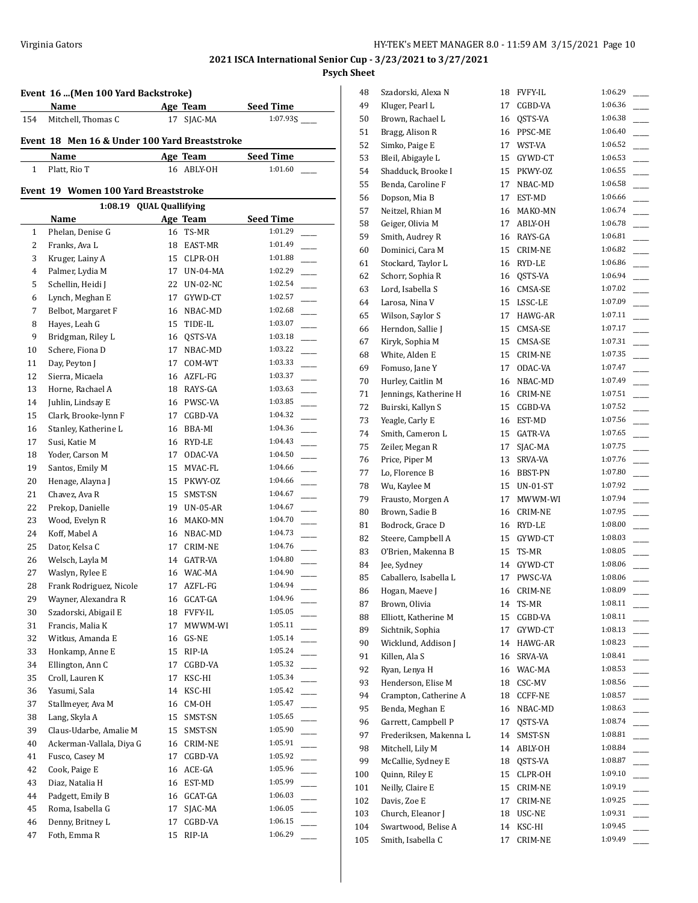## **Event 16 ...(Men 100 Yard Backstroke)**

|     | Name                                          | Age Team   | <b>Seed Time</b> |
|-----|-----------------------------------------------|------------|------------------|
| 154 | Mitchell. Thomas C                            | 17 SIAC-MA | 1:07.93S         |
|     | Event 18 Men 16 & Under 100 Yard Breaststroke |            |                  |

| Name         | Age Team   | <b>Seed Time</b> |
|--------------|------------|------------------|
| Platt, Rio T | 16 ABLY-OH | 1:01.60          |

## **Event 19 Women 100 Yard Breaststroke**

| <b>QUAL Quallifying</b><br>1:08.19 |                                      |    |             |         |  |  |  |  |  |
|------------------------------------|--------------------------------------|----|-------------|---------|--|--|--|--|--|
|                                    | Age Team<br><b>Seed Time</b><br>Name |    |             |         |  |  |  |  |  |
| $\mathbf{1}$                       | Phelan, Denise G                     | 16 | TS-MR       | 1:01.29 |  |  |  |  |  |
| 2                                  | Franks, Ava L                        | 18 | EAST-MR     | 1:01.49 |  |  |  |  |  |
| 3                                  | Kruger, Lainy A                      |    | 15 CLPR-OH  | 1:01.88 |  |  |  |  |  |
| 4                                  | Palmer, Lydia M                      | 17 | UN-04-MA    | 1:02.29 |  |  |  |  |  |
| 5                                  | Schellin, Heidi J                    |    | 22 UN-02-NC | 1:02.54 |  |  |  |  |  |
| 6                                  | Lynch, Meghan E                      | 17 | GYWD-CT     | 1:02.57 |  |  |  |  |  |
| 7                                  | Belbot, Margaret F                   | 16 | NBAC-MD     | 1:02.68 |  |  |  |  |  |
| 8                                  | Hayes, Leah G                        | 15 | TIDE-IL     | 1:03.07 |  |  |  |  |  |
| 9                                  | Bridgman, Riley L                    | 16 | QSTS-VA     | 1:03.18 |  |  |  |  |  |
| 10                                 | Schere, Fiona D                      | 17 | NBAC-MD     | 1:03.22 |  |  |  |  |  |
| 11                                 | Day, Peyton J                        | 17 | COM-WT      | 1:03.33 |  |  |  |  |  |
| 12                                 | Sierra, Micaela                      | 16 | AZFL-FG     | 1:03.37 |  |  |  |  |  |
| 13                                 | Horne, Rachael A                     | 18 | RAYS-GA     | 1:03.63 |  |  |  |  |  |
| 14                                 | Juhlin, Lindsay E                    | 16 | PWSC-VA     | 1:03.85 |  |  |  |  |  |
| 15                                 | Clark, Brooke-lynn F                 | 17 | CGBD-VA     | 1:04.32 |  |  |  |  |  |
| 16                                 | Stanley, Katherine L                 | 16 | BBA-MI      | 1:04.36 |  |  |  |  |  |
| 17                                 | Susi, Katie M                        | 16 | RYD-LE      | 1:04.43 |  |  |  |  |  |
| 18                                 | Yoder, Carson M                      | 17 | ODAC-VA     | 1:04.50 |  |  |  |  |  |
| 19                                 | Santos, Emily M                      | 15 | MVAC-FL     | 1:04.66 |  |  |  |  |  |
| 20                                 | Henage, Alayna J                     | 15 | PKWY-OZ     | 1:04.66 |  |  |  |  |  |
| 21                                 | Chavez, Ava R                        | 15 | SMST-SN     | 1:04.67 |  |  |  |  |  |
| 22                                 | Prekop, Danielle                     | 19 | UN-05-AR    | 1:04.67 |  |  |  |  |  |
| 23                                 | Wood, Evelyn R                       | 16 | MAKO-MN     | 1:04.70 |  |  |  |  |  |
| 24                                 | Koff, Mabel A                        | 16 | NBAC-MD     | 1:04.73 |  |  |  |  |  |
| 25                                 | Dator, Kelsa C                       | 17 | CRIM-NE     | 1:04.76 |  |  |  |  |  |
| 26                                 | Welsch, Layla M                      |    | 14 GATR-VA  | 1:04.80 |  |  |  |  |  |
| 27                                 | Waslyn, Rylee E                      |    | 16 WAC-MA   | 1:04.90 |  |  |  |  |  |
| 28                                 | Frank Rodriguez, Nicole              | 17 | AZFL-FG     | 1:04.94 |  |  |  |  |  |
| 29                                 | Wayner, Alexandra R                  | 16 | GCAT-GA     | 1:04.96 |  |  |  |  |  |
| 30                                 | Szadorski, Abigail E                 |    | 18 FVFY-IL  | 1:05.05 |  |  |  |  |  |
| 31                                 | Francis, Malia K                     | 17 | MWWM-WI     | 1:05.11 |  |  |  |  |  |
| 32                                 | Witkus, Amanda E                     |    | 16 GS-NE    | 1:05.14 |  |  |  |  |  |
| 33                                 | Honkamp, Anne E                      |    | 15 RIP-IA   | 1:05.24 |  |  |  |  |  |
| 34                                 | Ellington, Ann C                     | 17 | CGBD-VA     | 1:05.32 |  |  |  |  |  |
| 35                                 | Croll, Lauren K                      | 17 | KSC-HI      | 1:05.34 |  |  |  |  |  |
| 36                                 | Yasumi, Sala                         | 14 | KSC-HI      | 1:05.42 |  |  |  |  |  |
| 37                                 | Stallmeyer, Ava M                    | 16 | CM-OH       | 1:05.47 |  |  |  |  |  |
| 38                                 | Lang, Skyla A                        | 15 | SMST-SN     | 1:05.65 |  |  |  |  |  |
| 39                                 | Claus-Udarbe, Amalie M               | 15 | SMST-SN     | 1:05.90 |  |  |  |  |  |
| 40                                 | Ackerman-Vallala, Diya G             | 16 | CRIM-NE     | 1:05.91 |  |  |  |  |  |
| 41                                 | Fusco, Casey M                       | 17 | CGBD-VA     | 1:05.92 |  |  |  |  |  |
| 42                                 | Cook, Paige E                        | 16 | ACE-GA      | 1:05.96 |  |  |  |  |  |
| 43                                 | Diaz, Natalia H                      | 16 | EST-MD      | 1:05.99 |  |  |  |  |  |
| 44                                 | Padgett, Emily B                     | 16 | GCAT-GA     | 1:06.03 |  |  |  |  |  |
| 45                                 | Roma, Isabella G                     | 17 | SJAC-MA     | 1:06.05 |  |  |  |  |  |
| 46                                 | Denny, Britney L                     | 17 | CGBD-VA     | 1:06.15 |  |  |  |  |  |
| 47                                 | Foth, Emma R                         | 15 | RIP-IA      | 1:06.29 |  |  |  |  |  |

| 48  | Szadorski, Alexa N     | 18 | <b>FVFY-IL</b> | 1:06.29            |
|-----|------------------------|----|----------------|--------------------|
| 49  | Kluger, Pearl L        | 17 | CGBD-VA        | 1:06.36            |
| 50  | Brown, Rachael L       | 16 | QSTS-VA        | 1:06.38            |
| 51  | Bragg, Alison R        | 16 | PPSC-ME        | 1:06.40            |
| 52  | Simko, Paige E         | 17 | WST-VA         | 1:06.52            |
| 53  | Bleil, Abigayle L      | 15 | GYWD-CT        | 1:06.53            |
| 54  | Shadduck, Brooke I     | 15 | PKWY-OZ        | 1:06.55            |
| 55  | Benda, Caroline F      | 17 | NBAC-MD        | 1:06.58            |
| 56  | Dopson, Mia B          | 17 | EST-MD         | 1:06.66            |
| 57  | Neitzel, Rhian M       | 16 | MAKO-MN        | 1:06.74            |
| 58  | Geiger, Olivia M       | 17 | ABLY-OH        | 1:06.78            |
| 59  | Smith, Audrey R        | 16 | RAYS-GA        | 1:06.81            |
| 60  | Dominici, Cara M       | 15 | CRIM-NE        | 1:06.82            |
| 61  | Stockard, Taylor L     | 16 | RYD-LE         | 1:06.86            |
| 62  | Schorr, Sophia R       | 16 | QSTS-VA        | 1:06.94            |
| 63  | Lord, Isabella S       | 16 | CMSA-SE        | 1:07.02            |
| 64  | Larosa, Nina V         | 15 | LSSC-LE        | 1:07.09            |
| 65  | Wilson, Saylor S       | 17 | HAWG-AR        | 1:07.11            |
| 66  | Herndon, Sallie J      | 15 | CMSA-SE        | 1:07.17            |
| 67  | Kiryk, Sophia M        | 15 | CMSA-SE        | 1:07.31            |
| 68  | White, Alden E         | 15 | CRIM-NE        | 1:07.35            |
| 69  | Fomuso, Jane Y         | 17 | ODAC-VA        | 1:07.47            |
| 70  | Hurley, Caitlin M      | 16 | NBAC-MD        | 1:07.49            |
| 71  | Jennings, Katherine H  |    | 16 CRIM-NE     | 1:07.51            |
| 72  | Buirski, Kallyn S      | 15 | CGBD-VA        | 1:07.52            |
| 73  | Yeagle, Carly E        | 16 | EST-MD         | 1:07.56            |
| 74  | Smith, Cameron L       | 15 | GATR-VA        | 1:07.65            |
| 75  | Zeiler, Megan R        | 17 | SJAC-MA        | 1:07.75            |
| 76  | Price, Piper M         | 13 | SRVA-VA        | 1:07.76            |
| 77  | Lo, Florence B         |    | 16 BBST-PN     | 1:07.80            |
| 78  | Wu, Kaylee M           |    | 15 UN-01-ST    | 1:07.92            |
|     |                        |    |                | 1:07.94            |
| 79  | Frausto, Morgen A      | 17 | MWWM-WI        | 1:07.95            |
| 80  | Brown, Sadie B         |    | 16 CRIM-NE     | 1:08.00            |
| 81  | Bodrock, Grace D       |    | 16 RYD-LE      | 1:08.03            |
| 82  | Steere, Campbell A     | 15 | GYWD-CT        |                    |
| 83  | O'Brien, Makenna B     | 15 | TS-MR          | 1:08.05<br>1:08.06 |
| 84  | Jee, Sydney            | 14 | GYWD-CT        |                    |
| 85  | Caballero, Isabella L  | 17 | PWSC-VA        | 1:08.06            |
| 86  | Hogan, Maeve J         | 16 | CRIM-NE        | 1:08.09            |
| 87  | Brown, Olivia          | 14 | TS-MR          | 1:08.11            |
| 88  | Elliott, Katherine M   | 15 | CGBD-VA        | 1:08.11            |
| 89  | Sichtnik, Sophia       | 17 | GYWD-CT        | 1:08.13            |
| 90  | Wicklund, Addison J    | 14 | HAWG-AR        | 1:08.23            |
| 91  | Killen, Ala S          | 16 | SRVA-VA        | 1:08.41            |
| 92  | Ryan, Lenya H          | 16 | WAC-MA         | 1:08.53            |
| 93  | Henderson, Elise M     | 18 | CSC-MV         | 1:08.56            |
| 94  | Crampton, Catherine A  | 18 | <b>CCFF-NE</b> | 1:08.57            |
| 95  | Benda, Meghan E        | 16 | NBAC-MD        | 1:08.63            |
| 96  | Garrett, Campbell P    | 17 | QSTS-VA        | 1:08.74            |
| 97  | Frederiksen, Makenna L | 14 | SMST-SN        | 1:08.81            |
| 98  | Mitchell, Lily M       | 14 | ABLY-OH        | 1:08.84            |
| 99  | McCallie, Sydney E     | 18 | QSTS-VA        | 1:08.87            |
| 100 | Quinn, Riley E         | 15 | CLPR-OH        | 1:09.10            |
| 101 | Neilly, Claire E       | 15 | CRIM-NE        | 1:09.19            |
| 102 | Davis, Zoe E           | 17 | CRIM-NE        | 1:09.25            |
| 103 | Church, Eleanor J      | 18 | USC-NE         | 1:09.31            |
| 104 | Swartwood, Belise A    | 14 | KSC-HI         | 1:09.45            |
| 105 | Smith, Isabella C      | 17 | CRIM-NE        | 1:09.49            |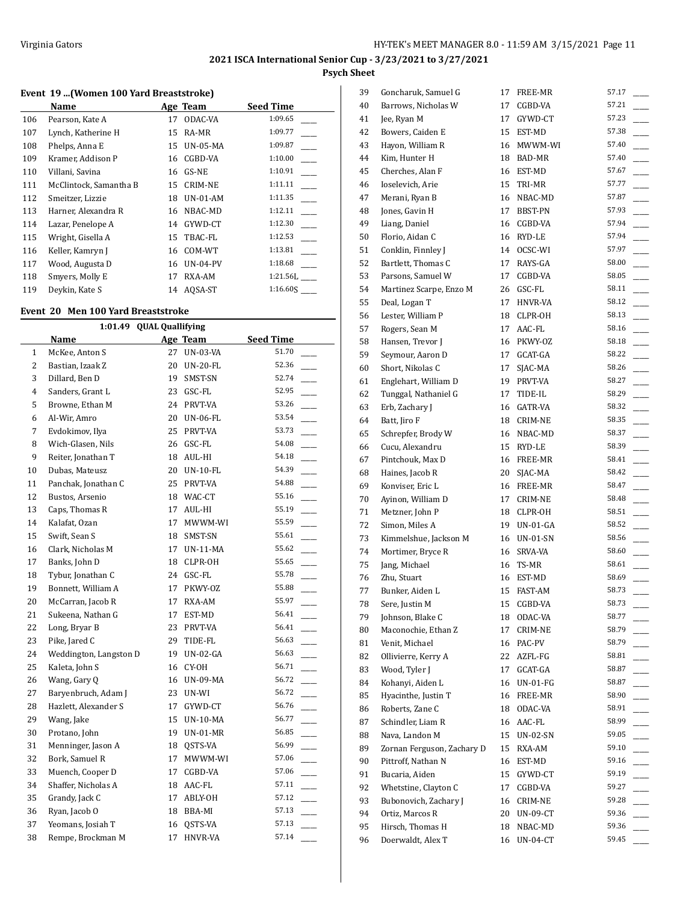## **Event 19 ...(Women 100 Yard Breaststroke)**

|     | Name                   |    | Age Team        | <b>Seed Time</b> |
|-----|------------------------|----|-----------------|------------------|
| 106 | Pearson, Kate A        | 17 | <b>ODAC-VA</b>  | 1:09.65          |
| 107 | Lynch, Katherine H     | 15 | RA-MR           | 1:09.77          |
| 108 | Phelps, Anna E         | 15 | <b>UN-05-MA</b> | 1:09.87          |
| 109 | Kramer, Addison P      | 16 | CGBD-VA         | 1:10.00          |
| 110 | Villani, Savina        | 16 | GS-NE           | 1:10.91          |
| 111 | McClintock, Samantha B | 15 | <b>CRIM-NE</b>  | 1:11.11          |
| 112 | Smeitzer, Lizzie       | 18 | $UN-01-AM$      | 1:11.35          |
| 113 | Harner, Alexandra R    | 16 | NBAC-MD         | 1:12.11          |
| 114 | Lazar, Penelope A      | 14 | GYWD-CT         | 1:12.30          |
| 115 | Wright, Gisella A      | 15 | TBAC-FL         | 1:12.53          |
| 116 | Keller, Kamryn J       | 16 | COM-WT          | 1:13.81          |
| 117 | Wood, Augusta D        | 16 | $UN-04-PV$      | 1:18.68          |
| 118 | Smyers, Molly E        | 17 | RXA-AM          | $1:21.56$ L      |
| 119 | Devkin, Kate S         | 14 | AOSA-ST         | 1:16.60S         |

#### **Event 20 Men 100 Yard Breaststroke**

|                | 1:01.49 QUAL Quallifying |    |                 |                  |  |  |  |
|----------------|--------------------------|----|-----------------|------------------|--|--|--|
|                | Name                     |    | Age Team        | <b>Seed Time</b> |  |  |  |
| $\mathbf{1}$   | McKee, Anton S           | 27 | <b>UN-03-VA</b> | 51.70            |  |  |  |
| $\overline{2}$ | Bastian, Izaak Z         | 20 | <b>UN-20-FL</b> | 52.36            |  |  |  |
| 3              | Dillard, Ben D           | 19 | SMST-SN         | 52.74            |  |  |  |
| 4              | Sanders, Grant L         |    | 23 GSC-FL       | 52.95            |  |  |  |
| 5              | Browne, Ethan M          |    | 24 PRVT-VA      | 53.26            |  |  |  |
| 6              | Al-Wir, Amro             | 20 | UN-06-FL        | 53.54            |  |  |  |
| 7              | Evdokimov, Ilya          | 25 | PRVT-VA         | 53.73            |  |  |  |
| 8              | Wich-Glasen, Nils        |    | 26 GSC-FL       | 54.08            |  |  |  |
| 9              | Reiter, Jonathan T       |    | 18 AUL-HI       | 54.18            |  |  |  |
| 10             | Dubas, Mateusz           | 20 | <b>UN-10-FL</b> | 54.39            |  |  |  |
| 11             | Panchak, Jonathan C      | 25 | PRVT-VA         | 54.88            |  |  |  |
| 12             | Bustos, Arsenio          |    | 18 WAC-CT       | 55.16            |  |  |  |
| 13             | Caps, Thomas R           | 17 | AUL-HI          | 55.19            |  |  |  |
| 14             | Kalafat, Ozan            | 17 | MWWM-WI         | 55.59            |  |  |  |
| 15             | Swift, Sean S            | 18 | SMST-SN         | 55.61            |  |  |  |
| 16             | Clark, Nicholas M        | 17 | $UN-11-MA$      | 55.62<br>$\sim$  |  |  |  |
| 17             | Banks, John D            | 18 | CLPR-OH         | 55.65            |  |  |  |
| 18             | Tybur, Jonathan C        | 24 | GSC-FL          | 55.78            |  |  |  |
| 19             | Bonnett, William A       | 17 | PKWY-OZ         | 55.88            |  |  |  |
| 20             | McCarran, Jacob R        | 17 | RXA-AM          | 55.97            |  |  |  |
| 21             | Sukeena, Nathan G        | 17 | EST-MD          | 56.41            |  |  |  |
| 22             | Long, Bryar B            | 23 | PRVT-VA         | 56.41            |  |  |  |
| 23             | Pike, Jared C            | 29 | TIDE-FL         | 56.63            |  |  |  |
| 24             | Weddington, Langston D   | 19 | $UN-02-GA$      | 56.63            |  |  |  |
| 25             | Kaleta, John S           | 16 | CY-OH           | 56.71            |  |  |  |
| 26             | Wang, Gary Q             |    | 16 UN-09-MA     | 56.72<br>$\sim$  |  |  |  |
| 27             | Baryenbruch, Adam J      | 23 | UN-WI           | 56.72            |  |  |  |
| 28             | Hazlett, Alexander S     | 17 | GYWD-CT         | 56.76            |  |  |  |
| 29             | Wang, Jake               | 15 | <b>UN-10-MA</b> | 56.77            |  |  |  |
| 30             | Protano, John            | 19 | $UN-01-MR$      | 56.85            |  |  |  |
| 31             | Menninger, Jason A       | 18 | QSTS-VA         | 56.99            |  |  |  |
| 32             | Bork, Samuel R           | 17 | MWWM-WI         | 57.06            |  |  |  |
| 33             | Muench, Cooper D         | 17 | CGBD-VA         | 57.06            |  |  |  |
| 34             | Shaffer, Nicholas A      |    | 18 AAC-FL       | 57.11            |  |  |  |
| 35             | Grandy, Jack C           | 17 | ABLY-OH         | 57.12            |  |  |  |
| 36             | Ryan, Jacob O            |    | 18 BBA-MI       | 57.13            |  |  |  |
| 37             | Yeomans, Josiah T        | 16 | QSTS-VA         | 57.13            |  |  |  |
| 38             | Rempe, Brockman M        | 17 | HNVR-VA         | 57.14            |  |  |  |
|                |                          |    |                 |                  |  |  |  |

| 39 | Goncharuk, Samuel G        | 17 | FREE-MR         | 57.17 |
|----|----------------------------|----|-----------------|-------|
| 40 | Barrows, Nicholas W        | 17 | CGBD-VA         | 57.21 |
| 41 | Jee, Ryan M                | 17 | GYWD-CT         | 57.23 |
| 42 | Bowers, Caiden E           | 15 | EST-MD          | 57.38 |
| 43 | Hayon, William R           | 16 | MWWM-WI         | 57.40 |
| 44 | Kim, Hunter H              | 18 | <b>BAD-MR</b>   | 57.40 |
| 45 | Cherches, Alan F           | 16 | EST-MD          | 57.67 |
| 46 | Ioselevich, Arie           | 15 | TRI-MR          | 57.77 |
| 47 | Merani, Ryan B             | 16 | NBAC-MD         | 57.87 |
| 48 | Jones, Gavin H             | 17 | BBST-PN         | 57.93 |
| 49 | Liang, Daniel              |    |                 | 57.94 |
|    |                            |    | 16 CGBD-VA      | 57.94 |
| 50 | Florio, Aidan C            |    | 16 RYD-LE       |       |
| 51 | Conklin, Finnley J         |    | 14 OCSC-WI      | 57.97 |
| 52 | Bartlett, Thomas C         | 17 | RAYS-GA         | 58.00 |
| 53 | Parsons, Samuel W          | 17 | CGBD-VA         | 58.05 |
| 54 | Martinez Scarpe, Enzo M    | 26 | GSC-FL          | 58.11 |
| 55 | Deal, Logan T              | 17 | HNVR-VA         | 58.12 |
| 56 | Lester, William P          | 18 | CLPR-OH         | 58.13 |
| 57 | Rogers, Sean M             | 17 | AAC-FL          | 58.16 |
| 58 | Hansen, Trevor J           |    | 16 PKWY-OZ      | 58.18 |
| 59 | Seymour, Aaron D           | 17 | GCAT-GA         | 58.22 |
| 60 | Short, Nikolas C           | 17 | SJAC-MA         | 58.26 |
| 61 | Englehart, William D       | 19 | PRVT-VA         | 58.27 |
| 62 | Tunggal, Nathaniel G       | 17 | TIDE-IL         | 58.29 |
| 63 | Erb, Zachary J             | 16 | GATR-VA         | 58.32 |
| 64 | Batt, Jiro F               | 18 | CRIM-NE         | 58.35 |
| 65 | Schrepfer, Brody W         | 16 | NBAC-MD         | 58.37 |
| 66 | Cucu, Alexandru            | 15 | RYD-LE          | 58.39 |
| 67 | Pintchouk, Max D           | 16 | FREE-MR         | 58.41 |
| 68 | Haines, Jacob R            | 20 | SJAC-MA         | 58.42 |
| 69 | Konviser, Eric L           | 16 | FREE-MR         | 58.47 |
| 70 | Ayinon, William D          | 17 | CRIM-NE         | 58.48 |
| 71 | Metzner, John P            | 18 | CLPR-OH         | 58.51 |
| 72 | Simon, Miles A             |    | 19 UN-01-GA     | 58.52 |
| 73 | Kimmelshue, Jackson M      |    | 16 UN-01-SN     | 58.56 |
| 74 | Mortimer, Bryce R          | 16 | SRVA-VA         | 58.60 |
| 75 | Jang, Michael              | 16 | TS-MR           | 58.61 |
| 76 | Zhu, Stuart                |    | 16 EST-MD       | 58.69 |
| 77 | Bunker, Aiden L            | 15 | FAST-AM         | 58.73 |
| 78 | Sere, Justin M             | 15 | CGBD-VA         | 58.73 |
|    | Johnson, Blake C           |    | ODAC-VA         | 58.77 |
| 79 |                            | 18 |                 | 58.79 |
| 80 | Maconochie, Ethan Z        | 17 | CRIM-NE         |       |
| 81 | Venit, Michael             | 16 | PAC-PV          | 58.79 |
| 82 | Ollivierre, Kerry A        | 22 | AZFL-FG         | 58.81 |
| 83 | Wood, Tyler J              | 17 | $GCAT-GA$       | 58.87 |
| 84 | Kohanyi, Aiden L           | 16 | <b>UN-01-FG</b> | 58.87 |
| 85 | Hyacinthe, Justin T        | 16 | FREE-MR         | 58.90 |
| 86 | Roberts, Zane C            | 18 | ODAC-VA         | 58.91 |
| 87 | Schindler, Liam R          | 16 | AAC-FL          | 58.99 |
| 88 | Nava, Landon M             | 15 | <b>UN-02-SN</b> | 59.05 |
| 89 | Zornan Ferguson, Zachary D | 15 | RXA-AM          | 59.10 |
| 90 | Pittroff, Nathan N         | 16 | EST-MD          | 59.16 |
| 91 | Bucaria, Aiden             | 15 | GYWD-CT         | 59.19 |
| 92 | Whetstine, Clayton C       | 17 | CGBD-VA         | 59.27 |
| 93 | Bubonovich, Zachary J      | 16 | CRIM-NE         | 59.28 |
| 94 | Ortiz, Marcos R            | 20 | UN-09-CT        | 59.36 |
| 95 | Hirsch, Thomas H           | 18 | NBAC-MD         | 59.36 |
| 96 | Doerwaldt, Alex T          | 16 | <b>UN-04-CT</b> | 59.45 |
|    |                            |    |                 |       |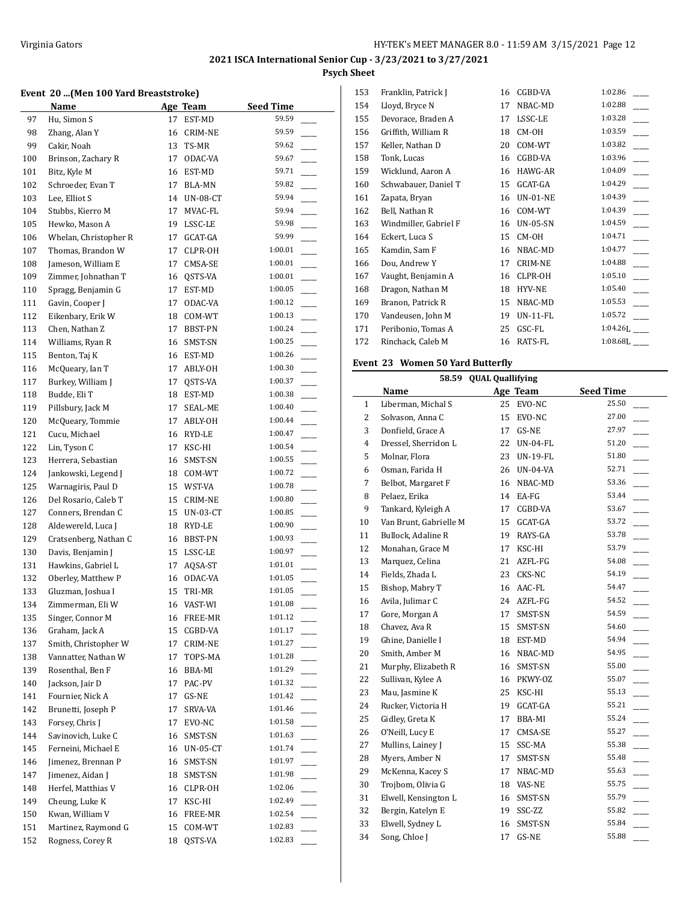#### **Event 20 ...(Men 100 Yard Breaststroke)**

|     | Name                  |    | Age Team | <b>Seed Time</b> |  |
|-----|-----------------------|----|----------|------------------|--|
| 97  | Hu, Simon S           | 17 | EST-MD   | 59.59            |  |
| 98  | Zhang, Alan Y         | 16 | CRIM-NE  | 59.59            |  |
| 99  | Cakir, Noah           | 13 | TS-MR    | 59.62            |  |
| 100 | Brinson, Zachary R    | 17 | ODAC-VA  | 59.67            |  |
| 101 | Bitz, Kyle M          | 16 | EST-MD   | 59.71            |  |
| 102 | Schroeder, Evan T     | 17 | BLA-MN   | 59.82            |  |
| 103 | Lee, Elliot S         | 14 | UN-08-CT | 59.94            |  |
| 104 | Stubbs, Kierro M      | 17 | MVAC-FL  | 59.94            |  |
| 105 | Hewko, Mason A        | 19 | LSSC-LE  | 59.98            |  |
| 106 | Whelan, Christopher R | 17 | GCAT-GA  | 59.99            |  |
| 107 | Thomas, Brandon W     | 17 | CLPR-OH  | 1:00.01          |  |
| 108 | Jameson, William E    | 17 | CMSA-SE  | 1:00.01          |  |
| 109 | Zimmer, Johnathan T   | 16 | QSTS-VA  | 1:00.01          |  |
| 110 | Spragg, Benjamin G    | 17 | EST-MD   | 1:00.05          |  |
| 111 | Gavin, Cooper J       | 17 | ODAC-VA  | 1:00.12          |  |
| 112 | Eikenbary, Erik W     | 18 | COM-WT   | 1:00.13          |  |
| 113 | Chen, Nathan Z        | 17 | BBST-PN  | 1:00.24          |  |
| 114 | Williams, Ryan R      | 16 | SMST-SN  | 1:00.25          |  |
| 115 | Benton, Taj K         | 16 | EST-MD   | 1:00.26          |  |
| 116 | McQueary, Ian T       | 17 | ABLY-OH  | 1:00.30          |  |
| 117 | Burkey, William J     | 17 | QSTS-VA  | 1:00.37          |  |
| 118 | Budde, Eli T          | 18 | EST-MD   | 1:00.38          |  |
| 119 | Pillsbury, Jack M     | 17 | SEAL-ME  | 1:00.40          |  |
| 120 | McQueary, Tommie      | 17 | ABLY-OH  | 1:00.44          |  |
| 121 | Cucu, Michael         | 16 | RYD-LE   | 1:00.47          |  |
| 122 | Lin, Tyson C          | 17 | KSC-HI   | 1:00.54          |  |
| 123 | Herrera, Sebastian    | 16 | SMST-SN  | 1:00.55          |  |
| 124 | Jankowski, Legend J   | 18 | COM-WT   | 1:00.72          |  |
| 125 | Warnagiris, Paul D    | 15 | WST-VA   | 1:00.78          |  |
| 126 | Del Rosario, Caleb T  | 15 | CRIM-NE  | 1:00.80          |  |
| 127 | Conners, Brendan C    | 15 | UN-03-CT | 1:00.85          |  |
| 128 | Aldewereld, Luca J    | 18 | RYD-LE   | 1:00.90          |  |
| 129 | Cratsenberg, Nathan C | 16 | BBST-PN  | 1:00.93          |  |
| 130 | Davis, Benjamin J     | 15 | LSSC-LE  | 1:00.97          |  |
| 131 | Hawkins, Gabriel L    | 17 | AQSA-ST  | 1:01.01          |  |
| 132 | Oberley, Matthew P    | 16 | ODAC-VA  | 1:01.05          |  |
| 133 | Gluzman, Joshua I     | 15 | TRI-MR   | 1:01.05          |  |
| 134 | Zimmerman, Eli W      | 16 | VAST-WI  | 1:01.08          |  |
| 135 | Singer, Connor M      | 16 | FREE-MR  | 1:01.12          |  |
| 136 | Graham, Jack A        | 15 | CGBD-VA  | 1:01.17          |  |
| 137 | Smith, Christopher W  | 17 | CRIM-NE  | 1:01.27          |  |
| 138 | Vannatter, Nathan W   | 17 | TOPS-MA  | 1:01.28          |  |
| 139 | Rosenthal, Ben F      | 16 | BBA-MI   | 1:01.29          |  |
| 140 | Jackson, Jair D       | 17 | PAC-PV   | 1:01.32          |  |
| 141 | Fournier, Nick A      | 17 | GS-NE    | 1:01.42          |  |
| 142 | Brunetti, Joseph P    | 17 | SRVA-VA  | 1:01.46          |  |
| 143 | Forsey, Chris J       | 17 | EVO-NC   | 1:01.58          |  |
| 144 | Savinovich, Luke C    | 16 | SMST-SN  | 1:01.63          |  |
| 145 | Ferneini, Michael E   | 16 | UN-05-CT | 1:01.74          |  |
| 146 | Jimenez, Brennan P    | 16 | SMST-SN  | 1:01.97          |  |
| 147 | Jimenez, Aidan J      | 18 | SMST-SN  | 1:01.98          |  |
| 148 | Herfel, Matthias V    | 16 | CLPR-OH  | 1:02.06          |  |
| 149 | Cheung, Luke K        | 17 | KSC-HI   | 1:02.49          |  |
| 150 | Kwan, William V       | 16 | FREE-MR  | 1:02.54          |  |
| 151 | Martinez, Raymond G   | 15 | COM-WT   | 1:02.83          |  |
| 152 | Rogness, Corey R      | 18 | QSTS-VA  | 1:02.83          |  |

| 153 | Franklin, Patrick J   | 16 | CGBD-VA         | 1:02.86     |
|-----|-----------------------|----|-----------------|-------------|
| 154 | Lloyd, Bryce N        | 17 | NBAC-MD         | 1:02.88     |
| 155 | Devorace, Braden A    | 17 | LSSC-LE         | 1:03.28     |
| 156 | Griffith, William R   | 18 | CM-OH           | 1:03.59     |
| 157 | Keller, Nathan D      | 20 | COM-WT          | 1:03.82     |
| 158 | Tonk, Lucas           | 16 | CGBD-VA         | 1:03.96     |
| 159 | Wicklund, Aaron A     | 16 | <b>HAWG-AR</b>  | 1:04.09     |
| 160 | Schwabauer, Daniel T  | 15 | GCAT-GA         | 1:04.29     |
| 161 | Zapata, Bryan         | 16 | <b>UN-01-NE</b> | 1:04.39     |
| 162 | Bell, Nathan R        | 16 | COM-WT          | 1:04.39     |
| 163 | Windmiller, Gabriel F | 16 | <b>UN-05-SN</b> | 1:04.59     |
| 164 | Eckert, Luca S        | 15 | CM-OH           | 1:04.71     |
| 165 | Kamdin, Sam F         | 16 | NBAC-MD         | 1:04.77     |
| 166 | Dou, Andrew Y         | 17 | <b>CRIM-NE</b>  | 1:04.88     |
| 167 | Vaught, Benjamin A    | 16 | CLPR-OH         | 1:05.10     |
| 168 | Dragon, Nathan M      | 18 | <b>HYV-NE</b>   | 1:05.40     |
| 169 | Branon, Patrick R     | 15 | NBAC-MD         | 1:05.53     |
| 170 | Vandeusen, John M     | 19 | <b>UN-11-FL</b> | 1:05.72     |
| 171 | Peribonio, Tomas A    | 25 | GSC-FL          | $1:04.26$ . |
| 172 | Rinchack, Caleb M     | 16 | RATS-FL         | $1:08.68$ ] |
|     |                       |    |                 |             |

## **Event 23 Women 50 Yard Butterfly**

|                | <b>QUAL Quallifying</b><br>58.59 |    |          |                                   |  |  |
|----------------|----------------------------------|----|----------|-----------------------------------|--|--|
|                | Name                             |    | Age Team | <b>Seed Time</b>                  |  |  |
| $\mathbf{1}$   | Liberman, Michal S               | 25 | EVO-NC   | 25.50                             |  |  |
| 2              | Solvason, Anna C                 | 15 | EVO-NC   | 27.00                             |  |  |
| 3              | Donfield, Grace A                | 17 | GS-NE    | 27.97                             |  |  |
| $\overline{4}$ | Dressel, Sherridon L             | 22 | UN-04-FL | 51.20                             |  |  |
| 5              | Molnar, Flora                    | 23 | UN-19-FL | 51.80                             |  |  |
| 6              | Osman, Farida H                  | 26 | UN-04-VA | 52.71                             |  |  |
| 7              | Belbot, Margaret F               | 16 | NBAC-MD  | 53.36                             |  |  |
| 8              | Pelaez, Erika                    | 14 | EA-FG    | 53.44                             |  |  |
| 9              | Tankard, Kyleigh A               | 17 | CGBD-VA  | 53.67                             |  |  |
| 10             | Van Brunt, Gabrielle M           | 15 | GCAT-GA  | 53.72                             |  |  |
| 11             | Bullock, Adaline R               | 19 | RAYS-GA  | 53.78                             |  |  |
| 12             | Monahan, Grace M                 | 17 | KSC-HI   | 53.79<br>$\overline{\phantom{a}}$ |  |  |
| 13             | Marquez, Celina                  | 21 | AZFL-FG  | 54.08                             |  |  |
| 14             | Fields, Zhada L                  | 23 | CKS-NC   | 54.19                             |  |  |
| 15             | Bishop, Mabry T                  | 16 | AAC-FL   | 54.47                             |  |  |
| 16             | Avila, Julimar C                 | 24 | AZFL-FG  | 54.52                             |  |  |
| 17             | Gore, Morgan A                   | 17 | SMST-SN  | 54.59                             |  |  |
| 18             | Chavez, Ava R                    | 15 | SMST-SN  | 54.60                             |  |  |
| 19             | Ghine, Danielle I                | 18 | EST-MD   | 54.94                             |  |  |
| 20             | Smith, Amber M                   | 16 | NBAC-MD  | 54.95                             |  |  |
| 21             | Murphy, Elizabeth R              | 16 | SMST-SN  | 55.00                             |  |  |
| 22             | Sullivan, Kylee A                | 16 | PKWY-0Z  | 55.07                             |  |  |
| 23             | Mau, Jasmine K                   | 25 | KSC-HI   | 55.13                             |  |  |
| 24             | Rucker, Victoria H               | 19 | GCAT-GA  | 55.21                             |  |  |
| 25             | Gidley, Greta K                  | 17 | BBA-MI   | 55.24                             |  |  |
| 26             | O'Neill, Lucy E                  | 17 | CMSA-SE  | 55.27                             |  |  |
| 27             | Mullins, Lainey J                | 15 | SSC-MA   | 55.38                             |  |  |
| 28             | Myers, Amber N                   | 17 | SMST-SN  | 55.48                             |  |  |
| 29             | McKenna, Kacey S                 | 17 | NBAC-MD  | 55.63                             |  |  |
| 30             | Trojbom, Olivia G                | 18 | VAS-NE   | 55.75                             |  |  |
| 31             | Elwell, Kensington L             | 16 | SMST-SN  | 55.79                             |  |  |
| 32             | Bergin, Katelyn E                | 19 | SSC-ZZ   | 55.82                             |  |  |
| 33             | Elwell, Sydney L                 | 16 | SMST-SN  | 55.84                             |  |  |
| 34             | Song, Chloe J                    | 17 | GS-NE    | 55.88                             |  |  |
|                |                                  |    |          |                                   |  |  |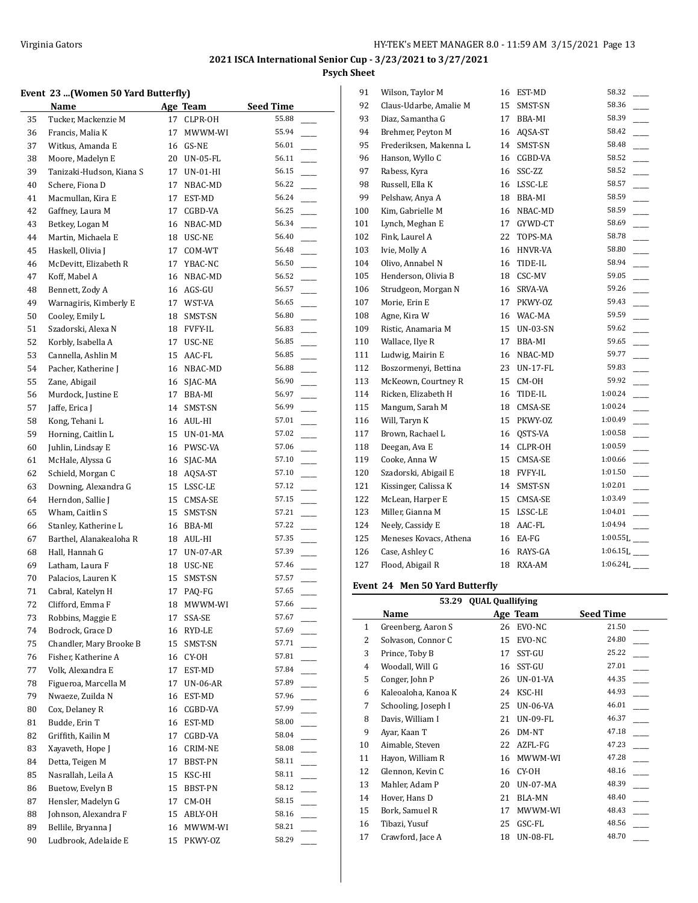#### **Event 23 ...(Women 50 Yard Butterfly)**

|    | <b>Name</b>              |    | Age Team        | <b>Seed Time</b> |
|----|--------------------------|----|-----------------|------------------|
| 35 | Tucker, Mackenzie M      | 17 | CLPR-OH         | 55.88            |
| 36 | Francis, Malia K         | 17 | MWWM-WI         | 55.94            |
| 37 | Witkus, Amanda E         | 16 | GS-NE           | 56.01            |
| 38 | Moore, Madelyn E         | 20 | <b>UN-05-FL</b> | 56.11            |
| 39 | Tanizaki-Hudson, Kiana S | 17 | UN-01-HI        | 56.15            |
| 40 | Schere, Fiona D          | 17 | NBAC-MD         | 56.22            |
| 41 | Macmullan, Kira E        | 17 | EST-MD          | 56.24            |
| 42 | Gaffney, Laura M         | 17 | CGBD-VA         | 56.25            |
| 43 | Betkey, Logan M          | 16 | NBAC-MD         | 56.34            |
| 44 | Martin, Michaela E       | 18 | USC-NE          | 56.40            |
| 45 | Haskell, Olivia J        | 17 | COM-WT          | 56.48            |
| 46 | McDevitt, Elizabeth R    | 17 | YBAC-NC         | 56.50            |
| 47 | Koff, Mabel A            | 16 | NBAC-MD         | 56.52            |
| 48 | Bennett, Zody A          |    | 16 AGS-GU       | 56.57            |
| 49 | Warnagiris, Kimberly E   | 17 | WST-VA          | 56.65            |
| 50 | Cooley, Emily L          | 18 | SMST-SN         | 56.80            |
| 51 | Szadorski, Alexa N       |    | 18 FVFY-IL      | 56.83            |
| 52 | Korbly, Isabella A       | 17 | USC-NE          | 56.85            |
| 53 | Cannella, Ashlin M       | 15 | AAC-FL          | 56.85            |
| 54 | Pacher, Katherine J      |    | 16 NBAC-MD      | 56.88            |
| 55 | Zane, Abigail            | 16 | SJAC-MA         | 56.90            |
| 56 | Murdock, Justine E       | 17 | BBA-MI          | 56.97            |
| 57 | Jaffe, Erica J           | 14 | SMST-SN         | 56.99            |
| 58 | Kong, Tehani L           | 16 | AUL-HI          | 57.01            |
| 59 | Horning, Caitlin L       | 15 | UN-01-MA        | 57.02            |
| 60 | Juhlin, Lindsay E        |    | 16 PWSC-VA      | 57.06            |
| 61 | McHale, Alyssa G         | 16 | SJAC-MA         | 57.10            |
| 62 | Schield, Morgan C        | 18 | AQSA-ST         | 57.10            |
| 63 | Downing, Alexandra G     |    | 15 LSSC-LE      | 57.12            |
| 64 | Herndon, Sallie J        | 15 | CMSA-SE         | 57.15            |
| 65 | Wham, Caitlin S          | 15 | SMST-SN         | 57.21            |
| 66 | Stanley, Katherine L     |    | 16 BBA-MI       | 57.22            |
| 67 | Barthel, Alanakealoha R  | 18 | AUL-HI          | 57.35            |
| 68 | Hall, Hannah G           | 17 | UN-07-AR        | 57.39            |
| 69 | Latham, Laura F          | 18 | USC-NE          | 57.46            |
| 70 | Palacios, Lauren K       | 15 | SMST-SN         | 57.57            |
| 71 | Cabral, Katelyn H        | 17 | PAQ-FG          | 57.65            |
| 72 | Clifford, Emma F         | 18 | MWWM-WI         | 57.66            |
| 73 | Robbins, Maggie E        | 17 | SSA-SE          | 57.67            |
| 74 | Bodrock, Grace D         | 16 | RYD-LE          | 57.69            |
| 75 | Chandler, Mary Brooke B  | 15 | SMST-SN         | 57.71            |
| 76 | Fisher, Katherine A      | 16 | CY-OH           | 57.81            |
| 77 | Volk, Alexandra E        | 17 | EST-MD          | 57.84            |
| 78 | Figueroa, Marcella M     | 17 | UN-06-AR        | 57.89            |
| 79 | Nwaeze, Zuilda N         | 16 | EST-MD          | 57.96            |
| 80 | Cox, Delaney R           | 16 | CGBD-VA         | 57.99            |
| 81 | Budde, Erin T            | 16 | EST-MD          | 58.00            |
| 82 | Griffith, Kailin M       | 17 | CGBD-VA         | 58.04            |
| 83 | Xayaveth, Hope J         | 16 | CRIM-NE         | 58.08            |
| 84 | Detta, Teigen M          | 17 | BBST-PN         | 58.11            |
| 85 | Nasrallah, Leila A       | 15 | KSC-HI          | 58.11            |
| 86 | Buetow, Evelyn B         | 15 | BBST-PN         | 58.12            |
| 87 | Hensler, Madelyn G       | 17 | CM-OH           | 58.15            |
| 88 | Johnson, Alexandra F     | 15 | ABLY-OH         | 58.16            |
| 89 | Bellile, Bryanna J       | 16 | MWWM-WI         | 58.21            |
| 90 | Ludbrook, Adelaide E     | 15 | PKWY-OZ         | 58.29            |
|    |                          |    |                 |                  |

| 91  | Wilson, Taylor M       | 16 | EST-MD          | 58.32                      |
|-----|------------------------|----|-----------------|----------------------------|
| 92  | Claus-Udarbe, Amalie M | 15 | SMST-SN         | 58.36                      |
| 93  | Diaz, Samantha G       | 17 | BBA-MI          | 58.39                      |
| 94  | Brehmer, Peyton M      | 16 | AQSA-ST         | 58.42                      |
| 95  | Frederiksen, Makenna L | 14 | SMST-SN         | 58.48                      |
| 96  | Hanson, Wyllo C        | 16 | CGBD-VA         | 58.52                      |
| 97  | Rabess, Kyra           | 16 | SSC-ZZ          | 58.52                      |
| 98  | Russell, Ella K        | 16 | LSSC-LE         | 58.57                      |
| 99  | Pelshaw, Anya A        | 18 | BBA-MI          | 58.59                      |
| 100 | Kim, Gabrielle M       | 16 | NBAC-MD         | 58.59                      |
| 101 | Lynch, Meghan E        | 17 | GYWD-CT         | 58.69                      |
| 102 | Fink, Laurel A         | 22 | TOPS-MA         | 58.78                      |
| 103 | Ivie, Molly A          | 16 | HNVR-VA         | 58.80                      |
| 104 | Olivo, Annabel N       | 16 | TIDE-IL         | 58.94                      |
| 105 | Henderson, Olivia B    | 18 | CSC-MV          | 59.05                      |
| 106 | Strudgeon, Morgan N    | 16 | SRVA-VA         | 59.26                      |
| 107 | Morie, Erin E          | 17 | PKWY-OZ         | 59.43                      |
| 108 | Agne, Kira W           | 16 | WAC-MA          | 59.59                      |
| 109 | Ristic, Anamaria M     | 15 | <b>UN-03-SN</b> | 59.62                      |
| 110 | Wallace, Ilye R        | 17 | BBA-MI          | 59.65                      |
| 111 | Ludwig, Mairin E       | 16 | NBAC-MD         | 59.77                      |
| 112 | Boszormenyi, Bettina   | 23 | <b>UN-17-FL</b> | 59.83                      |
| 113 | McKeown, Courtney R    | 15 | CM-OH           | 59.92                      |
| 114 | Ricken, Elizabeth H    | 16 | TIDE-IL         | 1:00.24                    |
| 115 | Mangum, Sarah M        | 18 | CMSA-SE         | 1:00.24                    |
| 116 | Will, Taryn K          | 15 | PKWY-OZ         | 1:00.49                    |
| 117 | Brown, Rachael L       | 16 | QSTS-VA         | 1:00.58                    |
| 118 | Deegan, Ava E          | 14 | CLPR-OH         | 1:00.59                    |
| 119 | Cooke, Anna W          | 15 | CMSA-SE         | 1:00.66                    |
| 120 | Szadorski, Abigail E   | 18 | <b>FVFY-IL</b>  | 1:01.50                    |
| 121 | Kissinger, Calissa K   | 14 | SMST-SN         | 1:02.01                    |
| 122 | McLean, Harper E       | 15 | CMSA-SE         | 1:03.49                    |
| 123 | Miller, Gianna M       | 15 | LSSC-LE         | 1:04.01                    |
| 124 | Neely, Cassidy E       | 18 | AAC-FL          | 1:04.94                    |
| 125 | Meneses Kovacs, Athena | 16 | EA-FG           | $1:00.55L$ <sub>____</sub> |
| 126 | Case, Ashley C         | 16 | RAYS-GA         | $1:06.15L$ <sub>---</sub>  |
| 127 | Flood, Abigail R       | 18 | RXA-AM          | $1:06.24L$ <sub>____</sub> |

## **Event 24 Men 50 Yard Butterfly**

|              | 53.29               | <b>QUAL Quallifying</b> |                 |                  |
|--------------|---------------------|-------------------------|-----------------|------------------|
|              | Name                |                         | Age Team        | <b>Seed Time</b> |
| $\mathbf{1}$ | Greenberg, Aaron S  | 26                      | EVO-NC          | 21.50            |
| 2            | Solvason, Connor C  | 15                      | EVO-NC          | 24.80            |
| 3            | Prince, Toby B      | 17                      | SST-GU          | 25.22            |
| 4            | Woodall, Will G     | 16                      | SST-GU          | 27.01            |
| 5            | Conger, John P      | 26                      | $UN-01-VA$      | 44.35            |
| 6            | Kaleoaloha, Kanoa K | 24                      | KSC-HI          | 44.93            |
| 7            | Schooling, Joseph I | 25                      | <b>UN-06-VA</b> | 46.01            |
| 8            | Davis, William I    | 21                      | <b>UN-09-FL</b> | 46.37            |
| 9            | Ayar, Kaan T        | 26                      | DM-NT           | 47.18            |
| 10           | Aimable, Steven     | 22                      | AZFL-FG         | 47.23            |
| 11           | Hayon, William R    | 16                      | MWWM-WI         | 47.28            |
| 12           | Glennon, Kevin C    | 16                      | CY-OH           | 48.16            |
| 13           | Mahler, Adam P      | 20                      | <b>UN-07-MA</b> | 48.39            |
| 14           | Hover, Hans D       | 21                      | <b>BLA-MN</b>   | 48.40            |
| 15           | Bork, Samuel R      | 17                      | MWWM-WI         | 48.43            |
| 16           | Tibazi, Yusuf       | 25                      | GSC-FL          | 48.56            |
| 17           | Crawford, Jace A    | 18                      | <b>UN-08-FL</b> | 48.70            |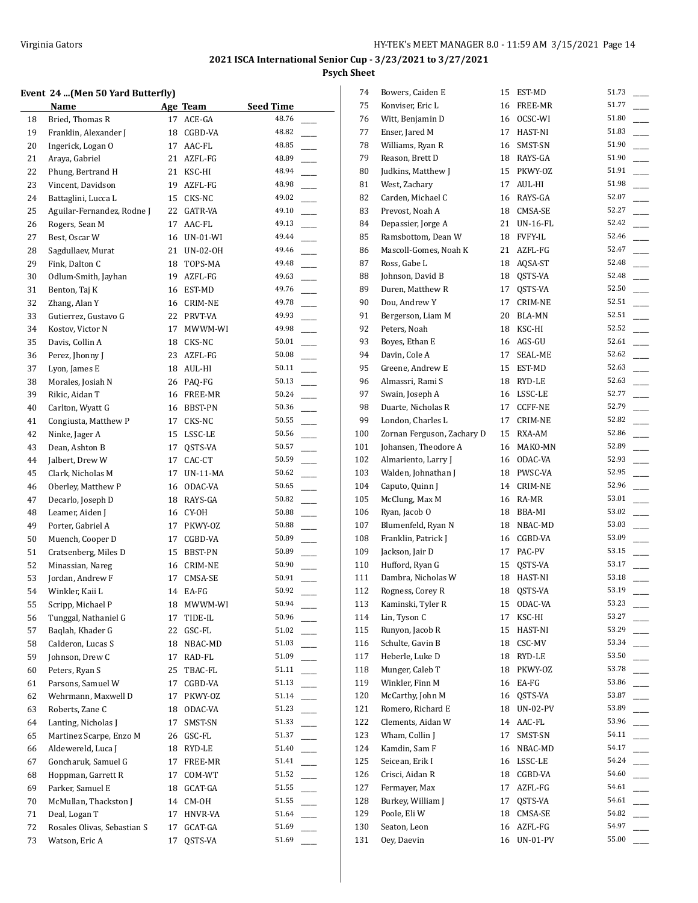## **Event 24 ...(Men 50 Yard Butterfly)**

|    | $\mathbf{L}$ , then so far a batterny     |    |             |                           |
|----|-------------------------------------------|----|-------------|---------------------------|
|    | Name                                      |    | Age Team    | <b>Seed Time</b><br>48.76 |
| 18 | Bried, Thomas R                           | 17 | ACE-GA      |                           |
| 19 | Franklin, Alexander J                     | 18 | CGBD-VA     | 48.82                     |
| 20 | Ingerick, Logan O                         | 17 | AAC-FL      | 48.85                     |
| 21 | Araya, Gabriel                            | 21 | AZFL-FG     | 48.89                     |
| 22 | Phung, Bertrand H                         | 21 | KSC-HI      | 48.94                     |
| 23 | Vincent, Davidson                         | 19 | AZFL-FG     | 48.98                     |
| 24 | Battaglini, Lucca L                       | 15 | CKS-NC      | 49.02                     |
| 25 | Aguilar-Fernandez, Rodne J                | 22 | GATR-VA     | 49.10                     |
| 26 | Rogers, Sean M                            | 17 | AAC-FL      | 49.13                     |
| 27 | Best, Oscar W                             |    | 16 UN-01-WI | 49.44                     |
| 28 | Sagdullaev, Murat                         | 21 | UN-02-OH    | 49.46                     |
| 29 | Fink, Dalton C                            | 18 | TOPS-MA     | 49.48                     |
| 30 | Odlum-Smith, Jayhan                       | 19 | AZFL-FG     | 49.63                     |
| 31 | Benton, Taj K                             | 16 | EST-MD      | 49.76                     |
| 32 | Zhang, Alan Y                             | 16 | CRIM-NE     | 49.78                     |
| 33 | Gutierrez, Gustavo G                      | 22 | PRVT-VA     | 49.93                     |
| 34 | Kostov, Victor N                          | 17 | MWWM-WI     | 49.98                     |
| 35 | Davis, Collin A                           | 18 | CKS-NC      | 50.01                     |
| 36 | Perez, Jhonny J                           | 23 | AZFL-FG     | 50.08                     |
| 37 | Lyon, James E                             |    | 18 AUL-HI   | 50.11                     |
| 38 | Morales, Josiah N                         |    | 26 PAQ-FG   | 50.13                     |
| 39 | Rikic, Aidan T                            |    | 16 FREE-MR  | 50.24                     |
| 40 | Carlton, Wyatt G                          |    | 16 BBST-PN  | 50.36                     |
| 41 | Congiusta, Matthew P                      | 17 | CKS-NC      | 50.55                     |
| 42 | Ninke, Jager A                            | 15 | LSSC-LE     | 50.56                     |
| 43 | Dean, Ashton B                            | 17 | QSTS-VA     | 50.57                     |
| 44 | Jalbert, Drew W                           | 17 | CAC-CT      | 50.59                     |
| 45 | Clark, Nicholas M                         | 17 | UN-11-MA    | 50.62                     |
| 46 | Oberley, Matthew P                        | 16 | ODAC-VA     | 50.65                     |
| 47 | Decarlo, Joseph D                         | 18 | RAYS-GA     | 50.82                     |
| 48 | Leamer, Aiden J                           | 16 | CY-OH       | 50.88                     |
| 49 | Porter, Gabriel A                         | 17 | PKWY-OZ     | 50.88                     |
| 50 | Muench, Cooper D                          | 17 | CGBD-VA     | 50.89                     |
| 51 | Cratsenberg, Miles D                      | 15 | BBST-PN     | 50.89                     |
| 52 | Minassian, Nareg                          |    | 16 CRIM-NE  | 50.90                     |
| 53 | Jordan, Andrew F                          | 17 |             | 50.91                     |
| 54 | Winkler, Kaii L                           | 14 | CMSA-SE     | 50.92                     |
| 55 |                                           |    | EA-FG       | 50.94                     |
|    | Scripp, Michael P<br>Tunggal, Nathaniel G |    | 18 MWWM-WI  | 50.96                     |
| 56 |                                           | 17 | TIDE-IL     | 51.02                     |
| 57 | Baqlah, Khader G                          | 22 | GSC-FL      |                           |
| 58 | Calderon, Lucas S                         | 18 | NBAC-MD     | 51.03                     |
| 59 | Johnson, Drew C                           | 17 | RAD-FL      | 51.09                     |
| 60 | Peters, Ryan S                            | 25 | TBAC-FL     | 51.11                     |
| 61 | Parsons, Samuel W                         | 17 | CGBD-VA     | 51.13                     |
| 62 | Wehrmann, Maxwell D                       | 17 | PKWY-OZ     | 51.14                     |
| 63 | Roberts, Zane C                           | 18 | ODAC-VA     | 51.23                     |
| 64 | Lanting, Nicholas J                       | 17 | SMST-SN     | 51.33                     |
| 65 | Martinez Scarpe, Enzo M                   | 26 | GSC-FL      | 51.37                     |
| 66 | Aldewereld, Luca J                        | 18 | RYD-LE      | 51.40                     |
| 67 | Goncharuk, Samuel G                       | 17 | FREE-MR     | 51.41                     |
| 68 | Hoppman, Garrett R                        | 17 | COM-WT      | 51.52                     |
| 69 | Parker, Samuel E                          | 18 | GCAT-GA     | 51.55                     |
| 70 | McMullan, Thackston J                     | 14 | CM-OH       | 51.55                     |
| 71 | Deal, Logan T                             | 17 | HNVR-VA     | 51.64                     |
| 72 | Rosales Olivas, Sebastian S               | 17 | GCAT-GA     | 51.69                     |
| 73 | Watson, Eric A                            | 17 | QSTS-VA     | 51.69                     |
|    |                                           |    |             |                           |

| 74  | Bowers, Caiden E           | 15 | EST-MD          | 51.73 |
|-----|----------------------------|----|-----------------|-------|
| 75  | Konviser, Eric L           | 16 | FREE-MR         | 51.77 |
| 76  | Witt, Benjamin D           | 16 | OCSC-WI         | 51.80 |
| 77  | Enser, Jared M             | 17 | HAST-NI         | 51.83 |
| 78  | Williams, Ryan R           | 16 | SMST-SN         | 51.90 |
| 79  | Reason, Brett D            | 18 | RAYS-GA         | 51.90 |
| 80  | Judkins, Matthew J         | 15 | PKWY-OZ         | 51.91 |
| 81  | West, Zachary              | 17 | AUL-HI          | 51.98 |
| 82  | Carden, Michael C          | 16 | RAYS-GA         | 52.07 |
| 83  | Prevost, Noah A            | 18 | CMSA-SE         | 52.27 |
| 84  | Depassier, Jorge A         | 21 | UN-16-FL        | 52.42 |
| 85  | Ramsbottom, Dean W         |    | 18 FVFY-IL      | 52.46 |
| 86  | Mascoll-Gomes, Noah K      | 21 | AZFL-FG         | 52.47 |
| 87  | Ross, Gabe L               | 18 | AQSA-ST         | 52.48 |
| 88  | Johnson, David B           | 18 | QSTS-VA         | 52.48 |
| 89  | Duren, Matthew R           | 17 | QSTS-VA         | 52.50 |
| 90  | Dou, Andrew Y              | 17 | CRIM-NE         | 52.51 |
| 91  | Bergerson, Liam M          | 20 | BLA-MN          | 52.51 |
| 92  | Peters, Noah               |    |                 | 52.52 |
|     |                            | 18 | KSC-HI          | 52.61 |
| 93  | Boyes, Ethan E             |    | 16 AGS-GU       | 52.62 |
| 94  | Davin, Cole A              | 17 | SEAL-ME         |       |
| 95  | Greene, Andrew E           | 15 | EST-MD          | 52.63 |
| 96  | Almassri, Rami S           | 18 | RYD-LE          | 52.63 |
| 97  | Swain, Joseph A            |    | 16 LSSC-LE      | 52.77 |
| 98  | Duarte, Nicholas R         | 17 | CCFF-NE         | 52.79 |
| 99  | London, Charles L          | 17 | <b>CRIM-NE</b>  | 52.82 |
| 100 | Zornan Ferguson, Zachary D | 15 | RXA-AM          | 52.86 |
| 101 | Johansen, Theodore A       | 16 | MAKO-MN         | 52.89 |
| 102 | Almariento, Larry J        | 16 | ODAC-VA         | 52.93 |
| 103 | Walden, Johnathan J        | 18 | PWSC-VA         | 52.95 |
| 104 | Caputo, Quinn J            | 14 | CRIM-NE         | 52.96 |
| 105 | McClung, Max M             | 16 | RA-MR           | 53.01 |
| 106 | Ryan, Jacob O              |    | 18 BBA-MI       | 53.02 |
| 107 | Blumenfeld, Ryan N         |    | 18 NBAC-MD      | 53.03 |
| 108 | Franklin, Patrick J        | 16 | CGBD-VA         | 53.09 |
| 109 | Jackson, Jair D            | 17 | PAC-PV          | 53.15 |
| 110 | Hufford, Ryan G            | 15 | QSTS-VA         | 53.17 |
| 111 | Dambra, Nicholas W         | 18 | HAST-NI         | 53.18 |
| 112 | Rogness, Corey R           | 18 | QSTS-VA         | 53.19 |
| 113 | Kaminski, Tyler R          | 15 | ODAC-VA         | 53.23 |
| 114 | Lin, Tyson C               | 17 | KSC-HI          | 53.27 |
| 115 | Runyon, Jacob R            | 15 | HAST-NI         | 53.29 |
| 116 | Schulte, Gavin B           | 18 | CSC-MV          | 53.34 |
| 117 | Heberle, Luke D            | 18 | RYD-LE          | 53.50 |
| 118 | Munger, Caleb T            | 18 | PKWY-OZ         | 53.78 |
| 119 | Winkler, Finn M            | 16 | EA-FG           | 53.86 |
| 120 | McCarthy, John M           | 16 | QSTS-VA         | 53.87 |
|     | Romero, Richard E          | 18 |                 | 53.89 |
| 121 |                            |    | UN-02-PV        | 53.96 |
| 122 | Clements, Aidan W          | 14 | AAC-FL          |       |
| 123 | Wham, Collin J             | 17 | SMST-SN         | 54.11 |
| 124 | Kamdin, Sam F              | 16 | NBAC-MD         | 54.17 |
| 125 | Seicean, Erik I            | 16 | LSSC-LE         | 54.24 |
| 126 | Crisci, Aidan R            | 18 | CGBD-VA         | 54.60 |
| 127 | Fermayer, Max              | 17 | AZFL-FG         | 54.61 |
| 128 | Burkey, William J          | 17 | QSTS-VA         | 54.61 |
| 129 | Poole, Eli W               | 18 | CMSA-SE         | 54.82 |
| 130 | Seaton, Leon               | 16 | AZFL-FG         | 54.97 |
| 131 | Oey, Daevin                | 16 | <b>UN-01-PV</b> | 55.00 |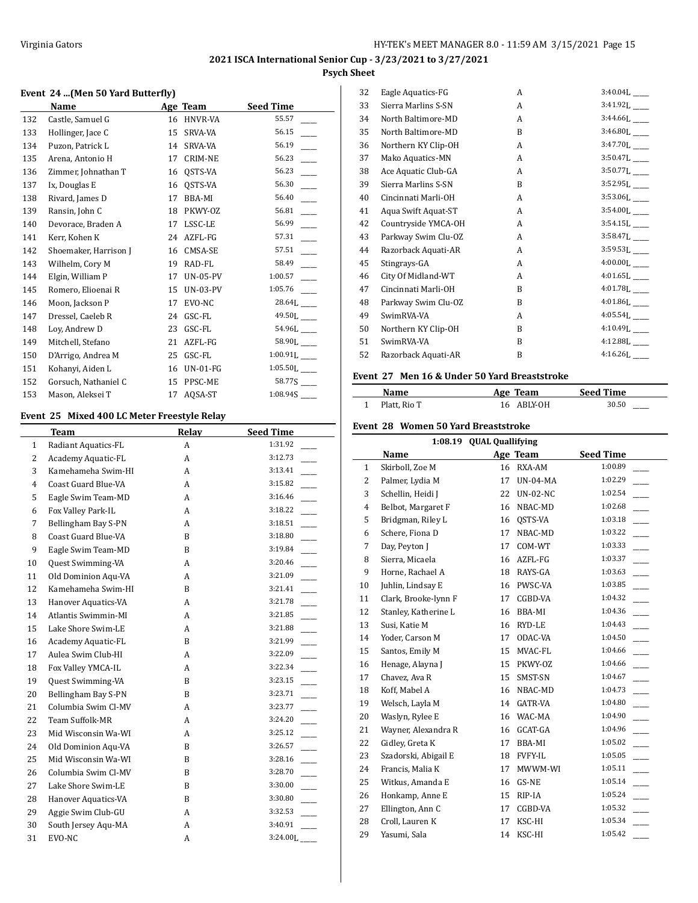$\frac{1}{2}$ 

## **Event 24 ...(Men 50 Yard Butterfly)**

|     | Name                  |    | Age Team        | <b>Seed Time</b>          |
|-----|-----------------------|----|-----------------|---------------------------|
| 132 | Castle, Samuel G      | 16 | HNVR-VA         | 55.57                     |
| 133 | Hollinger, Jace C     | 15 | <b>SRVA-VA</b>  | 56.15                     |
| 134 | Puzon, Patrick L      | 14 | SRVA-VA         | 56.19                     |
| 135 | Arena, Antonio H      | 17 | <b>CRIM-NE</b>  | 56.23                     |
| 136 | Zimmer, Johnathan T   | 16 | QSTS-VA         | 56.23                     |
| 137 | Ix, Douglas E         | 16 | QSTS-VA         | 56.30                     |
| 138 | Rivard, James D       | 17 | BBA-MI          | 56.40                     |
| 139 | Ransin, John C        | 18 | PKWY-0Z         | 56.81                     |
| 140 | Devorace, Braden A    | 17 | LSSC-LE         | 56.99                     |
| 141 | Kerr, Kohen K         | 24 | AZFL-FG         | 57.31                     |
| 142 | Shoemaker, Harrison J | 16 | CMSA-SE         | 57.51                     |
| 143 | Wilhelm, Cory M       | 19 | RAD-FL          | 58.49                     |
| 144 | Elgin, William P      | 17 | <b>UN-05-PV</b> | 1:00.57                   |
| 145 | Romero, Elioenai R    | 15 | UN-03-PV        | 1:05.76                   |
| 146 | Moon, Jackson P       | 17 | EVO-NC          | $28.64L$ <sub>---</sub>   |
| 147 | Dressel, Caeleb R     | 24 | GSC-FL          | 49.50L___                 |
| 148 | Loy, Andrew D         | 23 | GSC-FL          | 54.96L ___                |
| 149 | Mitchell, Stefano     | 21 | AZFL-FG         | 58.90L                    |
| 150 | D'Arrigo, Andrea M    | 25 | GSC-FL          | $1:00.91L$ <sub>___</sub> |
| 151 | Kohanyi, Aiden L      | 16 | $UN-01-FG$      | 1:05.50L                  |
| 152 | Gorsuch, Nathaniel C  | 15 | PPSC-ME         |                           |
| 153 | Mason, Aleksei T      | 17 | AQSA-ST         | 1:08.945                  |

## **Event 25 Mixed 400 LC Meter Freestyle Relay**

 $\overline{a}$ 

|                | Team                     | Relay | <b>Seed Time</b>                    |
|----------------|--------------------------|-------|-------------------------------------|
| $\mathbf{1}$   | Radiant Aquatics-FL      | A     | 1:31.92                             |
| $\overline{2}$ | Academy Aquatic-FL       | A     | 3:12.73                             |
| 3              | Kamehameha Swim-HI       | A     | 3:13.41                             |
| $\overline{4}$ | Coast Guard Blue-VA      | A     | 3:15.82                             |
| 5              | Eagle Swim Team-MD       | A     | 3:16.46                             |
| 6              | Fox Valley Park-IL       | A     | 3:18.22                             |
| 7              | Bellingham Bay S-PN      | A     | $\overline{\phantom{a}}$<br>3:18.51 |
| 8              | Coast Guard Blue-VA      | B     | $\overline{\phantom{a}}$<br>3:18.80 |
| 9              | Eagle Swim Team-MD       | B     | 3:19.84                             |
| 10             | Quest Swimming-VA        | A     | 3:20.46                             |
| 11             | Old Dominion Aqu-VA      | A     | 3:21.09                             |
| 12             | Kamehameha Swim-HI       | B     | 3:21.41                             |
| 13             | Hanover Aquatics-VA      | A     | $\overline{\phantom{a}}$<br>3:21.78 |
| 14             | Atlantis Swimmin-MI      | A     | $\overline{\phantom{a}}$<br>3:21.85 |
| 15             | Lake Shore Swim-LE       | A     | 3:21.88                             |
| 16             | Academy Aquatic-FL       | B     | 3:21.99                             |
| 17             | Aulea Swim Club-HI       | A     | 3:22.09                             |
| 18             | Fox Valley YMCA-IL       | A     |                                     |
| 19             | <b>Quest Swimming-VA</b> | B     | 3:23.15                             |
| 20             | Bellingham Bay S-PN      | B     | 3:23.71                             |
| 21             | Columbia Swim Cl-MV      | A     | 3:23.77                             |
| 22             | Team Suffolk-MR          | A     | 3:24.20                             |
| 23             | Mid Wisconsin Wa-WI      | A     | 3:25.12                             |
| 24             | Old Dominion Aqu-VA      | B     | 3:26.57                             |
| 25             | Mid Wisconsin Wa-WI      | B     | $\overline{\phantom{a}}$<br>3:28.16 |
| 26             | Columbia Swim Cl-MV      | B     | 3:28.70                             |
| 27             | Lake Shore Swim-LE       | B     | 3:30.00                             |
| 28             | Hanover Aquatics-VA      | B     | 3:30.80                             |
| 29             | Aggie Swim Club-GU       | A     | 3:32.53                             |
| 30             | South Jersey Aqu-MA      | A     | 3:40.91                             |
| 31             | EVO-NC                   | А     | 3:24.00L                            |

| 32 | Eagle Aquatics-FG   | A            | 3:40.04L _____             |
|----|---------------------|--------------|----------------------------|
| 33 | Sierra Marlins S-SN | A            | $3:41.92L$ <sub>___</sub>  |
| 34 | North Baltimore-MD  | A            | $3:44.66L$ <sub>---</sub>  |
| 35 | North Baltimore-MD  | R            | $3:46.80L$ <sub>---</sub>  |
| 36 | Northern KY Clip-OH | A            | $3:47.70L$ <sub>---</sub>  |
| 37 | Mako Aquatics-MN    | A            | $3:50.47L$ <sub>____</sub> |
| 38 | Ace Aquatic Club-GA | A            | $3:50.77L$ <sub>____</sub> |
| 39 | Sierra Marlins S-SN | R            | $3:52.95L$ <sub>___</sub>  |
| 40 | Cincinnati Marli-OH | A            | 3:53.06L                   |
| 41 | Aqua Swift Aquat-ST | A            | 3:54.00L___                |
| 42 | Countryside YMCA-OH | A            | $3:54.15L$ <sub>____</sub> |
| 43 | Parkway Swim Clu-OZ | A            | 3:58.47L                   |
| 44 | Razorback Aquati-AR | A            | 3:59.53L                   |
| 45 | Stingrays-GA        | A            | $4:00.00L$ <sub>---</sub>  |
| 46 | City Of Midland-WT  | A            | $4:01.65L$ <sub>----</sub> |
| 47 | Cincinnati Marli-OH | <sub>R</sub> | $4:01.78L$ <sub>---</sub>  |
| 48 | Parkway Swim Clu-OZ | B            | $4:01.86L$ <sub>---</sub>  |
| 49 | SwimRVA-VA          | A            | $4:05.54L$ <sub>____</sub> |
| 50 | Northern KY Clip-OH | B            | $4:10.49L$ <sub>---</sub>  |
| 51 | SwimRVA-VA          | B            | $4:12.88L$ <sub>___</sub>  |
| 52 | Razorback Aquati-AR | B            | $4:16.26L$ <sub>____</sub> |
|    |                     |              |                            |

## **Event 27 Men 16 & Under 50 Yard Breaststroke**

| Name         | Age Team   | <b>Seed Time</b> |
|--------------|------------|------------------|
| Platt, Rio T | 16 ABLY-OH | 30.50<br>_____   |

## **Event 28 Women 50 Yard Breaststroke**

|                | 1:08.19 QUAL Quallifying |    |                 |                  |  |  |
|----------------|--------------------------|----|-----------------|------------------|--|--|
|                | Name                     |    | Age Team        | <b>Seed Time</b> |  |  |
| $\mathbf{1}$   | Skirboll, Zoe M          | 16 | RXA-AM          | 1:00.89          |  |  |
| 2              | Palmer, Lydia M          | 17 | <b>UN-04-MA</b> | 1:02.29          |  |  |
| 3              | Schellin, Heidi J        | 22 | <b>UN-02-NC</b> | 1:02.54          |  |  |
| $\overline{4}$ | Belbot, Margaret F       | 16 | NBAC-MD         | 1:02.68          |  |  |
| 5              | Bridgman, Riley L        | 16 | QSTS-VA         | 1:03.18          |  |  |
| 6              | Schere, Fiona D          | 17 | NBAC-MD         | 1:03.22          |  |  |
| 7              | Day, Peyton J            | 17 | COM-WT          | 1:03.33          |  |  |
| 8              | Sierra, Micaela          | 16 | AZFL-FG         | 1:03.37          |  |  |
| 9              | Horne, Rachael A         | 18 | RAYS-GA         | 1:03.63          |  |  |
| 10             | Juhlin, Lindsay E        | 16 | PWSC-VA         | 1:03.85          |  |  |
| 11             | Clark, Brooke-lynn F     | 17 | CGBD-VA         | 1:04.32          |  |  |
| 12             | Stanley, Katherine L     | 16 | BBA-MI          | 1:04.36          |  |  |
| 13             | Susi, Katie M            | 16 | RYD-LE          | 1:04.43          |  |  |
| 14             | Yoder, Carson M          | 17 | ODAC-VA         | 1:04.50          |  |  |
| 15             | Santos, Emily M          | 15 | MVAC-FL         | 1:04.66          |  |  |
| 16             | Henage, Alayna J         | 15 | PKWY-OZ         | 1:04.66          |  |  |
| 17             | Chavez, Ava R            | 15 | SMST-SN         | 1:04.67          |  |  |
| 18             | Koff, Mabel A            | 16 | NBAC-MD         | 1:04.73          |  |  |
| 19             | Welsch, Layla M          | 14 | <b>GATR-VA</b>  | 1:04.80          |  |  |
| 20             | Waslyn, Rylee E          | 16 | WAC-MA          | 1:04.90          |  |  |
| 21             | Wayner, Alexandra R      | 16 | GCAT-GA         | 1:04.96          |  |  |
| 22             | Gidley, Greta K          | 17 | <b>BBA-MI</b>   | 1:05.02          |  |  |
| 23             | Szadorski, Abigail E     | 18 | <b>FVFY-IL</b>  | 1:05.05          |  |  |
| 24             | Francis, Malia K         | 17 | MWWM-WI         | 1:05.11          |  |  |
| 25             | Witkus, Amanda E         | 16 | GS-NE           | 1:05.14          |  |  |
| 26             | Honkamp, Anne E          | 15 | RIP-IA          | 1:05.24          |  |  |
| 27             | Ellington, Ann C         | 17 | CGBD-VA         | 1:05.32          |  |  |
| 28             | Croll, Lauren K          | 17 | KSC-HI          | 1:05.34          |  |  |
| 29             | Yasumi, Sala             | 14 | KSC-HI          | 1:05.42          |  |  |
|                |                          |    |                 |                  |  |  |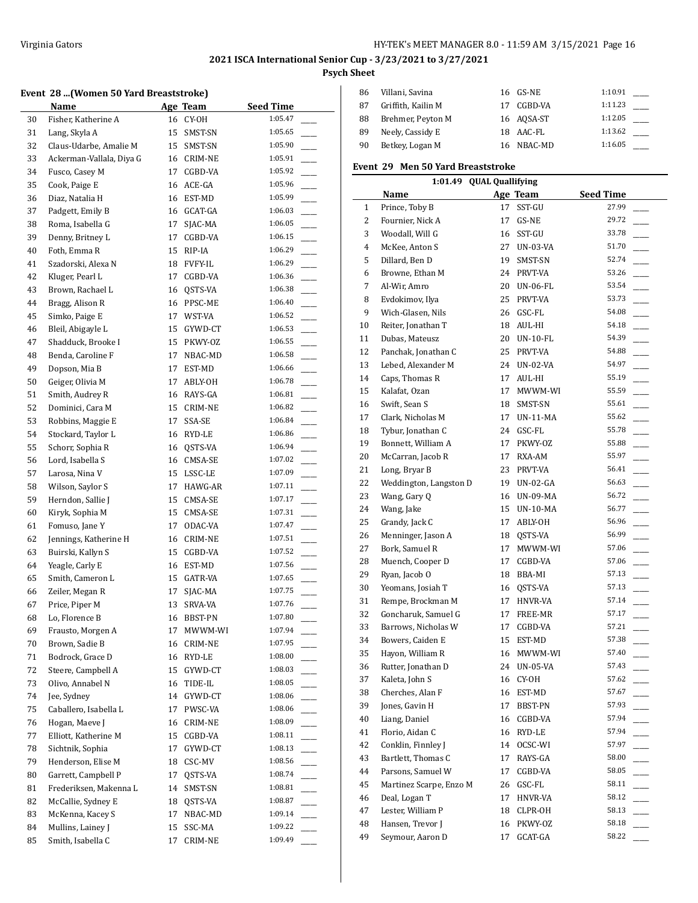#### **Event 28 ...(Women 50 Yard Breaststroke)**

|    | Name                     |    | Age Team       | <b>Seed Time</b> |    |
|----|--------------------------|----|----------------|------------------|----|
| 30 | Fisher, Katherine A      | 16 | CY-OH          | 1:05.47          |    |
| 31 | Lang, Skyla A            | 15 | SMST-SN        | 1:05.65          |    |
| 32 | Claus-Udarbe, Amalie M   | 15 | SMST-SN        | 1:05.90          |    |
| 33 | Ackerman-Vallala, Diya G | 16 | CRIM-NE        | 1:05.91          |    |
| 34 | Fusco, Casey M           | 17 | CGBD-VA        | 1:05.92          |    |
| 35 | Cook, Paige E            | 16 | ACE-GA         | 1:05.96          |    |
| 36 | Diaz, Natalia H          | 16 | EST-MD         | 1:05.99          |    |
| 37 | Padgett, Emily B         | 16 | GCAT-GA        | 1:06.03          |    |
| 38 | Roma, Isabella G         | 17 | SJAC-MA        | 1:06.05          |    |
| 39 | Denny, Britney L         | 17 | CGBD-VA        | 1:06.15          |    |
| 40 | Foth, Emma R             | 15 | RIP-IA         | 1:06.29          |    |
| 41 | Szadorski, Alexa N       | 18 | <b>FVFY-IL</b> | 1:06.29          |    |
| 42 | Kluger, Pearl L          | 17 | CGBD-VA        | 1:06.36          |    |
| 43 | Brown, Rachael L         | 16 | QSTS-VA        | 1:06.38          |    |
| 44 | Bragg, Alison R          | 16 | PPSC-ME        | 1:06.40          |    |
| 45 | Simko, Paige E           | 17 | WST-VA         | 1:06.52          |    |
| 46 | Bleil, Abigayle L        | 15 | GYWD-CT        | 1:06.53          |    |
| 47 | Shadduck, Brooke I       | 15 | PKWY-OZ        | 1:06.55          |    |
| 48 | Benda, Caroline F        | 17 | NBAC-MD        | 1:06.58          |    |
| 49 | Dopson, Mia B            | 17 | EST-MD         | 1:06.66          |    |
| 50 | Geiger, Olivia M         | 17 | ABLY-OH        | 1:06.78          |    |
| 51 | Smith, Audrey R          | 16 | RAYS-GA        | 1:06.81          |    |
| 52 | Dominici, Cara M         | 15 | CRIM-NE        | 1:06.82          |    |
| 53 | Robbins, Maggie E        | 17 | SSA-SE         | 1:06.84          |    |
| 54 | Stockard, Taylor L       | 16 | RYD-LE         | 1:06.86          |    |
| 55 | Schorr, Sophia R         | 16 | QSTS-VA        | 1:06.94          |    |
| 56 | Lord, Isabella S         | 16 | CMSA-SE        | 1:07.02          |    |
| 57 | Larosa, Nina V           | 15 | LSSC-LE        | 1:07.09          |    |
| 58 | Wilson, Saylor S         | 17 | HAWG-AR        | 1:07.11          |    |
| 59 | Herndon, Sallie J        | 15 | CMSA-SE        | 1:07.17          |    |
| 60 | Kiryk, Sophia M          | 15 | CMSA-SE        | 1:07.31          |    |
| 61 | Fomuso, Jane Y           | 17 | ODAC-VA        | 1:07.47          |    |
| 62 | Jennings, Katherine H    | 16 | CRIM-NE        | 1:07.51          |    |
| 63 | Buirski, Kallyn S        | 15 | CGBD-VA        | 1:07.52          |    |
| 64 | Yeagle, Carly E          | 16 | EST-MD         | 1:07.56          |    |
| 65 | Smith, Cameron L         | 15 | GATR-VA        | 1:07.65          |    |
| 66 | Zeiler, Megan R          | 17 | SJAC-MA        | 1:07.75          |    |
| 67 | Price, Piper M           | 13 | SRVA-VA        | 1:07.76          |    |
| 68 | Lo, Florence B           | 16 | BBST-PN        | 1:07.80          |    |
| 69 | Frausto, Morgen A        | 17 | MWWM-WI        | 1:07.94          |    |
| 70 | Brown, Sadie B           | 16 | CRIM-NE        | 1:07.95          |    |
| 71 | Bodrock, Grace D         | 16 | RYD-LE         | 1:08.00          |    |
| 72 | Steere, Campbell A       | 15 | GYWD-CT        | 1:08.03          |    |
| 73 | Olivo, Annabel N         | 16 | TIDE-IL        | 1:08.05          |    |
| 74 | Jee, Sydney              | 14 | GYWD-CT        | 1:08.06          |    |
| 75 | Caballero, Isabella L    | 17 | PWSC-VA        | 1:08.06          |    |
| 76 | Hogan, Maeve J           | 16 | CRIM-NE        | 1:08.09          |    |
| 77 | Elliott, Katherine M     | 15 | CGBD-VA        | 1:08.11          |    |
| 78 | Sichtnik, Sophia         | 17 | GYWD-CT        | 1:08.13          | L. |
| 79 | Henderson, Elise M       | 18 | CSC-MV         | 1:08.56          | L. |
| 80 | Garrett, Campbell P      | 17 | QSTS-VA        | 1:08.74          |    |
| 81 | Frederiksen, Makenna L   | 14 | SMST-SN        | 1:08.81          |    |
| 82 | McCallie, Sydney E       | 18 | QSTS-VA        | 1:08.87          |    |
| 83 | McKenna, Kacey S         | 17 | NBAC-MD        | 1:09.14          |    |
| 84 | Mullins, Lainey J        | 15 | SSC-MA         | 1:09.22          |    |
| 85 | Smith, Isabella C        | 17 | CRIM-NE        | 1:09.49          |    |

| 86 | Villani, Savina    | 16 GS-NE   | 1:10.91 |  |
|----|--------------------|------------|---------|--|
| 87 | Griffith, Kailin M | 17 CGBD-VA | 1:11.23 |  |
| 88 | Brehmer, Peyton M  | 16 AOSA-ST | 1:12.05 |  |
| 89 | Neely, Cassidy E   | 18 AAC-FL  | 1:13.62 |  |
| 90 | Betkey, Logan M    | 16 NBAC-MD | 1:16.05 |  |

## **Event 29 Men 50 Yard Breaststroke**

|              | 1:01.49 QUAL Quallifying |    |                 |                                   |  |  |  |
|--------------|--------------------------|----|-----------------|-----------------------------------|--|--|--|
|              | Name                     |    | Age Team        | <b>Seed Time</b>                  |  |  |  |
| $\mathbf{1}$ | Prince, Toby B           | 17 | SST-GU          | 27.99                             |  |  |  |
| 2            | Fournier, Nick A         | 17 | GS-NE           | 29.72                             |  |  |  |
| 3            | Woodall, Will G          |    | 16 SST-GU       | 33.78                             |  |  |  |
| 4            | McKee, Anton S           | 27 | <b>UN-03-VA</b> | 51.70<br>$\overline{\phantom{a}}$ |  |  |  |
| 5            | Dillard, Ben D           | 19 | SMST-SN         | 52.74                             |  |  |  |
| 6            | Browne, Ethan M          | 24 | PRVT-VA         | 53.26                             |  |  |  |
| 7            | Al-Wir, Amro             | 20 | UN-06-FL        | 53.54<br>$\overline{\phantom{a}}$ |  |  |  |
| 8            | Evdokimov, Ilya          | 25 | PRVT-VA         | 53.73<br>$\frac{1}{2}$            |  |  |  |
| 9            | Wich-Glasen, Nils        | 26 | GSC-FL          | 54.08<br>$\frac{1}{1}$            |  |  |  |
| 10           | Reiter, Jonathan T       | 18 | AUL-HI          | 54.18<br>$\overline{\phantom{a}}$ |  |  |  |
| 11           | Dubas, Mateusz           | 20 | UN-10-FL        | 54.39<br>$\mathbb{R}$             |  |  |  |
| 12           | Panchak, Jonathan C      | 25 | PRVT-VA         | 54.88<br>L.                       |  |  |  |
| 13           | Lebed, Alexander M       |    | 24 UN-02-VA     | $\overline{a}$<br>54.97           |  |  |  |
| 14           | Caps, Thomas R           | 17 | AUL-HI          | 55.19                             |  |  |  |
| 15           | Kalafat, Ozan            | 17 | MWWM-WI         | 55.59<br>$\overline{\phantom{a}}$ |  |  |  |
| 16           | Swift, Sean S            | 18 | SMST-SN         | 55.61<br>$\frac{1}{2}$            |  |  |  |
| 17           | Clark, Nicholas M        | 17 | UN-11-MA        | 55.62<br>$\overline{\phantom{a}}$ |  |  |  |
| 18           | Tybur, Jonathan C        | 24 | GSC-FL          | 55.78                             |  |  |  |
| 19           | Bonnett, William A       | 17 | PKWY-OZ         | 55.88<br>$\overline{\phantom{a}}$ |  |  |  |
| 20           | McCarran, Jacob R        | 17 | RXA-AM          | 55.97                             |  |  |  |
| 21           | Long, Bryar B            | 23 | PRVT-VA         | 56.41<br>$\frac{1}{1}$            |  |  |  |
| 22           | Weddington, Langston D   | 19 | UN-02-GA        | 56.63<br>$\overline{\phantom{a}}$ |  |  |  |
| 23           | Wang, Gary Q             |    | 16 UN-09-MA     | 56.72<br>$\overline{\phantom{a}}$ |  |  |  |
| 24           | Wang, Jake               | 15 | UN-10-MA        | 56.77<br>L.                       |  |  |  |
| 25           | Grandy, Jack C           | 17 | ABLY-OH         | $\overline{\phantom{a}}$<br>56.96 |  |  |  |
| 26           | Menninger, Jason A       | 18 | QSTS-VA         | 56.99                             |  |  |  |
| 27           | Bork, Samuel R           | 17 | MWWM-WI         | 57.06<br>$\overline{\phantom{0}}$ |  |  |  |
| 28           | Muench, Cooper D         | 17 | CGBD-VA         | 57.06<br>$\overline{\phantom{a}}$ |  |  |  |
| 29           | Ryan, Jacob O            | 18 | BBA-MI          | 57.13                             |  |  |  |
| 30           | Yeomans, Josiah T        | 16 | QSTS-VA         | 57.13                             |  |  |  |
| 31           | Rempe, Brockman M        | 17 | HNVR-VA         | 57.14<br>$\overline{\phantom{a}}$ |  |  |  |
| 32           | Goncharuk, Samuel G      | 17 | FREE-MR         | 57.17                             |  |  |  |
| 33           | Barrows, Nicholas W      | 17 | CGBD-VA         | 57.21<br>$\frac{1}{1}$            |  |  |  |
| 34           | Bowers, Caiden E         | 15 | EST-MD          | 57.38<br>$\sim$                   |  |  |  |
| 35           | Hayon, William R         |    | 16 MWWM-WI      | 57.40<br>$\overline{\phantom{a}}$ |  |  |  |
| 36           | Rutter, Jonathan D       |    | 24 UN-05-VA     | 57.43                             |  |  |  |
| 37           | Kaleta, John S           |    | 16 CY-OH        | 57.62                             |  |  |  |
| 38           | Cherches, Alan F         | 16 | EST-MD          | 57.67                             |  |  |  |
| 39           | Jones, Gavin H           | 17 | BBST-PN         | 57.93                             |  |  |  |
| 40           | Liang, Daniel            | 16 | CGBD-VA         | 57.94                             |  |  |  |
| 41           | Florio, Aidan C          | 16 | RYD-LE          | 57.94                             |  |  |  |
| 42           | Conklin, Finnley J       | 14 | OCSC-WI         | 57.97                             |  |  |  |
| 43           | Bartlett, Thomas C       | 17 | RAYS-GA         | 58.00                             |  |  |  |
| 44           | Parsons, Samuel W        | 17 | CGBD-VA         | 58.05                             |  |  |  |
| 45           | Martinez Scarpe, Enzo M  | 26 | GSC-FL          | $\overline{\phantom{a}}$<br>58.11 |  |  |  |
| 46           | Deal, Logan T            | 17 | <b>HNVR-VA</b>  | $\overline{\phantom{a}}$<br>58.12 |  |  |  |
| 47           | Lester, William P        |    | CLPR-OH         | $\sim$<br>58.13                   |  |  |  |
|              | Hansen, Trevor J         | 18 | PKWY-OZ         | 58.18                             |  |  |  |
| 48           |                          | 16 |                 | 58.22                             |  |  |  |
| 49           | Seymour, Aaron D         | 17 | GCAT-GA         |                                   |  |  |  |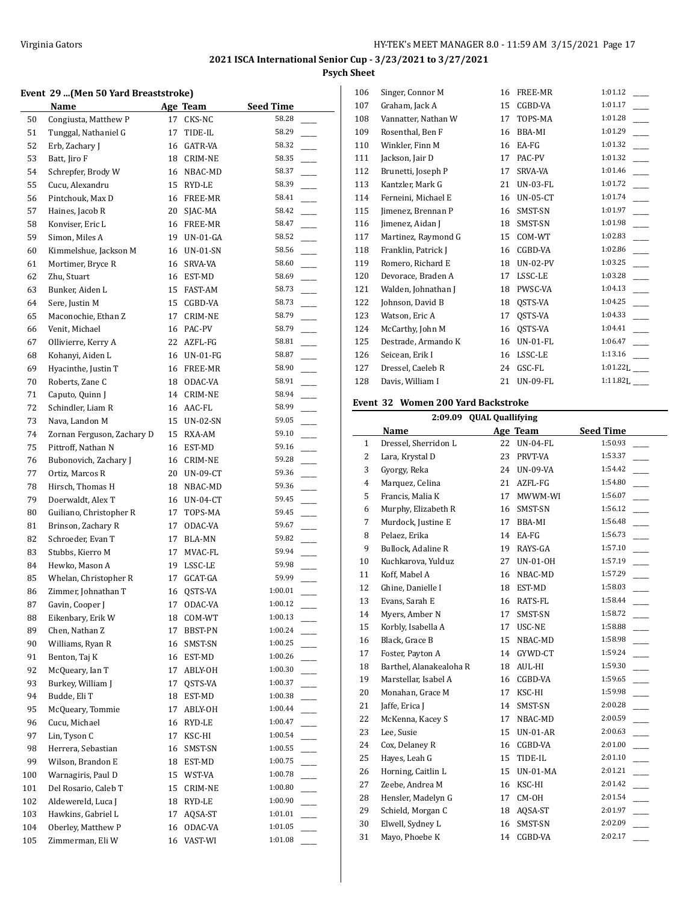#### **Event 29 ...(Men 50 Yard Breaststroke)**

|     | <b>Name</b>                |    | Age Team        | <b>Seed Time</b> |
|-----|----------------------------|----|-----------------|------------------|
| 50  | Congiusta, Matthew P       | 17 | CKS-NC          | 58.28            |
| 51  | Tunggal, Nathaniel G       | 17 | TIDE-IL         | 58.29            |
| 52  | Erb, Zachary J             | 16 | GATR-VA         | 58.32            |
| 53  | Batt, Jiro F               | 18 | <b>CRIM-NE</b>  | 58.35            |
| 54  | Schrepfer, Brody W         |    | 16 NBAC-MD      | 58.37            |
| 55  | Cucu, Alexandru            | 15 | RYD-LE          | 58.39            |
| 56  | Pintchouk, Max D           | 16 | FREE-MR         | 58.41            |
| 57  | Haines, Jacob R            | 20 | SJAC-MA         | 58.42            |
| 58  | Konviser, Eric L           | 16 | FREE-MR         | 58.47            |
| 59  | Simon, Miles A             | 19 | $UN-01-GA$      | 58.52            |
| 60  | Kimmelshue, Jackson M      | 16 | UN-01-SN        | 58.56            |
| 61  | Mortimer, Bryce R          | 16 | SRVA-VA         | 58.60            |
| 62  | Zhu, Stuart                | 16 | EST-MD          | 58.69            |
| 63  | Bunker, Aiden L            | 15 | FAST-AM         | 58.73            |
| 64  | Sere, Justin M             | 15 | CGBD-VA         | 58.73            |
| 65  | Maconochie, Ethan Z        | 17 | CRIM-NE         | 58.79            |
| 66  | Venit, Michael             |    | 16 PAC-PV       | 58.79            |
| 67  | Ollivierre, Kerry A        |    | 22 AZFL-FG      | 58.81            |
| 68  | Kohanyi, Aiden L           |    | 16 UN-01-FG     | 58.87            |
| 69  | Hyacinthe, Justin T        |    | 16 FREE-MR      | 58.90            |
| 70  | Roberts, Zane C            | 18 | ODAC-VA         | 58.91            |
| 71  | Caputo, Quinn J            | 14 | <b>CRIM-NE</b>  | 58.94            |
| 72  | Schindler, Liam R          | 16 | AAC-FL          | 58.99            |
| 73  | Nava, Landon M             | 15 | UN-02-SN        | 59.05            |
| 74  | Zornan Ferguson, Zachary D | 15 | RXA-AM          | 59.10            |
| 75  | Pittroff, Nathan N         | 16 | EST-MD          | 59.16            |
| 76  | Bubonovich, Zachary J      | 16 | CRIM-NE         | 59.28            |
| 77  | Ortiz, Marcos R            | 20 | <b>UN-09-CT</b> | 59.36            |
| 78  | Hirsch, Thomas H           | 18 | NBAC-MD         | 59.36            |
| 79  | Doerwaldt, Alex T          |    | 16 UN-04-CT     | 59.45            |
| 80  | Guiliano, Christopher R    | 17 | TOPS-MA         | 59.45            |
| 81  | Brinson, Zachary R         | 17 | ODAC-VA         | 59.67            |
| 82  | Schroeder, Evan T          | 17 | BLA-MN          | 59.82            |
| 83  | Stubbs, Kierro M           | 17 | MVAC-FL         | 59.94            |
| 84  | Hewko, Mason A             | 19 | LSSC-LE         | 59.98            |
| 85  | Whelan, Christopher R      | 17 | GCAT-GA         | 59.99            |
| 86  | Zimmer, Johnathan T        | 16 | QSTS-VA         | 1:00.01          |
| 87  | Gavin, Cooper J            | 17 | ODAC-VA         | 1:00.12          |
| 88  | Eikenbary, Erik W          | 18 | COM-WT          | 1:00.13          |
| 89  | Chen, Nathan Z             | 17 | BBST-PN         | 1:00.24          |
| 90  | Williams, Ryan R           | 16 | SMST-SN         | 1:00.25          |
| 91  | Benton, Taj K              | 16 | EST-MD          | 1:00.26          |
| 92  | McQueary, Ian T            | 17 | ABLY-OH         | 1:00.30          |
| 93  | Burkey, William J          | 17 | QSTS-VA         | 1:00.37          |
| 94  | Budde, Eli T               | 18 | EST-MD          | 1:00.38          |
| 95  | McQueary, Tommie           | 17 | ABLY-OH         | 1:00.44          |
| 96  | Cucu, Michael              | 16 | RYD-LE          | 1:00.47          |
| 97  | Lin, Tyson C               | 17 | KSC-HI          | 1:00.54          |
| 98  | Herrera, Sebastian         | 16 | SMST-SN         | 1:00.55          |
| 99  | Wilson, Brandon E          | 18 | EST-MD          | 1:00.75          |
| 100 | Warnagiris, Paul D         | 15 | WST-VA          | 1:00.78          |
| 101 | Del Rosario, Caleb T       | 15 | CRIM-NE         | 1:00.80          |
| 102 | Aldewereld, Luca J         | 18 | RYD-LE          | 1:00.90          |
| 103 | Hawkins, Gabriel L         | 17 | AQSA-ST         | 1:01.01          |
| 104 | Oberley, Matthew P         | 16 | ODAC-VA         | 1:01.05          |
| 105 | Zimmerman, Eli W           | 16 | VAST-WI         | 1:01.08          |

| 106 | Singer, Connor M    | 16 | FREE-MR         | 1:01.12                |
|-----|---------------------|----|-----------------|------------------------|
| 107 | Graham, Jack A      | 15 | CGBD-VA         | 1:01.17                |
| 108 | Vannatter, Nathan W | 17 | TOPS-MA         | 1:01.28                |
| 109 | Rosenthal, Ben F    | 16 | BBA-MI          | 1:01.29                |
| 110 | Winkler, Finn M     | 16 | EA-FG           | 1:01.32                |
| 111 | Jackson, Jair D     | 17 | PAC-PV          | 1:01.32                |
| 112 | Brunetti, Joseph P  | 17 | <b>SRVA-VA</b>  | 1:01.46                |
| 113 | Kantzler, Mark G    | 21 | <b>UN-03-FL</b> | 1:01.72                |
| 114 | Ferneini, Michael E | 16 | $UN-05-CT$      | 1:01.74                |
| 115 | Jimenez, Brennan P  | 16 | SMST-SN         | 1:01.97                |
| 116 | Jimenez, Aidan J    | 18 | SMST-SN         | 1:01.98                |
| 117 | Martinez, Raymond G | 15 | COM-WT          | 1:02.83                |
| 118 | Franklin, Patrick J | 16 | CGBD-VA         | 1:02.86                |
| 119 | Romero, Richard E   | 18 | <b>UN-02-PV</b> | 1:03.25                |
| 120 | Devorace, Braden A  | 17 | LSSC-LE         | 1:03.28                |
| 121 | Walden, Johnathan J | 18 | PWSC-VA         | 1:04.13                |
| 122 | Johnson, David B    | 18 | QSTS-VA         | 1:04.25                |
| 123 | Watson, Eric A      | 17 | OSTS-VA         | 1:04.33                |
| 124 | McCarthy, John M    | 16 | QSTS-VA         | 1:04.41                |
| 125 | Destrade, Armando K | 16 | <b>UN-01-FL</b> | 1:06.47                |
| 126 | Seicean, Erik I     | 16 | LSSC-LE         | 1:13.16                |
| 127 | Dressel, Caeleb R   | 24 | GSC-FL          | $1:01.22$ <sub>I</sub> |
| 128 | Davis, William I    | 21 | <b>UN-09-FL</b> | 1:11.82L               |
|     |                     |    |                 |                        |

## **Event 32 Women 200 Yard Backstroke**

|                | 2:09.09 QUAL Quallifying |    |                 |                  |
|----------------|--------------------------|----|-----------------|------------------|
|                | Name                     |    | Age Team        | <b>Seed Time</b> |
| 1              | Dressel, Sherridon L     | 22 | <b>UN-04-FL</b> | 1:50.93          |
| $\overline{c}$ | Lara, Krystal D          | 23 | PRVT-VA         | 1:53.37          |
| 3              | Gyorgy, Reka             | 24 | <b>UN-09-VA</b> | 1:54.42          |
| $\overline{4}$ | Marquez, Celina          | 21 | AZFL-FG         | 1:54.80          |
| 5              | Francis, Malia K         | 17 | MWWM-WI         | 1:56.07          |
| 6              | Murphy, Elizabeth R      | 16 | SMST-SN         | 1:56.12          |
| 7              | Murdock, Justine E       | 17 | BBA-MI          | 1:56.48          |
| 8              | Pelaez, Erika            | 14 | EA-FG           | 1:56.73          |
| 9              | Bullock, Adaline R       | 19 | RAYS-GA         | 1:57.10          |
| 10             | Kuchkarova, Yulduz       | 27 | <b>UN-01-OH</b> | 1:57.19          |
| 11             | Koff, Mabel A            | 16 | NBAC-MD         | 1:57.29          |
| 12             | Ghine, Danielle I        | 18 | EST-MD          | 1:58.03          |
| 13             | Evans, Sarah E           | 16 | RATS-FL         | 1:58.44          |
| 14             | Myers, Amber N           | 17 | SMST-SN         | 1:58.72          |
| 15             | Korbly, Isabella A       | 17 | USC-NE          | 1:58.88          |
| 16             | Black, Grace B           | 15 | NBAC-MD         | 1:58.98          |
| 17             | Foster, Payton A         | 14 | GYWD-CT         | 1:59.24          |
| 18             | Barthel, Alanakealoha R  | 18 | AUL-HI          | 1:59.30          |
| 19             | Marstellar, Isabel A     | 16 | CGBD-VA         | 1:59.65          |
| 20             | Monahan, Grace M         | 17 | KSC-HI          | 1:59.98          |
| 21             | Jaffe, Erica J           | 14 | SMST-SN         | 2:00.28          |
| 22             | McKenna, Kacey S         | 17 | NBAC-MD         | 2:00.59          |
| 23             | Lee, Susie               | 15 | $UN-01-AR$      | 2:00.63          |
| 24             | Cox, Delaney R           | 16 | CGBD-VA         | 2:01.00          |
| 25             | Hayes, Leah G            | 15 | TIDE-IL         | 2:01.10          |
| 26             | Horning, Caitlin L       | 15 | $UN-01-MA$      | 2:01.21          |
| 27             | Zeebe, Andrea M          | 16 | KSC-HI          | 2:01.42          |
| 28             | Hensler, Madelyn G       | 17 | CM-OH           | 2:01.54          |
| 29             | Schield, Morgan C        | 18 | AQSA-ST         | 2:01.97          |
| 30             | Elwell, Sydney L         | 16 | SMST-SN         | 2:02.09          |
| 31             | Mayo, Phoebe K           | 14 | CGBD-VA         | 2:02.17          |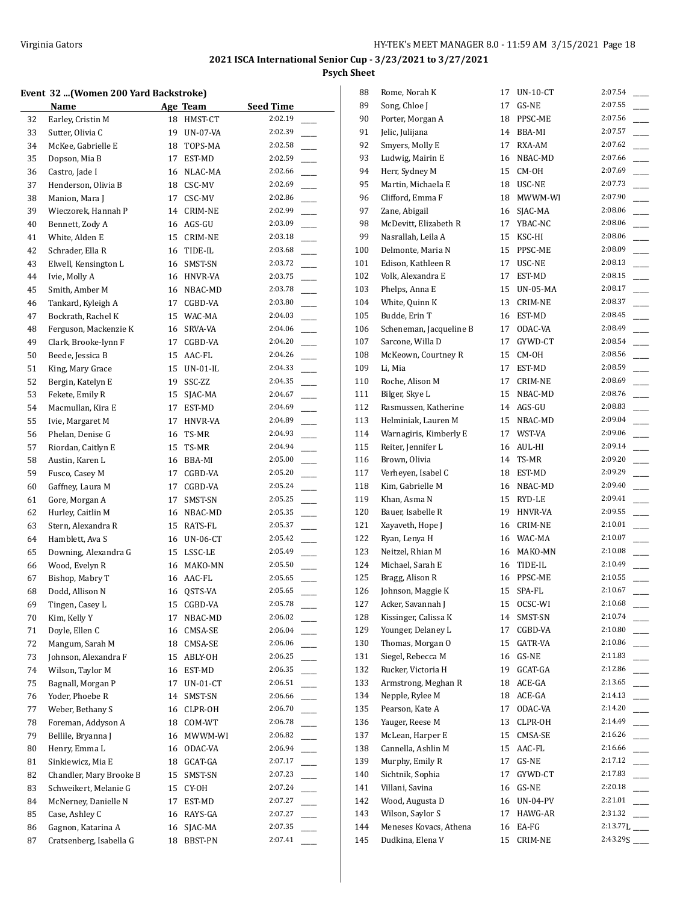$\overline{1}$ 

## **Event 32 ...(Women 200 Yard Backstroke)**

|    | <u>Name</u>             | Age Team |                 | <b>Seed Time</b> |
|----|-------------------------|----------|-----------------|------------------|
| 32 | Earley, Cristin M       | 18       | HMST-CT         | 2:02.19          |
| 33 | Sutter, Olivia C        | 19       | UN-07-VA        | 2:02.39          |
| 34 | McKee, Gabrielle E      | 18       | TOPS-MA         | 2:02.58          |
| 35 | Dopson, Mia B           | 17       | EST-MD          | 2:02.59          |
| 36 | Castro, Jade I          | 16       | NLAC-MA         | 2:02.66          |
| 37 | Henderson, Olivia B     | 18       | CSC-MV          | 2:02.69          |
| 38 | Manion, Mara J          | 17       | CSC-MV          | 2:02.86          |
| 39 | Wieczorek, Hannah P     | 14       | CRIM-NE         | 2:02.99          |
| 40 | Bennett, Zody A         | 16       | AGS-GU          | 2:03.09          |
| 41 | White, Alden E          | 15       | CRIM-NE         | 2:03.18          |
| 42 | Schrader, Ella R        | 16       | TIDE-IL         | 2:03.68          |
| 43 | Elwell, Kensington L    | 16       | SMST-SN         | 2:03.72          |
| 44 | Ivie, Molly A           | 16       | HNVR-VA         | 2:03.75          |
| 45 | Smith, Amber M          | 16       | NBAC-MD         | 2:03.78          |
| 46 | Tankard, Kyleigh A      | 17       | CGBD-VA         | 2:03.80          |
| 47 | Bockrath, Rachel K      | 15       | WAC-MA          | 2:04.03          |
| 48 | Ferguson, Mackenzie K   | 16       | SRVA-VA         | 2:04.06          |
| 49 | Clark, Brooke-lynn F    | 17       | CGBD-VA         | 2:04.20          |
| 50 | Beede, Jessica B        | 15       | AAC-FL          | 2:04.26          |
| 51 | King, Mary Grace        | 15       | UN-01-IL        | 2:04.33          |
| 52 | Bergin, Katelyn E       | 19       | SSC-ZZ          | 2:04.35          |
| 53 | Fekete, Emily R         | 15       | SJAC-MA         | 2:04.67          |
| 54 | Macmullan, Kira E       | 17       | EST-MD          | 2:04.69          |
| 55 | Ivie, Margaret M        | 17       | HNVR-VA         | 2:04.89          |
| 56 | Phelan, Denise G        | 16       | TS-MR           | 2:04.93          |
| 57 | Riordan, Caitlyn E      | 15       | TS-MR           | 2:04.94          |
| 58 | Austin, Karen L         | 16       | BBA-MI          | 2:05.00          |
| 59 | Fusco, Casey M          | 17       | CGBD-VA         | 2:05.20          |
| 60 | Gaffney, Laura M        | 17       | CGBD-VA         | 2:05.24          |
| 61 | Gore, Morgan A          | 17       | SMST-SN         | 2:05.25          |
| 62 | Hurley, Caitlin M       | 16       | NBAC-MD         | 2:05.35          |
| 63 | Stern, Alexandra R      | 15       | RATS-FL         | 2:05.37          |
| 64 | Hamblett, Ava S         | 16       | <b>UN-06-CT</b> | 2:05.42          |
| 65 | Downing, Alexandra G    | 15       | LSSC-LE         | 2:05.49          |
| 66 | Wood, Evelyn R          | 16       | MAKO-MN         | 2:05.50          |
| 67 | Bishop, Mabry T         | 16       | AAC-FL          | 2:05.65          |
| 68 | Dodd, Allison N         | 16       | QSTS-VA         | 2:05.65          |
| 69 | Tingen, Casey L         | 15       | CGBD-VA         | 2:05.78          |
| 70 | Kim, Kelly Y            | 17       | NBAC-MD         | 2:06.02          |
| 71 | Doyle, Ellen C          | 16       | CMSA-SE         | 2:06.04          |
| 72 | Mangum, Sarah M         | 18       | CMSA-SE         | 2:06.06          |
| 73 | Johnson, Alexandra F    | 15       | ABLY-OH         | 2:06.25          |
| 74 | Wilson, Taylor M        | 16       | EST-MD          | 2:06.35          |
| 75 | Bagnall, Morgan P       | 17       | $UN-01-CT$      | 2:06.51          |
| 76 | Yoder, Phoebe R         | 14       | SMST-SN         | 2:06.66          |
| 77 | Weber. Bethany S        | 16       | CLPR-OH         | 2:06.70          |
| 78 | Foreman, Addyson A      | 18       | COM-WT          | 2:06.78          |
| 79 | Bellile, Bryanna J      | 16       | MWWM-WI         | 2:06.82          |
| 80 | Henry, Emma L           | 16       | ODAC-VA         | 2:06.94          |
| 81 | Sinkiewicz, Mia E       | 18       | GCAT-GA         | 2:07.17          |
| 82 | Chandler, Mary Brooke B | 15       | SMST-SN         | 2:07.23          |
| 83 | Schweikert, Melanie G   | 15       | CY-OH           | 2:07.24          |
| 84 | McNerney, Danielle N    | 17       | EST-MD          | 2:07.27          |
| 85 | Case, Ashley C          | 16       | RAYS-GA         | 2:07.27          |
| 86 | Gagnon, Katarina A      | 16       | SJAC-MA         | 2:07.35          |
| 87 | Cratsenberg, Isabella G | 18       | BBST-PN         | 2:07.41          |

| 88  | Rome, Norah K           | 17 | $UN-10-CT$ | 2:07.54  |
|-----|-------------------------|----|------------|----------|
| 89  | Song, Chloe J           | 17 | GS-NE      | 2:07.55  |
| 90  | Porter, Morgan A        | 18 | PPSC-ME    | 2:07.56  |
| 91  | Jelic, Julijana         | 14 | BBA-MI     | 2:07.57  |
| 92  | Smyers, Molly E         | 17 | RXA-AM     | 2:07.62  |
| 93  | Ludwig, Mairin E        | 16 | NBAC-MD    | 2:07.66  |
| 94  | Herr, Sydney M          | 15 | CM-OH      | 2:07.69  |
| 95  | Martin, Michaela E      | 18 | USC-NE     | 2:07.73  |
| 96  | Clifford, Emma F        | 18 | MWWM-WI    | 2:07.90  |
| 97  | Zane, Abigail           | 16 | SJAC-MA    | 2:08.06  |
| 98  | McDevitt, Elizabeth R   | 17 | YBAC-NC    | 2:08.06  |
| 99  | Nasrallah, Leila A      | 15 | KSC-HI     | 2:08.06  |
| 100 | Delmonte, Maria N       | 15 | PPSC-ME    | 2:08.09  |
| 101 | Edison, Kathleen R      | 17 | USC-NE     | 2:08.13  |
| 102 | Volk, Alexandra E       | 17 | EST-MD     | 2:08.15  |
| 103 | Phelps, Anna E          | 15 | UN-05-MA   | 2:08.17  |
| 104 | White, Quinn K          | 13 | CRIM-NE    | 2:08.37  |
| 105 | Budde, Erin T           |    | 16 EST-MD  | 2:08.45  |
| 106 | Scheneman, Jacqueline B | 17 | ODAC-VA    | 2:08.49  |
| 107 | Sarcone, Willa D        | 17 | GYWD-CT    | 2:08.54  |
|     |                         | 15 |            | 2:08.56  |
| 108 | McKeown, Courtney R     |    | CM-OH      | 2:08.59  |
| 109 | Li, Mia                 | 17 | EST-MD     |          |
| 110 | Roche, Alison M         | 17 | CRIM-NE    | 2:08.69  |
| 111 | Bilger, Skye L          | 15 | NBAC-MD    | 2:08.76  |
| 112 | Rasmussen, Katherine    | 14 | AGS-GU     | 2:08.83  |
| 113 | Helminiak, Lauren M     | 15 | NBAC-MD    | 2:09.04  |
| 114 | Warnagiris, Kimberly E  | 17 | WST-VA     | 2:09.06  |
| 115 | Reiter, Jennifer L      | 16 | AUL-HI     | 2:09.14  |
| 116 | Brown, Olivia           | 14 | TS-MR      | 2:09.20  |
| 117 | Verheyen, Isabel C      |    | 18 EST-MD  | 2:09.29  |
| 118 | Kim, Gabrielle M        |    | 16 NBAC-MD | 2:09.40  |
| 119 | Khan, Asma N            |    | 15 RYD-LE  | 2:09.41  |
| 120 | Bauer, Isabelle R       | 19 | HNVR-VA    | 2:09.55  |
| 121 | Xayaveth, Hope J        |    | 16 CRIM-NE | 2:10.01  |
| 122 | Ryan, Lenya H           |    | 16 WAC-MA  | 2:10.07  |
| 123 | Neitzel, Rhian M        |    | 16 MAKO-MN | 2:10.08  |
| 124 | Michael, Sarah E        | 16 | TIDE-IL    | 2:10.49  |
| 125 | Bragg, Alison R         | 16 | PPSC-ME    | 2:10.55  |
| 126 | Johnson, Maggie K       | 15 | SPA-FL     | 2:10.67  |
| 127 | Acker, Savannah J       | 15 | OCSC-WI    | 2:10.68  |
| 128 | Kissinger, Calissa K    | 14 | SMST-SN    | 2:10.74  |
| 129 | Younger, Delaney L      | 17 | CGBD-VA    | 2:10.80  |
| 130 | Thomas, Morgan O        | 15 | GATR-VA    | 2:10.86  |
| 131 | Siegel, Rebecca M       | 16 | GS-NE      | 2:11.83  |
| 132 | Rucker, Victoria H      | 19 | GCAT-GA    | 2:12.86  |
| 133 | Armstrong, Meghan R     | 18 | ACE-GA     | 2:13.65  |
| 134 | Nepple, Rylee M         | 18 | ACE-GA     | 2:14.13  |
| 135 | Pearson, Kate A         | 17 | ODAC-VA    | 2:14.20  |
| 136 | Yauger, Reese M         | 13 | CLPR-OH    | 2:14.49  |
| 137 | McLean, Harper E        | 15 | CMSA-SE    | 2:16.26  |
| 138 | Cannella, Ashlin M      | 15 | $AAC-FL$   | 2:16.66  |
| 139 | Murphy, Emily R         | 17 | GS-NE      | 2:17.12  |
| 140 | Sichtnik, Sophia        | 17 | GYWD-CT    | 2:17.83  |
| 141 | Villani, Savina         | 16 | GS-NE      | 2:20.18  |
| 142 | Wood, Augusta D         | 16 | UN-04-PV   | 2:21.01  |
| 143 | Wilson, Saylor S        | 17 | HAWG-AR    | 2:31.32  |
| 144 | Meneses Kovacs, Athena  | 16 | EA-FG      | 2:13.77L |
| 145 | Dudkina, Elena V        | 15 | CRIM-NE    |          |
|     |                         |    |            |          |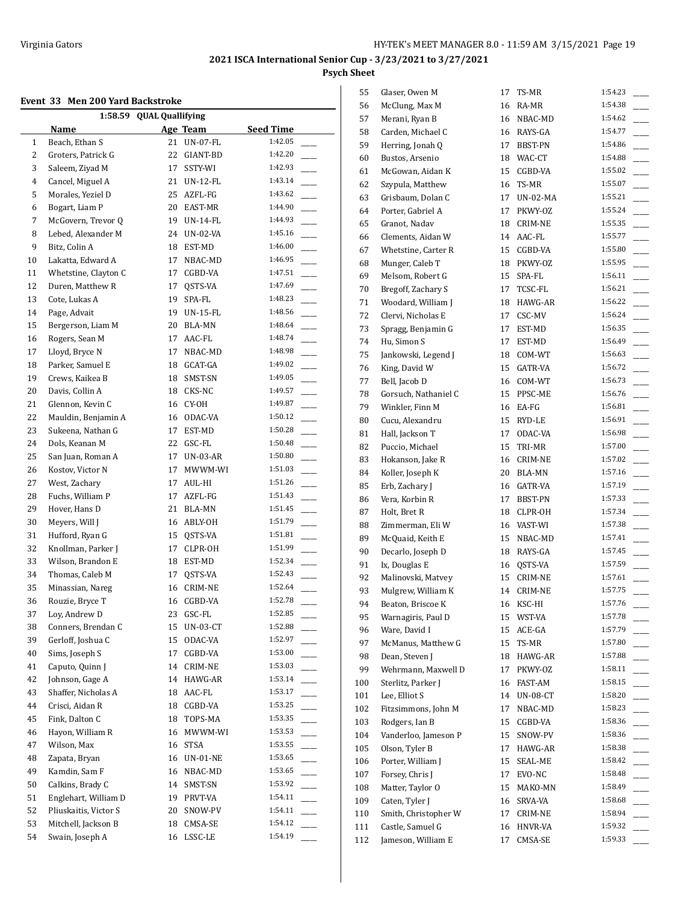## **Event 33 Men 200 Yard Backstroke**

| 1:58.59 QUAL Quallifying |                       |    |                 |                                     |  |  |  |
|--------------------------|-----------------------|----|-----------------|-------------------------------------|--|--|--|
|                          | Name                  |    | Age Team        | <b>Seed Time</b>                    |  |  |  |
| 1                        | Beach, Ethan S        | 21 | <b>UN-07-FL</b> | 1:42.05                             |  |  |  |
| 2                        | Groters, Patrick G    | 22 | GIANT-BD        | 1:42.20                             |  |  |  |
| 3                        | Saleem, Ziyad M       | 17 | SSTY-WI         | 1:42.93                             |  |  |  |
| 4                        | Cancel, Miguel A      | 21 | UN-12-FL        | 1:43.14                             |  |  |  |
| 5                        | Morales, Yeziel D     | 25 | AZFL-FG         | 1:43.62                             |  |  |  |
| 6                        | Bogart, Liam P        | 20 | EAST-MR         | 1:44.90                             |  |  |  |
| 7                        | McGovern, Trevor Q    | 19 | UN-14-FL        | 1:44.93                             |  |  |  |
| 8                        | Lebed, Alexander M    | 24 | UN-02-VA        | 1:45.16                             |  |  |  |
| 9                        | Bitz, Colin A         | 18 | EST-MD          | 1:46.00                             |  |  |  |
| 10                       | Lakatta, Edward A     | 17 | NBAC-MD         | 1:46.95                             |  |  |  |
| 11                       | Whetstine, Clayton C  | 17 | CGBD-VA         | 1:47.51                             |  |  |  |
| 12                       | Duren, Matthew R      | 17 | QSTS-VA         | 1:47.69                             |  |  |  |
| 13                       | Cote, Lukas A         | 19 | SPA-FL          | 1:48.23<br>$\overline{\phantom{0}}$ |  |  |  |
| 14                       | Page, Advait          | 19 | UN-15-FL        | 1:48.56<br>÷.                       |  |  |  |
| 15                       | Bergerson, Liam M     | 20 | BLA-MN          | 1:48.64                             |  |  |  |
| 16                       | Rogers, Sean M        | 17 | AAC-FL          | 1:48.74                             |  |  |  |
| 17                       | Lloyd, Bryce N        | 17 | NBAC-MD         | 1:48.98                             |  |  |  |
| 18                       | Parker, Samuel E      | 18 | GCAT-GA         | 1:49.02                             |  |  |  |
| 19                       | Crews, Kaikea B       | 18 | SMST-SN         | 1:49.05                             |  |  |  |
| 20                       | Davis, Collin A       | 18 | CKS-NC          | 1:49.57                             |  |  |  |
| 21                       | Glennon, Kevin C      | 16 | CY-OH           | 1:49.87                             |  |  |  |
| 22                       | Mauldin, Benjamin A   | 16 | ODAC-VA         | 1:50.12                             |  |  |  |
| 23                       | Sukeena, Nathan G     | 17 | EST-MD          | 1:50.28                             |  |  |  |
| 24                       | Dols, Keanan M        | 22 | GSC-FL          | 1:50.48                             |  |  |  |
| 25                       | San Juan, Roman A     | 17 | UN-03-AR        | 1:50.80                             |  |  |  |
| 26                       | Kostov, Victor N      | 17 | MWWM-WI         | 1:51.03<br>÷.                       |  |  |  |
| 27                       | West, Zachary         | 17 | AUL-HI          | 1:51.26                             |  |  |  |
| 28                       | Fuchs, William P      | 17 | AZFL-FG         | 1:51.43                             |  |  |  |
| 29                       | Hover, Hans D         | 21 | BLA-MN          | 1:51.45                             |  |  |  |
| 30                       | Meyers, Will J        | 16 | ABLY-OH         | 1:51.79                             |  |  |  |
| 31                       | Hufford, Ryan G       | 15 | QSTS-VA         | 1:51.81                             |  |  |  |
| 32                       | Knollman, Parker J    | 17 | CLPR-OH         | 1:51.99                             |  |  |  |
| 33                       | Wilson, Brandon E     | 18 | EST-MD          | 1:52.34                             |  |  |  |
| 34                       | Thomas, Caleb M       | 17 | QSTS-VA         | 1:52.43                             |  |  |  |
| 35                       | Minassian, Nareg      | 16 | CRIM-NE         | 1:52.64                             |  |  |  |
| 36                       | Rouzie, Bryce T       | 16 | CGBD-VA         | 1:52.78                             |  |  |  |
| 37                       | Loy, Andrew D         | 23 | GSC-FL          | 1:52.85                             |  |  |  |
| 38                       | Conners, Brendan C    | 15 | UN-03-CT        | 1:52.88                             |  |  |  |
| 39                       | Gerloff, Joshua C     | 15 | ODAC-VA         | 1:52.97                             |  |  |  |
| 40                       | Sims, Joseph S        | 17 | CGBD-VA         | 1:53.00                             |  |  |  |
| 41                       | Caputo, Quinn J       | 14 | CRIM-NE         | 1:53.03                             |  |  |  |
| 42                       | Johnson, Gage A       | 14 | HAWG-AR         | 1:53.14                             |  |  |  |
| 43                       | Shaffer, Nicholas A   | 18 | AAC-FL          | 1:53.17                             |  |  |  |
| 44                       | Crisci, Aidan R       | 18 | CGBD-VA         | 1:53.25                             |  |  |  |
| 45                       | Fink, Dalton C        | 18 | TOPS-MA         | 1:53.35                             |  |  |  |
| 46                       | Hayon, William R      | 16 | MWWM-WI         | 1:53.53<br>$\sim$                   |  |  |  |
| 47                       | Wilson, Max           | 16 | STSA            | 1:53.55<br>$\sim$                   |  |  |  |
| 48                       | Zapata, Bryan         | 16 | UN-01-NE        | 1:53.65<br>$\overline{\phantom{a}}$ |  |  |  |
| 49                       | Kamdin, Sam F         | 16 | NBAC-MD         | 1:53.65<br>$\overline{\phantom{a}}$ |  |  |  |
| 50                       | Calkins, Brady C      | 14 | SMST-SN         | 1:53.92                             |  |  |  |
| 51                       | Englehart, William D  | 19 | PRVT-VA         | 1:54.11                             |  |  |  |
| 52                       | Pliuskaitis, Victor S | 20 | SNOW-PV         | 1:54.11                             |  |  |  |
| 53                       | Mitchell, Jackson B   | 18 | CMSA-SE         | 1:54.12                             |  |  |  |
| 54                       | Swain, Joseph A       | 16 | LSSC-LE         | 1:54.19                             |  |  |  |
|                          |                       |    |                 |                                     |  |  |  |

| 55  | Glaser, Owen M       | 17 | TS-MR           | 1:54.23 |
|-----|----------------------|----|-----------------|---------|
| 56  | McClung, Max M       | 16 | RA-MR           | 1:54.38 |
| 57  | Merani, Ryan B       | 16 | NBAC-MD         | 1:54.62 |
| 58  | Carden, Michael C    |    | 16 RAYS-GA      | 1:54.77 |
| 59  | Herring, Jonah Q     | 17 | BBST-PN         | 1:54.86 |
| 60  | Bustos, Arsenio      |    | 18 WAC-CT       | 1:54.88 |
| 61  | McGowan, Aidan K     | 15 | CGBD-VA         | 1:55.02 |
| 62  | Szypula, Matthew     | 16 | TS-MR           | 1:55.07 |
| 63  | Grisbaum, Dolan C    | 17 | UN-02-MA        | 1:55.21 |
| 64  | Porter, Gabriel A    | 17 | PKWY-0Z         | 1:55.24 |
| 65  | Granot, Nadav        |    | 18 CRIM-NE      | 1:55.35 |
| 66  | Clements, Aidan W    | 14 | AAC-FL          | 1:55.77 |
| 67  | Whetstine, Carter R  | 15 | CGBD-VA         | 1:55.80 |
| 68  | Munger, Caleb T      | 18 | PKWY-OZ         | 1:55.95 |
| 69  | Melsom, Robert G     | 15 | SPA-FL          | 1:56.11 |
| 70  | Bregoff, Zachary S   | 17 | TCSC-FL         | 1:56.21 |
| 71  | Woodard, William J   | 18 | HAWG-AR         | 1:56.22 |
| 72  | Clervi, Nicholas E   | 17 | CSC-MV          | 1:56.24 |
| 73  | Spragg, Benjamin G   | 17 | EST-MD          | 1:56.35 |
| 74  | Hu, Simon S          | 17 | EST-MD          | 1:56.49 |
| 75  | Jankowski, Legend J  | 18 | COM-WT          | 1:56.63 |
| 76  | King, David W        | 15 | GATR-VA         | 1:56.72 |
| 77  | Bell, Jacob D        |    | 16 COM-WT       | 1:56.73 |
| 78  | Gorsuch, Nathaniel C | 15 | PPSC-ME         | 1:56.76 |
| 79  | Winkler, Finn M      | 16 | EA-FG           | 1:56.81 |
| 80  | Cucu, Alexandru      | 15 | RYD-LE          | 1:56.91 |
| 81  | Hall, Jackson T      | 17 | ODAC-VA         | 1:56.98 |
| 82  | Puccio, Michael      | 15 | TRI-MR          | 1:57.00 |
| 83  | Hokanson, Jake R     | 16 | CRIM-NE         | 1:57.02 |
| 84  | Koller, Joseph K     | 20 | BLA-MN          | 1:57.16 |
| 85  | Erb, Zachary J       | 16 | GATR-VA         | 1:57.19 |
| 86  | Vera, Korbin R       | 17 | BBST-PN         | 1:57.33 |
| 87  | Holt, Bret R         |    | 18 CLPR-OH      | 1:57.34 |
| 88  | Zimmerman, Eli W     |    | 16 VAST-WI      | 1:57.38 |
| 89  | McQuaid, Keith E     | 15 | NBAC-MD         | 1:57.41 |
| 90  | Decarlo, Joseph D    | 18 | RAYS-GA         | 1:57.45 |
| 91  | Ix, Douglas E        | 16 | QSTS-VA         | 1:57.59 |
| 92  | Malinovski, Matvey   | 15 | CRIM-NE         | 1:57.61 |
| 93  | Mulgrew, William K   |    | 14 CRIM-NE      | 1:57.75 |
| 94  | Beaton, Briscoe K    | 16 | KSC-HI          | 1:57.76 |
| 95  | Warnagiris, Paul D   | 15 | WST-VA          | 1:57.78 |
| 96  | Ware, David I        | 15 | ACE-GA          | 1:57.79 |
| 97  | McManus, Matthew G   | 15 | TS-MR           | 1:57.80 |
| 98  | Dean, Steven J       | 18 | HAWG-AR         | 1:57.88 |
| 99  | Wehrmann, Maxwell D  | 17 | PKWY-OZ         | 1:58.11 |
| 100 | Sterlitz, Parker J   | 16 | FAST-AM         | 1:58.15 |
| 101 | Lee, Elliot S        | 14 | <b>UN-08-CT</b> | 1:58.20 |
| 102 | Fitzsimmons, John M  | 17 | NBAC-MD         | 1:58.23 |
| 103 | Rodgers, Ian B       | 15 | CGBD-VA         | 1:58.36 |
| 104 | Vanderloo, Jameson P | 15 | SNOW-PV         | 1:58.36 |
| 105 | Olson, Tyler B       | 17 | HAWG-AR         | 1:58.38 |
| 106 | Porter, William J    | 15 | SEAL-ME         | 1:58.42 |
| 107 | Forsey, Chris J      | 17 | EVO-NC          | 1:58.48 |
| 108 | Matter, Taylor O     | 15 | MAKO-MN         | 1:58.49 |
| 109 | Caten, Tyler J       | 16 | SRVA-VA         | 1:58.68 |
| 110 | Smith, Christopher W | 17 | CRIM-NE         | 1:58.94 |
| 111 | Castle, Samuel G     | 16 | HNVR-VA         | 1:59.32 |
| 112 | Jameson, William E   | 17 | CMSA-SE         | 1:59.33 |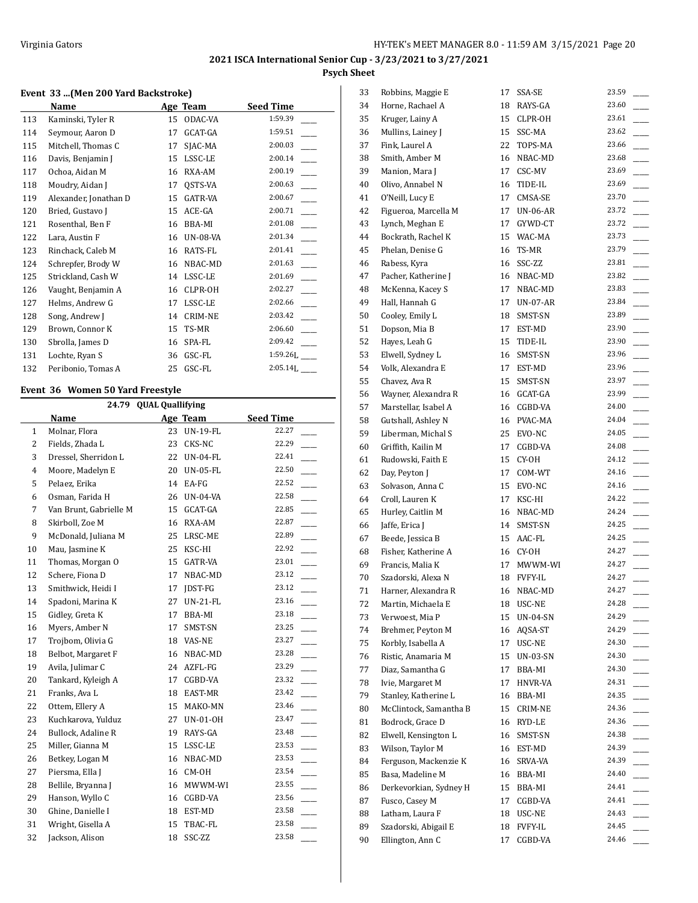## **Event 33 ...(Men 200 Yard Backstroke)**

|     | Name                  |    | Age Team        | <b>Seed Time</b> |
|-----|-----------------------|----|-----------------|------------------|
| 113 | Kaminski, Tyler R     | 15 | ODAC-VA         | 1:59.39          |
| 114 | Seymour, Aaron D      | 17 | GCAT-GA         | 1:59.51          |
| 115 | Mitchell, Thomas C    | 17 | SJAC-MA         | 2:00.03          |
| 116 | Davis, Benjamin J     | 15 | LSSC-LE         | 2:00.14          |
| 117 | Ochoa, Aidan M        | 16 | RXA-AM          | 2:00.19          |
| 118 | Moudry, Aidan J       | 17 | QSTS-VA         | 2:00.63          |
| 119 | Alexander, Jonathan D | 15 | <b>GATR-VA</b>  | 2:00.67          |
| 120 | Bried, Gustavo J      | 15 | ACE-GA          | 2:00.71          |
| 121 | Rosenthal, Ben F      | 16 | <b>BBA-MI</b>   | 2:01.08          |
| 122 | Lara, Austin F        | 16 | <b>UN-08-VA</b> | 2:01.34          |
| 123 | Rinchack, Caleb M     | 16 | RATS-FL         | 2:01.41          |
| 124 | Schrepfer, Brody W    | 16 | NBAC-MD         | 2:01.63          |
| 125 | Strickland, Cash W    | 14 | LSSC-LE         | 2:01.69          |
| 126 | Vaught, Benjamin A    | 16 | CLPR-OH         | 2:02.27          |
| 127 | Helms, Andrew G       | 17 | LSSC-LE         | 2:02.66          |
| 128 | Song, Andrew J        | 14 | <b>CRIM-NE</b>  | 2:03.42          |
| 129 | Brown, Connor K       | 15 | TS-MR           | 2:06.60          |
| 130 | Sbrolla, James D      | 16 | SPA-FL          | 2:09.42          |
| 131 | Lochte, Ryan S        | 36 | GSC-FL          | $1:59.26$ J.     |
| 132 | Peribonio, Tomas A    | 25 | GSC-FL          | 2:05.14L         |

## **Event 36 Women 50 Yard Freestyle**

| <b>QUAL Quallifying</b><br>24.79 |                                      |    |                 |       |  |  |  |  |  |
|----------------------------------|--------------------------------------|----|-----------------|-------|--|--|--|--|--|
|                                  | Age Team<br>Name<br><b>Seed Time</b> |    |                 |       |  |  |  |  |  |
| 1                                | Molnar, Flora                        | 23 | <b>UN-19-FL</b> | 22.27 |  |  |  |  |  |
| $\overline{2}$                   | Fields, Zhada L                      | 23 | CKS-NC          | 22.29 |  |  |  |  |  |
| 3                                | Dressel, Sherridon L                 | 22 | <b>UN-04-FL</b> | 22.41 |  |  |  |  |  |
| $\overline{4}$                   | Moore, Madelyn E                     | 20 | <b>UN-05-FL</b> | 22.50 |  |  |  |  |  |
| 5                                | Pelaez, Erika                        | 14 | EA-FG           | 22.52 |  |  |  |  |  |
| 6                                | Osman, Farida H                      | 26 | <b>UN-04-VA</b> | 22.58 |  |  |  |  |  |
| 7                                | Van Brunt, Gabrielle M               | 15 | GCAT-GA         | 22.85 |  |  |  |  |  |
| 8                                | Skirboll, Zoe M                      | 16 | RXA-AM          | 22.87 |  |  |  |  |  |
| 9                                | McDonald, Juliana M                  | 25 | LRSC-ME         | 22.89 |  |  |  |  |  |
| 10                               | Mau, Jasmine K                       | 25 | KSC-HI          | 22.92 |  |  |  |  |  |
| 11                               | Thomas, Morgan O                     | 15 | GATR-VA         | 23.01 |  |  |  |  |  |
| 12                               | Schere, Fiona D                      | 17 | NBAC-MD         | 23.12 |  |  |  |  |  |
| 13                               | Smithwick, Heidi I                   | 17 | JDST-FG         | 23.12 |  |  |  |  |  |
| 14                               | Spadoni, Marina K                    | 27 | $UN-21-FL$      | 23.16 |  |  |  |  |  |
| 15                               | Gidley, Greta K                      | 17 | BBA-MI          | 23.18 |  |  |  |  |  |
| 16                               | Myers, Amber N                       | 17 | SMST-SN         | 23.25 |  |  |  |  |  |
| 17                               | Trojbom, Olivia G                    | 18 | VAS-NE          | 23.27 |  |  |  |  |  |
| 18                               | Belbot, Margaret F                   | 16 | NBAC-MD         | 23.28 |  |  |  |  |  |
| 19                               | Avila, Julimar C                     | 24 | AZFL-FG         | 23.29 |  |  |  |  |  |
| 20                               | Tankard, Kyleigh A                   | 17 | CGBD-VA         | 23.32 |  |  |  |  |  |
| 21                               | Franks, Ava L                        | 18 | EAST-MR         | 23.42 |  |  |  |  |  |
| 22                               | Ottem, Ellery A                      | 15 | MAKO-MN         | 23.46 |  |  |  |  |  |
| 23                               | Kuchkarova, Yulduz                   | 27 | UN-01-OH        | 23.47 |  |  |  |  |  |
| 24                               | Bullock, Adaline R                   | 19 | RAYS-GA         | 23.48 |  |  |  |  |  |
| 25                               | Miller, Gianna M                     | 15 | LSSC-LE         | 23.53 |  |  |  |  |  |
| 26                               | Betkey, Logan M                      | 16 | NBAC-MD         | 23.53 |  |  |  |  |  |
| 27                               | Piersma, Ella J                      | 16 | CM-OH           | 23.54 |  |  |  |  |  |
| 28                               | Bellile, Bryanna J                   | 16 | MWWM-WI         | 23.55 |  |  |  |  |  |
| 29                               | Hanson, Wyllo C                      | 16 | CGBD-VA         | 23.56 |  |  |  |  |  |
| 30                               | Ghine, Danielle I                    | 18 | EST-MD          | 23.58 |  |  |  |  |  |
| 31                               | Wright, Gisella A                    | 15 | TBAC-FL         | 23.58 |  |  |  |  |  |
| 32                               | Jackson, Alison                      | 18 | SSC-ZZ          | 23.58 |  |  |  |  |  |

| 33 | Robbins, Maggie E      | 17 | SSA-SE     | 23.59 |
|----|------------------------|----|------------|-------|
| 34 | Horne, Rachael A       | 18 | RAYS-GA    | 23.60 |
| 35 | Kruger, Lainy A        | 15 | CLPR-OH    | 23.61 |
| 36 | Mullins, Lainey J      | 15 | SSC-MA     | 23.62 |
| 37 | Fink, Laurel A         | 22 | TOPS-MA    | 23.66 |
| 38 | Smith, Amber M         | 16 | NBAC-MD    | 23.68 |
| 39 | Manion, Mara J         | 17 | CSC-MV     | 23.69 |
| 40 | Olivo, Annabel N       | 16 | TIDE-IL    | 23.69 |
| 41 | O'Neill, Lucy E        | 17 | CMSA-SE    | 23.70 |
| 42 | Figueroa, Marcella M   | 17 | UN-06-AR   | 23.72 |
| 43 | Lynch, Meghan E        | 17 | GYWD-CT    | 23.72 |
| 44 | Bockrath, Rachel K     | 15 | WAC-MA     | 23.73 |
| 45 | Phelan, Denise G       | 16 | TS-MR      | 23.79 |
| 46 | Rabess, Kyra           | 16 | SSC-ZZ     | 23.81 |
| 47 | Pacher, Katherine J    | 16 | NBAC-MD    | 23.82 |
| 48 | McKenna, Kacey S       | 17 | NBAC-MD    | 23.83 |
| 49 | Hall, Hannah G         | 17 | UN-07-AR   | 23.84 |
| 50 | Cooley, Emily L        | 18 | SMST-SN    | 23.89 |
| 51 | Dopson, Mia B          | 17 | EST-MD     | 23.90 |
| 52 | Hayes, Leah G          | 15 | TIDE-IL    | 23.90 |
| 53 |                        | 16 | SMST-SN    | 23.96 |
|    | Elwell, Sydney L       |    |            | 23.96 |
| 54 | Volk, Alexandra E      | 17 | EST-MD     |       |
| 55 | Chavez, Ava R          | 15 | SMST-SN    | 23.97 |
| 56 | Wayner, Alexandra R    | 16 | GCAT-GA    | 23.99 |
| 57 | Marstellar, Isabel A   | 16 | CGBD-VA    | 24.00 |
| 58 | Gutshall, Ashley N     | 16 | PVAC-MA    | 24.04 |
| 59 | Liberman, Michal S     | 25 | EVO-NC     | 24.05 |
| 60 | Griffith, Kailin M     | 17 | CGBD-VA    | 24.08 |
| 61 | Rudowski, Faith E      | 15 | CY-OH      | 24.12 |
| 62 | Day, Peyton J          | 17 | COM-WT     | 24.16 |
| 63 | Solvason, Anna C       | 15 | EVO-NC     | 24.16 |
| 64 | Croll, Lauren K        | 17 | KSC-HI     | 24.22 |
| 65 | Hurley, Caitlin M      |    | 16 NBAC-MD | 24.24 |
| 66 | Jaffe, Erica J         | 14 | SMST-SN    | 24.25 |
| 67 | Beede, Jessica B       | 15 | AAC-FL     | 24.25 |
| 68 | Fisher, Katherine A    |    | 16 CY-OH   | 24.27 |
| 69 | Francis, Malia K       | 17 | MWWM-WI    | 24.27 |
| 70 | Szadorski, Alexa N     | 18 | FVFY-IL    | 24.27 |
| 71 | Harner, Alexandra R    | 16 | NBAC-MD    | 24.27 |
| 72 | Martin, Michaela E     | 18 | USC-NE     | 24.28 |
| 73 | Verwoest, Mia P        | 15 | UN-04-SN   | 24.29 |
| 74 | Brehmer, Peyton M      | 16 | AOSA-ST    | 24.29 |
| 75 | Korbly, Isabella A     | 17 | USC-NE     | 24.30 |
| 76 | Ristic, Anamaria M     | 15 | UN-03-SN   | 24.30 |
| 77 | Diaz, Samantha G       | 17 | BBA-MI     | 24.30 |
| 78 | Ivie, Margaret M       | 17 | HNVR-VA    | 24.31 |
| 79 | Stanley, Katherine L   | 16 | BBA-MI     | 24.35 |
| 80 | McClintock, Samantha B | 15 | CRIM-NE    | 24.36 |
| 81 | Bodrock, Grace D       | 16 | RYD-LE     | 24.36 |
| 82 | Elwell, Kensington L   | 16 | SMST-SN    | 24.38 |
| 83 | Wilson, Taylor M       | 16 | EST-MD     | 24.39 |
| 84 | Ferguson, Mackenzie K  | 16 | SRVA-VA    | 24.39 |
| 85 | Basa, Madeline M       | 16 | BBA-MI     | 24.40 |
| 86 | Derkevorkian, Sydney H | 15 | BBA-MI     | 24.41 |
| 87 | Fusco, Casey M         | 17 | CGBD-VA    | 24.41 |
| 88 | Latham, Laura F        | 18 | USC-NE     | 24.43 |
| 89 | Szadorski, Abigail E   | 18 | FVFY-IL    | 24.45 |
| 90 | Ellington, Ann C       | 17 | CGBD-VA    | 24.46 |
|    |                        |    |            |       |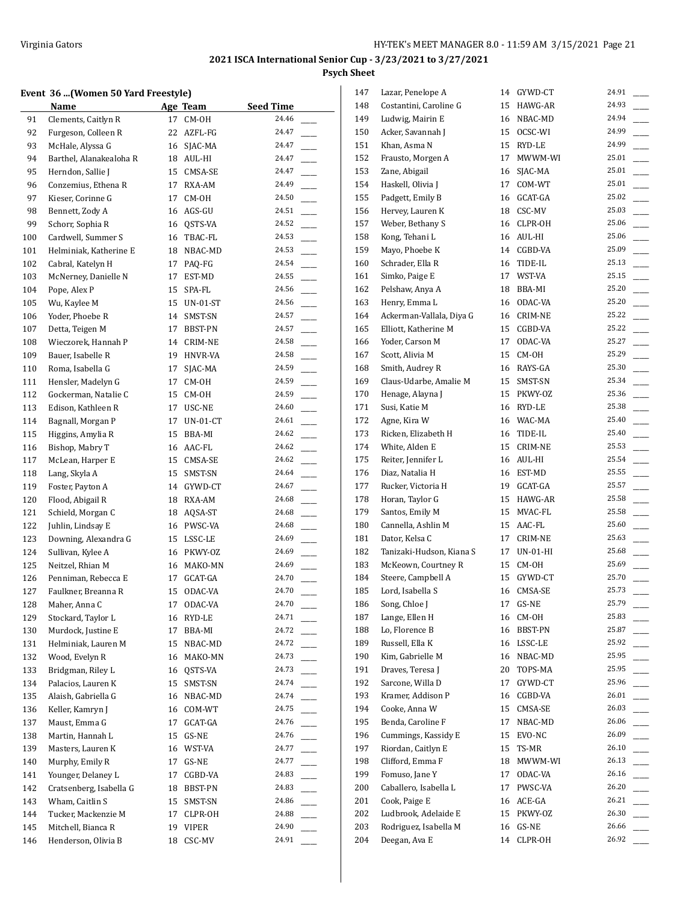## **Event 36 ...(Women 50 Yard Freestyle)**

|     | Event 36 (Women 50 Yard Freestyle) |    |              |           |
|-----|------------------------------------|----|--------------|-----------|
|     | Name                               |    | Age Team     | Seed Time |
| 91  | Clements, Caitlyn R                | 17 | CM-OH        | 24.46     |
| 92  | Furgeson, Colleen R                | 22 | AZFL-FG      | 24.47     |
| 93  | McHale, Alyssa G                   | 16 | SJAC-MA      | 24.47     |
| 94  | Barthel, Alanakealoha R            | 18 | AUL-HI       | 24.47     |
| 95  | Herndon, Sallie J                  | 15 | CMSA-SE      | 24.47     |
| 96  | Conzemius, Ethena R                | 17 | RXA-AM       | 24.49     |
| 97  | Kieser, Corinne G                  | 17 | CM-OH        | 24.50     |
| 98  | Bennett, Zody A                    | 16 | AGS-GU       | 24.51     |
| 99  | Schorr, Sophia R                   | 16 | QSTS-VA      | 24.52     |
| 100 | Cardwell, Summer S                 | 16 | TBAC-FL      | 24.53     |
| 101 | Helminiak, Katherine E             | 18 | NBAC-MD      | 24.53     |
| 102 | Cabral, Katelyn H                  | 17 | PAQ-FG       | 24.54     |
| 103 | McNerney, Danielle N               | 17 | EST-MD       | 24.55     |
| 104 | Pope, Alex P                       | 15 | SPA-FL       | 24.56     |
| 105 | Wu, Kaylee M                       | 15 | UN-01-ST     | 24.56     |
| 106 | Yoder, Phoebe R                    | 14 | SMST-SN      | 24.57     |
| 107 | Detta, Teigen M                    | 17 | BBST-PN      | 24.57     |
| 108 | Wieczorek, Hannah P                | 14 | CRIM-NE      | 24.58     |
| 109 | Bauer, Isabelle R                  | 19 | HNVR-VA      | 24.58     |
| 110 | Roma, Isabella G                   | 17 | SJAC-MA      | 24.59     |
| 111 | Hensler, Madelyn G                 | 17 | CM-OH        | 24.59     |
| 112 | Gockerman, Natalie C               | 15 | CM-OH        | 24.59     |
| 113 | Edison, Kathleen R                 | 17 | USC-NE       | 24.60     |
| 114 | Bagnall, Morgan P                  | 17 | $UN-01-CT$   | 24.61     |
| 115 | Higgins, Amylia R                  | 15 | BBA-MI       | 24.62     |
| 116 | Bishop, Mabry T                    | 16 | AAC-FL       | 24.62     |
| 117 | McLean, Harper E                   | 15 | CMSA-SE      | 24.62     |
| 118 | Lang, Skyla A                      | 15 | SMST-SN      | 24.64     |
| 119 | Foster, Payton A                   | 14 | GYWD-CT      | 24.67     |
| 120 | Flood, Abigail R                   | 18 | RXA-AM       | 24.68     |
| 121 | Schield, Morgan C                  | 18 | AQSA-ST      | 24.68     |
| 122 | Juhlin, Lindsay E                  | 16 | PWSC-VA      | 24.68     |
| 123 | Downing, Alexandra G               | 15 | LSSC-LE      | 24.69     |
| 124 | Sullivan, Kylee A                  | 16 | PKWY-OZ      | 24.69     |
| 125 | Neitzel, Rhian M                   | 16 | MAKO-MN      | 24.69     |
| 126 | Penniman, Rebecca E                | 17 | GCAT-GA      | 24.70     |
| 127 | Faulkner, Breanna R                |    | 15 ODAC-VA   | 24.70     |
| 128 | Maher, Anna C                      | 17 | ODAC-VA      | 24.70     |
| 129 | Stockard, Taylor L                 | 16 | RYD-LE       | 24.71     |
| 130 | Murdock, Justine E                 | 17 | BBA-MI       | 24.72     |
| 131 | Helminiak, Lauren M                | 15 | NBAC-MD      | 24.72     |
| 132 | Wood, Evelyn R                     | 16 | MAKO-MN      | 24.73     |
| 133 | Bridgman, Riley L                  | 16 | QSTS-VA      | 24.73     |
| 134 | Palacios, Lauren K                 | 15 | SMST-SN      | 24.74     |
| 135 | Alaish, Gabriella G                | 16 | NBAC-MD      | 24.74     |
| 136 | Keller, Kamryn J                   | 16 | COM-WT       | 24.75     |
| 137 | Maust, Emma G                      | 17 | GCAT-GA      | 24.76     |
| 138 | Martin, Hannah L                   | 15 | GS-NE        | 24.76     |
| 139 | Masters, Lauren K                  | 16 | WST-VA       | 24.77     |
| 140 | Murphy, Emily R                    | 17 | GS-NE        | 24.77     |
| 141 | Younger, Delaney L                 | 17 | CGBD-VA      | 24.83     |
| 142 | Cratsenberg, Isabella G            | 18 | BBST-PN      | 24.83     |
| 143 | Wham, Caitlin S                    | 15 | SMST-SN      | 24.86     |
| 144 | Tucker, Mackenzie M                | 17 | CLPR-OH      | 24.88     |
| 145 | Mitchell, Bianca R                 | 19 | <b>VIPER</b> | 24.90     |
| 146 | Henderson, Olivia B                | 18 | CSC-MV       | 24.91     |

| 147 | Lazar, Penelope A        | 14 | GYWD-CT        | 24.91 |
|-----|--------------------------|----|----------------|-------|
| 148 | Costantini, Caroline G   | 15 | HAWG-AR        | 24.93 |
| 149 | Ludwig, Mairin E         | 16 | NBAC-MD        | 24.94 |
| 150 | Acker, Savannah J        | 15 | OCSC-WI        | 24.99 |
| 151 | Khan, Asma N             | 15 | RYD-LE         | 24.99 |
| 152 | Frausto, Morgen A        | 17 | MWWM-WI        | 25.01 |
| 153 | Zane, Abigail            | 16 | SJAC-MA        | 25.01 |
| 154 | Haskell, Olivia J        | 17 | COM-WT         | 25.01 |
| 155 | Padgett, Emily B         | 16 | GCAT-GA        | 25.02 |
| 156 | Hervey, Lauren K         | 18 | CSC-MV         | 25.03 |
| 157 | Weber, Bethany S         | 16 | CLPR-OH        | 25.06 |
| 158 | Kong, Tehani L           | 16 | AUL-HI         | 25.06 |
| 159 | Mayo, Phoebe K           | 14 | CGBD-VA        | 25.09 |
| 160 | Schrader, Ella R         | 16 | TIDE-IL        | 25.13 |
| 161 | Simko, Paige E           | 17 | WST-VA         | 25.15 |
| 162 | Pelshaw, Anya A          | 18 | BBA-MI         | 25.20 |
| 163 | Henry, Emma L            | 16 | ODAC-VA        | 25.20 |
| 164 | Ackerman-Vallala, Diya G | 16 | CRIM-NE        | 25.22 |
| 165 | Elliott, Katherine M     | 15 | CGBD-VA        | 25.22 |
| 166 | Yoder, Carson M          | 17 | ODAC-VA        | 25.27 |
| 167 | Scott, Alivia M          | 15 | CM-OH          | 25.29 |
| 168 | Smith, Audrey R          | 16 |                | 25.30 |
|     | Claus-Udarbe, Amalie M   |    | RAYS-GA        | 25.34 |
| 169 |                          | 15 | SMST-SN        | 25.36 |
| 170 | Henage, Alayna J         | 15 | PKWY-OZ        | 25.38 |
| 171 | Susi, Katie M            | 16 | RYD-LE         |       |
| 172 | Agne, Kira W             | 16 | WAC-MA         | 25.40 |
| 173 | Ricken, Elizabeth H      | 16 | TIDE-IL        | 25.40 |
| 174 | White, Alden E           | 15 | CRIM-NE        | 25.53 |
| 175 | Reiter, Jennifer L       | 16 | AUL-HI         | 25.54 |
| 176 | Diaz, Natalia H          |    | 16 EST-MD      | 25.55 |
| 177 | Rucker, Victoria H       | 19 | GCAT-GA        | 25.57 |
| 178 | Horan, Taylor G          | 15 | HAWG-AR        | 25.58 |
| 179 | Santos, Emily M          | 15 | MVAC-FL        | 25.58 |
| 180 | Cannella, Ashlin M       | 15 | AAC-FL         | 25.60 |
| 181 | Dator, Kelsa C           | 17 | CRIM-NE        | 25.63 |
| 182 | Tanizaki-Hudson, Kiana S | 17 | UN-01-HI       | 25.68 |
| 183 | McKeown, Courtney R      | 15 | CM-OH          | 25.69 |
| 184 | Steere, Campbell A       | 15 | GYWD-CT        | 25.70 |
| 185 | Lord, Isabella S         | 16 | <b>CMSA-SE</b> | 25.73 |
| 186 | Song, Chloe J            | 17 | GS-NE          | 25.79 |
| 187 | Lange, Ellen H           | 16 | CM-OH          | 25.83 |
| 188 | Lo, Florence B           | 16 | <b>BBST-PN</b> | 25.87 |
| 189 | Russell, Ella K          | 16 | LSSC-LE        | 25.92 |
| 190 | Kim, Gabrielle M         | 16 | NBAC-MD        | 25.95 |
| 191 | Draves, Teresa J         | 20 | TOPS-MA        | 25.95 |
| 192 | Sarcone, Willa D         | 17 | GYWD-CT        | 25.96 |
| 193 | Kramer, Addison P        | 16 | CGBD-VA        | 26.01 |
| 194 | Cooke, Anna W            | 15 | CMSA-SE        | 26.03 |
| 195 | Benda, Caroline F        | 17 | NBAC-MD        | 26.06 |
| 196 | Cummings, Kassidy E      | 15 | EVO-NC         | 26.09 |
| 197 | Riordan, Caitlyn E       | 15 | TS-MR          | 26.10 |
| 198 | Clifford, Emma F         | 18 | MWWM-WI        | 26.13 |
| 199 | Fomuso, Jane Y           | 17 | ODAC-VA        | 26.16 |
| 200 | Caballero, Isabella L    | 17 | PWSC-VA        | 26.20 |
| 201 | Cook, Paige E            | 16 | ACE-GA         | 26.21 |
| 202 | Ludbrook, Adelaide E     | 15 | PKWY-OZ        | 26.30 |
| 203 | Rodriguez, Isabella M    | 16 | GS-NE          | 26.66 |
| 204 | Deegan, Ava E            | 14 | CLPR-OH        | 26.92 |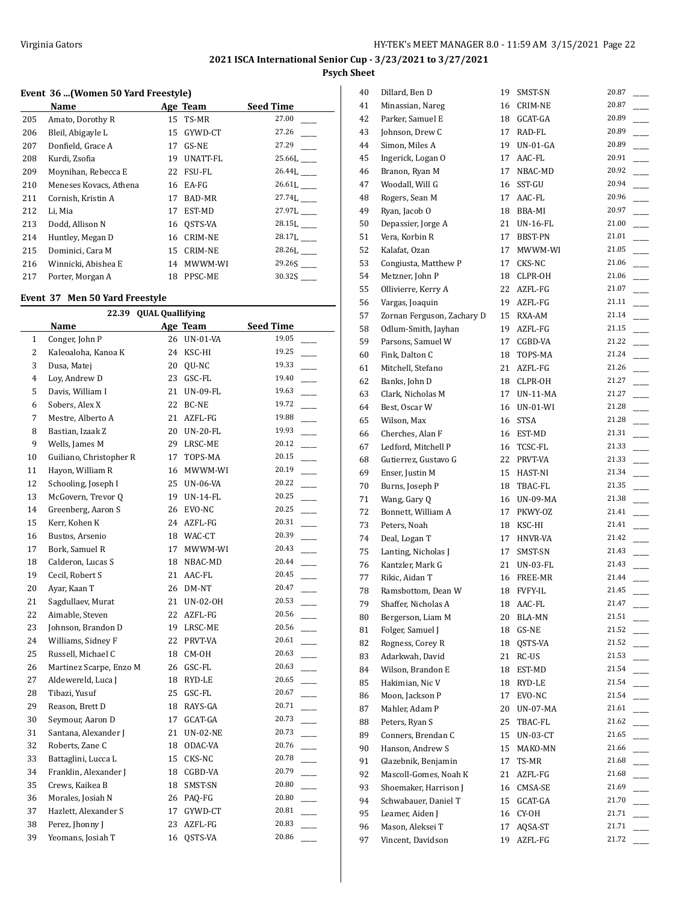## **Event 36 ...(Women 50 Yard Freestyle)**

|     | Name                   |    | Age Team        | <b>Seed Time</b> |
|-----|------------------------|----|-----------------|------------------|
| 205 | Amato, Dorothy R       |    | 15 TS-MR        | 27.00            |
| 206 | Bleil, Abigayle L      | 15 | GYWD-CT         | 27.26            |
| 207 | Donfield, Grace A      | 17 | GS-NE           | 27.29            |
| 208 | Kurdi, Zsofia          | 19 | <b>UNATT-FL</b> | 25.66L           |
| 209 | Moynihan, Rebecca E    |    | 22 FSU-FL       | 26.44L           |
| 210 | Meneses Kovacs, Athena |    | 16 EA-FG        | 26.61L           |
| 211 | Cornish, Kristin A     | 17 | <b>BAD-MR</b>   | 27.74L           |
| 212 | Li, Mia                | 17 | EST-MD          | 27.97L           |
| 213 | Dodd, Allison N        | 16 | OSTS-VA         | 28.15L           |
| 214 | Huntley, Megan D       | 16 | <b>CRIM-NE</b>  | 28.17L           |
| 215 | Dominici, Cara M       | 15 | <b>CRIM-NE</b>  | 28.26L           |
| 216 | Winnicki, Abishea E    | 14 | MWWM-WI         |                  |
| 217 | Porter, Morgan A       |    | 18 PPSC-ME      | 30.32S           |

## **Event 37 Men 50 Yard Freestyle**

|              | 22.39 QUAL Quallifying  |    |                 |                                   |  |  |
|--------------|-------------------------|----|-----------------|-----------------------------------|--|--|
|              | <b>Name</b>             |    | Age Team        | <b>Seed Time</b>                  |  |  |
| $\mathbf{1}$ | Conger, John P          |    | 26 UN-01-VA     | 19.05                             |  |  |
| 2            | Kaleoaloha, Kanoa K     |    | 24 KSC-HI       | 19.25                             |  |  |
| 3            | Dusa, Matej             |    | 20 QU-NC        | 19.33                             |  |  |
| 4            | Loy, Andrew D           | 23 | GSC-FL          | 19.40                             |  |  |
| 5            | Davis, William I        | 21 | <b>UN-09-FL</b> | 19.63<br>$\overline{\phantom{a}}$ |  |  |
| 6            | Sobers, Alex X          | 22 | BC-NE           | 19.72<br>j.                       |  |  |
| 7            | Mestre, Alberto A       |    | 21 AZFL-FG      | 19.88<br>$\sim$                   |  |  |
| 8            | Bastian, Izaak Z        |    | 20 UN-20-FL     | 19.93<br>$\overline{a}$           |  |  |
| 9            | Wells, James M          |    | 29 LRSC-ME      | 20.12                             |  |  |
| 10           | Guiliano, Christopher R | 17 | TOPS-MA         | 20.15                             |  |  |
| 11           | Hayon, William R        |    | 16 MWWM-WI      | 20.19<br>$\overline{\phantom{0}}$ |  |  |
| 12           | Schooling, Joseph I     |    | 25 UN-06-VA     | 20.22<br>$\overline{\phantom{a}}$ |  |  |
| 13           | McGovern, Trevor Q      |    | 19 UN-14-FL     | 20.25<br>$\overline{\phantom{a}}$ |  |  |
| 14           | Greenberg, Aaron S      |    | 26 EVO-NC       | 20.25                             |  |  |
| 15           | Kerr, Kohen K           |    | 24 AZFL-FG      | 20.31                             |  |  |
| 16           | Bustos, Arsenio         |    | 18 WAC-CT       | 20.39                             |  |  |
| 17           | Bork, Samuel R          | 17 | MWWM-WI         | 20.43                             |  |  |
| 18           | Calderon, Lucas S       | 18 | NBAC-MD         | 20.44<br>$\overline{\phantom{a}}$ |  |  |
| 19           | Cecil, Robert S         | 21 | AAC-FL          | 20.45                             |  |  |
| 20           | Ayar, Kaan T            |    | 26 DM-NT        | 20.47                             |  |  |
| 21           | Sagdullaev, Murat       |    | 21 UN-02-OH     | 20.53                             |  |  |
| 22           | Aimable, Steven         |    | 22 AZFL-FG      | 20.56<br>$\overline{\phantom{a}}$ |  |  |
| 23           | Johnson, Brandon D      |    | 19 LRSC-ME      | 20.56<br>$\overline{\phantom{0}}$ |  |  |
| 24           | Williams, Sidney F      |    | 22 PRVT-VA      | 20.61                             |  |  |
| 25           | Russell, Michael C      | 18 | CM-OH           | 20.63                             |  |  |
| 26           | Martinez Scarpe, Enzo M |    | 26 GSC-FL       | 20.63                             |  |  |
| 27           | Aldewereld, Luca J      | 18 | RYD-LE          | 20.65                             |  |  |
| 28           | Tibazi, Yusuf           | 25 | GSC-FL          | 20.67                             |  |  |
| 29           | Reason, Brett D         | 18 | RAYS-GA         | 20.71<br>$\frac{1}{1}$            |  |  |
| 30           | Seymour, Aaron D        | 17 | GCAT-GA         | 20.73<br>$\overline{\phantom{a}}$ |  |  |
| 31           | Santana, Alexander J    |    | 21 UN-02-NE     | 20.73<br>$\sim$                   |  |  |
| 32           | Roberts, Zane C         | 18 | ODAC-VA         | 20.76                             |  |  |
| 33           | Battaglini, Lucca L     | 15 | CKS-NC          | 20.78                             |  |  |
| 34           | Franklin, Alexander J   |    | 18 CGBD-VA      | 20.79                             |  |  |
| 35           | Crews, Kaikea B         |    | 18 SMST-SN      | 20.80<br>$\frac{1}{1}$            |  |  |
| 36           | Morales, Josiah N       |    | 26 PAQ-FG       | 20.80<br>$\overline{\phantom{a}}$ |  |  |
| 37           | Hazlett, Alexander S    |    | 17 GYWD-CT      | 20.81                             |  |  |
| 38           | Perez, Jhonny J         | 23 | AZFL-FG         | 20.83                             |  |  |
| 39           | Yeomans, Josiah T       | 16 | QSTS-VA         | 20.86                             |  |  |

| 40 | Dillard, Ben D             | 19 | SMST-SN        | 20.87 |
|----|----------------------------|----|----------------|-------|
| 41 | Minassian, Nareg           | 16 | CRIM-NE        | 20.87 |
| 42 | Parker, Samuel E           | 18 | GCAT-GA        | 20.89 |
| 43 | Johnson, Drew C            | 17 | RAD-FL         | 20.89 |
| 44 | Simon, Miles A             | 19 | $UN-01-GA$     | 20.89 |
| 45 | Ingerick, Logan O          | 17 | AAC-FL         | 20.91 |
| 46 | Branon, Ryan M             | 17 | NBAC-MD        | 20.92 |
| 47 | Woodall, Will G            | 16 | SST-GU         | 20.94 |
| 48 | Rogers, Sean M             | 17 | AAC-FL         | 20.96 |
| 49 | Ryan, Jacob O              | 18 | BBA-MI         | 20.97 |
| 50 | Depassier, Jorge A         | 21 | UN-16-FL       | 21.00 |
| 51 | Vera, Korbin R             | 17 | BBST-PN        | 21.01 |
| 52 | Kalafat, Ozan              | 17 | MWWM-WI        | 21.05 |
| 53 | Congiusta, Matthew P       | 17 | CKS-NC         | 21.06 |
| 54 | Metzner, John P            | 18 | CLPR-OH        | 21.06 |
| 55 | Ollivierre, Kerry A        |    | 22 AZFL-FG     | 21.07 |
| 56 | Vargas, Joaquin            | 19 | AZFL-FG        | 21.11 |
| 57 | Zornan Ferguson, Zachary D | 15 | RXA-AM         | 21.14 |
| 58 | Odlum-Smith, Jayhan        | 19 | AZFL-FG        | 21.15 |
| 59 | Parsons, Samuel W          | 17 | CGBD-VA        | 21.22 |
| 60 | Fink, Dalton C             | 18 | TOPS-MA        | 21.24 |
| 61 | Mitchell, Stefano          | 21 | AZFL-FG        | 21.26 |
| 62 | Banks, John D              | 18 | CLPR-OH        | 21.27 |
| 63 | Clark, Nicholas M          | 17 | UN-11-MA       | 21.27 |
| 64 | Best, Oscar W              |    | 16 UN-01-WI    | 21.28 |
| 65 | Wilson, Max                | 16 | STSA           | 21.28 |
| 66 | Cherches, Alan F           |    | 16 EST-MD      | 21.31 |
| 67 | Ledford, Mitchell P        |    | 16 TCSC-FL     | 21.33 |
| 68 | Gutierrez, Gustavo G       | 22 | PRVT-VA        | 21.33 |
| 69 | Enser, Justin M            | 15 | HAST-NI        | 21.34 |
| 70 | Burns, Joseph P            | 18 | TBAC-FL        | 21.35 |
| 71 | Wang, Gary Q               | 16 | UN-09-MA       | 21.38 |
| 72 | Bonnett, William A         | 17 | PKWY-0Z        | 21.41 |
| 73 | Peters, Noah               | 18 | KSC-HI         | 21.41 |
| 74 | Deal, Logan T              | 17 | HNVR-VA        | 21.42 |
| 75 | Lanting, Nicholas J        | 17 | SMST-SN        | 21.43 |
| 76 | Kantzler, Mark G           | 21 | UN-03-FL       | 21.43 |
| 77 | Rikic, Aidan T             | 16 | FREE-MR        | 21.44 |
| 78 | Ramsbottom, Dean W         | 18 | <b>FVFY-IL</b> | 21.45 |
| 79 | Shaffer, Nicholas A        | 18 | AAC-FL         | 21.47 |
| 80 | Bergerson, Liam M          | 20 | BLA-MN         | 21.51 |
| 81 | Folger, Samuel J           | 18 | GS-NE          | 21.52 |
| 82 | Rogness, Corey R           | 18 | QSTS-VA        | 21.52 |
| 83 | Adarkwah, David            | 21 | RC-US          | 21.53 |
| 84 | Wilson, Brandon E          | 18 | EST-MD         | 21.54 |
| 85 | Hakimian, Nic V            | 18 | RYD-LE         | 21.54 |
| 86 | Moon, Jackson P            | 17 | EVO-NC         | 21.54 |
| 87 | Mahler, Adam P             | 20 | UN-07-MA       | 21.61 |
| 88 | Peters, Ryan S             | 25 | TBAC-FL        | 21.62 |
| 89 | Conners, Brendan C         | 15 | UN-03-CT       | 21.65 |
| 90 | Hanson, Andrew S           | 15 | MAKO-MN        | 21.66 |
| 91 | Glazebnik, Benjamin        | 17 | TS-MR          | 21.68 |
| 92 | Mascoll-Gomes, Noah K      | 21 | AZFL-FG        | 21.68 |
| 93 | Shoemaker, Harrison J      | 16 | CMSA-SE        | 21.69 |
| 94 | Schwabauer, Daniel T       | 15 | GCAT-GA        | 21.70 |
| 95 | Leamer, Aiden J            | 16 | CY-OH          | 21.71 |
| 96 | Mason, Aleksei T           | 17 | AQSA-ST        | 21.71 |
| 97 | Vincent, Davidson          | 19 | AZFL-FG        | 21.72 |
|    |                            |    |                |       |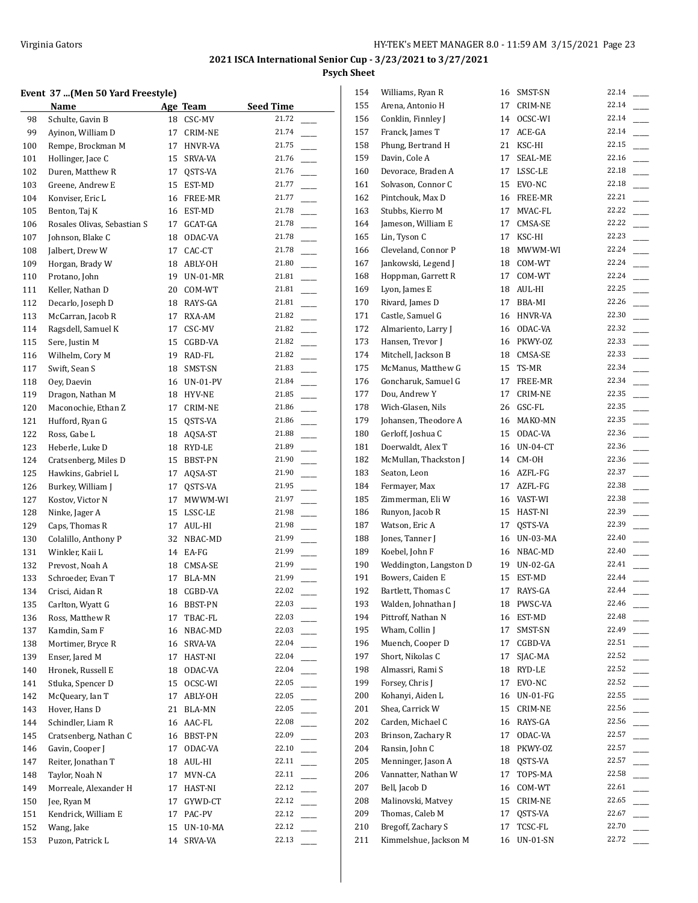## **Event 37 ...(Men 50 Yard Freestyle)**

|     | Event 37  (Men 50 Yard Freestyle) |    |             |                        |
|-----|-----------------------------------|----|-------------|------------------------|
|     | Name                              |    | Age Team    | <b>Seed Time</b>       |
| 98  | Schulte, Gavin B                  |    | 18 CSC-MV   | 21.72                  |
| 99  | Ayinon, William D                 | 17 | CRIM-NE     | 21.74                  |
| 100 | Rempe, Brockman M                 |    | 17 HNVR-VA  | 21.75                  |
| 101 | Hollinger, Jace C                 | 15 | SRVA-VA     | 21.76                  |
| 102 | Duren, Matthew R                  | 17 | QSTS-VA     | 21.76                  |
| 103 | Greene, Andrew E                  |    | 15 EST-MD   | 21.77                  |
| 104 | Konviser, Eric L                  |    | 16 FREE-MR  | 21.77                  |
| 105 | Benton, Taj K                     |    | 16 EST-MD   | 21.78                  |
| 106 | Rosales Olivas, Sebastian S       |    | 17 GCAT-GA  | 21.78                  |
| 107 | Johnson, Blake C                  |    | 18 ODAC-VA  | 21.78                  |
| 108 | Jalbert, Drew W                   | 17 | CAC-CT      | 21.78                  |
| 109 | Horgan, Brady W                   |    | 18 ABLY-OH  | 21.80                  |
| 110 | Protano, John                     | 19 | $UN-01-MR$  | 21.81                  |
| 111 | Keller, Nathan D                  |    | 20 COM-WT   | 21.81                  |
| 112 | Decarlo, Joseph D                 |    | 18 RAYS-GA  | 21.81                  |
| 113 | McCarran, Jacob R                 |    | 17 RXA-AM   | 21.82<br>$\frac{1}{2}$ |
| 114 | Ragsdell, Samuel K                |    | 17 CSC-MV   | 21.82                  |
| 115 | Sere, Justin M                    |    | 15 CGBD-VA  | 21.82                  |
| 116 | Wilhelm, Cory M                   |    | 19 RAD-FL   | 21.82                  |
| 117 | Swift, Sean S                     |    | 18 SMST-SN  | 21.83                  |
| 118 | Oey, Daevin                       |    | 16 UN-01-PV | 21.84                  |
| 119 | Dragon, Nathan M                  |    | 18 HYV-NE   | 21.85                  |
| 120 | Maconochie, Ethan Z               | 17 | CRIM-NE     | 21.86                  |
| 121 | Hufford, Ryan G                   |    | 15 QSTS-VA  | 21.86                  |
| 122 | Ross, Gabe L                      |    | 18 AQSA-ST  | 21.88                  |
| 123 | Heberle, Luke D                   |    | 18 RYD-LE   | 21.89                  |
| 124 | Cratsenberg, Miles D              |    | 15 BBST-PN  | 21.90                  |
| 125 | Hawkins, Gabriel L                |    | 17 AQSA-ST  | 21.90                  |
| 126 | Burkey, William J                 | 17 | QSTS-VA     | 21.95                  |
| 127 | Kostov, Victor N                  | 17 | MWWM-WI     | 21.97                  |
| 128 | Ninke, Jager A                    |    | 15 LSSC-LE  | 21.98                  |
| 129 | Caps, Thomas R                    |    | 17 AUL-HI   | 21.98                  |
| 130 | Colalillo, Anthony P              |    | 32 NBAC-MD  | 21.99                  |
| 131 | Winkler, Kaii L                   |    | 14 EA-FG    | 21.99                  |
| 132 | Prevost, Noah A                   |    | 18 CMSA-SE  | 21.99                  |
| 133 | Schroeder, Evan T                 |    | 17 BLA-MN   | 21.99                  |
| 134 | Crisci, Aidan R                   |    | 18 CGBD-VA  | 22.02                  |
| 135 | Carlton, Wyatt G                  |    | 16 BBST-PN  | 22.03                  |
| 136 | Ross, Matthew R                   | 17 | TBAC-FL     | 22.03                  |
| 137 | Kamdin, Sam F                     |    | 16 NBAC-MD  | 22.03                  |
| 138 | Mortimer, Bryce R                 |    | 16 SRVA-VA  | 22.04                  |
| 139 | Enser, Jared M                    |    | 17 HAST-NI  | 22.04                  |
| 140 | Hronek, Russell E                 |    | 18 ODAC-VA  | 22.04                  |
| 141 | Stluka, Spencer D                 |    | 15 OCSC-WI  | 22.05                  |
| 142 | McQueary, Ian T                   |    | 17 ABLY-OH  | 22.05                  |
| 143 | Hover, Hans D                     |    | 21 BLA-MN   | 22.05                  |
| 144 | Schindler, Liam R                 |    | 16 AAC-FL   | 22.08                  |
| 145 | Cratsenberg, Nathan C             |    | 16 BBST-PN  | 22.09                  |
| 146 | Gavin, Cooper J                   | 17 | ODAC-VA     | 22.10                  |
| 147 | Reiter, Jonathan T                |    | 18 AUL-HI   | 22.11                  |
| 148 | Taylor, Noah N                    | 17 | MVN-CA      | 22.11                  |
| 149 | Morreale, Alexander H             |    | 17 HAST-NI  | 22.12                  |
| 150 | Jee, Ryan M                       | 17 | GYWD-CT     | 22.12<br>$\frac{1}{1}$ |
| 151 | Kendrick, William E               |    | 17 PAC-PV   | 22.12                  |
| 152 | Wang, Jake                        |    | 15 UN-10-MA | 22.12                  |
| 153 | Puzon, Patrick L                  | 14 | SRVA-VA     | 22.13                  |
|     |                                   |    |             |                        |

| 154 | Williams, Ryan R       | 16 | SMST-SN         | 22.14          |
|-----|------------------------|----|-----------------|----------------|
| 155 | Arena, Antonio H       | 17 | CRIM-NE         | 22.14          |
| 156 | Conklin, Finnley J     | 14 | OCSC-WI         | 22.14          |
| 157 | Franck, James T        | 17 | ACE-GA          | 22.14          |
| 158 | Phung, Bertrand H      | 21 | KSC-HI          | 22.15          |
| 159 | Davin, Cole A          | 17 | SEAL-ME         | 22.16          |
| 160 | Devorace, Braden A     | 17 | LSSC-LE         | 22.18          |
| 161 | Solvason, Connor C     | 15 | EVO-NC          | 22.18          |
| 162 | Pintchouk, Max D       |    | 16 FREE-MR      | 22.21          |
| 163 | Stubbs, Kierro M       | 17 | MVAC-FL         | 22.22          |
| 164 | Jameson, William E     | 17 | CMSA-SE         | 22.22          |
| 165 | Lin, Tyson C           | 17 | KSC-HI          | 22.23          |
| 166 | Cleveland, Connor P    | 18 | MWWM-WI         | 22.24          |
| 167 | Jankowski, Legend J    | 18 | COM-WT          | 22.24          |
| 168 | Hoppman, Garrett R     | 17 | COM-WT          | 22.24          |
| 169 | Lyon, James E          | 18 | AUL-HI          | 22.25          |
| 170 | Rivard, James D        | 17 | BBA-MI          | 22.26          |
| 171 | Castle, Samuel G       | 16 | HNVR-VA         | 22.30          |
| 172 | Almariento, Larry J    | 16 | ODAC-VA         | 22.32          |
| 173 | Hansen, Trevor J       |    | 16 PKWY-OZ      | 22.33          |
| 174 | Mitchell, Jackson B    |    | 18 CMSA-SE      | 22.33          |
| 175 | McManus, Matthew G     | 15 | TS-MR           | 22.34          |
| 176 | Goncharuk, Samuel G    | 17 | FREE-MR         | 22.34          |
| 177 | Dou, Andrew Y          | 17 | <b>CRIM-NE</b>  | 22.35          |
| 178 |                        |    |                 | 22.35          |
|     | Wich-Glasen, Nils      | 26 | GSC-FL          | 22.35          |
| 179 | Johansen, Theodore A   | 16 | MAKO-MN         | 22.36          |
| 180 | Gerloff, Joshua C      | 15 | ODAC-VA         | 22.36          |
| 181 | Doerwaldt, Alex T      | 16 | UN-04-CT        | 22.36          |
| 182 | McMullan, Thackston J  | 14 | CM-OH           |                |
| 183 | Seaton, Leon           |    | 16 AZFL-FG      | 22.37<br>22.38 |
| 184 | Fermayer, Max          | 17 | AZFL-FG         |                |
| 185 | Zimmerman, Eli W       |    | 16 VAST-WI      | 22.38          |
| 186 | Runyon, Jacob R        |    | 15 HAST-NI      | 22.39          |
| 187 | Watson, Eric A         |    | 17 QSTS-VA      | 22.39          |
| 188 | Jones, Tanner J        |    | 16 UN-03-MA     | 22.40          |
| 189 | Koebel, John F         |    | 16 NBAC-MD      | 22.40          |
| 190 | Weddington, Langston D | 19 | <b>UN-02-GA</b> | 22.41          |
| 191 | Bowers, Caiden E       | 15 | EST-MD          | 22.44          |
| 192 | Bartlett, Thomas C     | 17 | RAYS-GA         | 22.44          |
| 193 | Walden, Johnathan J    | 18 | PWSC-VA         | 22.46          |
| 194 | Pittroff, Nathan N     | 16 | EST-MD          | 22.48          |
| 195 | Wham, Collin J         | 17 | SMST-SN         | 22.49          |
| 196 | Muench, Cooper D       | 17 | CGBD-VA         | 22.51          |
| 197 | Short, Nikolas C       | 17 | SJAC-MA         | 22.52          |
| 198 | Almassri, Rami S       | 18 | RYD-LE          | 22.52          |
| 199 | Forsey, Chris J        | 17 | EVO-NC          | 22.52          |
| 200 | Kohanyi, Aiden L       | 16 | <b>UN-01-FG</b> | 22.55          |
| 201 | Shea, Carrick W        | 15 | CRIM-NE         | 22.56          |
| 202 | Carden, Michael C      | 16 | RAYS-GA         | 22.56          |
| 203 | Brinson, Zachary R     | 17 | ODAC-VA         | 22.57          |
| 204 | Ransin, John C         | 18 | PKWY-OZ         | 22.57          |
| 205 | Menninger, Jason A     | 18 | QSTS-VA         | 22.57          |
| 206 | Vannatter, Nathan W    | 17 | TOPS-MA         | 22.58          |
| 207 | Bell, Jacob D          | 16 | COM-WT          | 22.61          |
| 208 | Malinovski, Matvey     | 15 | CRIM-NE         | 22.65          |
| 209 | Thomas, Caleb M        | 17 | QSTS-VA         | 22.67          |
| 210 | Bregoff, Zachary S     | 17 | TCSC-FL         | 22.70          |
| 211 | Kimmelshue, Jackson M  | 16 | UN-01-SN        | 22.72          |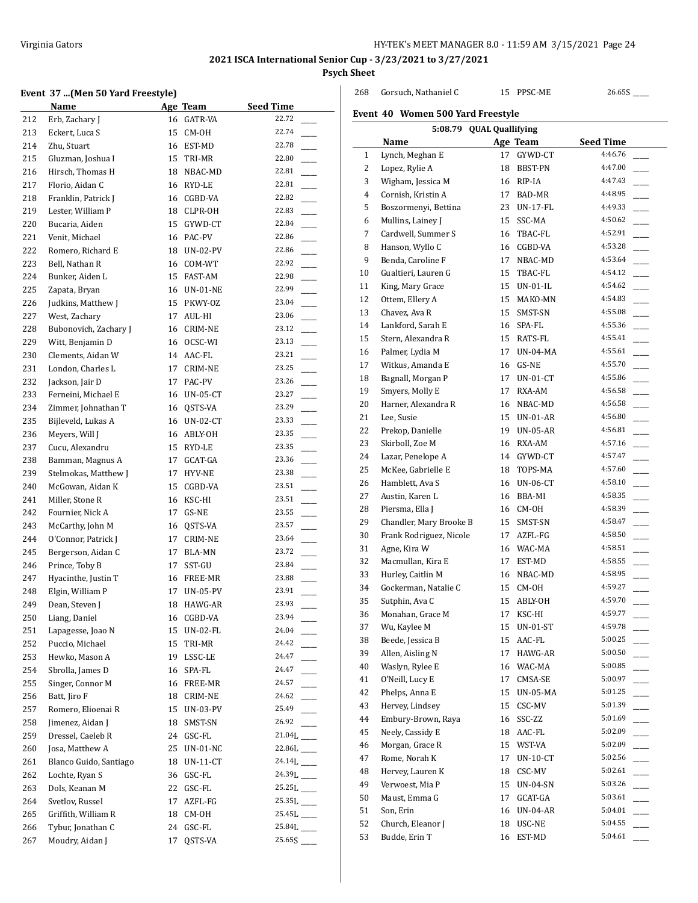268 Gorsuch, Nathaniel C 15 PPSC-ME 26.65S

## **2021 ISCA International Senior Cup - 3/23/2021 to 3/27/2021 Psych Sheet**

 $\overline{a}$ 

## **Event 37 ...(Men 50 Yard Freestyle)**

|     | event 37 (men 50 raru Freestyle) |    |                 |                          |
|-----|----------------------------------|----|-----------------|--------------------------|
|     | Name                             |    | Age Team        | <b>Seed Time</b>         |
| 212 | Erb, Zachary J                   |    | 16 GATR-VA      | 22.72                    |
| 213 | Eckert, Luca S                   | 15 | CM-OH           | 22.74                    |
| 214 | Zhu, Stuart                      | 16 | EST-MD          | 22.78                    |
| 215 | Gluzman, Joshua I                | 15 | TRI-MR          | 22.80                    |
| 216 | Hirsch, Thomas H                 | 18 | NBAC-MD         | 22.81                    |
| 217 | Florio, Aidan C                  | 16 | RYD-LE          | 22.81                    |
| 218 | Franklin, Patrick J              | 16 | CGBD-VA         | 22.82                    |
| 219 | Lester, William P                | 18 | CLPR-OH         | 22.83                    |
| 220 | Bucaria, Aiden                   | 15 | GYWD-CT         | 22.84                    |
| 221 | Venit, Michael                   | 16 | PAC-PV          | 22.86                    |
| 222 | Romero, Richard E                | 18 | UN-02-PV        | 22.86                    |
| 223 | Bell, Nathan R                   | 16 | COM-WT          | 22.92                    |
| 224 | Bunker, Aiden L                  | 15 | FAST-AM         | 22.98                    |
| 225 | Zapata, Bryan                    |    | 16 UN-01-NE     | 22.99                    |
| 226 | Judkins, Matthew J               | 15 | PKWY-OZ         | 23.04                    |
| 227 | West, Zachary                    | 17 | AUL-HI          | 23.06                    |
| 228 | Bubonovich, Zachary J            | 16 | CRIM-NE         | 23.12                    |
| 229 | Witt, Benjamin D                 | 16 | OCSC-WI         | 23.13                    |
|     |                                  |    |                 | 23.21                    |
| 230 | Clements, Aidan W                | 14 | AAC-FL          |                          |
| 231 | London, Charles L                | 17 | CRIM-NE         | 23.25<br>23.26           |
| 232 | Jackson, Jair D                  | 17 | PAC-PV          |                          |
| 233 | Ferneini, Michael E              | 16 | UN-05-CT        | 23.27                    |
| 234 | Zimmer, Johnathan T              | 16 | QSTS-VA         | 23.29                    |
| 235 | Bijleveld, Lukas A               |    | 16 UN-02-CT     | 23.33                    |
| 236 | Meyers, Will J                   |    | 16 ABLY-OH      | 23.35                    |
| 237 | Cucu, Alexandru                  | 15 | RYD-LE          | 23.35                    |
| 238 | Bamman, Magnus A                 | 17 | GCAT-GA         | 23.36                    |
| 239 | Stelmokas, Matthew J             | 17 | HYV-NE          | 23.38                    |
| 240 | McGowan, Aidan K                 | 15 | CGBD-VA         | 23.51                    |
| 241 | Miller, Stone R                  | 16 | KSC-HI          | 23.51                    |
| 242 | Fournier, Nick A                 | 17 | GS-NE           | 23.55                    |
| 243 | McCarthy, John M                 | 16 | QSTS-VA         | 23.57                    |
| 244 | O'Connor, Patrick J              | 17 | CRIM-NE         | 23.64                    |
| 245 | Bergerson, Aidan C               | 17 | BLA-MN          | 23.72                    |
| 246 | Prince, Toby B                   | 17 | SST-GU          | 23.84                    |
| 247 | Hyacinthe, Justin T              |    | 16 FREE-MR      | 23.88                    |
| 248 | Elgin, William P                 |    | 17 UN-05-PV     | 23.91                    |
| 249 | Dean, Steven J                   |    | 18 HAWG-AR      | 23.93                    |
| 250 | Liang, Daniel                    |    | 16 CGBD-VA      | 23.94                    |
| 251 | Lapagesse, Joao N                | 15 | <b>UN-02-FL</b> | 24.04                    |
| 252 | Puccio, Michael                  | 15 | TRI-MR          | 24.42                    |
| 253 | Hewko, Mason A                   | 19 | LSSC-LE         | 24.47                    |
| 254 | Sbrolla, James D                 | 16 | SPA-FL          | 24.47                    |
| 255 | Singer, Connor M                 | 16 | FREE-MR         | 24.57                    |
| 256 | Batt, Jiro F                     | 18 | CRIM-NE         | 24.62                    |
| 257 | Romero, Elioenai R               | 15 | <b>UN-03-PV</b> | 25.49                    |
| 258 | Jimenez, Aidan J                 | 18 | SMST-SN         | 26.92                    |
| 259 | Dressel, Caeleb R                | 24 | GSC-FL          | $21.04L$ <sub>____</sub> |
| 260 | Josa, Matthew A                  | 25 | UN-01-NC        | 22.86L                   |
| 261 | Blanco Guido, Santiago           | 18 | $UN-11-CT$      | $24.14L$ <sub>---</sub>  |
| 262 | Lochte, Ryan S                   | 36 | GSC-FL          | $24.39L$ <sub>---</sub>  |
| 263 | Dols, Keanan M                   | 22 | GSC-FL          |                          |
|     |                                  |    |                 |                          |
| 264 | Svetlov, Russel                  | 17 | AZFL-FG         |                          |
| 265 | Griffith, William R              | 18 | CM-OH           |                          |
| 266 | Tybur, Jonathan C                | 24 | GSC-FL          |                          |
| 267 | Moudry, Aidan J                  | 17 | QSTS-VA         |                          |

| Event 40 Women 500 Yard Freestyle |                         |    |                 |                  |  |  |
|-----------------------------------|-------------------------|----|-----------------|------------------|--|--|
| 5:08.79 QUAL Quallifying          |                         |    |                 |                  |  |  |
|                                   | Name                    |    | Age Team        | <b>Seed Time</b> |  |  |
| $\mathbf{1}$                      | Lynch, Meghan E         | 17 | GYWD-CT         | 4:46.76          |  |  |
| 2                                 | Lopez, Rylie A          | 18 | BBST-PN         | 4:47.00          |  |  |
| 3                                 | Wigham, Jessica M       | 16 | RIP-IA          | 4:47.43          |  |  |
| 4                                 | Cornish, Kristin A      | 17 | BAD-MR          | 4:48.95          |  |  |
| 5                                 | Boszormenyi, Bettina    | 23 | UN-17-FL        | 4:49.33          |  |  |
| 6                                 | Mullins, Lainey J       | 15 | SSC-MA          | 4:50.62          |  |  |
| 7                                 | Cardwell, Summer S      | 16 | TBAC-FL         | 4:52.91          |  |  |
| 8                                 | Hanson, Wyllo C         | 16 | CGBD-VA         | 4:53.28          |  |  |
| 9                                 | Benda, Caroline F       | 17 | NBAC-MD         | 4:53.64          |  |  |
| 10                                | Gualtieri, Lauren G     | 15 | TBAC-FL         | 4:54.12          |  |  |
| 11                                | King, Mary Grace        | 15 | UN-01-IL        | 4:54.62          |  |  |
| 12                                | Ottem, Ellery A         | 15 | MAKO-MN         | 4:54.83          |  |  |
| 13                                | Chavez, Ava R           | 15 | SMST-SN         | 4:55.08          |  |  |
| 14                                | Lankford, Sarah E       | 16 | SPA-FL          | 4:55.36          |  |  |
| 15                                | Stern, Alexandra R      | 15 | RATS-FL         | 4:55.41          |  |  |
| 16                                | Palmer, Lydia M         |    | <b>UN-04-MA</b> | 4:55.61          |  |  |
|                                   | Witkus, Amanda E        | 17 |                 | 4:55.70          |  |  |
| 17                                |                         | 16 | GS-NE           |                  |  |  |
| 18                                | Bagnall, Morgan P       | 17 | $UN-01-CT$      | 4:55.86          |  |  |
| 19                                | Smyers, Molly E         | 17 | RXA-AM          | 4:56.58          |  |  |
| 20                                | Harner, Alexandra R     | 16 | NBAC-MD         | 4:56.58          |  |  |
| 21                                | Lee, Susie              |    | 15 UN-01-AR     | 4:56.80          |  |  |
| 22                                | Prekop, Danielle        | 19 | UN-05-AR        | 4:56.81          |  |  |
| 23                                | Skirboll, Zoe M         | 16 | RXA-AM          | 4:57.16          |  |  |
| 24                                | Lazar, Penelope A       |    | 14 GYWD-CT      | 4:57.47          |  |  |
| 25                                | McKee, Gabrielle E      | 18 | TOPS-MA         | 4:57.60          |  |  |
| 26                                | Hamblett, Ava S         | 16 | <b>UN-06-CT</b> | 4:58.10          |  |  |
| 27                                | Austin, Karen L         | 16 | BBA-MI          | 4:58.35          |  |  |
| 28                                | Piersma, Ella J         | 16 | CM-OH           | 4:58.39          |  |  |
| 29                                | Chandler, Mary Brooke B | 15 | SMST-SN         | 4:58.47          |  |  |
| 30                                | Frank Rodriguez, Nicole | 17 | AZFL-FG         | 4:58.50          |  |  |
| 31                                | Agne, Kira W            |    | 16 WAC-MA       | 4:58.51          |  |  |
| 32                                | Macmullan, Kira E       | 17 | EST-MD          | 4:58.55          |  |  |
| 33                                | Hurley, Caitlin M       | 16 | NBAC-MD         | 4:58.95          |  |  |
| 34                                | Gockerman, Natalie C    | 15 | CM-OH           | 4:59.27          |  |  |
| 35                                | Sutphin, Ava C          | 15 | ABLY-OH         | 4:59.70          |  |  |
| 36                                | Monahan, Grace M        |    | 17 KSC-HI       | 4:59.77          |  |  |
| 37                                | Wu, Kaylee M            | 15 | UN-01-ST        | 4:59.78          |  |  |
| 38                                | Beede, Jessica B        | 15 | AAC-FL          | 5:00.25          |  |  |
| 39                                | Allen, Aisling N        | 17 | HAWG-AR         | 5:00.50          |  |  |
| 40                                | Waslyn, Rylee E         | 16 | WAC-MA          | 5:00.85          |  |  |
| 41                                | O'Neill, Lucy E         | 17 | CMSA-SE         | 5:00.97          |  |  |
| 42                                | Phelps, Anna E          | 15 | <b>UN-05-MA</b> | 5:01.25          |  |  |
| 43                                | Hervey, Lindsey         | 15 | CSC-MV          | 5:01.39          |  |  |
| 44                                | Embury-Brown, Raya      | 16 | SSC-ZZ          | 5:01.69          |  |  |
| 45                                | Neely, Cassidy E        | 18 | AAC-FL          | 5:02.09          |  |  |
| 46                                | Morgan, Grace R         | 15 | WST-VA          | 5:02.09          |  |  |
| 47                                | Rome, Norah K           | 17 | $UN-10-CT$      | 5:02.56          |  |  |
|                                   |                         |    |                 | 5:02.61          |  |  |
| 48                                | Hervey, Lauren K        | 18 | CSC-MV          | 5:03.26          |  |  |
| 49                                | Verwoest, Mia P         | 15 | UN-04-SN        | 5:03.61          |  |  |
| 50                                | Maust, Emma G           | 17 | GCAT-GA         |                  |  |  |
| 51                                | Son, Erin               | 16 | <b>UN-04-AR</b> | 5:04.01          |  |  |
| 52                                | Church, Eleanor J       | 18 | USC-NE          | 5:04.55          |  |  |
| 53                                | Budde, Erin T           | 16 | EST-MD          | 5:04.61          |  |  |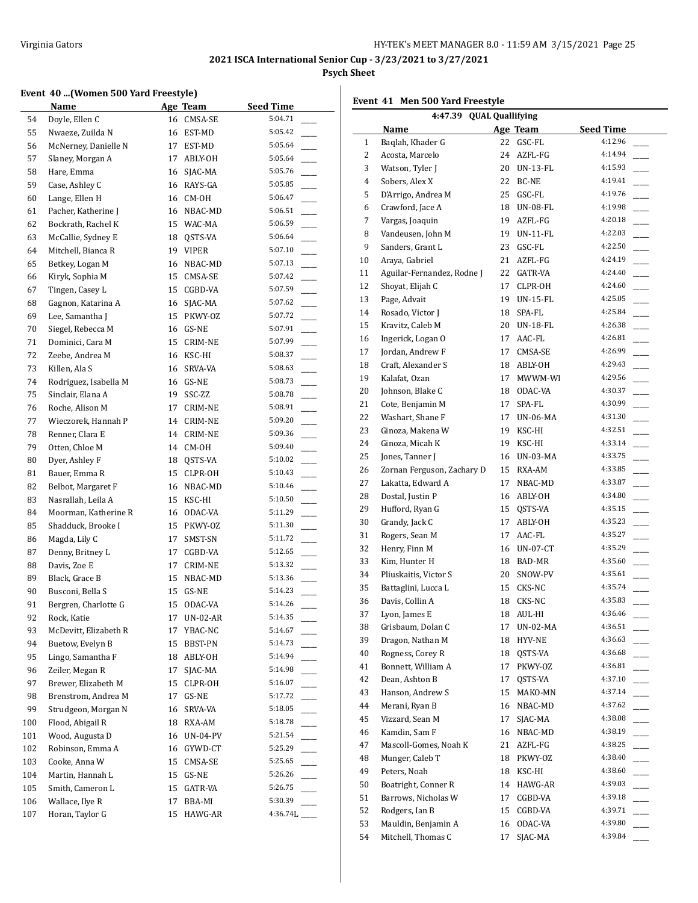## **Event 40 ...(Women 500 Yard Freestyle)**

|     | EVENT 40  (WOMEN JOU TATU FIEESLYIEJ |    |                 |                  |
|-----|--------------------------------------|----|-----------------|------------------|
|     | <b>Name</b>                          |    | Age Team        | <b>Seed Time</b> |
| 54  | Doyle, Ellen C                       | 16 | CMSA-SE         | 5:04.71          |
| 55  | Nwaeze, Zuilda N                     | 16 | EST-MD          | 5:05.42          |
| 56  | McNerney, Danielle N                 | 17 | EST-MD          | 5:05.64          |
| 57  | Slaney, Morgan A                     | 17 | ABLY-OH         | 5:05.64          |
| 58  | Hare, Emma                           | 16 | SJAC-MA         | 5:05.76          |
| 59  | Case, Ashley C                       | 16 | RAYS-GA         | 5:05.85          |
| 60  | Lange, Ellen H                       | 16 | CM-OH           | 5:06.47          |
| 61  | Pacher, Katherine J                  | 16 | NBAC-MD         | 5:06.51          |
| 62  | Bockrath, Rachel K                   |    | 15 WAC-MA       | 5:06.59          |
| 63  | McCallie, Sydney E                   | 18 | QSTS-VA         | 5:06.64          |
| 64  | Mitchell, Bianca R                   | 19 | VIPER           | 5:07.10          |
| 65  | Betkey, Logan M                      | 16 | NBAC-MD         | 5:07.13          |
| 66  | Kiryk, Sophia M                      | 15 | CMSA-SE         | 5:07.42          |
| 67  | Tingen, Casey L                      | 15 | CGBD-VA         | 5:07.59          |
| 68  | Gagnon, Katarina A                   | 16 | SJAC-MA         | 5:07.62          |
|     |                                      |    |                 | 5:07.72          |
| 69  | Lee, Samantha J<br>Siegel, Rebecca M | 15 | PKWY-OZ         | 5:07.91          |
| 70  |                                      | 16 | GS-NE           |                  |
| 71  | Dominici, Cara M                     | 15 | <b>CRIM-NE</b>  | 5:07.99          |
| 72  | Zeebe, Andrea M                      | 16 | KSC-HI          | 5:08.37          |
| 73  | Killen, Ala S                        | 16 | SRVA-VA         | 5:08.63          |
| 74  | Rodriguez, Isabella M                | 16 | GS-NE           | 5:08.73          |
| 75  | Sinclair, Elana A                    | 19 | SSC-ZZ          | 5:08.78          |
| 76  | Roche, Alison M                      | 17 | CRIM-NE         | 5:08.91          |
| 77  | Wieczorek, Hannah P                  | 14 | CRIM-NE         | 5:09.20          |
| 78  | Renner, Clara E                      | 14 | CRIM-NE         | 5:09.36          |
| 79  | Otten, Chloe M                       | 14 | CM-OH           | 5:09.40          |
| 80  | Dyer, Ashley F                       | 18 | QSTS-VA         | 5:10.02          |
| 81  | Bauer, Emma R                        | 15 | CLPR-OH         | 5:10.43          |
| 82  | Belbot, Margaret F                   | 16 | NBAC-MD         | 5:10.46          |
| 83  | Nasrallah, Leila A                   | 15 | KSC-HI          | 5:10.50          |
| 84  | Moorman, Katherine R                 | 16 | ODAC-VA         | 5:11.29          |
| 85  | Shadduck, Brooke I                   | 15 | PKWY-OZ         | 5:11.30          |
| 86  | Magda, Lily C                        | 17 | SMST-SN         | 5:11.72          |
| 87  | Denny, Britney L                     | 17 | CGBD-VA         | 5:12.65          |
| 88  | Davis, Zoe E                         | 17 | <b>CRIM-NE</b>  | 5:13.32          |
| 89  | Black, Grace B                       | 15 | NBAC-MD         | 5:13.36          |
| 90  | Busconi, Bella S                     | 15 | GS-NE           | 5:14.23          |
| 91  | Bergren, Charlotte G                 |    | 15 ODAC-VA      | 5:14.26          |
| 92  | Rock, Katie                          | 17 | <b>UN-02-AR</b> | 5:14.35          |
| 93  | McDevitt, Elizabeth R                | 17 | YBAC-NC         | 5:14.67          |
| 94  | Buetow, Evelyn B                     | 15 | BBST-PN         | 5:14.73          |
| 95  | Lingo, Samantha F                    | 18 | ABLY-OH         | 5:14.94          |
| 96  | Zeiler, Megan R                      | 17 | SJAC-MA         | 5:14.98          |
| 97  | Brewer, Elizabeth M                  | 15 | CLPR-OH         | 5:16.07          |
|     | Brenstrom, Andrea M                  |    |                 | 5:17.72          |
| 98  |                                      | 17 | GS-NE           | 5:18.05          |
| 99  | Strudgeon, Morgan N                  | 16 | SRVA-VA         |                  |
| 100 | Flood, Abigail R                     | 18 | RXA-AM          | 5:18.78          |
| 101 | Wood, Augusta D                      | 16 | <b>UN-04-PV</b> | 5:21.54          |
| 102 | Robinson, Emma A                     | 16 | GYWD-CT         | 5:25.29          |
| 103 | Cooke, Anna W                        | 15 | CMSA-SE         | 5:25.65          |
| 104 | Martin, Hannah L                     | 15 | GS-NE           | 5:26.26          |
| 105 | Smith, Cameron L                     | 15 | GATR-VA         | 5:26.75          |
| 106 | Wallace, Ilye R                      | 17 | BBA-MI          | 5:30.39          |
| 107 | Horan, Taylor G                      | 15 | HAWG-AR         | 4:36.74L         |

|              | Name                       |    | Age Team        | <b>Seed Time</b> |
|--------------|----------------------------|----|-----------------|------------------|
| $\mathbf{1}$ | Baglah, Khader G           | 22 | GSC-FL          | 4:12.96          |
| 2            | Acosta, Marcelo            | 24 | AZFL-FG         | 4:14.94          |
| 3            | Watson, Tyler J            | 20 | <b>UN-13-FL</b> | 4:15.93          |
| 4            | Sobers, Alex X             | 22 | BC-NE           | 4:19.41          |
| 5            | D'Arrigo, Andrea M         | 25 | GSC-FL          | 4:19.76          |
| 6            | Crawford, Jace A           | 18 | <b>UN-08-FL</b> | 4:19.98          |
| 7            | Vargas, Joaquin            | 19 | AZFL-FG         | 4:20.18          |
| 8            | Vandeusen, John M          | 19 | $UN-11-FL$      | 4:22.03          |
| 9            | Sanders, Grant L           | 23 | GSC-FL          | 4:22.50          |
| 10           | Araya, Gabriel             | 21 | AZFL-FG         | 4:24.19          |
| 11           | Aguilar-Fernandez, Rodne J | 22 | GATR-VA         | 4:24.40          |
| 12           | Shovat, Elijah C           | 17 | CLPR-OH         | 4:24.60          |
| 13           | Page, Advait               | 19 | <b>UN-15-FL</b> | 4:25.05          |
| 14           | Rosado, Victor J           | 18 | SPA-FL          | 4:25.84          |
| 15           | Kravitz, Caleb M           | 20 | <b>UN-18-FL</b> | 4:26.38          |
| 16           | Ingerick, Logan O          | 17 | AAC-FL          | 4:26.81          |

**4:47.39 QUAL Quallifying**

**Event 41 Men 500 Yard Freestyle**

| 11 | Aguilar-Fernandez, Rodne J | 22 | GATR-VA         | 4:24.40 |
|----|----------------------------|----|-----------------|---------|
| 12 | Shoyat, Elijah C           | 17 | CLPR-OH         | 4:24.60 |
| 13 | Page, Advait               | 19 | UN-15-FL        | 4:25.05 |
| 14 | Rosado, Victor J           | 18 | SPA-FL          | 4:25.84 |
| 15 | Kravitz, Caleb M           | 20 | <b>UN-18-FL</b> | 4:26.38 |
| 16 | Ingerick, Logan O          | 17 | AAC-FL          | 4:26.81 |
| 17 | Jordan, Andrew F           | 17 | CMSA-SE         | 4:26.99 |
| 18 | Craft, Alexander S         | 18 | ABLY-OH         | 4:29.43 |
| 19 | Kalafat, Ozan              | 17 | MWWM-WI         | 4:29.56 |
| 20 | Johnson, Blake C           | 18 | ODAC-VA         | 4:30.37 |
| 21 | Cote, Benjamin M           | 17 | SPA-FL          | 4:30.99 |
| 22 | Washart, Shane F           | 17 | UN-06-MA        | 4:31.30 |
| 23 | Ginoza, Makena W           | 19 | KSC-HI          | 4:32.51 |
| 24 | Ginoza, Micah K            | 19 | KSC-HI          | 4:33.14 |
| 25 | Jones, Tanner J            | 16 | UN-03-MA        | 4:33.75 |
| 26 | Zornan Ferguson, Zachary D | 15 | RXA-AM          | 4:33.85 |
| 27 | Lakatta, Edward A          | 17 | NBAC-MD         | 4:33.87 |
| 28 | Dostal, Justin P           | 16 | ABLY-OH         | 4:34.80 |
| 29 | Hufford, Ryan G            | 15 | QSTS-VA         | 4:35.15 |
| 30 | Grandy, Jack C             | 17 | ABLY-OH         | 4:35.23 |
| 31 | Rogers, Sean M             | 17 | AAC-FL          | 4:35.27 |
| 32 | Henry, Finn M              | 16 | <b>UN-07-CT</b> | 4:35.29 |
| 33 | Kim, Hunter H              | 18 | <b>BAD-MR</b>   | 4:35.60 |
| 34 | Pliuskaitis, Victor S      | 20 | SNOW-PV         | 4:35.61 |
| 35 | Battaglini, Lucca L        | 15 | CKS-NC          | 4:35.74 |
| 36 | Davis, Collin A            | 18 | CKS-NC          | 4:35.83 |
| 37 | Lyon, James E              | 18 | AUL-HI          | 4:36.46 |
| 38 | Grisbaum, Dolan C          | 17 | <b>UN-02-MA</b> | 4:36.51 |
| 39 | Dragon, Nathan M           | 18 | HYV-NE          | 4:36.63 |
| 40 | Rogness, Corey R           | 18 | QSTS-VA         | 4:36.68 |
| 41 | Bonnett, William A         | 17 | PKWY-OZ         | 4:36.81 |
| 42 | Dean, Ashton B             | 17 | QSTS-VA         | 4:37.10 |
| 43 | Hanson, Andrew S           | 15 | MAKO-MN         | 4:37.14 |
| 44 | Merani, Ryan B             | 16 | NBAC-MD         | 4:37.62 |
| 45 | Vizzard, Sean M            | 17 | SJAC-MA         | 4:38.08 |
| 46 | Kamdin, Sam F              | 16 | NBAC-MD         | 4:38.19 |
| 47 | Mascoll-Gomes, Noah K      | 21 | AZFL-FG         | 4:38.25 |
| 48 | Munger, Caleb T            | 18 | PKWY-OZ         | 4:38.40 |
| 49 | Peters, Noah               | 18 | KSC-HI          | 4:38.60 |
| 50 | Boatright, Conner R        | 14 | HAWG-AR         | 4:39.03 |
| 51 | Barrows, Nicholas W        | 17 | CGBD-VA         | 4:39.18 |
| 52 | Rodgers, Ian B             | 15 | CGBD-VA         | 4:39.71 |
| 53 | Mauldin, Benjamin A        | 16 | ODAC-VA         | 4:39.80 |
| 54 | Mitchell, Thomas C         | 17 | SJAC-MA         | 4:39.84 |
|    |                            |    |                 |         |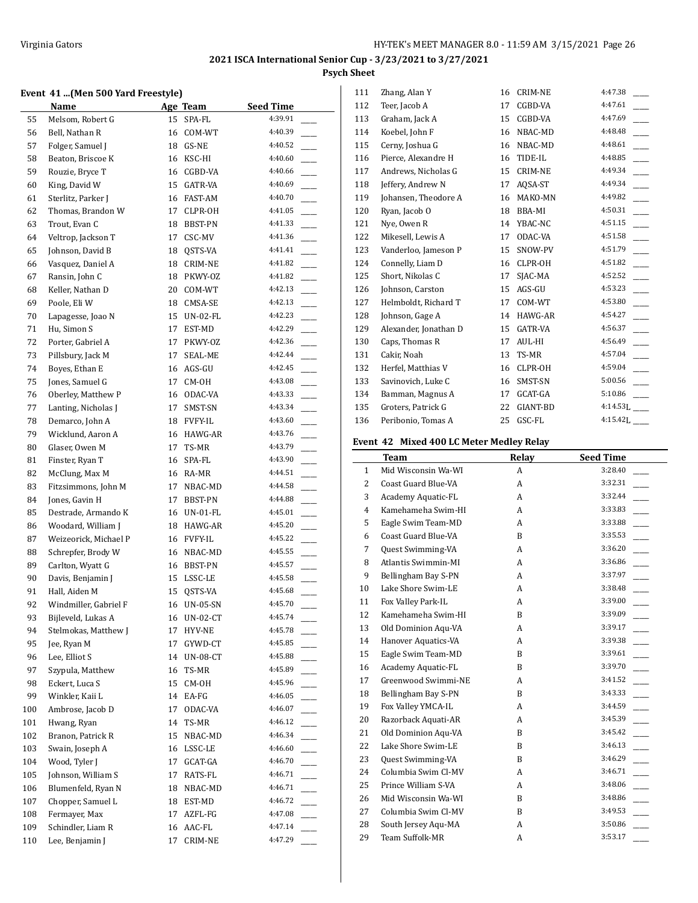## **Event 41 ...(Men 500 Yard Freestyle)**

|     | $11$ $$ $14$ $100$ $100$ $100$ $11$ $100$ $100$<br><b>Name</b> |    | Age Team        | <b>Seed Time</b> |                |
|-----|----------------------------------------------------------------|----|-----------------|------------------|----------------|
| 55  | Melsom, Robert G                                               | 15 | SPA-FL          | 4:39.91          |                |
| 56  | Bell, Nathan R                                                 | 16 | COM-WT          | 4:40.39          |                |
| 57  | Folger, Samuel J                                               | 18 | GS-NE           | 4:40.52          |                |
| 58  | Beaton, Briscoe K                                              | 16 | KSC-HI          | 4:40.60          |                |
| 59  | Rouzie, Bryce T                                                | 16 | CGBD-VA         | 4:40.66          |                |
| 60  | King, David W                                                  | 15 | GATR-VA         | 4:40.69          |                |
| 61  | Sterlitz, Parker J                                             | 16 | FAST-AM         | 4:40.70          |                |
| 62  | Thomas, Brandon W                                              | 17 | CLPR-OH         | 4:41.05          |                |
| 63  | Trout, Evan C                                                  | 18 | BBST-PN         | 4:41.33          |                |
| 64  | Veltrop, Jackson T                                             | 17 | CSC-MV          | 4:41.36          |                |
| 65  | Johnson, David B                                               | 18 | QSTS-VA         | 4:41.41          |                |
| 66  | Vasquez, Daniel A                                              | 18 | CRIM-NE         | 4:41.82          |                |
| 67  | Ransin, John C                                                 | 18 | PKWY-OZ         | 4:41.82          |                |
| 68  | Keller, Nathan D                                               | 20 | COM-WT          | 4:42.13          |                |
| 69  | Poole, Eli W                                                   | 18 | CMSA-SE         | 4:42.13          |                |
| 70  | Lapagesse, Joao N                                              | 15 | UN-02-FL        | 4:42.23          |                |
| 71  | Hu, Simon S                                                    | 17 | EST-MD          | 4:42.29          |                |
| 72  | Porter, Gabriel A                                              | 17 | PKWY-OZ         | 4:42.36          |                |
| 73  | Pillsbury, Jack M                                              | 17 | SEAL-ME         | 4:42.44          |                |
| 74  | Boyes, Ethan E                                                 | 16 | AGS-GU          | 4:42.45          |                |
| 75  | Jones, Samuel G                                                | 17 | CM-OH           | 4:43.08          |                |
| 76  | Oberley, Matthew P                                             | 16 | ODAC-VA         | 4:43.33          |                |
| 77  | Lanting, Nicholas J                                            | 17 | SMST-SN         | 4:43.34          |                |
| 78  | Demarco, John A                                                | 18 | <b>FVFY-IL</b>  | 4:43.60          |                |
| 79  | Wicklund, Aaron A                                              | 16 | HAWG-AR         | 4:43.76          |                |
| 80  | Glaser, Owen M                                                 | 17 | TS-MR           | 4:43.79          |                |
| 81  | Finster, Ryan T                                                | 16 | SPA-FL          | 4:43.90          |                |
| 82  | McClung, Max M                                                 | 16 | RA-MR           | 4:44.51          |                |
| 83  | Fitzsimmons, John M                                            | 17 | NBAC-MD         | 4:44.58          |                |
| 84  | Jones, Gavin H                                                 | 17 | BBST-PN         | 4:44.88          |                |
| 85  | Destrade, Armando K                                            | 16 | UN-01-FL        | 4:45.01          |                |
| 86  | Woodard, William J                                             | 18 | HAWG-AR         | 4:45.20          |                |
| 87  | Weizeorick, Michael P                                          | 16 | <b>FVFY-IL</b>  | 4:45.22          |                |
| 88  | Schrepfer, Brody W                                             | 16 | NBAC-MD         | 4:45.55          |                |
| 89  | Carlton, Wyatt G                                               | 16 | BBST-PN         | 4:45.57          |                |
| 90  | Davis, Benjamin J                                              | 15 | LSSC-LE         | 4:45.58          |                |
| 91  | Hall, Aiden M                                                  | 15 | QSTS-VA         | 4:45.68          |                |
| 92  | Windmiller, Gabriel F                                          |    | 16 UN-05-SN     | 4:45.70          |                |
| 93  | Bijleveld, Lukas A                                             | 16 | UN-02-CT        | 4:45.74          |                |
| 94  | Stelmokas, Matthew J                                           | 17 | HYV-NE          | 4:45.78          |                |
| 95  | Jee, Ryan M                                                    | 17 | GYWD-CT         | 4:45.85          |                |
| 96  | Lee, Elliot S                                                  | 14 | <b>UN-08-CT</b> | 4:45.88          |                |
| 97  | Szypula, Matthew                                               | 16 | TS-MR           | 4:45.89          |                |
| 98  | Eckert, Luca S                                                 | 15 | CM-OH           | 4:45.96          |                |
| 99  | Winkler, Kaii L                                                | 14 | EA-FG           | 4:46.05          |                |
| 100 | Ambrose, Jacob D                                               | 17 | ODAC-VA         | 4:46.07          |                |
| 101 | Hwang, Ryan                                                    | 14 | TS-MR           | 4:46.12          |                |
| 102 | Branon, Patrick R                                              | 15 | NBAC-MD         | 4:46.34          | $\overline{a}$ |
| 103 | Swain, Joseph A                                                | 16 | LSSC-LE         | 4:46.60          | ÷.             |
| 104 | Wood, Tyler J                                                  | 17 | GCAT-GA         | 4:46.70          |                |
| 105 | Johnson, William S                                             | 17 | RATS-FL         | 4:46.71          |                |
| 106 | Blumenfeld, Ryan N                                             | 18 | NBAC-MD         | 4:46.71          |                |
| 107 | Chopper, Samuel L                                              | 18 | EST-MD          | 4:46.72          |                |
| 108 | Fermayer, Max                                                  | 17 | AZFL-FG         | 4:47.08          |                |
| 109 | Schindler, Liam R                                              | 16 | AAC-FL          | 4:47.14          |                |
| 110 | Lee, Benjamin J                                                | 17 | CRIM-NE         | 4:47.29          |                |

| 111 | Zhang, Alan Y         | 16 | <b>CRIM-NE</b> | 4:47.38     |
|-----|-----------------------|----|----------------|-------------|
| 112 | Teer, Jacob A         | 17 | CGBD-VA        | 4:47.61     |
| 113 | Graham, Jack A        | 15 | CGBD-VA        | 4:47.69     |
| 114 | Koebel, John F        | 16 | NBAC-MD        | 4:48.48     |
| 115 | Cerny, Joshua G       | 16 | NBAC-MD        | 4:48.61     |
| 116 | Pierce, Alexandre H   | 16 | TIDE-IL        | 4:48.85     |
| 117 | Andrews, Nicholas G   | 15 | <b>CRIM-NE</b> | 4:49.34     |
| 118 | Jeffery, Andrew N     | 17 | AQSA-ST        | 4:49.34     |
| 119 | Johansen, Theodore A  | 16 | MAKO-MN        | 4:49.82     |
| 120 | Ryan, Jacob O         | 18 | BBA-MI         | 4:50.31     |
| 121 | Nye, Owen R           | 14 | YBAC-NC        | 4:51.15     |
| 122 | Mikesell, Lewis A     | 17 | ODAC-VA        | 4:51.58     |
| 123 | Vanderloo, Jameson P  | 15 | SNOW-PV        | 4:51.79     |
| 124 | Connelly, Liam D      | 16 | CLPR-OH        | 4:51.82     |
| 125 | Short, Nikolas C      | 17 | SJAC-MA        | 4:52.52     |
| 126 | Johnson, Carston      | 15 | AGS-GU         | 4:53.23     |
| 127 | Helmboldt, Richard T  | 17 | COM-WT         | 4:53.80     |
| 128 | Johnson, Gage A       | 14 | HAWG-AR        | 4:54.27     |
| 129 | Alexander, Jonathan D | 15 | <b>GATR-VA</b> | 4:56.37     |
| 130 | Caps, Thomas R        | 17 | AUL-HI         | 4:56.49     |
| 131 | Cakir, Noah           | 13 | TS-MR          | 4:57.04     |
| 132 | Herfel, Matthias V    | 16 | CLPR-OH        | 4:59.04     |
| 133 | Savinovich, Luke C    | 16 | SMST-SN        | 5:00.56     |
| 134 | Bamman, Magnus A      | 17 | GCAT-GA        | 5:10.86     |
| 135 | Groters, Patrick G    | 22 | GIANT-BD       | $4:14.53$ L |
| 136 | Peribonio, Tomas A    | 25 | GSC-FL         | 4:15.42L    |
|     |                       |    |                |             |

## **Event 42 Mixed 400 LC Meter Medley Relay**

|                | Team                | Relay | <b>Seed Time</b> |
|----------------|---------------------|-------|------------------|
| $\mathbf{1}$   | Mid Wisconsin Wa-WI | A     | 3:28.40          |
| $\overline{2}$ | Coast Guard Blue-VA | A     | 3:32.31          |
| 3              | Academy Aquatic-FL  | A     | 3:32.44          |
| $\overline{4}$ | Kamehameha Swim-HI  | A     | 3:33.83          |
| 5              | Eagle Swim Team-MD  | A     | 3:33.88          |
| 6              | Coast Guard Blue-VA | B     | 3:35.53          |
| 7              | Quest Swimming-VA   | A     | 3:36.20          |
| 8              | Atlantis Swimmin-MI | A     | 3:36.86          |
| 9              | Bellingham Bay S-PN | A     | 3:37.97          |
| 10             | Lake Shore Swim-LE  | A     | 3:38.48          |
| 11             | Fox Valley Park-IL  | A     | 3:39.00          |
| 12             | Kamehameha Swim-HI  | B     | 3:39.09          |
| 13             | Old Dominion Aqu-VA | A     | 3:39.17          |
| 14             | Hanover Aquatics-VA | A     | 3:39.38          |
| 15             | Eagle Swim Team-MD  | B     | 3:39.61          |
| 16             | Academy Aquatic-FL  | B     | 3:39.70          |
| 17             | Greenwood Swimmi-NE | A     | 3:41.52          |
| 18             | Bellingham Bay S-PN | B     | 3:43.33          |
| 19             | Fox Valley YMCA-IL  | A     | 3:44.59          |
| 20             | Razorback Aquati-AR | A     | 3:45.39          |
| 21             | Old Dominion Aqu-VA | B     | 3:45.42          |
| 22             | Lake Shore Swim-LE  | B     | 3:46.13          |
| 23             | Quest Swimming-VA   | B     | 3:46.29          |
| 24             | Columbia Swim Cl-MV | A     | 3:46.71          |
| 25             | Prince William S-VA | A     | 3:48.06          |
| 26             | Mid Wisconsin Wa-WI | B     | 3:48.86          |
| 27             | Columbia Swim Cl-MV | B     | 3:49.53          |
| 28             | South Jersey Aqu-MA | A     | 3:50.86          |
| 29             | Team Suffolk-MR     | A     | 3:53.17          |
|                |                     |       |                  |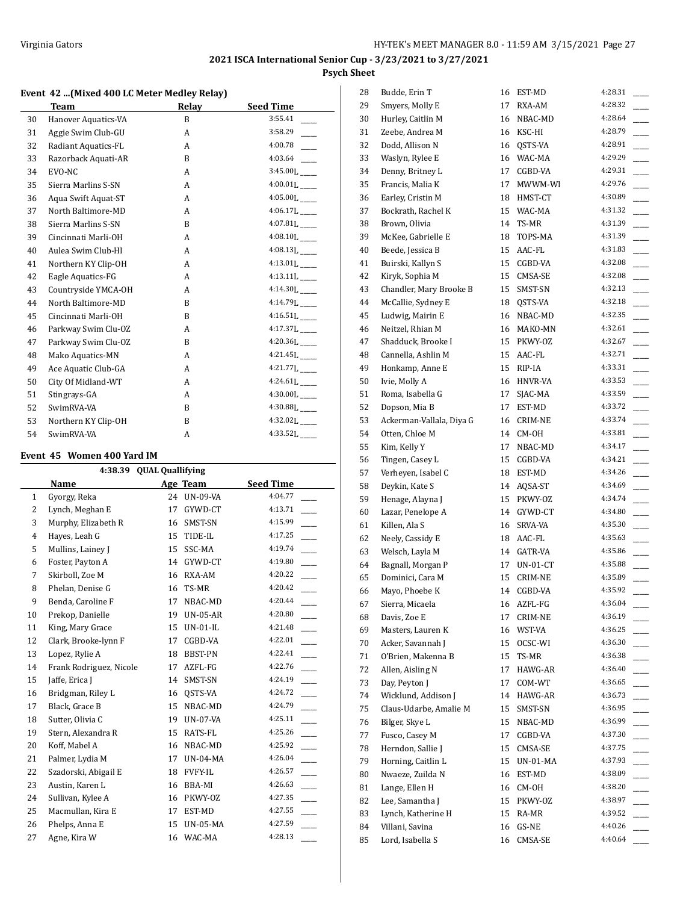#### **Event 42 ...(Mixed 400 LC Meter Medley Relay)**

|    | <b>Team</b>         | Relay | <b>Seed Time</b>           |
|----|---------------------|-------|----------------------------|
| 30 | Hanover Aquatics-VA | B     | 3:55.41                    |
| 31 | Aggie Swim Club-GU  | A     | 3:58.29                    |
| 32 | Radiant Aquatics-FL | A     | 4:00.78                    |
| 33 | Razorback Aquati-AR | B     | 4:03.64                    |
| 34 | EVO-NC              | A     | $3:45.00L$ <sub>---</sub>  |
| 35 | Sierra Marlins S-SN | A     | $4:00.01L$ <sub>---</sub>  |
| 36 | Agua Swift Aguat-ST | A     | $4:05.00L$ <sub>---</sub>  |
| 37 | North Baltimore-MD  | A     | $4:06.17L$ <sub>____</sub> |
| 38 | Sierra Marlins S-SN | B     | $4:07.81L$ <sub>---</sub>  |
| 39 | Cincinnati Marli-OH | A     | $4:08.10L$ <sub>---</sub>  |
| 40 | Aulea Swim Club-HI  | A     | $4:08.13L$ <sub>---</sub>  |
| 41 | Northern KY Clip-OH | A     | $4:13.01L$ <sub>---</sub>  |
| 42 | Eagle Aquatics-FG   | A     | $4:13.11L$ <sub>---</sub>  |
| 43 | Countryside YMCA-OH | A     | $4:14.30L$ <sub>---</sub>  |
| 44 | North Baltimore-MD  | B     | $4:14.79L$ <sub>---</sub>  |
| 45 | Cincinnati Marli-OH | B     | $4:16.51L$ <sub>___</sub>  |
| 46 | Parkway Swim Clu-OZ | A     | $4:17.37L$ <sub>____</sub> |
| 47 | Parkway Swim Clu-OZ | B     | $4:20.36L$ <sub>---</sub>  |
| 48 | Mako Aquatics-MN    | A     | $4:21.45L$ <sub>---</sub>  |
| 49 | Ace Aquatic Club-GA | A     | $4:21.77L$ <sub>---</sub>  |
| 50 | City Of Midland-WT  | A     | $4:24.61L$ <sub>---</sub>  |
| 51 | Stingrays-GA        | A     | $4:30.00$ L $\_\_$         |
| 52 | SwimRVA-VA          | B     | $4:30.88L$ <sub>---</sub>  |
| 53 | Northern KY Clip-OH | R     | $4:32.02L$ <sub>---</sub>  |
| 54 | SwimRVA-VA          | A     | $4:33.52$ [                |

## **Event 45 Women 400 Yard IM**

|              | <b>QUAL Quallifying</b><br>4:38.39   |    |                 |         |  |  |  |
|--------------|--------------------------------------|----|-----------------|---------|--|--|--|
|              | <b>Seed Time</b><br>Name<br>Age Team |    |                 |         |  |  |  |
| $\mathbf{1}$ | Gyorgy, Reka                         | 24 | <b>UN-09-VA</b> | 4:04.77 |  |  |  |
| 2            | Lynch, Meghan E                      | 17 | GYWD-CT         | 4:13.71 |  |  |  |
| 3            | Murphy, Elizabeth R                  | 16 | SMST-SN         | 4:15.99 |  |  |  |
| 4            | Hayes, Leah G                        | 15 | TIDE-IL         | 4:17.25 |  |  |  |
| 5            | Mullins, Lainey J                    | 15 | SSC-MA          | 4:19.74 |  |  |  |
| 6            | Foster, Payton A                     | 14 | GYWD-CT         | 4:19.80 |  |  |  |
| 7            | Skirboll, Zoe M                      | 16 | RXA-AM          | 4:20.22 |  |  |  |
| 8            | Phelan, Denise G                     | 16 | TS-MR           | 4:20.42 |  |  |  |
| 9            | Benda, Caroline F                    | 17 | NBAC-MD         | 4:20.44 |  |  |  |
| 10           | Prekop, Danielle                     | 19 | $UN-05-AR$      | 4:20.80 |  |  |  |
| 11           | King, Mary Grace                     | 15 | $UN-01-IL$      | 4:21.48 |  |  |  |
| 12           | Clark, Brooke-lynn F                 | 17 | CGBD-VA         | 4:22.01 |  |  |  |
| 13           | Lopez, Rylie A                       | 18 | BBST-PN         | 4:22.41 |  |  |  |
| 14           | Frank Rodriguez, Nicole              | 17 | AZFL-FG         | 4:22.76 |  |  |  |
| 15           | Jaffe, Erica J                       | 14 | SMST-SN         | 4:24.19 |  |  |  |
| 16           | Bridgman, Riley L                    | 16 | OSTS-VA         | 4:24.72 |  |  |  |
| 17           | Black, Grace B                       | 15 | NBAC-MD         | 4:24.79 |  |  |  |
| 18           | Sutter, Olivia C                     | 19 | UN-07-VA        | 4:25.11 |  |  |  |
| 19           | Stern, Alexandra R                   | 15 | RATS-FL         | 4:25.26 |  |  |  |
| 20           | Koff, Mabel A                        | 16 | NBAC-MD         | 4:25.92 |  |  |  |
| 21           | Palmer, Lydia M                      | 17 | $UN-04-MA$      | 4:26.04 |  |  |  |
| 22           | Szadorski, Abigail E                 | 18 | <b>FVFY-IL</b>  | 4:26.57 |  |  |  |
| 23           | Austin, Karen L                      | 16 | BBA-MI          | 4:26.63 |  |  |  |
| 24           | Sullivan, Kylee A                    | 16 | PKWY-OZ         | 4:27.35 |  |  |  |
| 25           | Macmullan, Kira E                    | 17 | EST-MD          | 4:27.55 |  |  |  |
| 26           | Phelps, Anna E                       | 15 | <b>UN-05-MA</b> | 4:27.59 |  |  |  |
| 27           | Agne, Kira W                         | 16 | WAC-MA          | 4:28.13 |  |  |  |

| 28 | Budde, Erin T                       | 16 | EST-MD             | 4:28.31 |
|----|-------------------------------------|----|--------------------|---------|
| 29 | Smyers, Molly E                     | 17 | RXA-AM             | 4:28.32 |
| 30 | Hurley, Caitlin M                   | 16 | NBAC-MD            | 4:28.64 |
| 31 | Zeebe, Andrea M                     | 16 | KSC-HI             | 4:28.79 |
| 32 | Dodd, Allison N                     | 16 | QSTS-VA            | 4:28.91 |
| 33 | Waslyn, Rylee E                     | 16 | WAC-MA             | 4:29.29 |
| 34 | Denny, Britney L                    | 17 | CGBD-VA            | 4:29.31 |
| 35 | Francis, Malia K                    | 17 | MWWM-WI            | 4:29.76 |
| 36 | Earley, Cristin M                   |    | 18 HMST-CT         | 4:30.89 |
| 37 | Bockrath, Rachel K                  | 15 | WAC-MA             | 4:31.32 |
| 38 | Brown, Olivia                       | 14 | TS-MR              | 4:31.39 |
| 39 | McKee, Gabrielle E                  | 18 | TOPS-MA            | 4:31.39 |
| 40 | Beede, Jessica B                    | 15 | AAC-FL             | 4:31.83 |
| 41 | Buirski, Kallyn S                   | 15 | CGBD-VA            | 4:32.08 |
| 42 | Kiryk, Sophia M                     | 15 | CMSA-SE            | 4:32.08 |
| 43 | Chandler, Mary Brooke B             | 15 | SMST-SN            | 4:32.13 |
| 44 | McCallie, Sydney E                  | 18 | QSTS-VA            | 4:32.18 |
| 45 | Ludwig, Mairin E                    | 16 | NBAC-MD            | 4:32.35 |
| 46 | Neitzel, Rhian M                    | 16 | MAKO-MN            | 4:32.61 |
| 47 | Shadduck, Brooke I                  | 15 | PKWY-OZ            | 4:32.67 |
| 48 | Cannella, Ashlin M                  | 15 | AAC-FL             | 4:32.71 |
| 49 | Honkamp, Anne E                     | 15 | RIP-IA             | 4:33.31 |
| 50 | Ivie, Molly A                       | 16 | HNVR-VA            | 4:33.53 |
| 51 | Roma, Isabella G                    | 17 | SJAC-MA            | 4:33.59 |
| 52 | Dopson, Mia B                       | 17 | EST-MD             | 4:33.72 |
| 53 | Ackerman-Vallala, Diya G            | 16 | CRIM-NE            | 4:33.74 |
| 54 | Otten, Chloe M                      | 14 | CM-OH              | 4:33.81 |
| 55 | Kim, Kelly Y                        | 17 | NBAC-MD            | 4:34.17 |
| 56 | Tingen, Casey L                     | 15 | CGBD-VA            | 4:34.21 |
| 57 | Verheyen, Isabel C                  | 18 | EST-MD             | 4:34.26 |
| 58 | Deykin, Kate S                      | 14 |                    | 4:34.69 |
| 59 | Henage, Alayna J                    | 15 | AQSA-ST<br>PKWY-OZ | 4:34.74 |
| 60 |                                     | 14 | GYWD-CT            | 4:34.80 |
|    | Lazar, Penelope A                   |    |                    | 4:35.30 |
| 61 | Killen, Ala S                       | 16 | SRVA-VA            | 4:35.63 |
| 62 | Neely, Cassidy E<br>Welsch, Layla M |    | 18 AAC-FL          | 4:35.86 |
| 63 |                                     | 14 | GATR-VA            | 4:35.88 |
| 64 | Bagnall, Morgan P                   | 17 | UN-01-CT           | 4:35.89 |
| 65 | Dominici, Cara M                    | 15 | CRIM-NE            | 4:35.92 |
| 66 | Mayo, Phoebe K                      | 14 | CGBD-VA            | 4:36.04 |
| 67 | Sierra, Micaela                     | 16 | AZFL-FG            |         |
| 68 | Davis, Zoe E                        | 17 | CRIM-NE            | 4:36.19 |
| 69 | Masters, Lauren K                   | 16 | WST-VA             | 4:36.25 |
| 70 | Acker, Savannah J                   | 15 | OCSC-WI            | 4:36.30 |
| 71 | O'Brien, Makenna B                  | 15 | TS-MR              | 4:36.38 |
| 72 | Allen, Aisling N                    | 17 | HAWG-AR            | 4:36.40 |
| 73 | Day, Peyton J                       | 17 | COM-WT             | 4:36.65 |
| 74 | Wicklund, Addison J                 | 14 | HAWG-AR            | 4:36.73 |
| 75 | Claus-Udarbe, Amalie M              | 15 | SMST-SN            | 4:36.95 |
| 76 | Bilger, Skye L                      | 15 | NBAC-MD            | 4:36.99 |
| 77 | Fusco, Casey M                      | 17 | CGBD-VA            | 4:37.30 |
| 78 | Herndon, Sallie J                   | 15 | CMSA-SE            | 4:37.75 |
| 79 | Horning, Caitlin L                  | 15 | UN-01-MA           | 4:37.93 |
| 80 | Nwaeze, Zuilda N                    | 16 | EST-MD             | 4:38.09 |
| 81 | Lange, Ellen H                      | 16 | CM-OH              | 4:38.20 |
| 82 | Lee, Samantha J                     | 15 | PKWY-OZ            | 4:38.97 |
| 83 | Lynch, Katherine H                  | 15 | RA-MR              | 4:39.52 |
| 84 | Villani, Savina                     | 16 | GS-NE              | 4:40.26 |
| 85 | Lord, Isabella S                    | 16 | CMSA-SE            | 4:40.64 |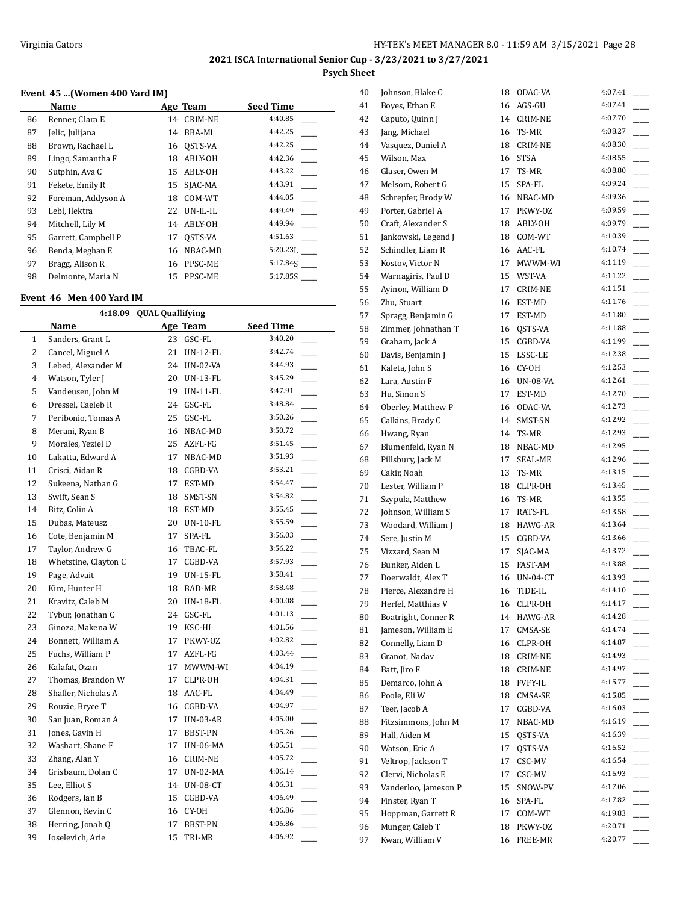## **Event 45 ...(Women 400 Yard IM)**

|    | Name                |    | Age Team       | <b>Seed Time</b> |
|----|---------------------|----|----------------|------------------|
| 86 | Renner, Clara E     | 14 | <b>CRIM-NE</b> | 4:40.85          |
| 87 | Jelic, Julijana     | 14 | BBA-MI         | 4:42.25          |
| 88 | Brown, Rachael L    | 16 | OSTS-VA        | 4:42.25          |
| 89 | Lingo, Samantha F   | 18 | ABLY-OH        | 4:42.36          |
| 90 | Sutphin, Ava C      | 15 | ABLY-OH        | 4:43.22          |
| 91 | Fekete, Emily R     | 15 | SJAC-MA        | 4:43.91          |
| 92 | Foreman, Addyson A  | 18 | COM-WT         | 4:44.05          |
| 93 | Lebl, Ilektra       | 22 | UN-IL-IL       | 4:49.49          |
| 94 | Mitchell, Lily M    | 14 | ABLY-OH        | 4:49.94          |
| 95 | Garrett, Campbell P | 17 | OSTS-VA        | 4:51.63          |
| 96 | Benda, Meghan E     | 16 | NBAC-MD        | $5:20.23$ .      |
| 97 | Bragg, Alison R     | 16 | PPSC-ME        | 5:17.845         |
| 98 | Delmonte, Maria N   | 15 | PPSC-ME        | 5:17.85S         |

#### **Event 46 Men 400 Yard IM**

|              | 4:18.09 QUAL Quallifying |    |                 |                                     |  |  |
|--------------|--------------------------|----|-----------------|-------------------------------------|--|--|
|              | Name                     |    | Age Team        | <b>Seed Time</b>                    |  |  |
| $\mathbf{1}$ | Sanders, Grant L         |    | 23 GSC-FL       | 3:40.20                             |  |  |
| 2            | Cancel, Miguel A         | 21 | <b>UN-12-FL</b> | 3:42.74                             |  |  |
| 3            | Lebed, Alexander M       | 24 | UN-02-VA        | 3:44.93                             |  |  |
| 4            | Watson, Tyler J          | 20 | UN-13-FL        | 3:45.29                             |  |  |
| 5            | Vandeusen, John M        | 19 | UN-11-FL        | 3:47.91                             |  |  |
| 6            | Dressel, Caeleb R        | 24 | GSC-FL          | 3:48.84                             |  |  |
| 7            | Peribonio, Tomas A       | 25 | GSC-FL          | 3:50.26                             |  |  |
| 8            | Merani, Ryan B           | 16 | NBAC-MD         | 3:50.72<br>$\overline{\phantom{a}}$ |  |  |
| 9            | Morales, Yeziel D        | 25 | AZFL-FG         | 3:51.45                             |  |  |
| 10           | Lakatta, Edward A        | 17 | NBAC-MD         | 3:51.93                             |  |  |
| 11           | Crisci, Aidan R          | 18 | CGBD-VA         | 3:53.21                             |  |  |
| 12           | Sukeena, Nathan G        | 17 | EST-MD          | 3:54.47                             |  |  |
| 13           | Swift, Sean S            | 18 | SMST-SN         | 3:54.82                             |  |  |
| 14           | Bitz, Colin A            | 18 | EST-MD          | 3:55.45<br>$\overline{\phantom{0}}$ |  |  |
| 15           | Dubas, Mateusz           | 20 | UN-10-FL        | 3:55.59                             |  |  |
| 16           | Cote, Benjamin M         | 17 | SPA-FL          | 3:56.03                             |  |  |
| 17           | Taylor, Andrew G         | 16 | TBAC-FL         | 3:56.22                             |  |  |
| 18           | Whetstine, Clayton C     | 17 | CGBD-VA         | 3:57.93                             |  |  |
| 19           | Page, Advait             | 19 | UN-15-FL        | 3:58.41<br>$\overline{\phantom{a}}$ |  |  |
| 20           | Kim, Hunter H            | 18 | BAD-MR          | 3:58.48                             |  |  |
| 21           | Kravitz, Caleb M         | 20 | UN-18-FL        | 4:00.08                             |  |  |
| 22           | Tybur, Jonathan C        | 24 | GSC-FL          | 4:01.13                             |  |  |
| 23           | Ginoza, Makena W         | 19 | KSC-HI          | 4:01.56                             |  |  |
| 24           | Bonnett, William A       | 17 | PKWY-OZ         | 4:02.82                             |  |  |
| 25           | Fuchs, William P         | 17 | AZFL-FG         | 4:03.44                             |  |  |
| 26           | Kalafat, Ozan            | 17 | MWWM-WI         | 4:04.19                             |  |  |
| 27           | Thomas, Brandon W        | 17 | CLPR-OH         | 4:04.31                             |  |  |
| 28           | Shaffer, Nicholas A      | 18 | AAC-FL          | 4:04.49                             |  |  |
| 29           | Rouzie, Bryce T          | 16 | CGBD-VA         | 4:04.97                             |  |  |
| 30           | San Juan, Roman A        | 17 | UN-03-AR        | 4:05.00                             |  |  |
| 31           | Jones, Gavin H           | 17 | BBST-PN         | 4:05.26                             |  |  |
| 32           | Washart, Shane F         | 17 | UN-06-MA        | 4:05.51                             |  |  |
| 33           | Zhang, Alan Y            | 16 | CRIM-NE         | 4:05.72                             |  |  |
| 34           | Grisbaum, Dolan C        | 17 | UN-02-MA        | 4:06.14                             |  |  |
| 35           | Lee, Elliot S            | 14 | UN-08-CT        | 4:06.31<br>$\overline{\phantom{a}}$ |  |  |
| 36           | Rodgers, Ian B           | 15 | CGBD-VA         | 4:06.49                             |  |  |
| 37           | Glennon, Kevin C         | 16 | CY-OH           | 4:06.86                             |  |  |
| 38           | Herring, Jonah Q         | 17 | BBST-PN         | 4:06.86                             |  |  |
| 39           | Ioselevich, Arie         | 15 | TRI-MR          | 4:06.92                             |  |  |

| 40       | Johnson, Blake C                         | 18       | ODAC-VA               | 4:07.41 |
|----------|------------------------------------------|----------|-----------------------|---------|
| 41       | Boyes, Ethan E                           | 16       | AGS-GU                | 4:07.41 |
| 42       | Caputo, Quinn J                          | 14       | CRIM-NE               | 4:07.70 |
| 43       | Jang, Michael                            | 16       | TS-MR                 | 4:08.27 |
| 44       | Vasquez, Daniel A                        | 18       | CRIM-NE               | 4:08.30 |
| 45       | Wilson, Max                              | 16       | <b>STSA</b>           | 4:08.55 |
| 46       | Glaser, Owen M                           | 17       | TS-MR                 | 4:08.80 |
| 47       | Melsom, Robert G                         | 15       | SPA-FL                | 4:09.24 |
| 48       | Schrepfer, Brody W                       |          | 16 NBAC-MD            | 4:09.36 |
| 49       | Porter, Gabriel A                        | 17       | PKWY-0Z               | 4:09.59 |
| 50       | Craft, Alexander S                       |          | 18 ABLY-OH            | 4:09.79 |
| 51       | Jankowski, Legend J                      | 18       | COM-WT                | 4:10.39 |
| 52       | Schindler, Liam R                        | 16       | AAC-FL                | 4:10.74 |
| 53       | Kostov, Victor N                         | 17       | MWWM-WI               | 4:11.19 |
| 54       | Warnagiris, Paul D                       | 15       | WST-VA                | 4:11.22 |
| 55       | Ayinon, William D                        | 17       | CRIM-NE               | 4:11.51 |
| 56       | Zhu, Stuart                              | 16       | EST-MD                | 4:11.76 |
| 57       | Spragg, Benjamin G                       | 17       | EST-MD                | 4:11.80 |
| 58       | Zimmer, Johnathan T                      | 16       | QSTS-VA               | 4:11.88 |
| 59       | Graham, Jack A                           | 15       | CGBD-VA               | 4:11.99 |
| 60       | Davis, Benjamin J                        | 15       | LSSC-LE               | 4:12.38 |
| 61       | Kaleta, John S                           |          | 16 CY-0H              | 4:12.53 |
| 62       | Lara, Austin F                           | 16       | <b>UN-08-VA</b>       | 4:12.61 |
| 63       | Hu, Simon S                              | 17       | EST-MD                | 4:12.70 |
| 64       | Oberley, Matthew P                       | 16       | ODAC-VA               | 4:12.73 |
| 65       | Calkins, Brady C                         | 14       | SMST-SN               | 4:12.92 |
| 66       | Hwang, Ryan                              | 14       | TS-MR                 | 4:12.93 |
| 67       | Blumenfeld, Ryan N                       | 18       | NBAC-MD               | 4:12.95 |
| 68       | Pillsbury, Jack M                        | 17       | SEAL-ME               | 4:12.96 |
| 69       | Cakir, Noah                              | 13       | TS-MR                 | 4:13.15 |
| 70       | Lester, William P                        | 18       |                       | 4:13.45 |
|          |                                          |          | CLPR-OH               | 4:13.55 |
| 71       | Szypula, Matthew                         | 16<br>17 | TS-MR                 | 4:13.58 |
| 72<br>73 | Johnson, William S<br>Woodard, William J |          | RATS-FL<br>18 HAWG-AR | 4:13.64 |
|          |                                          |          |                       | 4:13.66 |
| 74       | Sere, Justin M                           | 15       | CGBD-VA               | 4:13.72 |
| 75       | Vizzard, Sean M                          | 17       | SJAC-MA               | 4:13.88 |
| 76       | Bunker, Aiden L                          | 15       | FAST-AM               |         |
| 77       | Doerwaldt, Alex T                        | 16       | $UN-04-CT$            | 4:13.93 |
| 78       | Pierce, Alexandre H                      | 16       | TIDE-IL               | 4:14.10 |
| 79       | Herfel, Matthias V                       | 16       | CLPR-OH               | 4:14.17 |
| 80       | Boatright, Conner R                      | 14       | HAWG-AR               | 4:14.28 |
| 81       | Jameson, William E                       | 17       | CMSA-SE               | 4:14.74 |
| 82       | Connelly, Liam D                         | 16       | CLPR-OH               | 4:14.87 |
| 83       | Granot, Nadav                            | 18       | CRIM-NE               | 4:14.93 |
| 84       | Batt, Jiro F                             | 18       | $CRIM-NE$             | 4:14.97 |
| 85       | Demarco, John A                          | 18       | <b>FVFY-IL</b>        | 4:15.77 |
| 86       | Poole, Eli W                             | 18       | CMSA-SE               | 4:15.85 |
| 87       | Teer, Jacob A                            | 17       | CGBD-VA               | 4:16.03 |
| 88       | Fitzsimmons, John M                      | 17       | NBAC-MD               | 4:16.19 |
| 89       | Hall, Aiden M                            | 15       | QSTS-VA               | 4:16.39 |
| 90       | Watson, Eric A                           | 17       | QSTS-VA               | 4:16.52 |
| 91       | Veltrop, Jackson T                       | 17       | CSC-MV                | 4:16.54 |
| 92       | Clervi, Nicholas E                       | 17       | CSC-MV                | 4:16.93 |
| 93       | Vanderloo, Jameson P                     | 15       | SNOW-PV               | 4:17.06 |
| 94       | Finster, Ryan T                          | 16       | SPA-FL                | 4:17.82 |
| 95       | Hoppman, Garrett R                       | 17       | COM-WT                | 4:19.83 |
| 96       | Munger, Caleb T                          | 18       | PKWY-OZ               | 4:20.71 |
| 97       | Kwan, William V                          | 16       | FREE-MR               | 4:20.77 |
|          |                                          |          |                       |         |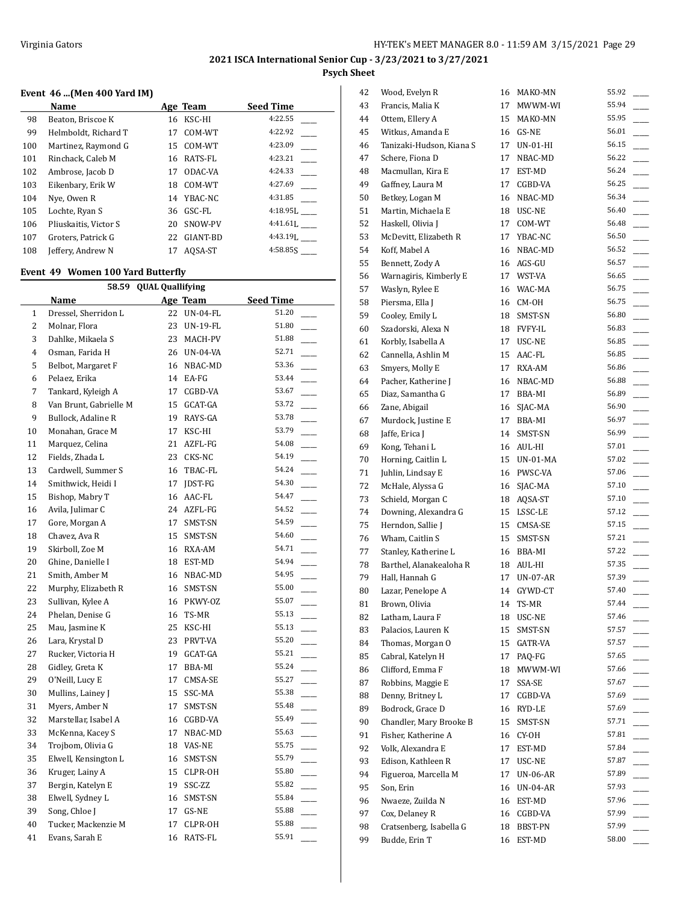$\overline{a}$ 

## **2021 ISCA International Senior Cup - 3/23/2021 to 3/27/2021 Psych Sheet**

## **Event 46 ...(Men 400 Yard IM)**

|     | Name                  |    | Age Team | <b>Seed Time</b> |
|-----|-----------------------|----|----------|------------------|
| 98  | Beaton, Briscoe K     | 16 | KSC-HI   | 4:22.55          |
| 99  | Helmboldt, Richard T  | 17 | COM-WT   | 4:22.92          |
| 100 | Martinez, Raymond G   | 15 | COM-WT   | 4:23.09          |
| 101 | Rinchack, Caleb M     | 16 | RATS-FL  | 4:23.21          |
| 102 | Ambrose, Jacob D      | 17 | ODAC-VA  | 4:24.33          |
| 103 | Eikenbary, Erik W     | 18 | COM-WT   | 4:27.69          |
| 104 | Nye, Owen R           | 14 | YBAC-NC  | 4:31.85          |
| 105 | Lochte, Ryan S        | 36 | GSC-FL   | $4:18.95$ .      |
| 106 | Pliuskaitis, Victor S | 20 | SNOW-PV  | 4:41.61L         |
| 107 | Groters, Patrick G    | 22 | GIANT-BD | $4:43.19$ .      |
| 108 | Jeffery, Andrew N     | 17 | AOSA-ST  | 4:58.85S         |

## **Event 49 Women 100 Yard Butterfly**

|                | 58.59                  | <b>QUAL Quallifying</b> |                 |                  |
|----------------|------------------------|-------------------------|-----------------|------------------|
|                | Name                   |                         | Age Team        | <b>Seed Time</b> |
| $\mathbf{1}$   | Dressel, Sherridon L   | 22                      | <b>UN-04-FL</b> | 51.20            |
| $\overline{2}$ | Molnar, Flora          | 23                      | <b>UN-19-FL</b> | 51.80            |
| 3              | Dahlke, Mikaela S      | 23                      | MACH-PV         | 51.88            |
| $\overline{4}$ | Osman, Farida H        | 26                      | UN-04-VA        | 52.71            |
| 5              | Belbot, Margaret F     | 16                      | NBAC-MD         | 53.36            |
| 6              | Pelaez, Erika          | 14                      | EA-FG           | 53.44            |
| 7              | Tankard, Kyleigh A     | 17                      | CGBD-VA         | 53.67            |
| 8              | Van Brunt, Gabrielle M | 15                      | GCAT-GA         | 53.72            |
| 9              | Bullock, Adaline R     | 19                      | RAYS-GA         | 53.78            |
| 10             | Monahan, Grace M       | 17                      | KSC-HI          | 53.79            |
| 11             | Marquez, Celina        | 21                      | AZFL-FG         | 54.08            |
| 12             | Fields, Zhada L        | 23                      | CKS-NC          | 54.19            |
| 13             | Cardwell, Summer S     | 16                      | TBAC-FL         | 54.24            |
| 14             | Smithwick, Heidi I     | 17                      | JDST-FG         | 54.30            |
| 15             | Bishop, Mabry T        | 16                      | AAC-FL          | 54.47            |
| 16             | Avila, Julimar C       | 24                      | AZFL-FG         | 54.52            |
| 17             | Gore, Morgan A         | 17                      | SMST-SN         | 54.59            |
| 18             | Chavez, Ava R          | 15                      | SMST-SN         | 54.60            |
| 19             | Skirboll, Zoe M        | 16                      | RXA-AM          | 54.71            |
| 20             | Ghine, Danielle I      | 18                      | EST-MD          | 54.94            |
| 21             | Smith, Amber M         | 16                      | NBAC-MD         | 54.95            |
| 22             | Murphy, Elizabeth R    | 16                      | SMST-SN         | 55.00            |
| 23             | Sullivan, Kylee A      | 16                      | PKWY-OZ         | 55.07            |
| 24             | Phelan, Denise G       | 16                      | TS-MR           | 55.13            |
| 25             | Mau, Jasmine K         | 25                      | KSC-HI          | 55.13            |
| 26             | Lara, Krystal D        | 23                      | PRVT-VA         | 55.20            |
| 27             | Rucker, Victoria H     | 19                      | GCAT-GA         | 55.21            |
| 28             | Gidley, Greta K        | 17                      | BBA-MI          | 55.24            |
| 29             | O'Neill, Lucy E        | 17                      | CMSA-SE         | 55.27            |
| 30             | Mullins, Lainey J      | 15                      | SSC-MA          | 55.38            |
| 31             | Myers, Amber N         | 17                      | SMST-SN         | 55.48            |
| 32             | Marstellar, Isabel A   | 16                      | CGBD-VA         | 55.49            |
| 33             | McKenna, Kacey S       | 17                      | NBAC-MD         | 55.63            |
| 34             | Trojbom, Olivia G      | 18                      | VAS-NE          | 55.75            |
| 35             | Elwell, Kensington L   | 16                      | SMST-SN         | 55.79            |
| 36             | Kruger, Lainy A        | 15                      | CLPR-OH         | 55.80            |
| 37             | Bergin, Katelyn E      | 19                      | SSC-ZZ          | 55.82            |
| 38             | Elwell, Sydney L       | 16                      | SMST-SN         | 55.84            |
| 39             | Song, Chloe J          | 17                      | GS-NE           | 55.88            |
| 40             | Tucker, Mackenzie M    | 17                      | CLPR-OH         | 55.88            |
| 41             | Evans, Sarah E         | 16                      | RATS-FL         | 55.91            |

| 42 | Wood, Evelyn R           | 16 | MAKO-MN    | 55.92 |
|----|--------------------------|----|------------|-------|
| 43 | Francis, Malia K         | 17 | MWWM-WI    | 55.94 |
| 44 | Ottem, Ellery A          | 15 | MAKO-MN    | 55.95 |
| 45 | Witkus, Amanda E         | 16 | GS-NE      | 56.01 |
| 46 | Tanizaki-Hudson, Kiana S | 17 | UN-01-HI   | 56.15 |
| 47 | Schere, Fiona D          | 17 | NBAC-MD    | 56.22 |
| 48 | Macmullan, Kira E        | 17 | EST-MD     | 56.24 |
| 49 | Gaffney, Laura M         | 17 | CGBD-VA    | 56.25 |
| 50 | Betkey, Logan M          | 16 | NBAC-MD    | 56.34 |
| 51 | Martin, Michaela E       |    | 18 USC-NE  | 56.40 |
| 52 | Haskell, Olivia J        | 17 | COM-WT     | 56.48 |
| 53 | McDevitt, Elizabeth R    | 17 | YBAC-NC    | 56.50 |
| 54 | Koff, Mabel A            | 16 | NBAC-MD    | 56.52 |
| 55 | Bennett, Zody A          |    | 16 AGS-GU  | 56.57 |
| 56 | Warnagiris, Kimberly E   | 17 | WST-VA     | 56.65 |
| 57 | Waslyn, Rylee E          |    | 16 WAC-MA  | 56.75 |
| 58 | Piersma, Ella J          | 16 | CM-OH      | 56.75 |
| 59 | Cooley, Emily L          | 18 | SMST-SN    | 56.80 |
|    |                          |    |            | 56.83 |
| 60 | Szadorski, Alexa N       |    | 18 FVFY-IL | 56.85 |
| 61 | Korbly, Isabella A       | 17 | USC-NE     |       |
| 62 | Cannella, Ashlin M       | 15 | AAC-FL     | 56.85 |
| 63 | Smyers, Molly E          | 17 | RXA-AM     | 56.86 |
| 64 | Pacher, Katherine J      |    | 16 NBAC-MD | 56.88 |
| 65 | Diaz, Samantha G         | 17 | BBA-MI     | 56.89 |
| 66 | Zane, Abigail            | 16 | SJAC-MA    | 56.90 |
| 67 | Murdock, Justine E       | 17 | BBA-MI     | 56.97 |
| 68 | Jaffe, Erica J           | 14 | SMST-SN    | 56.99 |
| 69 | Kong, Tehani L           | 16 | AUL-HI     | 57.01 |
| 70 | Horning, Caitlin L       | 15 | UN-01-MA   | 57.02 |
| 71 | Juhlin, Lindsay E        |    | 16 PWSC-VA | 57.06 |
| 72 | McHale, Alyssa G         | 16 | SJAC-MA    | 57.10 |
| 73 | Schield, Morgan C        |    | 18 AQSA-ST | 57.10 |
| 74 | Downing, Alexandra G     | 15 | LSSC-LE    | 57.12 |
| 75 | Herndon, Sallie J        | 15 | CMSA-SE    | 57.15 |
| 76 | Wham, Caitlin S          | 15 | SMST-SN    | 57.21 |
| 77 | Stanley, Katherine L     |    | 16 BBA-MI  | 57.22 |
| 78 | Barthel, Alanakealoha R  |    | 18 AUL-HI  | 57.35 |
| 79 | Hall, Hannah G           | 17 | UN-07-AR   | 57.39 |
| 80 | Lazar, Penelope A        | 14 | GYWD-CT    | 57.40 |
| 81 | Brown, Olivia            | 14 | TS-MR      | 57.44 |
| 82 | Latham, Laura F          | 18 | USC-NE     | 57.46 |
| 83 | Palacios, Lauren K       | 15 | SMST-SN    | 57.57 |
| 84 | Thomas, Morgan O         | 15 | GATR-VA    | 57.57 |
| 85 | Cabral, Katelyn H        | 17 | PAQ-FG     | 57.65 |
| 86 | Clifford, Emma F         | 18 | MWWM-WI    | 57.66 |
| 87 | Robbins, Maggie E        | 17 | SSA-SE     | 57.67 |
| 88 | Denny, Britney L         | 17 | CGBD-VA    | 57.69 |
| 89 | Bodrock, Grace D         | 16 | RYD-LE     | 57.69 |
| 90 | Chandler, Mary Brooke B  | 15 | SMST-SN    | 57.71 |
|    | Fisher. Katherine A      |    |            | 57.81 |
| 91 |                          | 16 | CY-OH      | 57.84 |
| 92 | Volk, Alexandra E        | 17 | EST-MD     |       |
| 93 | Edison, Kathleen R       | 17 | USC-NE     | 57.87 |
| 94 | Figueroa, Marcella M     | 17 | UN-06-AR   | 57.89 |
| 95 | Son, Erin                | 16 | UN-04-AR   | 57.93 |
| 96 | Nwaeze, Zuilda N         | 16 | EST-MD     | 57.96 |
| 97 | Cox, Delaney R           | 16 | CGBD-VA    | 57.99 |
| 98 | Cratsenberg, Isabella G  | 18 | BBST-PN    | 57.99 |
| 99 | Budde, Erin T            | 16 | EST-MD     | 58.00 |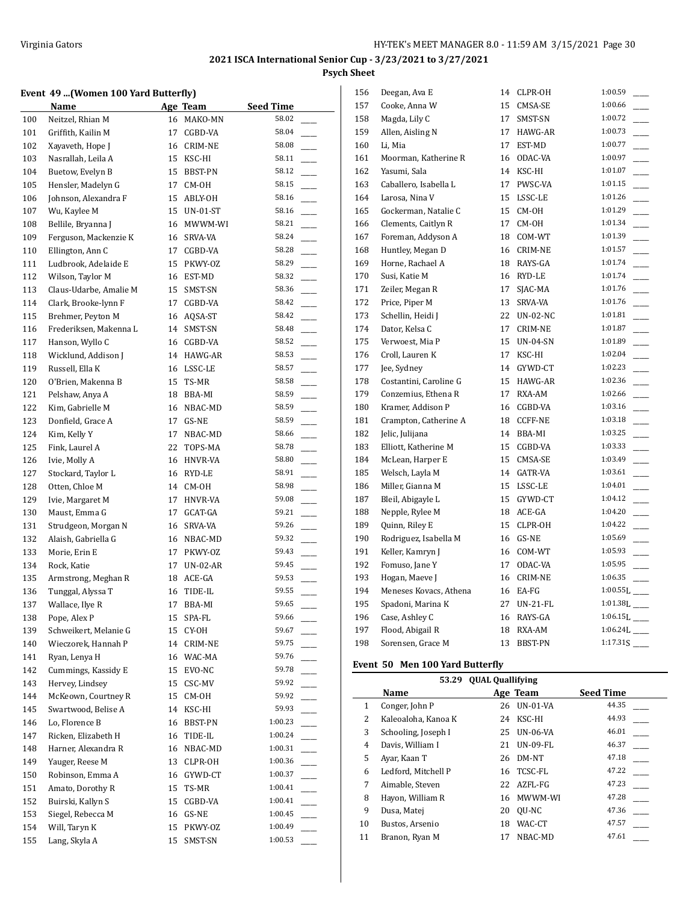#### **Event 49 ...(Women 100 Yard Butterfly)**

|     | Name                   |    | Age Team  | <b>Seed Time</b> |                          |
|-----|------------------------|----|-----------|------------------|--------------------------|
| 100 | Neitzel, Rhian M       | 16 | MAKO-MN   | 58.02            |                          |
| 101 | Griffith, Kailin M     | 17 | CGBD-VA   | 58.04            |                          |
| 102 | Xayaveth, Hope J       | 16 | CRIM-NE   | 58.08            |                          |
| 103 | Nasrallah, Leila A     | 15 | KSC-HI    | 58.11            |                          |
| 104 | Buetow, Evelyn B       | 15 | BBST-PN   | 58.12            |                          |
| 105 | Hensler, Madelyn G     | 17 | CM-OH     | 58.15            |                          |
| 106 | Johnson, Alexandra F   | 15 | ABLY-OH   | 58.16            |                          |
| 107 | Wu, Kaylee M           | 15 | UN-01-ST  | 58.16            |                          |
| 108 | Bellile, Bryanna J     | 16 | MWWM-WI   | 58.21            |                          |
| 109 | Ferguson, Mackenzie K  | 16 | SRVA-VA   | 58.24            |                          |
| 110 | Ellington, Ann C       | 17 | CGBD-VA   | 58.28            |                          |
| 111 | Ludbrook, Adelaide E   | 15 | PKWY-OZ   | 58.29            |                          |
| 112 | Wilson, Taylor M       |    | 16 EST-MD | 58.32            |                          |
| 113 | Claus-Udarbe, Amalie M | 15 | SMST-SN   | 58.36            |                          |
| 114 | Clark, Brooke-lynn F   | 17 | CGBD-VA   | 58.42            |                          |
| 115 | Brehmer, Peyton M      | 16 | AQSA-ST   | 58.42            |                          |
| 116 | Frederiksen, Makenna L | 14 | SMST-SN   | 58.48            |                          |
| 117 | Hanson, Wyllo C        | 16 | CGBD-VA   | 58.52            |                          |
| 118 | Wicklund, Addison J    | 14 | HAWG-AR   | 58.53            |                          |
| 119 | Russell, Ella K        | 16 | LSSC-LE   | 58.57            |                          |
| 120 | O'Brien, Makenna B     | 15 | TS-MR     | 58.58            |                          |
| 121 | Pelshaw, Anya A        | 18 | BBA-MI    | 58.59            |                          |
| 122 | Kim, Gabrielle M       | 16 | NBAC-MD   | 58.59            |                          |
| 123 | Donfield, Grace A      | 17 | GS-NE     | 58.59            |                          |
| 124 | Kim, Kelly Y           | 17 | NBAC-MD   | 58.66            |                          |
| 125 | Fink, Laurel A         | 22 | TOPS-MA   | 58.78            |                          |
| 126 | Ivie, Molly A          | 16 | HNVR-VA   | 58.80            |                          |
| 127 | Stockard, Taylor L     |    | 16 RYD-LE | 58.91            |                          |
| 128 | Otten, Chloe M         | 14 | CM-OH     | 58.98            |                          |
| 129 | Ivie, Margaret M       | 17 | HNVR-VA   | 59.08            |                          |
| 130 | Maust, Emma G          | 17 | GCAT-GA   | 59.21            |                          |
| 131 | Strudgeon, Morgan N    | 16 | SRVA-VA   | 59.26            |                          |
| 132 | Alaish, Gabriella G    | 16 | NBAC-MD   | 59.32            |                          |
| 133 | Morie, Erin E          | 17 | PKWY-OZ   | 59.43            |                          |
| 134 | Rock, Katie            | 17 | UN-02-AR  | 59.45            |                          |
| 135 | Armstrong, Meghan R    |    | 18 ACE-GA | 59.53            |                          |
| 136 | Tunggal, Alyssa T      | 16 | TIDE-IL   | 59.55            |                          |
| 137 | Wallace, Ilye R        | 17 | BBA-MI    | 59.65            |                          |
| 138 | Pope, Alex P           | 15 | SPA-FL    | 59.66            |                          |
| 139 | Schweikert, Melanie G  | 15 | CY-OH     | 59.67            |                          |
| 140 | Wieczorek, Hannah P    | 14 | CRIM-NE   | 59.75            |                          |
| 141 | Ryan, Lenya H          | 16 | WAC-MA    | 59.76            |                          |
| 142 | Cummings, Kassidy E    | 15 | EVO-NC    | 59.78            |                          |
| 143 | Hervey, Lindsey        | 15 | CSC-MV    | 59.92            |                          |
| 144 | McKeown, Courtney R    | 15 | CM-OH     | 59.92            |                          |
| 145 | Swartwood, Belise A    | 14 | KSC-HI    | 59.93            |                          |
| 146 | Lo, Florence B         | 16 | BBST-PN   | 1:00.23          |                          |
| 147 | Ricken, Elizabeth H    | 16 | TIDE-IL   | 1:00.24          |                          |
| 148 | Harner, Alexandra R    | 16 | NBAC-MD   | 1:00.31          | $\overline{\phantom{a}}$ |
| 149 | Yauger, Reese M        | 13 | CLPR-OH   | 1:00.36          |                          |
| 150 | Robinson, Emma A       | 16 | GYWD-CT   | 1:00.37          |                          |
| 151 | Amato, Dorothy R       | 15 | TS-MR     | 1:00.41          |                          |
| 152 | Buirski, Kallyn S      | 15 | CGBD-VA   | 1:00.41          |                          |
| 153 | Siegel, Rebecca M      | 16 | GS-NE     | 1:00.45          |                          |
| 154 | Will, Taryn K          | 15 | PKWY-OZ   | 1:00.49          |                          |
| 155 | Lang, Skyla A          | 15 | SMST-SN   | 1:00.53          |                          |
|     |                        |    |           |                  |                          |

| 156 | Deegan, Ava E          | 14 | CLPR-OH         | 1:00.59                    |
|-----|------------------------|----|-----------------|----------------------------|
| 157 | Cooke, Anna W          | 15 | CMSA-SE         | 1:00.66                    |
| 158 | Magda, Lily C          | 17 | SMST-SN         | 1:00.72                    |
| 159 | Allen, Aisling N       | 17 | HAWG-AR         | 1:00.73                    |
| 160 | Li, Mia                | 17 | EST-MD          | 1:00.77                    |
| 161 | Moorman, Katherine R   | 16 | ODAC-VA         | 1:00.97                    |
| 162 | Yasumi, Sala           | 14 | KSC-HI          | 1:01.07                    |
| 163 | Caballero, Isabella L  | 17 | PWSC-VA         | 1:01.15                    |
| 164 | Larosa, Nina V         | 15 | LSSC-LE         | 1:01.26                    |
| 165 | Gockerman, Natalie C   | 15 | CM-OH           | 1:01.29                    |
| 166 | Clements, Caitlyn R    | 17 | CM-OH           | 1:01.34                    |
| 167 | Foreman, Addyson A     | 18 | COM-WT          | 1:01.39                    |
| 168 | Huntley, Megan D       | 16 | CRIM-NE         | 1:01.57                    |
| 169 | Horne, Rachael A       |    | 18 RAYS-GA      | 1:01.74                    |
| 170 | Susi, Katie M          | 16 | RYD-LE          | 1:01.74                    |
| 171 | Zeiler, Megan R        | 17 | SJAC-MA         | 1:01.76                    |
| 172 | Price, Piper M         | 13 | SRVA-VA         | 1:01.76                    |
| 173 | Schellin, Heidi J      | 22 | <b>UN-02-NC</b> | 1:01.81                    |
| 174 | Dator, Kelsa C         | 17 | <b>CRIM-NE</b>  | 1:01.87                    |
| 175 | Verwoest, Mia P        | 15 | <b>UN-04-SN</b> | 1:01.89                    |
| 176 | Croll, Lauren K        | 17 | KSC-HI          | 1:02.04                    |
| 177 | Jee, Sydney            |    | 14 GYWD-CT      | 1:02.23                    |
| 178 | Costantini, Caroline G | 15 | HAWG-AR         | 1:02.36                    |
| 179 | Conzemius, Ethena R    | 17 | RXA-AM          | 1:02.66                    |
| 180 | Kramer, Addison P      | 16 | CGBD-VA         | 1:03.16                    |
| 181 | Crampton, Catherine A  | 18 | <b>CCFF-NE</b>  | 1:03.18                    |
| 182 | Jelic, Julijana        | 14 | BBA-MI          | 1:03.25                    |
| 183 | Elliott, Katherine M   | 15 | CGBD-VA         | 1:03.33                    |
| 184 | McLean, Harper E       | 15 | CMSA-SE         | 1:03.49                    |
| 185 | Welsch, Layla M        | 14 | GATR-VA         | 1:03.61                    |
| 186 | Miller, Gianna M       | 15 | LSSC-LE         | 1:04.01                    |
| 187 | Bleil, Abigayle L      | 15 | GYWD-CT         | 1:04.12                    |
| 188 | Nepple, Rylee M        | 18 | ACE-GA          | 1:04.20                    |
| 189 | Quinn, Riley E         | 15 | CLPR-OH         | 1:04.22                    |
| 190 | Rodriguez, Isabella M  | 16 | GS-NE           | 1:05.69                    |
| 191 | Keller, Kamryn J       | 16 | COM-WT          | 1:05.93                    |
| 192 | Fomuso, Jane Y         | 17 | ODAC-VA         | 1:05.95                    |
| 193 | Hogan, Maeve J         | 16 | <b>CRIM-NE</b>  | 1:06.35                    |
| 194 | Meneses Kovacs, Athena |    | 16 EA-FG        | $1:00.55L$ <sub>---</sub>  |
| 195 | Spadoni, Marina K      | 27 | UN-21-FL        | $1:01.38L$ <sub>---</sub>  |
| 196 | Case, Ashley C         | 16 | RAYS-GA         | $1:06.15L$ <sub>---</sub>  |
| 197 | Flood, Abigail R       | 18 | RXA-AM          | $1:06.24L$ <sub>____</sub> |
| 198 | Sorensen, Grace M      | 13 | <b>BBST-PN</b>  | $1:17.31S$ <sub>____</sub> |

## **Event 50 Men 100 Yard Butterfly**

|    | <b>OUAL Quallifying</b><br>53.29 |    |                 |                  |  |  |
|----|----------------------------------|----|-----------------|------------------|--|--|
|    | Name                             |    | Age Team        | <b>Seed Time</b> |  |  |
| 1  | Conger, John P                   | 26 | UN-01-VA        | 44.35            |  |  |
| 2  | Kaleoaloha, Kanoa K              | 24 | KSC-HI          | 44.93            |  |  |
| 3  | Schooling, Joseph I              | 25 | <b>UN-06-VA</b> | 46.01            |  |  |
| 4  | Davis, William I                 | 21 | <b>UN-09-FL</b> | 46.37            |  |  |
| 5  | Ayar, Kaan T                     | 26 | DM-NT           | 47.18            |  |  |
| 6  | Ledford, Mitchell P              | 16 | TCSC-FL         | 47.22            |  |  |
| 7  | Aimable, Steven                  | 22 | AZFL-FG         | 47.23            |  |  |
| 8  | Hayon, William R                 | 16 | MWWM-WI         | 47.28            |  |  |
| 9  | Dusa, Matej                      | 20 | QU-NC           | 47.36            |  |  |
| 10 | Bustos, Arsenio                  | 18 | WAC-CT          | 47.57            |  |  |
| 11 | Branon, Ryan M                   | 17 | NBAC-MD         | 47.61            |  |  |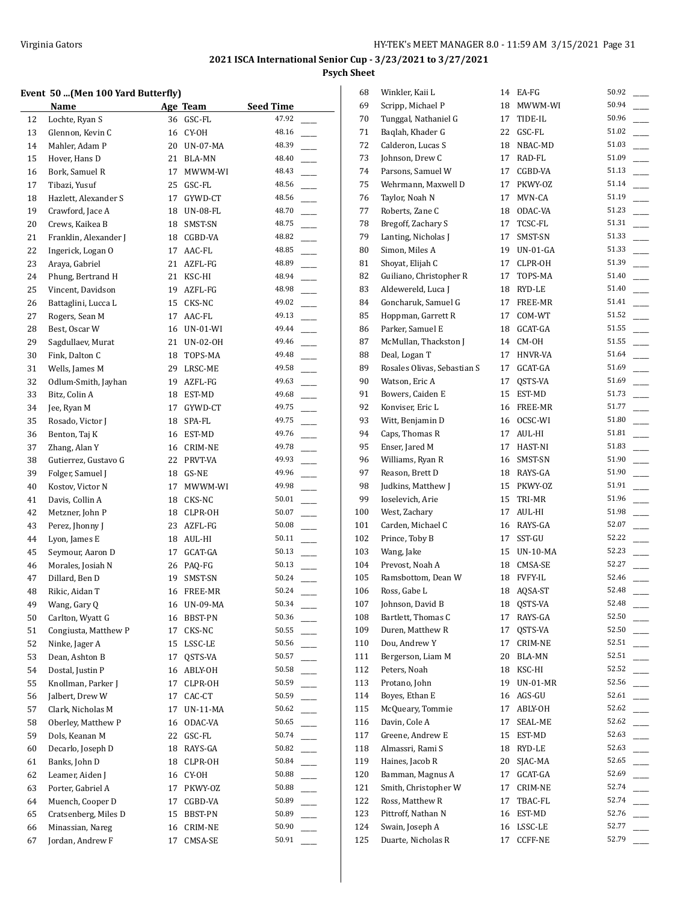## **Event 50 ...(Men 100 Yard Butterfly)**

|    | $\alpha$ (we not also better that |          |                    |                  |  |
|----|-----------------------------------|----------|--------------------|------------------|--|
|    | Name                              |          | Age Team           | <b>Seed Time</b> |  |
| 12 | Lochte, Ryan S                    | 36       | GSC-FL             | 47.92            |  |
| 13 | Glennon, Kevin C                  | 16       | CY-OH              | 48.16            |  |
| 14 | Mahler, Adam P                    | 20       | UN-07-MA           | 48.39            |  |
| 15 | Hover, Hans D                     | 21       | <b>BLA-MN</b>      | 48.40            |  |
| 16 | Bork, Samuel R                    | 17       | MWWM-WI            | 48.43            |  |
| 17 | Tibazi, Yusuf                     | 25       | GSC-FL             | 48.56            |  |
| 18 | Hazlett, Alexander S              | 17       | GYWD-CT            | 48.56            |  |
| 19 | Crawford, Jace A                  | 18       | UN-08-FL           | 48.70            |  |
| 20 | Crews, Kaikea B                   | 18       | SMST-SN            | 48.75            |  |
| 21 | Franklin, Alexander J             | 18       | CGBD-VA            | 48.82            |  |
| 22 | Ingerick, Logan O                 | 17       | AAC-FL             | 48.85            |  |
| 23 | Araya, Gabriel                    | 21       | AZFL-FG            | 48.89            |  |
|    |                                   |          |                    | 48.94            |  |
| 24 | Phung, Bertrand H                 | 21       | KSC-HI             | 48.98            |  |
| 25 | Vincent, Davidson                 | 19       | AZFL-FG            |                  |  |
| 26 | Battaglini, Lucca L               | 15       | CKS-NC             | 49.02            |  |
| 27 | Rogers, Sean M                    | 17       | AAC-FL             | 49.13            |  |
| 28 | Best, Oscar W                     |          | 16 UN-01-WI        | 49.44            |  |
| 29 | Sagdullaev, Murat                 | 21       | UN-02-OH           | 49.46            |  |
| 30 | Fink, Dalton C                    | 18       | TOPS-MA            | 49.48            |  |
| 31 | Wells, James M                    |          | 29 LRSC-ME         | 49.58            |  |
| 32 | Odlum-Smith, Jayhan               |          | 19 AZFL-FG         | 49.63            |  |
| 33 | Bitz, Colin A                     |          | 18 EST-MD          | 49.68            |  |
| 34 | Jee, Ryan M                       | 17       | GYWD-CT            | 49.75            |  |
| 35 | Rosado, Victor J                  | 18       | SPA-FL             | 49.75            |  |
| 36 | Benton, Taj K                     |          | 16 EST-MD          | 49.76            |  |
| 37 | Zhang, Alan Y                     | 16       | CRIM-NE            | 49.78            |  |
| 38 | Gutierrez, Gustavo G              | 22       | PRVT-VA            | 49.93            |  |
| 39 | Folger, Samuel J                  | 18       | GS-NE              | 49.96            |  |
| 40 | Kostov, Victor N                  | 17       | MWWM-WI            | 49.98            |  |
| 41 | Davis, Collin A                   | 18       | CKS-NC             | 50.01            |  |
| 42 | Metzner, John P                   | 18       | CLPR-OH            | 50.07            |  |
| 43 | Perez, Jhonny J                   | 23       | AZFL-FG            | 50.08            |  |
| 44 | Lyon, James E                     |          | 18 AUL-HI          | 50.11            |  |
| 45 | Seymour, Aaron D                  | 17       | GCAT-GA            | 50.13            |  |
| 46 | Morales, Josiah N                 |          | 26 PAQ-FG          | 50.13            |  |
| 47 | Dillard, Ben D                    | 19       | SMST-SN            | 50.24            |  |
| 48 | Rikic, Aidan T                    |          | 16 FREE-MR         | 50.24            |  |
| 49 | Wang, Gary Q                      |          | 16 UN-09-MA        | 50.34            |  |
| 50 | Carlton, Wyatt G                  | 16       | BBST-PN            | 50.36            |  |
| 51 | Congiusta, Matthew P              | 17       | CKS-NC             | 50.55            |  |
| 52 | Ninke, Jager A                    | 15       | LSSC-LE            | 50.56            |  |
| 53 | Dean, Ashton B                    | 17       | QSTS-VA            | 50.57            |  |
| 54 | Dostal, Justin P                  | 16       | ABLY-OH            | 50.58            |  |
| 55 | Knollman, Parker J                | 17       | CLPR-OH            | 50.59            |  |
| 56 | Jalbert, Drew W                   | 17       | CAC-CT             | 50.59            |  |
| 57 | Clark, Nicholas M                 | 17       | UN-11-MA           | 50.62            |  |
| 58 | Oberley, Matthew P                | 16       | ODAC-VA            | 50.65            |  |
| 59 | Dols, Keanan M                    | 22       | GSC-FL             | 50.74            |  |
| 60 | Decarlo, Joseph D                 | 18       | RAYS-GA            | 50.82            |  |
| 61 | Banks, John D                     | 18       | CLPR-OH            | 50.84            |  |
| 62 | Leamer, Aiden J                   | 16       | CY-OH              | 50.88            |  |
| 63 | Porter, Gabriel A                 | 17       | PKWY-OZ            | 50.88            |  |
| 64 | Muench, Cooper D                  | 17       | CGBD-VA            | 50.89            |  |
| 65 | Cratsenberg, Miles D              | 15       | BBST-PN            | 50.89            |  |
| 66 | Minassian, Nareg                  |          |                    | 50.90            |  |
| 67 | Jordan, Andrew F                  | 16<br>17 | CRIM-NE<br>CMSA-SE | 50.91            |  |
|    |                                   |          |                    |                  |  |

| 68  | Winkler, Kaii L             | 14 | EA-FG          | 50.92 |
|-----|-----------------------------|----|----------------|-------|
| 69  | Scripp, Michael P           | 18 | MWWM-WI        | 50.94 |
| 70  | Tunggal, Nathaniel G        | 17 | TIDE-IL        | 50.96 |
| 71  | Baglah, Khader G            | 22 | GSC-FL         | 51.02 |
| 72  | Calderon, Lucas S           | 18 | NBAC-MD        | 51.03 |
| 73  | Johnson, Drew C             | 17 | RAD-FL         | 51.09 |
| 74  | Parsons, Samuel W           | 17 | CGBD-VA        | 51.13 |
| 75  | Wehrmann, Maxwell D         | 17 | PKWY-OZ        | 51.14 |
| 76  | Taylor, Noah N              | 17 | MVN-CA         | 51.19 |
| 77  | Roberts, Zane C             |    | 18 ODAC-VA     | 51.23 |
| 78  | Bregoff, Zachary S          | 17 | TCSC-FL        | 51.31 |
| 79  | Lanting, Nicholas J         | 17 | SMST-SN        | 51.33 |
| 80  | Simon, Miles A              | 19 | $UN-01-GA$     | 51.33 |
| 81  | Shoyat, Elijah C            | 17 | CLPR-OH        | 51.39 |
| 82  | Guiliano, Christopher R     | 17 | TOPS-MA        | 51.40 |
| 83  | Aldewereld, Luca J          |    | 18 RYD-LE      | 51.40 |
| 84  | Goncharuk, Samuel G         | 17 | FREE-MR        | 51.41 |
| 85  | Hoppman, Garrett R          | 17 | COM-WT         | 51.52 |
| 86  | Parker, Samuel E            |    | 18 GCAT-GA     | 51.55 |
| 87  | McMullan, Thackston J       |    | 14 CM-OH       | 51.55 |
| 88  | Deal, Logan T               | 17 | HNVR-VA        | 51.64 |
| 89  | Rosales Olivas, Sebastian S | 17 | GCAT-GA        | 51.69 |
| 90  | Watson, Eric A              | 17 | QSTS-VA        | 51.69 |
| 91  | Bowers, Caiden E            | 15 | EST-MD         | 51.73 |
| 92  | Konviser, Eric L            |    | 16 FREE-MR     | 51.77 |
| 93  | Witt, Benjamin D            | 16 | OCSC-WI        | 51.80 |
| 94  | Caps, Thomas R              | 17 | AUL-HI         | 51.81 |
| 95  | Enser, Jared M              | 17 | HAST-NI        | 51.83 |
| 96  | Williams, Ryan R            | 16 | SMST-SN        | 51.90 |
| 97  | Reason, Brett D             |    | 18 RAYS-GA     | 51.90 |
| 98  | Judkins, Matthew J          |    | 15 PKWY-OZ     | 51.91 |
| 99  | Ioselevich, Arie            |    | 15 TRI-MR      | 51.96 |
| 100 | West, Zachary               | 17 | AUL-HI         | 51.98 |
| 101 | Carden, Michael C           |    | 16 RAYS-GA     | 52.07 |
| 102 | Prince, Toby B              | 17 | SST-GU         | 52.22 |
| 103 | Wang, Jake                  |    | 15 UN-10-MA    | 52.23 |
| 104 | Prevost, Noah A             |    | 18 CMSA-SE     | 52.27 |
| 105 | Ramsbottom, Dean W          | 18 | <b>FVFY-IL</b> | 52.46 |
| 106 | Ross, Gabe L                | 18 | AQSA-ST        | 52.48 |
| 107 | Johnson, David B            | 18 | QSTS-VA        | 52.48 |
| 108 | Bartlett, Thomas C          | 17 | RAYS-GA        | 52.50 |
| 109 | Duren, Matthew R            | 17 | QSTS-VA        | 52.50 |
| 110 | Dou, Andrew Y               | 17 | CRIM-NE        | 52.51 |
| 111 | Bergerson, Liam M           | 20 | BLA-MN         | 52.51 |
| 112 | Peters, Noah                | 18 | KSC-HI         | 52.52 |
| 113 | Protano, John               | 19 | $UN-01-MR$     | 52.56 |
| 114 | Boyes, Ethan E              | 16 | AGS-GU         | 52.61 |
| 115 | McQueary, Tommie            | 17 | ABLY-OH        | 52.62 |
| 116 | Davin, Cole A               | 17 | SEAL-ME        | 52.62 |
| 117 | Greene, Andrew E            | 15 | EST-MD         | 52.63 |
| 118 | Almassri, Rami S            | 18 | RYD-LE         | 52.63 |
| 119 | Haines, Jacob R             | 20 | SJAC-MA        | 52.65 |
| 120 | Bamman, Magnus A            | 17 | GCAT-GA        | 52.69 |
| 121 | Smith, Christopher W        | 17 | CRIM-NE        | 52.74 |
| 122 | Ross, Matthew R             | 17 | TBAC-FL        | 52.74 |
| 123 | Pittroff, Nathan N          | 16 | EST-MD         | 52.76 |
| 124 | Swain, Joseph A             | 16 | LSSC-LE        | 52.77 |
| 125 | Duarte, Nicholas R          | 17 | <b>CCFF-NE</b> | 52.79 |
|     |                             |    |                |       |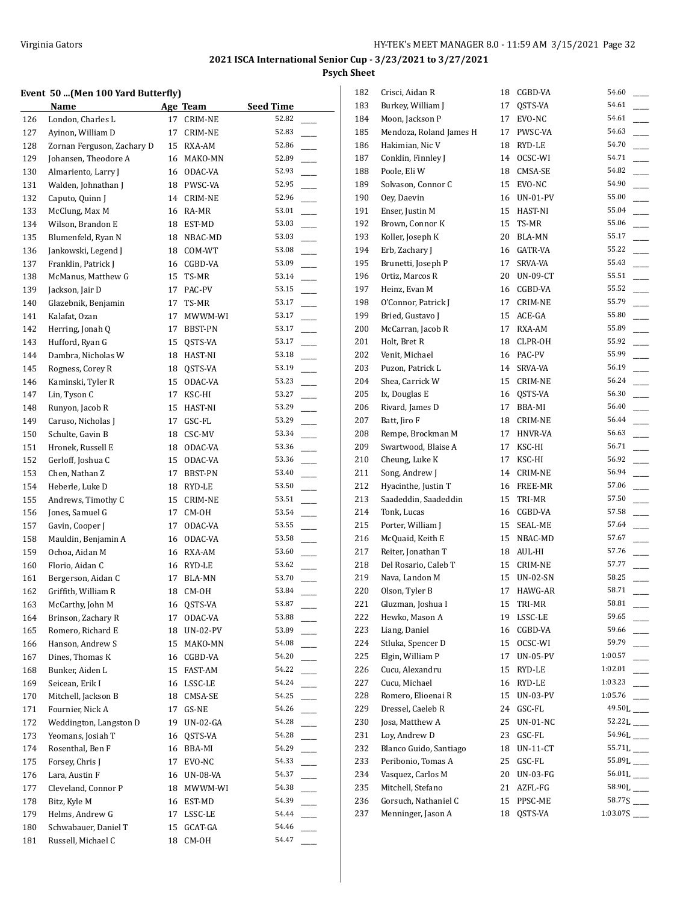## **Event 50 ...(Men 100 Yard Butterfly)**

|            | Event 50  (Men 100 Tara Butterny)<br>Name |    |                 | <b>Seed Time</b> |
|------------|-------------------------------------------|----|-----------------|------------------|
|            |                                           | 17 | Age Team        | 52.82            |
| 126<br>127 | London, Charles L<br>Ayinon, William D    | 17 | CRIM-NE         | 52.83            |
|            |                                           |    | CRIM-NE         | 52.86            |
| 128        | Zornan Ferguson, Zachary D                | 15 | RXA-AM          |                  |
| 129        | Johansen, Theodore A                      | 16 | MAKO-MN         | 52.89            |
| 130        | Almariento, Larry J                       |    | 16 ODAC-VA      | 52.93            |
| 131        | Walden, Johnathan J                       | 18 | PWSC-VA         | 52.95            |
| 132        | Caputo, Quinn J                           |    | 14 CRIM-NE      | 52.96            |
| 133        | McClung, Max M                            | 16 | RA-MR           | 53.01            |
| 134        | Wilson, Brandon E                         | 18 | EST-MD          | 53.03            |
| 135        | Blumenfeld, Ryan N                        | 18 | NBAC-MD         | 53.03            |
| 136        | Jankowski, Legend J                       |    | 18 COM-WT       | 53.08            |
| 137        | Franklin, Patrick J                       | 16 | CGBD-VA         | 53.09            |
| 138        | McManus, Matthew G                        | 15 | TS-MR           | 53.14            |
| 139        | Jackson, Jair D                           | 17 | PAC-PV          | 53.15            |
| 140        | Glazebnik, Benjamin                       | 17 | TS-MR           | 53.17            |
| 141        | Kalafat, Ozan                             | 17 | MWWM-WI         | 53.17            |
| 142        | Herring, Jonah Q                          | 17 | BBST-PN         | 53.17            |
| 143        | Hufford, Ryan G                           | 15 | QSTS-VA         | 53.17            |
| 144        | Dambra, Nicholas W                        | 18 | HAST-NI         | 53.18            |
| 145        | Rogness, Corey R                          | 18 | QSTS-VA         | 53.19            |
| 146        | Kaminski, Tyler R                         | 15 | ODAC-VA         | 53.23            |
| 147        | Lin, Tyson C                              | 17 | KSC-HI          | 53.27            |
| 148        | Runyon, Jacob R                           | 15 | HAST-NI         | 53.29            |
| 149        | Caruso, Nicholas J                        | 17 | GSC-FL          | 53.29            |
| 150        | Schulte, Gavin B                          | 18 | CSC-MV          | 53.34            |
| 151        | Hronek, Russell E                         | 18 | ODAC-VA         | 53.36            |
| 152        | Gerloff, Joshua C                         | 15 | ODAC-VA         | 53.36            |
| 153        | Chen, Nathan Z                            | 17 | BBST-PN         | 53.40            |
| 154        | Heberle, Luke D                           | 18 | RYD-LE          | 53.50            |
| 155        | Andrews, Timothy C                        | 15 | CRIM-NE         | 53.51            |
| 156        | Jones, Samuel G                           | 17 | CM-OH           | 53.54            |
| 157        | Gavin, Cooper J                           | 17 | ODAC-VA         | 53.55            |
| 158        | Mauldin, Benjamin A                       | 16 | ODAC-VA         | 53.58            |
|            | Ochoa, Aidan M                            |    | 16 RXA-AM       | 53.60            |
| 159        | Florio, Aidan C                           |    |                 | 53.62            |
| 160        | Bergerson, Aidan C                        | 16 | RYD-LE          | 53.70            |
| 161        |                                           | 17 | <b>BLA-MN</b>   | 53.84            |
| 162        | Griffith, William R                       | 18 | CM-OH           |                  |
| 163        | McCarthy, John M                          |    | 16 QSTS-VA      | 53.87            |
| 164        | Brinson, Zachary R                        | 17 | ODAC-VA         | 53.88            |
| 165        | Romero, Richard E                         | 18 | <b>UN-02-PV</b> | 53.89            |
| 166        | Hanson, Andrew S                          | 15 | MAKO-MN         | 54.08            |
| 167        | Dines, Thomas K                           | 16 | CGBD-VA         | 54.20            |
| 168        | Bunker, Aiden L                           | 15 | FAST-AM         | 54.22            |
| 169        | Seicean, Erik I                           | 16 | LSSC-LE         | 54.24            |
| 170        | Mitchell, Jackson B                       | 18 | CMSA-SE         | 54.25            |
| 171        | Fournier, Nick A                          | 17 | GS-NE           | 54.26            |
| 172        | Weddington, Langston D                    | 19 | <b>UN-02-GA</b> | 54.28            |
| 173        | Yeomans, Josiah T                         | 16 | QSTS-VA         | 54.28            |
| 174        | Rosenthal, Ben F                          | 16 | BBA-MI          | 54.29            |
| 175        | Forsey, Chris J                           | 17 | EVO-NC          | 54.33            |
| 176        | Lara, Austin F                            | 16 | UN-08-VA        | 54.37            |
| 177        | Cleveland, Connor P                       | 18 | MWWM-WI         | 54.38            |
| 178        | Bitz, Kyle M                              | 16 | EST-MD          | 54.39            |
| 179        | Helms, Andrew G                           | 17 | LSSC-LE         | 54.44            |
| 180        | Schwabauer, Daniel T                      | 15 | GCAT-GA         | 54.46            |
| 181        | Russell, Michael C                        | 18 | CM-OH           | 54.47            |
|            |                                           |    |                 |                  |

| 182 | Crisci, Aidan R         | 18 | CGBD-VA         | 54.60                   |
|-----|-------------------------|----|-----------------|-------------------------|
| 183 | Burkey, William J       | 17 | OSTS-VA         | 54.61                   |
| 184 | Moon, Jackson P         | 17 | EVO-NC          | 54.61                   |
| 185 | Mendoza, Roland James H | 17 | PWSC-VA         | 54.63                   |
| 186 | Hakimian, Nic V         | 18 | RYD-LE          | 54.70                   |
| 187 | Conklin, Finnley J      | 14 | OCSC-WI         | 54.71                   |
| 188 | Poole, Eli W            | 18 | CMSA-SE         | 54.82                   |
| 189 | Solvason, Connor C      | 15 | EVO-NC          | 54.90                   |
| 190 | Oey, Daevin             |    | 16 UN-01-PV     | 55.00                   |
| 191 | Enser, Justin M         | 15 | HAST-NI         | 55.04                   |
| 192 | Brown, Connor K         | 15 | TS-MR           | 55.06                   |
| 193 | Koller, Joseph K        | 20 | BLA-MN          | 55.17                   |
| 194 | Erb, Zachary J          | 16 | GATR-VA         | 55.22                   |
| 195 | Brunetti, Joseph P      | 17 | SRVA-VA         | 55.43                   |
| 196 | Ortiz, Marcos R         | 20 | UN-09-CT        | 55.51                   |
| 197 | Heinz, Evan M           | 16 | CGBD-VA         | 55.52                   |
| 198 | O'Connor, Patrick J     | 17 | CRIM-NE         | 55.79                   |
| 199 | Bried, Gustavo J        |    | 15 ACE-GA       | 55.80                   |
| 200 | McCarran, Jacob R       | 17 | RXA-AM          | 55.89                   |
| 201 | Holt, Bret R            |    | 18 CLPR-OH      | 55.92                   |
| 202 | Venit, Michael          |    | 16 PAC-PV       | 55.99                   |
| 203 | Puzon, Patrick L        | 14 | SRVA-VA         | 56.19                   |
| 204 | Shea, Carrick W         |    | 15 CRIM-NE      | 56.24                   |
| 205 | Ix, Douglas E           |    | 16 QSTS-VA      | 56.30                   |
| 206 | Rivard, James D         | 17 | BBA-MI          | 56.40                   |
| 207 | Batt, Jiro F            | 18 | CRIM-NE         | 56.44                   |
| 208 | Rempe, Brockman M       | 17 | HNVR-VA         | 56.63                   |
| 209 | Swartwood, Blaise A     | 17 | KSC-HI          | 56.71                   |
| 210 | Cheung, Luke K          | 17 | KSC-HI          | 56.92                   |
| 211 | Song, Andrew J          |    | 14 CRIM-NE      | 56.94                   |
| 212 | Hyacinthe, Justin T     |    | 16 FREE-MR      | 57.06                   |
| 213 | Saadeddin, Saadeddin    | 15 | TRI-MR          | 57.50                   |
| 214 | Tonk, Lucas             |    | 16 CGBD-VA      | 57.58                   |
| 215 | Porter, William J       | 15 | SEAL-ME         | 57.64                   |
| 216 | McQuaid, Keith E        | 15 | NBAC-MD         | 57.67                   |
| 217 | Reiter, Jonathan T      | 18 | AUL-HI          | 57.76                   |
| 218 | Del Rosario, Caleb T    | 15 | CRIM-NE         | 57.77                   |
| 219 | Nava, Landon M          | 15 | UN-02-SN        | 58.25                   |
| 220 | Olson, Tyler B          | 17 | HAWG-AR         | 58.71                   |
| 221 | Gluzman, Joshua I       | 15 | TRI-MR          | 58.81                   |
| 222 | Hewko, Mason A          | 19 | LSSC-LE         | 59.65                   |
| 223 | Liang, Daniel           | 16 | CGBD-VA         | 59.66                   |
| 224 | Stluka, Spencer D       | 15 | OCSC-WI         | 59.79                   |
| 225 | Elgin, William P        | 17 | UN-05-PV        | 1:00.57                 |
| 226 | Cucu, Alexandru         | 15 | RYD-LE          | 1:02.01                 |
| 227 | Cucu, Michael           | 16 | RYD-LE          | 1:03.23                 |
| 228 | Romero, Elioenai R      | 15 | <b>UN-03-PV</b> | 1:05.76                 |
| 229 | Dressel, Caeleb R       | 24 | GSC-FL          |                         |
| 230 | Josa, Matthew A         | 25 | <b>UN-01-NC</b> | 52.22L                  |
| 231 | Lov, Andrew D           | 23 | GSC-FL          |                         |
| 232 | Blanco Guido, Santiago  |    |                 | 55.71L                  |
|     | Peribonio, Tomas A      | 18 | $UN-11-CT$      | 55.89L                  |
| 233 |                         | 25 | GSC-FL          | $56.01L$ <sub>---</sub> |
| 234 | Vasquez, Carlos M       | 20 | UN-03-FG        |                         |
| 235 | Mitchell, Stefano       | 21 | AZFL-FG         |                         |
| 236 | Gorsuch, Nathaniel C    | 15 | PPSC-ME         |                         |
| 237 | Menninger, Jason A      | 18 | QSTS-VA         |                         |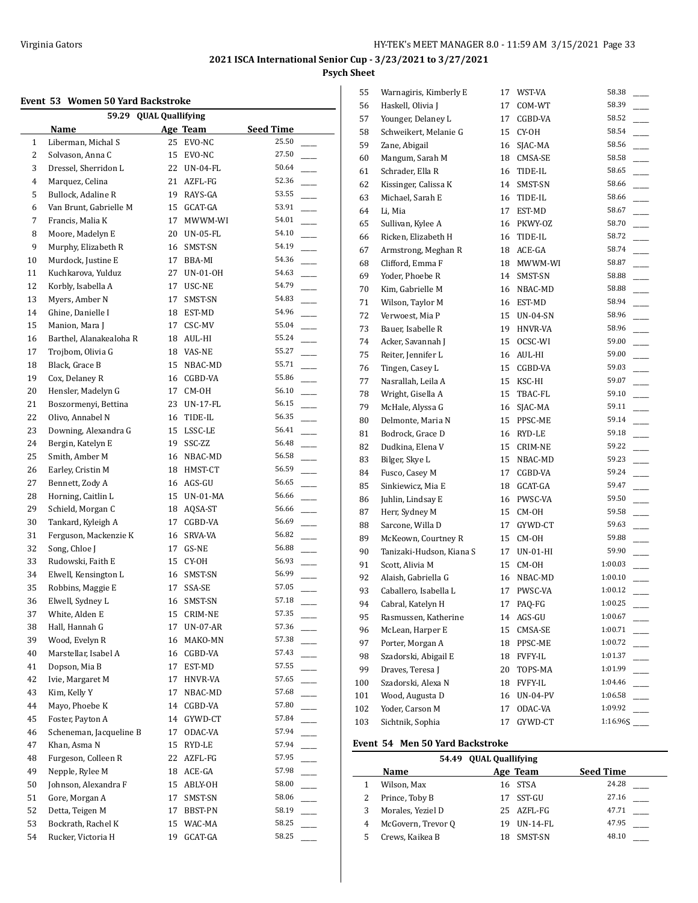## **Event 53 Women 50 Yard Backstroke**

| 59.29 QUAL Quallifying |                         |    |                 |                  |  |
|------------------------|-------------------------|----|-----------------|------------------|--|
|                        | Name                    |    | Age Team        | <b>Seed Time</b> |  |
| 1                      | Liberman, Michal S      | 25 | EVO-NC          | 25.50            |  |
| 2                      | Solvason, Anna C        | 15 | EVO-NC          | 27.50            |  |
| 3                      | Dressel, Sherridon L    | 22 | UN-04-FL        | 50.64            |  |
| 4                      | Marquez, Celina         | 21 | AZFL-FG         | 52.36            |  |
| 5                      | Bullock, Adaline R      |    | 19 RAYS-GA      | 53.55            |  |
| 6                      | Van Brunt, Gabrielle M  | 15 | GCAT-GA         | 53.91            |  |
| 7                      | Francis, Malia K        | 17 | MWWM-WI         | 54.01            |  |
| 8                      | Moore, Madelyn E        | 20 | $UN-05-FL$      | 54.10            |  |
| 9                      | Murphy, Elizabeth R     | 16 | SMST-SN         | 54.19            |  |
| 10                     | Murdock, Justine E      | 17 | BBA-MI          | 54.36            |  |
| 11                     | Kuchkarova, Yulduz      | 27 | UN-01-0H        | 54.63            |  |
| 12                     | Korbly, Isabella A      | 17 | USC-NE          | 54.79            |  |
| 13                     | Myers, Amber N          | 17 | SMST-SN         | 54.83            |  |
| 14                     | Ghine, Danielle I       | 18 | EST-MD          | 54.96            |  |
|                        | Manion, Mara J          | 17 |                 | 55.04            |  |
| 15                     |                         |    | CSC-MV          | 55.24            |  |
| 16                     | Barthel, Alanakealoha R | 18 | AUL-HI          |                  |  |
| 17                     | Trojbom, Olivia G       |    | 18 VAS-NE       | 55.27            |  |
| 18                     | Black, Grace B          | 15 | NBAC-MD         | 55.71            |  |
| 19                     | Cox, Delaney R          | 16 | CGBD-VA         | 55.86            |  |
| 20                     | Hensler, Madelyn G      | 17 | CM-OH           | 56.10            |  |
| 21                     | Boszormenyi, Bettina    | 23 | $UN-17-FL$      | 56.15            |  |
| 22                     | Olivo, Annabel N        |    | 16 TIDE-IL      | 56.35            |  |
| 23                     | Downing, Alexandra G    | 15 | LSSC-LE         | 56.41            |  |
| 24                     | Bergin, Katelyn E       | 19 | SSC-ZZ          | 56.48            |  |
| 25                     | Smith, Amber M          |    | 16 NBAC-MD      | 56.58            |  |
| 26                     | Earley, Cristin M       |    | 18 HMST-CT      | 56.59            |  |
| 27                     | Bennett, Zody A         |    | 16 AGS-GU       | 56.65            |  |
| 28                     | Horning, Caitlin L      | 15 | UN-01-MA        | 56.66            |  |
| 29                     | Schield, Morgan C       | 18 | AQSA-ST         | 56.66            |  |
| 30                     | Tankard, Kyleigh A      | 17 | CGBD-VA         | 56.69            |  |
| 31                     | Ferguson, Mackenzie K   | 16 | SRVA-VA         | 56.82            |  |
| 32                     | Song, Chloe J           | 17 | GS-NE           | 56.88            |  |
| 33                     | Rudowski, Faith E       | 15 | CY-OH           | 56.93            |  |
| 34                     | Elwell, Kensington L    |    | 16 SMST-SN      | 56.99            |  |
| 35                     | Robbins, Maggie E       | 17 | SSA-SE          | 57.05            |  |
| 36                     | Elwell, Sydney L        | 16 | SMST-SN         | 57.18            |  |
| 37                     | White, Alden E          | 15 | CRIM-NE         | 57.35            |  |
| 38                     | Hall, Hannah G          | 17 | <b>UN-07-AR</b> | 57.36            |  |
| 39                     | Wood, Evelyn R          | 16 | MAKO-MN         | 57.38            |  |
| 40                     | Marstellar, Isabel A    | 16 | CGBD-VA         | 57.43            |  |
| 41                     | Dopson, Mia B           | 17 | EST-MD          | 57.55            |  |
| 42                     | Ivie, Margaret M        | 17 | HNVR-VA         | 57.65            |  |
| 43                     | Kim, Kelly Y            | 17 | NBAC-MD         | 57.68            |  |
|                        |                         |    |                 |                  |  |
| 44                     | Mayo, Phoebe K          | 14 | CGBD-VA         | 57.80            |  |
| 45                     | Foster, Payton A        | 14 | GYWD-CT         | 57.84            |  |
| 46                     | Scheneman, Jacqueline B | 17 | ODAC-VA         | 57.94            |  |
| 47                     | Khan, Asma N            | 15 | RYD-LE          | 57.94            |  |
| 48                     | Furgeson, Colleen R     | 22 | AZFL-FG         | 57.95            |  |
| 49                     | Nepple, Rylee M         | 18 | ACE-GA          | 57.98            |  |
| 50                     | Johnson, Alexandra F    | 15 | ABLY-OH         | 58.00            |  |
| 51                     | Gore, Morgan A          | 17 | SMST-SN         | 58.06            |  |
| 52                     | Detta, Teigen M         | 17 | BBST-PN         | 58.19            |  |
| 53                     | Bockrath, Rachel K      | 15 | WAC-MA          | 58.25            |  |
| 54                     | Rucker, Victoria H      | 19 | GCAT-GA         | 58.25            |  |

| 55  | Warnagiris, Kimberly E   | 17 | WST-VA          | 58.38    |
|-----|--------------------------|----|-----------------|----------|
| 56  | Haskell, Olivia J        | 17 | COM-WT          | 58.39    |
| 57  | Younger, Delaney L       | 17 | CGBD-VA         | 58.52    |
| 58  | Schweikert, Melanie G    | 15 | CY-OH           | 58.54    |
| 59  | Zane, Abigail            | 16 | SJAC-MA         | 58.56    |
| 60  | Mangum, Sarah M          | 18 | CMSA-SE         | 58.58    |
| 61  | Schrader, Ella R         | 16 | TIDE-IL         | 58.65    |
| 62  | Kissinger, Calissa K     | 14 | SMST-SN         | 58.66    |
| 63  | Michael, Sarah E         | 16 | TIDE-IL         | 58.66    |
| 64  | Li, Mia                  | 17 | EST-MD          | 58.67    |
| 65  | Sullivan, Kylee A        | 16 | PKWY-OZ         | 58.70    |
| 66  | Ricken, Elizabeth H      | 16 | TIDE-IL         | 58.72    |
| 67  | Armstrong, Meghan R      | 18 | ACE-GA          | 58.74    |
| 68  | Clifford, Emma F         | 18 | MWWM-WI         | 58.87    |
| 69  | Yoder, Phoebe R          | 14 | SMST-SN         | 58.88    |
| 70  | Kim, Gabrielle M         | 16 | NBAC-MD         | 58.88    |
| 71  | Wilson, Taylor M         | 16 | EST-MD          | 58.94    |
| 72  | Verwoest, Mia P          | 15 | UN-04-SN        | 58.96    |
| 73  | Bauer, Isabelle R        | 19 | HNVR-VA         | 58.96    |
| 74  | Acker, Savannah J        | 15 | OCSC-WI         | 59.00    |
| 75  | Reiter, Jennifer L       | 16 | AUL-HI          | 59.00    |
| 76  | Tingen, Casey L          | 15 | CGBD-VA         | 59.03    |
| 77  | Nasrallah, Leila A       | 15 | KSC-HI          | 59.07    |
| 78  | Wright, Gisella A        | 15 | TBAC-FL         | 59.10    |
| 79  | McHale, Alyssa G         | 16 | SJAC-MA         | 59.11    |
| 80  | Delmonte, Maria N        | 15 | PPSC-ME         | 59.14    |
| 81  | Bodrock, Grace D         | 16 | RYD-LE          | 59.18    |
| 82  | Dudkina, Elena V         | 15 | CRIM-NE         | 59.22    |
| 83  | Bilger, Skye L           | 15 | NBAC-MD         | 59.23    |
| 84  | Fusco, Casey M           | 17 | CGBD-VA         | 59.24    |
| 85  | Sinkiewicz, Mia E        | 18 | GCAT-GA         | 59.47    |
| 86  | Juhlin, Lindsay E        | 16 | PWSC-VA         | 59.50    |
| 87  | Herr, Sydney M           | 15 | CM-OH           | 59.58    |
| 88  | Sarcone, Willa D         | 17 | GYWD-CT         | 59.63    |
| 89  | McKeown, Courtney R      | 15 | CM-OH           | 59.88    |
| 90  | Tanizaki-Hudson, Kiana S | 17 | UN-01-HI        | 59.90    |
| 91  | Scott, Alivia M          | 15 | CM-OH           | 1:00.03  |
| 92  | Alaish, Gabriella G      | 16 | NBAC-MD         | 1:00.10  |
| 93  | Caballero, Isabella L    | 17 | PWSC-VA         | 1:00.12  |
| 94  | Cabral, Katelyn H        | 17 | PAQ-FG          | 1:00.25  |
| 95  | Rasmussen, Katherine     | 14 | AGS-GU          | 1:00.67  |
| 96  | McLean, Harper E         | 15 | CMSA-SE         | 1:00.71  |
| 97  | Porter, Morgan A         | 18 | PPSC-ME         | 1:00.72  |
| 98  | Szadorski, Abigail E     | 18 | <b>FVFY-IL</b>  | 1:01.37  |
| 99  | Draves, Teresa J         | 20 | TOPS-MA         | 1:01.99  |
| 100 | Szadorski, Alexa N       | 18 | <b>FVFY-IL</b>  | 1:04.46  |
| 101 | Wood, Augusta D          | 16 | <b>UN-04-PV</b> | 1:06.58  |
| 102 | Yoder, Carson M          | 17 | ODAC-VA         | 1:09.92  |
| 103 | Sichtnik, Sophia         | 17 | GYWD-CT         | 1:16.96S |

#### **Event 54 Men 50 Yard Backstroke**

 $\frac{1}{2}$ 

|   | 54.49 OUAL Quallifying |    |            |                  |  |  |
|---|------------------------|----|------------|------------------|--|--|
|   | Name                   |    | Age Team   | <b>Seed Time</b> |  |  |
|   | Wilson, Max            |    | 16 STSA    | 24.28            |  |  |
|   | Prince, Toby B         | 17 | SST-GU     | 27.16            |  |  |
| 3 | Morales, Yeziel D      |    | 25 AZFL-FG | 47.71            |  |  |
| 4 | McGovern, Trevor Q     | 19 | $UN-14-FL$ | 47.95            |  |  |
|   | Crews, Kaikea B        | 18 | SMST-SN    | 48.10            |  |  |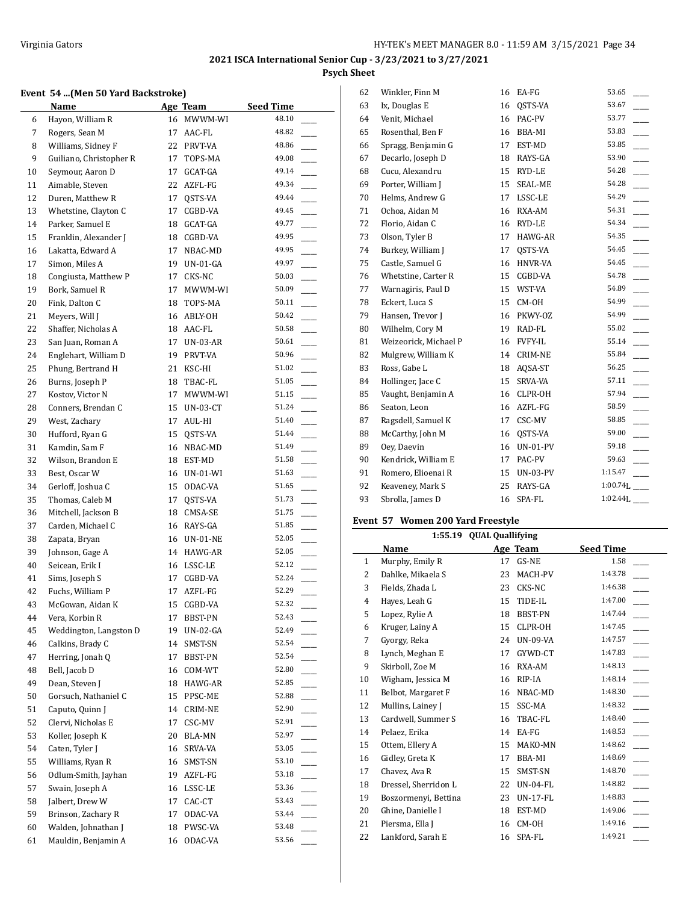#### **Event 54 ...(Men 50 Yard Backstroke)**

|    | Name                                       |    | Age Team    | <b>Seed Time</b> |  |
|----|--------------------------------------------|----|-------------|------------------|--|
| 6  | Hayon, William R                           |    | 16 MWWM-WI  | 48.10            |  |
| 7  | Rogers, Sean M                             | 17 | AAC-FL      | 48.82            |  |
| 8  | Williams, Sidney F                         | 22 | PRVT-VA     | 48.86            |  |
| 9  | Guiliano, Christopher R                    | 17 | TOPS-MA     | 49.08            |  |
| 10 | Seymour, Aaron D                           | 17 | GCAT-GA     | 49.14            |  |
| 11 | Aimable, Steven                            | 22 | AZFL-FG     | 49.34            |  |
| 12 | Duren, Matthew R                           | 17 | QSTS-VA     | 49.44            |  |
| 13 | Whetstine, Clayton C                       | 17 | CGBD-VA     | 49.45            |  |
| 14 | Parker, Samuel E                           | 18 | GCAT-GA     | 49.77            |  |
| 15 | Franklin, Alexander J                      | 18 | CGBD-VA     | 49.95            |  |
| 16 | Lakatta, Edward A                          | 17 | NBAC-MD     | 49.95            |  |
| 17 | Simon, Miles A                             | 19 | $UN-01-GA$  | 49.97            |  |
| 18 | Congiusta, Matthew P                       | 17 | CKS-NC      | 50.03            |  |
| 19 | Bork, Samuel R                             | 17 | MWWM-WI     | 50.09            |  |
| 20 | Fink, Dalton C                             | 18 | TOPS-MA     | 50.11            |  |
| 21 | Meyers, Will J                             |    | 16 ABLY-OH  | 50.42            |  |
| 22 | Shaffer, Nicholas A                        |    | 18 AAC-FL   | 50.58            |  |
| 23 | San Juan, Roman A                          | 17 | UN-03-AR    | 50.61            |  |
| 24 | Englehart, William D                       | 19 | PRVT-VA     | 50.96            |  |
| 25 | Phung, Bertrand H                          | 21 | KSC-HI      | 51.02            |  |
| 26 | Burns, Joseph P                            | 18 | TBAC-FL     | 51.05            |  |
| 27 | Kostov, Victor N                           | 17 | MWWM-WI     | 51.15            |  |
| 28 | Conners, Brendan C                         | 15 | UN-03-CT    | 51.24            |  |
| 29 | West, Zachary                              | 17 | AUL-HI      | 51.40            |  |
| 30 | Hufford, Ryan G                            | 15 | QSTS-VA     | 51.44            |  |
| 31 | Kamdin, Sam F                              | 16 | NBAC-MD     | 51.49            |  |
| 32 | Wilson, Brandon E                          | 18 | EST-MD      | 51.58            |  |
| 33 | Best, Oscar W                              |    | 16 UN-01-WI | 51.63            |  |
| 34 | Gerloff, Joshua C                          | 15 | ODAC-VA     | 51.65            |  |
| 35 | Thomas, Caleb M                            | 17 | QSTS-VA     | 51.73            |  |
| 36 | Mitchell, Jackson B                        | 18 | CMSA-SE     | 51.75            |  |
| 37 | Carden, Michael C                          | 16 | RAYS-GA     | 51.85            |  |
| 38 | Zapata, Bryan                              | 16 | UN-01-NE    | 52.05            |  |
| 39 | Johnson, Gage A                            | 14 | HAWG-AR     | 52.05            |  |
| 40 | Seicean, Erik I                            |    | 16 LSSC-LE  | 52.12            |  |
| 41 | Sims, Joseph S                             | 17 | CGBD-VA     | 52.24            |  |
| 42 | Fuchs, William P                           | 17 | AZFL-FG     | 52.29            |  |
| 43 | McGowan, Aidan K                           | 15 | CGBD-VA     | 52.32            |  |
| 44 | Vera, Korbin R                             | 17 | BBST-PN     | 52.43            |  |
| 45 | Weddington, Langston D                     | 19 | UN-02-GA    | 52.49            |  |
| 46 | Calkins, Brady C                           | 14 | SMST-SN     | 52.54            |  |
| 47 | Herring, Jonah Q                           | 17 | BBST-PN     | 52.54            |  |
| 48 | Bell, Jacob D                              | 16 | COM-WT      | 52.80            |  |
| 49 | Dean, Steven J                             | 18 | HAWG-AR     | 52.85            |  |
| 50 | Gorsuch, Nathaniel C                       | 15 | PPSC-ME     | 52.88            |  |
| 51 | Caputo, Quinn J                            | 14 | CRIM-NE     | 52.90            |  |
| 52 | Clervi, Nicholas E                         | 17 | CSC-MV      | 52.91            |  |
| 53 | Koller, Joseph K                           | 20 | BLA-MN      | 52.97            |  |
| 54 | Caten, Tyler J                             | 16 | SRVA-VA     | 53.05            |  |
| 55 | Williams, Ryan R                           | 16 | SMST-SN     | 53.10            |  |
| 56 | Odlum-Smith, Jayhan                        | 19 | AZFL-FG     | 53.18<br>53.36   |  |
| 57 | Swain, Joseph A                            | 16 | LSSC-LE     | 53.43            |  |
| 58 | Jalbert, Drew W<br>Brinson, Zachary R      | 17 | CAC-CT      | 53.44            |  |
| 59 |                                            | 17 | ODAC-VA     | 53.48            |  |
| 60 | Walden, Johnathan J<br>Mauldin, Benjamin A | 18 | PWSC-VA     | 53.56            |  |
| 61 |                                            | 16 | ODAC-VA     |                  |  |

| 62 | Winkler, Finn M       | 16 | EA-FG           | 53.65       |
|----|-----------------------|----|-----------------|-------------|
| 63 | Ix, Douglas E         | 16 | OSTS-VA         | 53.67       |
| 64 | Venit, Michael        | 16 | PAC-PV          | 53.77       |
| 65 | Rosenthal, Ben F      | 16 | BBA-MI          | 53.83       |
| 66 | Spragg, Benjamin G    | 17 | EST-MD          | 53.85       |
| 67 | Decarlo, Joseph D     | 18 | RAYS-GA         | 53.90       |
| 68 | Cucu, Alexandru       | 15 | RYD-LE          | 54.28       |
| 69 | Porter, William J     | 15 | SEAL-ME         | 54.28       |
| 70 | Helms, Andrew G       | 17 | LSSC-LE         | 54.29       |
| 71 | Ochoa, Aidan M        | 16 | RXA-AM          | 54.31       |
| 72 | Florio, Aidan C       | 16 | RYD-LE          | 54.34       |
| 73 | Olson, Tyler B        | 17 | HAWG-AR         | 54.35       |
| 74 | Burkey, William J     | 17 | QSTS-VA         | 54.45       |
| 75 | Castle, Samuel G      | 16 | <b>HNVR-VA</b>  | 54.45       |
| 76 | Whetstine, Carter R   | 15 | CGBD-VA         | 54.78       |
| 77 | Warnagiris, Paul D    | 15 | WST-VA          | 54.89       |
| 78 | Eckert, Luca S        | 15 | CM-OH           | 54.99       |
| 79 | Hansen, Trevor J      | 16 | PKWY-OZ         | 54.99       |
| 80 | Wilhelm, Cory M       | 19 | RAD-FL          | 55.02       |
| 81 | Weizeorick, Michael P | 16 | <b>FVFY-IL</b>  | 55.14       |
| 82 | Mulgrew, William K    | 14 | CRIM-NE         | 55.84       |
| 83 | Ross, Gabe L          | 18 | AQSA-ST         | 56.25       |
| 84 | Hollinger, Jace C     | 15 | SRVA-VA         | 57.11       |
| 85 | Vaught, Benjamin A    | 16 | CLPR-OH         | 57.94       |
| 86 | Seaton, Leon          | 16 | AZFL-FG         | 58.59       |
| 87 | Ragsdell, Samuel K    | 17 | CSC-MV          | 58.85       |
| 88 | McCarthy, John M      | 16 | QSTS-VA         | 59.00       |
| 89 | Oey, Daevin           | 16 | <b>UN-01-PV</b> | 59.18       |
| 90 | Kendrick, William E   | 17 | PAC-PV          | 59.63       |
| 91 | Romero, Elioenai R    | 15 | UN-03-PV        | 1:15.47     |
| 92 | Keaveney, Mark S      | 25 | RAYS-GA         | $1:00.74$ . |
| 93 | Sbrolla, James D      | 16 | SPA-FL          | 1:02.44L    |
|    |                       |    |                 |             |

## **Event 57 Women 200 Yard Freestyle**

| 1:55.19 QUAL Quallifying |                      |    |                 |                  |  |
|--------------------------|----------------------|----|-----------------|------------------|--|
|                          | Name                 |    | Age Team        | <b>Seed Time</b> |  |
| $\mathbf{1}$             | Murphy, Emily R      | 17 | GS-NE           | 1.58             |  |
| 2                        | Dahlke, Mikaela S    | 23 | MACH-PV         | 1:43.78          |  |
| 3                        | Fields, Zhada L      | 23 | CKS-NC          | 1:46.38          |  |
| 4                        | Hayes, Leah G        | 15 | TIDE-IL         | 1:47.00          |  |
| 5                        | Lopez, Rylie A       | 18 | <b>BBST-PN</b>  | 1:47.44          |  |
| 6                        | Kruger, Lainy A      | 15 | CLPR-OH         | 1:47.45          |  |
| 7                        | Gyorgy, Reka         | 24 | <b>UN-09-VA</b> | 1:47.57          |  |
| 8                        | Lynch, Meghan E      | 17 | GYWD-CT         | 1:47.83          |  |
| 9                        | Skirboll, Zoe M      | 16 | RXA-AM          | 1:48.13          |  |
| 10                       | Wigham, Jessica M    | 16 | RIP-IA          | 1:48.14          |  |
| 11                       | Belbot, Margaret F   | 16 | NBAC-MD         | 1:48.30          |  |
| 12                       | Mullins, Lainey J    | 15 | SSC-MA          | 1:48.32          |  |
| 13                       | Cardwell, Summer S   | 16 | TBAC-FL         | 1:48.40          |  |
| 14                       | Pelaez, Erika        | 14 | EA-FG           | 1:48.53          |  |
| 15                       | Ottem, Ellery A      | 15 | MAKO-MN         | 1:48.62          |  |
| 16                       | Gidley, Greta K      | 17 | BBA-MI          | 1:48.69          |  |
| 17                       | Chavez, Ava R        | 15 | SMST-SN         | 1:48.70          |  |
| 18                       | Dressel, Sherridon L | 22 | $UN-04-FL$      | 1:48.82          |  |
| 19                       | Boszormenyi, Bettina | 23 | <b>UN-17-FL</b> | 1:48.83          |  |
| 20                       | Ghine, Danielle I    | 18 | EST-MD          | 1:49.06          |  |
| 21                       | Piersma, Ella J      | 16 | CM-OH           | 1:49.16          |  |
| 22                       | Lankford, Sarah E    | 16 | SPA-FL          | 1:49.21          |  |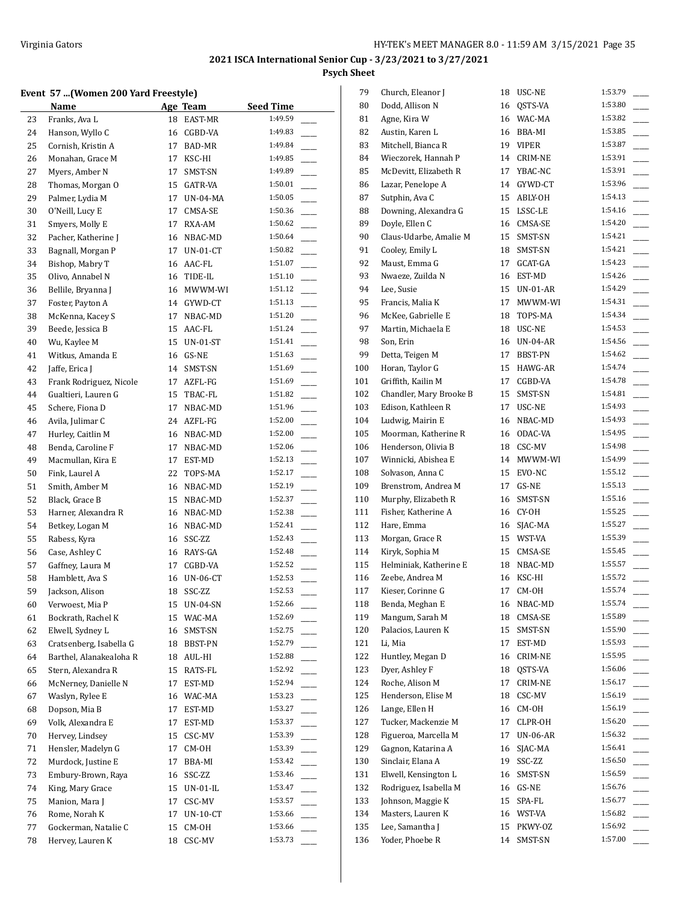## **Event 57 ...(Women 200 Yard Freestyle)**

|    | $\mu$ , women 200 taru ricestyle |    |                 |                  |
|----|----------------------------------|----|-----------------|------------------|
|    | Name                             |    | Age Team        | <b>Seed Time</b> |
| 23 | Franks, Ava L                    | 18 | EAST-MR         | 1:49.59          |
| 24 | Hanson, Wyllo C                  | 16 | CGBD-VA         | 1:49.83          |
| 25 | Cornish, Kristin A               | 17 | BAD-MR          | 1:49.84          |
| 26 | Monahan, Grace M                 | 17 | KSC-HI          | 1:49.85          |
| 27 | Myers, Amber N                   | 17 | SMST-SN         | 1:49.89          |
| 28 | Thomas, Morgan O                 | 15 | GATR-VA         | 1:50.01          |
| 29 | Palmer, Lydia M                  | 17 | UN-04-MA        | 1:50.05          |
| 30 | O'Neill, Lucy E                  | 17 | CMSA-SE         | 1:50.36          |
| 31 | Smyers, Molly E                  | 17 | RXA-AM          | 1:50.62          |
| 32 | Pacher, Katherine J              | 16 | NBAC-MD         | 1:50.64          |
| 33 | Bagnall, Morgan P                | 17 | $UN-01-CT$      | 1:50.82          |
| 34 | Bishop, Mabry T                  | 16 | AAC-FL          | 1:51.07          |
| 35 | Olivo, Annabel N                 | 16 | TIDE-IL         | 1:51.10          |
| 36 | Bellile, Bryanna J               | 16 | MWWM-WI         | 1:51.12          |
| 37 | Foster, Payton A                 | 14 | GYWD-CT         | 1:51.13          |
| 38 | McKenna, Kacey S                 | 17 | NBAC-MD         | 1:51.20          |
| 39 | Beede, Jessica B                 | 15 | AAC-FL          | 1:51.24          |
| 40 | Wu, Kaylee M                     | 15 | <b>UN-01-ST</b> | 1:51.41          |
| 41 | Witkus, Amanda E                 | 16 | GS-NE           | 1:51.63          |
| 42 | Jaffe, Erica J                   | 14 | SMST-SN         | 1:51.69          |
| 43 | Frank Rodriguez, Nicole          | 17 | AZFL-FG         | 1:51.69          |
| 44 | Gualtieri, Lauren G              | 15 | TBAC-FL         | 1:51.82          |
| 45 | Schere, Fiona D                  | 17 | NBAC-MD         | 1:51.96          |
| 46 | Avila, Julimar C                 | 24 | AZFL-FG         | 1:52.00          |
|    | Hurley, Caitlin M                |    |                 | 1:52.00          |
| 47 |                                  | 16 | NBAC-MD         | 1:52.06          |
| 48 | Benda, Caroline F                | 17 | NBAC-MD         |                  |
| 49 | Macmullan, Kira E                | 17 | EST-MD          | 1:52.13          |
| 50 | Fink, Laurel A                   | 22 | TOPS-MA         | 1:52.17          |
| 51 | Smith, Amber M                   | 16 | NBAC-MD         | 1:52.19          |
| 52 | Black, Grace B                   | 15 | NBAC-MD         | 1:52.37          |
| 53 | Harner, Alexandra R              | 16 | NBAC-MD         | 1:52.38          |
| 54 | Betkey, Logan M                  | 16 | NBAC-MD         | 1:52.41          |
| 55 | Rabess, Kyra                     | 16 | SSC-ZZ          | 1:52.43          |
| 56 | Case, Ashley C                   |    | 16 RAYS-GA      | 1:52.48          |
| 57 | Gaffney, Laura M                 | 17 | CGBD-VA         | 1:52.52          |
| 58 | Hamblett, Ava S                  | 16 | <b>UN-06-CT</b> | 1:52.53          |
| 59 | Jackson, Alison                  | 18 | SSC-ZZ          | 1:52.53          |
| 60 | Verwoest, Mia P                  | 15 | UN-04-SN        | 1:52.66          |
| 61 | Bockrath, Rachel K               | 15 | WAC-MA          | 1:52.69          |
| 62 | Elwell, Sydney L                 | 16 | SMST-SN         | 1:52.75          |
| 63 | Cratsenberg, Isabella G          | 18 | BBST-PN         | 1:52.79          |
| 64 | Barthel, Alanakealoha R          | 18 | AUL-HI          | 1:52.88          |
| 65 | Stern, Alexandra R               | 15 | RATS-FL         | 1:52.92          |
| 66 | McNerney, Danielle N             | 17 | EST-MD          | 1:52.94          |
| 67 | Waslyn, Rylee E                  | 16 | WAC-MA          | 1:53.23          |
| 68 | Dopson, Mia B                    | 17 | EST-MD          | 1:53.27          |
| 69 | Volk, Alexandra E                | 17 | EST-MD          | 1:53.37          |
| 70 | Hervey, Lindsey                  | 15 | CSC-MV          | 1:53.39          |
| 71 | Hensler, Madelyn G               | 17 | CM-OH           | 1:53.39          |
| 72 | Murdock, Justine E               | 17 | BBA-MI          | 1:53.42          |
| 73 | Embury-Brown, Raya               | 16 | SSC-ZZ          | 1:53.46          |
| 74 | King, Mary Grace                 | 15 | UN-01-IL        | 1:53.47          |
| 75 | Manion, Mara J                   | 17 | CSC-MV          | 1:53.57          |
| 76 | Rome, Norah K                    | 17 | $UN-10-CT$      | 1:53.66          |
| 77 | Gockerman, Natalie C             | 15 | CM-OH           | 1:53.66          |
| 78 | Hervey, Lauren K                 | 18 | CSC-MV          | 1:53.73          |
|    |                                  |    |                 |                  |

| 79       | Church, Eleanor J       | 18 | USC-NE      | 1:53.79 |
|----------|-------------------------|----|-------------|---------|
| 80       | Dodd, Allison N         | 16 | OSTS-VA     | 1:53.80 |
| 81       | Agne, Kira W            | 16 | WAC-MA      | 1:53.82 |
| 82       | Austin, Karen L         |    | 16 BBA-MI   | 1:53.85 |
| 83       | Mitchell, Bianca R      |    | 19 VIPER    | 1:53.87 |
| 84       | Wieczorek, Hannah P     |    | 14 CRIM-NE  | 1:53.91 |
| 85       | McDevitt, Elizabeth R   |    | 17 YBAC-NC  | 1:53.91 |
| 86       | Lazar, Penelope A       |    | 14 GYWD-CT  | 1:53.96 |
| 87       | Sutphin, Ava C          |    | 15 ABLY-OH  | 1:54.13 |
| 88       | Downing, Alexandra G    |    | 15 LSSC-LE  | 1:54.16 |
| 89       | Doyle, Ellen C          |    | 16 CMSA-SE  | 1:54.20 |
| 90       | Claus-Udarbe, Amalie M  | 15 | SMST-SN     | 1:54.21 |
| 91       | Cooley, Emily L         | 18 | SMST-SN     | 1:54.21 |
| 92       | Maust, Emma G           | 17 | GCAT-GA     | 1:54.23 |
| 93       | Nwaeze, Zuilda N        | 16 | EST-MD      | 1:54.26 |
| 94       | Lee, Susie              | 15 | UN-01-AR    | 1:54.29 |
| 95       | Francis, Malia K        | 17 | MWWM-WI     | 1:54.31 |
| 96       | McKee, Gabrielle E      | 18 | TOPS-MA     | 1:54.34 |
| 97       | Martin, Michaela E      |    | 18 USC-NE   | 1:54.53 |
|          |                         |    | 16 UN-04-AR | 1:54.56 |
| 98<br>99 | Son, Erin               | 17 |             | 1:54.62 |
|          | Detta, Teigen M         |    | BBST-PN     | 1:54.74 |
| 100      | Horan, Taylor G         | 15 | HAWG-AR     | 1:54.78 |
| 101      | Griffith, Kailin M      | 17 | CGBD-VA     |         |
| 102      | Chandler, Mary Brooke B | 15 | SMST-SN     | 1:54.81 |
| 103      | Edison, Kathleen R      | 17 | USC-NE      | 1:54.93 |
| 104      | Ludwig, Mairin E        | 16 | NBAC-MD     | 1:54.93 |
| 105      | Moorman, Katherine R    | 16 | ODAC-VA     | 1:54.95 |
| 106      | Henderson, Olivia B     |    | 18 CSC-MV   | 1:54.98 |
| 107      | Winnicki, Abishea E     | 14 | MWWM-WI     | 1:54.99 |
| 108      | Solvason, Anna C        |    | 15 EVO-NC   | 1:55.12 |
| 109      | Brenstrom, Andrea M     | 17 | GS-NE       | 1:55.13 |
| 110      | Murphy, Elizabeth R     | 16 | SMST-SN     | 1:55.16 |
| 111      | Fisher, Katherine A     |    | 16 CY-0H    | 1:55.25 |
| 112      | Hare, Emma              |    | 16 SJAC-MA  | 1:55.27 |
| 113      | Morgan, Grace R         |    | 15 WST-VA   | 1:55.39 |
| 114      | Kiryk, Sophia M         |    | 15 CMSA-SE  | 1:55.45 |
| 115      | Helminiak, Katherine E  |    | 18 NBAC-MD  | 1:55.57 |
| 116      | Zeebe, Andrea M         | 16 | KSC-HI      | 1:55.72 |
| 117      | Kieser, Corinne G       | 17 | CM-OH       | 1:55.74 |
| 118      | Benda, Meghan E         | 16 | NBAC-MD     | 1:55.74 |
| 119      | Mangum, Sarah M         | 18 | CMSA-SE     | 1:55.89 |
| 120      | Palacios, Lauren K      | 15 | SMST-SN     | 1:55.90 |
| 121      | Li, Mia                 | 17 | EST-MD      | 1:55.93 |
| 122      | Huntley, Megan D        | 16 | CRIM-NE     | 1:55.95 |
| 123      | Dyer, Ashley F          | 18 | QSTS-VA     | 1:56.06 |
| 124      | Roche, Alison M         | 17 | CRIM-NE     | 1:56.17 |
| 125      | Henderson, Elise M      | 18 | CSC-MV      | 1:56.19 |
| 126      | Lange, Ellen H          | 16 | CM-OH       | 1:56.19 |
| 127      | Tucker, Mackenzie M     | 17 | CLPR-OH     | 1:56.20 |
| 128      | Figueroa, Marcella M    | 17 | UN-06-AR    | 1:56.32 |
| 129      | Gagnon, Katarina A      | 16 | SJAC-MA     | 1:56.41 |
| 130      | Sinclair, Elana A       | 19 | SSC-ZZ      | 1:56.50 |
| 131      | Elwell, Kensington L    | 16 | SMST-SN     | 1:56.59 |
| 132      | Rodriguez, Isabella M   | 16 | GS-NE       | 1:56.76 |
| 133      | Johnson, Maggie K       | 15 | SPA-FL      | 1:56.77 |
| 134      | Masters, Lauren K       | 16 | WST-VA      | 1:56.82 |
| 135      | Lee, Samantha J         | 15 | PKWY-OZ     | 1:56.92 |
| 136      | Yoder, Phoebe R         | 14 | SMST-SN     | 1:57.00 |
|          |                         |    |             |         |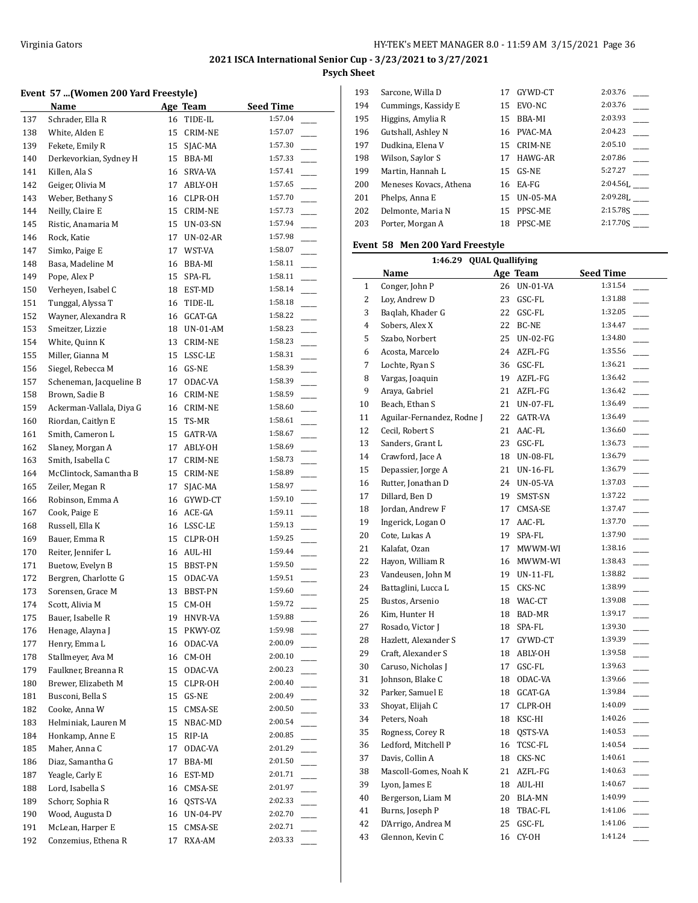## **Event 57 ...(Women 200 Yard Freestyle)**

|            | <b>Name</b>                         | Age Team |                   | <b>Seed Time</b>   |
|------------|-------------------------------------|----------|-------------------|--------------------|
| 137        | Schrader, Ella R                    | 16       | TIDE-IL           | 1:57.04            |
| 138        | White, Alden E                      | 15       | CRIM-NE           | 1:57.07            |
| 139        | Fekete, Emily R                     | 15       | SJAC-MA           | 1:57.30            |
| 140        | Derkevorkian, Sydney H              | 15       | BBA-MI            | 1:57.33            |
| 141        | Killen, Ala S                       | 16       | SRVA-VA           | 1:57.41            |
| 142        | Geiger, Olivia M                    | 17       | ABLY-OH           | 1:57.65            |
| 143        | Weber, Bethany S                    | 16       | CLPR-OH           | 1:57.70            |
| 144        | Neilly, Claire E                    | 15       | CRIM-NE           | 1:57.73            |
| 145        | Ristic, Anamaria M                  | 15       | UN-03-SN          | 1:57.94            |
| 146        | Rock, Katie                         | 17       | UN-02-AR          | 1:57.98            |
| 147        | Simko, Paige E                      | 17       | WST-VA            | 1:58.07            |
| 148        | Basa, Madeline M                    | 16       | BBA-MI            | 1:58.11            |
| 149        | Pope, Alex P                        | 15       | SPA-FL            | 1:58.11            |
| 150        | Verheyen, Isabel C                  |          | 18 EST-MD         | 1:58.14            |
| 151        | Tunggal, Alyssa T                   | 16       | TIDE-IL           | 1:58.18            |
| 152        | Wayner, Alexandra R                 | 16       | GCAT-GA           | 1:58.22            |
| 153        | Smeitzer, Lizzie                    | 18       | $UN-01-AM$        | 1:58.23            |
| 154        | White, Quinn K                      | 13       | CRIM-NE           | 1:58.23            |
| 155        | Miller, Gianna M                    | 15       | LSSC-LE           | 1:58.31            |
| 156        | Siegel, Rebecca M                   | 16       | GS-NE             | 1:58.39            |
| 157        | Scheneman, Jacqueline B             | 17       | ODAC-VA           | 1:58.39            |
| 158        | Brown, Sadie B                      | 16       | CRIM-NE           | 1:58.59            |
| 159        | Ackerman-Vallala, Diya G            | 16       | CRIM-NE           | 1:58.60            |
| 160        | Riordan, Caitlyn E                  | 15       | TS-MR             | 1:58.61            |
| 161        | Smith, Cameron L                    | 15       | GATR-VA           | 1:58.67            |
| 162        | Slaney, Morgan A                    | 17       | ABLY-OH           | 1:58.69            |
| 163        | Smith, Isabella C                   | 17       | CRIM-NE           | 1:58.73            |
| 164        | McClintock, Samantha B              | 15       | CRIM-NE           | 1:58.89            |
| 165        | Zeiler, Megan R                     | 17       | SJAC-MA           | 1:58.97            |
| 166        | Robinson, Emma A                    | 16       | GYWD-CT           | 1:59.10            |
| 167        | Cook, Paige E                       | 16       | ACE-GA            | 1:59.11            |
| 168        | Russell, Ella K                     |          | 16 LSSC-LE        | 1:59.13            |
| 169        | Bauer, Emma R                       | 15       | CLPR-OH           | 1:59.25            |
| 170        | Reiter, Jennifer L                  |          | 16 AUL-HI         | 1:59.44            |
| 171        | Buetow, Evelyn B                    | 15       | BBST-PN           | 1:59.50            |
| 172        | Bergren, Charlotte G                | 15       | ODAC-VA           | 1:59.51            |
| 173        | Sorensen, Grace M                   | 13       | <b>BBST-PN</b>    | 1:59.60            |
| 174        | Scott, Alivia M                     | 15       | CM-OH             | 1:59.72            |
| 175        | Bauer, Isabelle R                   | 19       | HNVR-VA           | 1:59.88            |
| 176        | Henage, Alayna J                    | 15       | PKWY-OZ           | 1:59.98            |
| 177        | Henry, Emma L                       | 16       | ODAC-VA           | 2:00.09            |
| 178        | Stallmeyer, Ava M                   | 16       | CM-OH             | 2:00.10            |
| 179        | Faulkner, Breanna R                 | 15       | ODAC-VA           | 2:00.23            |
| 180        | Brewer, Elizabeth M                 | 15       | CLPR-OH           | 2:00.40            |
| 181        | Busconi, Bella S                    | 15       | GS-NE             | 2:00.49            |
| 182        | Cooke, Anna W                       | 15       | CMSA-SE           | 2:00.50            |
| 183        | Helminiak, Lauren M                 | 15       | NBAC-MD           | 2:00.54            |
| 184        | Honkamp, Anne E                     | 15       | RIP-IA            | 2:00.85            |
| 185        | Maher, Anna C                       | 17       | ODAC-VA           | 2:01.29            |
| 186        | Diaz, Samantha G                    | 17       | BBA-MI            | 2:01.50            |
| 187        | Yeagle, Carly E                     | 16       | EST-MD            | 2:01.71            |
| 188        | Lord, Isabella S                    | 16       | CMSA-SE           | 2:01.97            |
| 189        | Schorr, Sophia R                    | 16       | QSTS-VA           | 2:02.33<br>2:02.70 |
| 190        | Wood, Augusta D<br>McLean, Harper E | 16       | <b>UN-04-PV</b>   | 2:02.71            |
| 191<br>192 | Conzemius, Ethena R                 | 15<br>17 | CMSA-SE<br>RXA-AM | 2:03.33            |
|            |                                     |          |                   |                    |

| 193 | Sarcone, Willa D       | 17 | GYWD-CT         | 2:03.76      |
|-----|------------------------|----|-----------------|--------------|
| 194 | Cummings, Kassidy E    | 15 | EVO-NC          | 2:03.76      |
| 195 | Higgins, Amylia R      | 15 | BBA-MI          | 2:03.93      |
| 196 | Gutshall, Ashley N     | 16 | PVAC-MA         | 2:04.23      |
| 197 | Dudkina, Elena V       | 15 | CRIM-NE         | 2:05.10      |
| 198 | Wilson, Saylor S       | 17 | HAWG-AR         | 2:07.86      |
| 199 | Martin, Hannah L       | 15 | $GS-NE$         | 5:27.27      |
| 200 | Meneses Kovacs, Athena | 16 | EA-FG           | $2:04.56$ L  |
| 201 | Phelps, Anna E         | 15 | <b>UN-05-MA</b> | $2:09.281$ . |
| 202 | Delmonte, Maria N      | 15 | PPSC-ME         | 2:15.785     |
| 203 | Porter, Morgan A       | 18 | PPSC-ME         | 2:17.705     |
|     |                        |    |                 |              |

## **Event 58 Men 200 Yard Freestyle**

|    | 1:46.29 QUAL Quallifying   |    |                 |                                     |  |  |
|----|----------------------------|----|-----------------|-------------------------------------|--|--|
|    | Name                       |    | Age Team        | <b>Seed Time</b>                    |  |  |
| 1  | Conger, John P             |    | 26 UN-01-VA     | 1:31.54                             |  |  |
| 2  | Loy, Andrew D              |    | 23 GSC-FL       | 1:31.88                             |  |  |
| 3  | Baqlah, Khader G           |    | 22 GSC-FL       | 1:32.05                             |  |  |
| 4  | Sobers, Alex X             |    | 22 BC-NE        | 1:34.47                             |  |  |
| 5  | Szabo, Norbert             |    | 25 UN-02-FG     | 1:34.80                             |  |  |
| 6  | Acosta, Marcelo            |    | 24 AZFL-FG      | 1:35.56<br>$\frac{1}{2}$            |  |  |
| 7  | Lochte, Ryan S             |    | 36 GSC-FL       | 1:36.21                             |  |  |
| 8  | Vargas, Joaquin            |    | 19 AZFL-FG      | 1:36.42                             |  |  |
| 9  | Araya, Gabriel             |    | 21 AZFL-FG      | 1:36.42                             |  |  |
| 10 | Beach, Ethan S             | 21 | UN-07-FL        | 1:36.49                             |  |  |
| 11 | Aguilar-Fernandez, Rodne J |    | 22 GATR-VA      | 1:36.49                             |  |  |
| 12 | Cecil, Robert S            |    | 21 AAC-FL       | 1:36.60<br>$\sim$                   |  |  |
| 13 | Sanders, Grant L           |    | 23 GSC-FL       | 1:36.73                             |  |  |
| 14 | Crawford, Jace A           |    | 18 UN-08-FL     | 1:36.79<br>$\overline{\phantom{a}}$ |  |  |
| 15 | Depassier, Jorge A         | 21 | <b>UN-16-FL</b> | 1:36.79                             |  |  |
| 16 | Rutter, Jonathan D         |    | 24 UN-05-VA     | 1:37.03                             |  |  |
| 17 | Dillard, Ben D             |    | 19 SMST-SN      | 1:37.22                             |  |  |
| 18 | Jordan, Andrew F           | 17 | CMSA-SE         | 1:37.47                             |  |  |
| 19 | Ingerick, Logan O          | 17 | AAC-FL          | 1:37.70                             |  |  |
| 20 | Cote, Lukas A              |    | 19 SPA-FL       | 1:37.90<br>$\overline{\phantom{a}}$ |  |  |
| 21 | Kalafat, Ozan              |    | 17 MWWM-WI      | 1:38.16                             |  |  |
| 22 | Hayon, William R           |    | 16 MWWM-WI      | 1:38.43                             |  |  |
| 23 | Vandeusen, John M          |    | 19 UN-11-FL     | 1:38.82                             |  |  |
| 24 | Battaglini, Lucca L        |    | 15 CKS-NC       | 1:38.99                             |  |  |
| 25 | Bustos, Arsenio            |    | 18 WAC-CT       | 1:39.08                             |  |  |
| 26 | Kim, Hunter H              |    | 18 BAD-MR       | 1:39.17                             |  |  |
| 27 | Rosado, Victor J           |    | 18 SPA-FL       | 1:39.30                             |  |  |
| 28 | Hazlett, Alexander S       | 17 | GYWD-CT         | 1:39.39                             |  |  |
| 29 | Craft, Alexander S         |    | 18 ABLY-OH      | 1:39.58                             |  |  |
| 30 | Caruso, Nicholas J         |    | 17 GSC-FL       | 1:39.63                             |  |  |
| 31 | Johnson, Blake C           |    | 18 ODAC-VA      | 1:39.66                             |  |  |
| 32 | Parker, Samuel E           |    | 18 GCAT-GA      | 1:39.84                             |  |  |
| 33 | Shoyat, Elijah C           |    | 17 CLPR-OH      | 1:40.09                             |  |  |
| 34 | Peters, Noah               |    | 18 KSC-HI       | 1:40.26                             |  |  |
| 35 | Rogness, Corey R           |    | 18 QSTS-VA      | 1:40.53                             |  |  |
| 36 | Ledford, Mitchell P        | 16 | TCSC-FL         | 1:40.54                             |  |  |
| 37 | Davis, Collin A            |    | 18 CKS-NC       | 1:40.61                             |  |  |
| 38 | Mascoll-Gomes, Noah K      |    | 21 AZFL-FG      | 1:40.63                             |  |  |
| 39 | Lyon, James E              |    | 18 AUL-HI       | 1:40.67                             |  |  |
| 40 | Bergerson, Liam M          | 20 | BLA-MN          | 1:40.99                             |  |  |
| 41 | Burns, Joseph P            | 18 | TBAC-FL         | 1:41.06<br>$\sim$                   |  |  |
| 42 | D'Arrigo, Andrea M         |    | 25 GSC-FL       | 1:41.06                             |  |  |
| 43 | Glennon, Kevin C           |    | 16 CY-OH        | 1:41.24                             |  |  |
|    |                            |    |                 |                                     |  |  |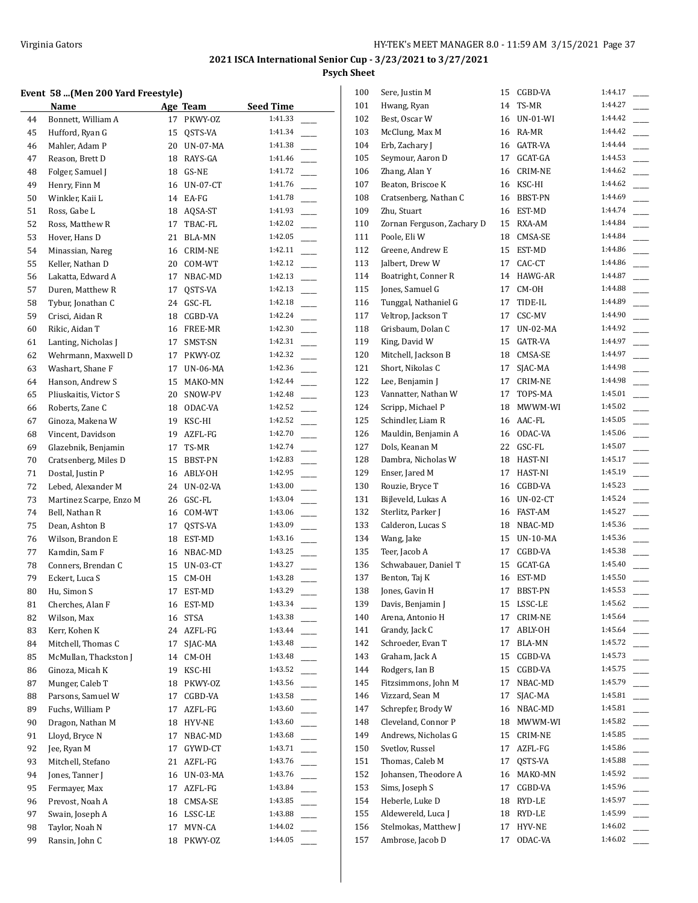# **Event 58 ...(Men 200 Yard Freestyle)**

| vent 58 (Men 200 Yard Freestyle) |                                         |    |                            |                                     |  |
|----------------------------------|-----------------------------------------|----|----------------------------|-------------------------------------|--|
|                                  | Name                                    |    | Age Team                   | <b>Seed Time</b>                    |  |
| 44                               | Bonnett, William A                      | 17 | PKWY-0Z                    | 1:41.33                             |  |
| 45                               | Hufford, Ryan G                         | 15 | QSTS-VA                    | 1:41.34                             |  |
| 46                               | Mahler, Adam P                          | 20 | <b>UN-07-MA</b>            | 1:41.38                             |  |
| 47                               | Reason. Brett D                         | 18 | RAYS-GA                    | 1:41.46                             |  |
| 48                               | Folger, Samuel J                        | 18 | GS-NE                      | 1:41.72                             |  |
| 49                               | Henry, Finn M                           | 16 | <b>UN-07-CT</b>            | 1:41.76                             |  |
| 50                               | Winkler. Kaii L                         | 14 | EA-FG                      | 1:41.78                             |  |
| 51                               | Ross, Gabe L                            | 18 | AQSA-ST                    | 1:41.93                             |  |
| 52                               | Ross, Matthew R                         | 17 | TBAC-FL                    | 1:42.02                             |  |
| 53                               | Hover, Hans D                           | 21 | BLA-MN                     | 1:42.05                             |  |
| 54                               | Minassian, Nareg                        | 16 | CRIM-NE                    | 1:42.11                             |  |
| 55                               | Keller, Nathan D                        | 20 | COM-WT                     | 1:42.12                             |  |
| 56                               | Lakatta, Edward A                       | 17 | NBAC-MD                    | 1:42.13                             |  |
| 57                               | Duren, Matthew R                        | 17 | QSTS-VA                    | 1:42.13                             |  |
| 58                               | Tybur, Jonathan C                       | 24 | GSC-FL                     | 1:42.18                             |  |
| 59                               | Crisci, Aidan R                         | 18 | CGBD-VA                    | 1:42.24                             |  |
|                                  |                                         | 16 |                            | 1:42.30                             |  |
| 60                               | Rikic, Aidan T                          |    | FREE-MR                    | 1:42.31                             |  |
| 61                               | Lanting, Nicholas J                     | 17 | SMST-SN                    | 1:42.32                             |  |
| 62                               | Wehrmann, Maxwell D<br>Washart, Shane F | 17 | PKWY-OZ<br><b>UN-06-MA</b> | 1:42.36                             |  |
| 63                               |                                         | 17 |                            |                                     |  |
| 64                               | Hanson, Andrew S                        | 15 | MAKO-MN                    | 1:42.44                             |  |
| 65                               | Pliuskaitis, Victor S                   | 20 | SNOW-PV                    | 1:42.48                             |  |
| 66                               | Roberts, Zane C                         | 18 | ODAC-VA                    | 1:42.52                             |  |
| 67                               | Ginoza, Makena W                        | 19 | KSC-HI                     | 1:42.52                             |  |
| 68                               | Vincent, Davidson                       | 19 | AZFL-FG                    | 1:42.70                             |  |
| 69                               | Glazebnik, Benjamin                     | 17 | TS-MR                      | 1:42.74                             |  |
| 70                               | Cratsenberg, Miles D                    | 15 | BBST-PN                    | 1:42.83                             |  |
| 71                               | Dostal, Justin P                        | 16 | ABLY-OH                    | 1:42.95                             |  |
| 72                               | Lebed, Alexander M                      | 24 | UN-02-VA                   | 1:43.00                             |  |
| 73                               | Martinez Scarpe, Enzo M                 | 26 | GSC-FL                     | 1:43.04                             |  |
| 74                               | Bell, Nathan R                          | 16 | COM-WT                     | 1:43.06                             |  |
| 75                               | Dean, Ashton B                          | 17 | QSTS-VA                    | 1:43.09                             |  |
| 76                               | Wilson, Brandon E                       | 18 | EST-MD                     | 1:43.16                             |  |
| 77                               | Kamdin, Sam F                           | 16 | NBAC-MD                    | 1:43.25                             |  |
| 78                               | Conners, Brendan C                      | 15 | UN-03-CT                   | 1:43.27                             |  |
| 79                               | Eckert, Luca S                          | 15 | CM-OH                      | 1:43.28                             |  |
| 80                               | Hu, Simon S                             |    | 17 EST-MD                  | 1:43.29                             |  |
| 81                               | Cherches, Alan F                        | 16 | EST-MD                     | 1:43.34                             |  |
| 82                               | Wilson, Max                             | 16 | STSA                       | 1:43.38                             |  |
| 83                               | Kerr, Kohen K                           | 24 | AZFL-FG                    | 1:43.44                             |  |
| 84                               | Mitchell, Thomas C                      | 17 | SJAC-MA                    | 1:43.48                             |  |
| 85                               | McMullan, Thackston J                   | 14 | CM-OH                      | 1:43.48                             |  |
| 86                               | Ginoza, Micah K                         | 19 | KSC-HI                     | 1:43.52                             |  |
| 87                               | Munger, Caleb T                         | 18 | PKWY-OZ                    | 1:43.56                             |  |
| 88                               | Parsons, Samuel W                       | 17 | CGBD-VA                    | 1:43.58                             |  |
| 89                               | Fuchs, William P                        | 17 | AZFL-FG                    | 1:43.60                             |  |
| 90                               | Dragon, Nathan M                        | 18 | HYV-NE                     | 1:43.60                             |  |
| 91                               | Lloyd, Bryce N                          | 17 | NBAC-MD                    | 1:43.68<br>$\overline{\phantom{a}}$ |  |
| 92                               | Jee, Ryan M                             | 17 | GYWD-CT                    | 1:43.71                             |  |
| 93                               | Mitchell, Stefano                       | 21 | AZFL-FG                    | 1:43.76                             |  |
| 94                               | Jones, Tanner J                         |    | UN-03-MA                   | 1:43.76                             |  |
|                                  | Fermayer, Max                           | 16 |                            | 1:43.84                             |  |
| 95                               |                                         | 17 | AZFL-FG                    |                                     |  |
| 96                               | Prevost, Noah A                         | 18 | CMSA-SE                    | 1:43.85                             |  |
| 97                               | Swain, Joseph A                         | 16 | LSSC-LE                    | 1:43.88                             |  |
| 98                               | Taylor, Noah N                          | 17 | MVN-CA                     | 1:44.02                             |  |
| 99                               | Ransin, John C                          | 18 | PKWY-OZ                    | 1:44.05                             |  |

| 100 | Sere, Justin M             | 15 | CGBD-VA        | 1:44.17 |
|-----|----------------------------|----|----------------|---------|
| 101 | Hwang, Ryan                | 14 | TS-MR          | 1:44.27 |
| 102 | Best, Oscar W              | 16 | UN-01-WI       | 1:44.42 |
| 103 | McClung, Max M             | 16 | RA-MR          | 1:44.42 |
| 104 | Erb, Zachary J             | 16 | GATR-VA        | 1:44.44 |
| 105 | Seymour, Aaron D           | 17 | GCAT-GA        | 1:44.53 |
| 106 | Zhang, Alan Y              | 16 | CRIM-NE        | 1:44.62 |
| 107 | Beaton, Briscoe K          | 16 | KSC-HI         | 1:44.62 |
| 108 | Cratsenberg, Nathan C      | 16 | BBST-PN        | 1:44.69 |
| 109 | Zhu, Stuart                | 16 | EST-MD         | 1:44.74 |
| 110 | Zornan Ferguson, Zachary D | 15 | RXA-AM         | 1:44.84 |
| 111 | Poole, Eli W               | 18 | CMSA-SE        | 1:44.84 |
| 112 | Greene, Andrew E           | 15 | EST-MD         | 1:44.86 |
| 113 | Jalbert, Drew W            | 17 | CAC-CT         | 1:44.86 |
| 114 | Boatright, Conner R        | 14 | HAWG-AR        | 1:44.87 |
| 115 | Jones, Samuel G            | 17 | CM-OH          | 1:44.88 |
| 116 | Tunggal, Nathaniel G       | 17 | TIDE-IL        | 1:44.89 |
| 117 | Veltrop, Jackson T         | 17 | CSC-MV         | 1:44.90 |
| 118 | Grisbaum, Dolan C          | 17 | UN-02-MA       | 1:44.92 |
| 119 | King, David W              | 15 | GATR-VA        | 1:44.97 |
| 120 | Mitchell, Jackson B        | 18 | CMSA-SE        | 1:44.97 |
| 121 | Short, Nikolas C           | 17 | SJAC-MA        | 1:44.98 |
| 122 | Lee, Benjamin J            | 17 | CRIM-NE        | 1:44.98 |
| 123 | Vannatter, Nathan W        | 17 | TOPS-MA        | 1:45.01 |
| 124 | Scripp, Michael P          | 18 | MWWM-WI        | 1:45.02 |
| 125 | Schindler, Liam R          | 16 | AAC-FL         | 1:45.05 |
| 126 | Mauldin, Benjamin A        | 16 | ODAC-VA        | 1:45.06 |
| 127 | Dols, Keanan M             | 22 | GSC-FL         | 1:45.07 |
| 128 | Dambra, Nicholas W         | 18 | HAST-NI        | 1:45.17 |
| 129 | Enser, Jared M             | 17 | HAST-NI        | 1:45.19 |
| 130 | Rouzie, Bryce T            | 16 | CGBD-VA        | 1:45.23 |
| 131 | Bijleveld, Lukas A         | 16 | UN-02-CT       | 1:45.24 |
| 132 | Sterlitz, Parker J         | 16 | FAST-AM        | 1:45.27 |
| 133 | Calderon, Lucas S          | 18 | NBAC-MD        | 1:45.36 |
| 134 | Wang, Jake                 | 15 | UN-10-MA       | 1:45.36 |
| 135 | Teer, Jacob A              | 17 | CGBD-VA        | 1:45.38 |
| 136 | Schwabauer, Daniel T       | 15 | GCAT-GA        | 1:45.40 |
| 137 | Benton, Taj K              | 16 | EST-MD         | 1:45.50 |
| 138 | Jones, Gavin H             | 17 | <b>BBST-PN</b> | 1:45.53 |
| 139 | Davis, Benjamin J          | 15 | LSSC-LE        | 1:45.62 |
| 140 | Arena, Antonio H           | 17 | CRIM-NE        | 1:45.64 |
| 141 | Grandy, Jack C             | 17 | ABLY-OH        | 1:45.64 |
| 142 | Schroeder, Evan T          | 17 | BLA-MN         | 1:45.72 |
| 143 | Graham, Jack A             | 15 | CGBD-VA        | 1:45.73 |
| 144 | Rodgers, Ian B             | 15 | CGBD-VA        | 1:45.75 |
| 145 | Fitzsimmons, John M        | 17 | NBAC-MD        | 1:45.79 |
| 146 | Vizzard, Sean M            | 17 | SJAC-MA        | 1:45.81 |
| 147 | Schrepfer, Brody W         | 16 | NBAC-MD        | 1:45.81 |
| 148 | Cleveland, Connor P        | 18 | MWWM-WI        | 1:45.82 |
| 149 | Andrews, Nicholas G        | 15 | <b>CRIM-NE</b> | 1:45.85 |
| 150 | Svetlov, Russel            | 17 | AZFL-FG        | 1:45.86 |
| 151 | Thomas, Caleb M            | 17 | QSTS-VA        | 1:45.88 |
| 152 | Johansen, Theodore A       | 16 | MAKO-MN        | 1:45.92 |
| 153 | Sims, Joseph S             | 17 | CGBD-VA        | 1:45.96 |
| 154 | Heberle, Luke D            | 18 | RYD-LE         | 1:45.97 |
| 155 | Aldewereld, Luca J         | 18 | RYD-LE         | 1:45.99 |
| 156 | Stelmokas, Matthew J       | 17 | HYV-NE         | 1:46.02 |
| 157 | Ambrose, Jacob D           | 17 | ODAC-VA        | 1:46.02 |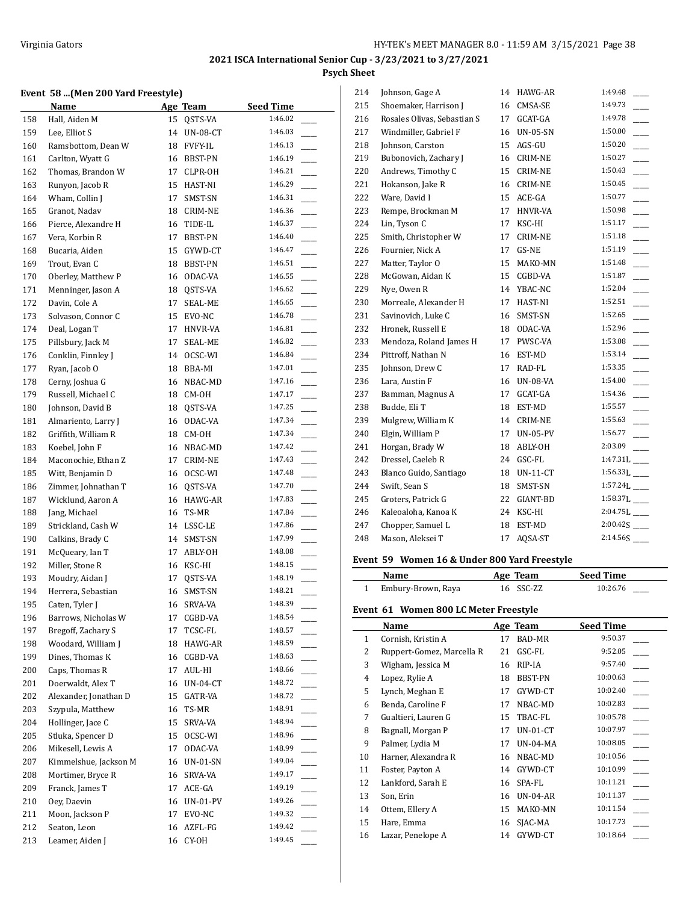#### **Event 58 ...(Men 200 Yard Freestyle)**

| <u>Name</u> |                       |          | Age Team        | <b>Seed Time</b> |
|-------------|-----------------------|----------|-----------------|------------------|
| 158         | Hall, Aiden M         | 15       | QSTS-VA         | 1:46.02          |
| 159         | Lee, Elliot S         | 14       | UN-08-CT        | 1:46.03          |
| 160         | Ramsbottom, Dean W    | 18       | <b>FVFY-IL</b>  | 1:46.13          |
| 161         | Carlton, Wyatt G      | 16       | BBST-PN         | 1:46.19          |
| 162         | Thomas, Brandon W     | 17       | CLPR-OH         | 1:46.21          |
| 163         | Runyon, Jacob R       | 15       | HAST-NI         | 1:46.29          |
| 164         | Wham, Collin J        | 17       | SMST-SN         | 1:46.31          |
| 165         | Granot, Nadav         | 18       | CRIM-NE         | 1:46.36          |
| 166         | Pierce, Alexandre H   | 16       | TIDE-IL         | 1:46.37          |
| 167         | Vera, Korbin R        | 17       | BBST-PN         | 1:46.40          |
| 168         | Bucaria, Aiden        | 15       | GYWD-CT         | 1:46.47          |
| 169         | Trout, Evan C         | 18       | BBST-PN         | 1:46.51          |
| 170         | Oberley, Matthew P    | 16       | ODAC-VA         | 1:46.55          |
| 171         | Menninger, Jason A    | 18       | QSTS-VA         | 1:46.62          |
| 172         | Davin, Cole A         | 17       | SEAL-ME         | 1:46.65          |
| 173         | Solvason, Connor C    | 15       | EVO-NC          | 1:46.78          |
| 174         | Deal, Logan T         | 17       | HNVR-VA         | 1:46.81          |
| 175         | Pillsbury, Jack M     | 17       | SEAL-ME         | 1:46.82          |
| 176         | Conklin, Finnley J    | 14       | OCSC-WI         | 1:46.84          |
| 177         | Ryan, Jacob O         | 18       | BBA-MI          | 1:47.01          |
| 178         | Cerny, Joshua G       | 16       | NBAC-MD         | 1:47.16          |
| 179         | Russell, Michael C    | 18       | CM-OH           | 1:47.17          |
| 180         | Johnson, David B      | 18       | QSTS-VA         | 1:47.25          |
| 181         | Almariento, Larry J   | 16       | ODAC-VA         | 1:47.34          |
| 182         | Griffith, William R   | 18       | CM-OH           | 1:47.34          |
| 183         | Koebel, John F        | 16       | NBAC-MD         | 1:47.42          |
| 184         | Maconochie, Ethan Z   | 17       | CRIM-NE         | 1:47.43          |
| 185         | Witt, Benjamin D      | 16       | OCSC-WI         | 1:47.48          |
| 186         | Zimmer, Johnathan T   | 16       | QSTS-VA         | 1:47.70          |
| 187         | Wicklund, Aaron A     | 16       | HAWG-AR         | 1:47.83          |
| 188         | Jang, Michael         | 16       | TS-MR           | 1:47.84          |
| 189         | Strickland, Cash W    | 14       | LSSC-LE         | 1:47.86          |
| 190         | Calkins, Brady C      | 14       | SMST-SN         | 1:47.99          |
| 191         | McQueary, Ian T       | 17       | ABLY-OH         | 1:48.08          |
| 192         | Miller, Stone R       | 16       | KSC-HI          | 1:48.15          |
| 193         | Moudry, Aidan J       | 17       | QSTS-VA         | 1:48.19          |
| 194         | Herrera, Sebastian    | 16       | SMST-SN         | 1:48.21          |
| 195         | Caten, Tyler J        | 16       | SRVA-VA         | 1:48.39          |
| 196         | Barrows, Nicholas W   | 17       | CGBD-VA         | 1:48.54          |
| 197         | Bregoff, Zachary S    | 17       | TCSC-FL         | 1:48.57          |
| 198         | Woodard, William J    | 18       | HAWG-AR         | 1:48.59          |
| 199         | Dines, Thomas K       | 16       | CGBD-VA         | 1:48.63          |
| 200         | Caps, Thomas R        | 17       | AUL-HI          | 1:48.66          |
| 201         | Doerwaldt, Alex T     | 16       | <b>UN-04-CT</b> | 1:48.72          |
| 202         | Alexander, Jonathan D | 15       | GATR-VA         | 1:48.72          |
| 203         | Szypula, Matthew      | 16       | TS-MR           | 1:48.91          |
| 204         | Hollinger, Jace C     | 15       | SRVA-VA         | 1:48.94          |
| 205         | Stluka, Spencer D     | 15       | OCSC-WI         | 1:48.96          |
| 206         | Mikesell, Lewis A     | 17       | ODAC-VA         | 1:48.99          |
| 207         | Kimmelshue, Jackson M | 16       | <b>UN-01-SN</b> | 1:49.04          |
| 208         | Mortimer, Bryce R     |          | SRVA-VA         | 1:49.17          |
| 209         | Franck, James T       | 16<br>17 | ACE-GA          | 1:49.19          |
|             | Oey, Daevin           | 16       | <b>UN-01-PV</b> | 1:49.26          |
| 210<br>211  | Moon, Jackson P       | 17       | EVO-NC          | 1:49.32          |
|             | Seaton, Leon          |          |                 | 1:49.42          |
| 212         |                       | 16       | AZFL-FG         | 1:49.45          |
| 213         | Leamer, Aiden J       | 16       | CY-OH           |                  |

| 214 | Johnson, Gage A             | 14 | HAWG-AR         | 1:49.48                    |
|-----|-----------------------------|----|-----------------|----------------------------|
| 215 | Shoemaker, Harrison J       | 16 | CMSA-SE         | 1:49.73                    |
| 216 | Rosales Olivas, Sebastian S | 17 | GCAT-GA         | 1:49.78                    |
| 217 | Windmiller, Gabriel F       | 16 | <b>UN-05-SN</b> | 1:50.00                    |
| 218 | Johnson, Carston            | 15 | AGS-GU          | 1:50.20                    |
| 219 | Bubonovich, Zachary J       | 16 | <b>CRIM-NE</b>  | 1:50.27                    |
| 220 | Andrews, Timothy C          | 15 | <b>CRIM-NE</b>  | 1:50.43                    |
| 221 | Hokanson, Jake R            | 16 | <b>CRIM-NE</b>  | 1:50.45                    |
| 222 | Ware, David I               | 15 | ACE-GA          | 1:50.77                    |
| 223 | Rempe, Brockman M           | 17 | HNVR-VA         | 1:50.98                    |
| 224 | Lin, Tyson C                | 17 | KSC-HI          | 1:51.17                    |
| 225 | Smith, Christopher W        | 17 | <b>CRIM-NE</b>  | 1:51.18                    |
| 226 | Fournier, Nick A            | 17 | GS-NE           | 1:51.19                    |
| 227 | Matter, Taylor O            | 15 | MAKO-MN         | 1:51.48                    |
| 228 | McGowan, Aidan K            | 15 | CGBD-VA         | 1:51.87                    |
| 229 | Nye, Owen R                 | 14 | YBAC-NC         | 1:52.04                    |
| 230 | Morreale, Alexander H       | 17 | HAST-NI         | 1:52.51                    |
| 231 | Savinovich, Luke C          | 16 | SMST-SN         | 1:52.65                    |
| 232 | Hronek, Russell E           | 18 | ODAC-VA         | 1:52.96                    |
| 233 | Mendoza, Roland James H     | 17 | PWSC-VA         | 1:53.08                    |
| 234 | Pittroff, Nathan N          | 16 | EST-MD          | 1:53.14                    |
| 235 | Johnson, Drew C             | 17 | RAD-FL          | 1:53.35                    |
| 236 | Lara, Austin F              | 16 | <b>UN-08-VA</b> | 1:54.00                    |
| 237 | Bamman, Magnus A            | 17 | GCAT-GA         | 1:54.36                    |
| 238 | Budde, Eli T                | 18 | EST-MD          | 1:55.57                    |
| 239 | Mulgrew, William K          | 14 | CRIM-NE         | 1:55.63                    |
| 240 | Elgin, William P            | 17 | <b>UN-05-PV</b> | 1:56.77                    |
| 241 | Horgan, Brady W             | 18 | ABLY-OH         | 2:03.09                    |
| 242 | Dressel, Caeleb R           | 24 | GSC-FL          | $1:47.31L$ <sub>____</sub> |
| 243 | Blanco Guido, Santiago      | 18 | $UN-11-CT$      | $1:56.33L$ <sub>---</sub>  |
| 244 | Swift, Sean S               | 18 | SMST-SN         | $1:57.24L$ <sub>____</sub> |
| 245 | Groters, Patrick G          | 22 | GIANT-BD        | $1:58.37L$ <sub>____</sub> |
| 246 | Kaleoaloha, Kanoa K         | 24 | KSC-HI          | $2:04.75L$ <sub>----</sub> |
| 247 | Chopper, Samuel L           | 18 | EST-MD          |                            |
| 248 | Mason, Aleksei T            | 17 | AQSA-ST         | 2:14.56S                   |

## **Event 59 Women 16 & Under 800 Yard Freestyle**

| Name                 | Age Team  | <b>Seed Time</b> |
|----------------------|-----------|------------------|
| 1 Embury-Brown, Raya | 16 SSC-ZZ | 10:26.76         |

## **Event 61 Women 800 LC Meter Freestyle**

|              | Name                      |    | Age Team        | <b>Seed Time</b> |
|--------------|---------------------------|----|-----------------|------------------|
| $\mathbf{1}$ | Cornish, Kristin A        | 17 | <b>BAD-MR</b>   | 9:50.37          |
| 2            | Ruppert-Gomez, Marcella R | 21 | GSC-FL          | 9:52.05          |
| 3            | Wigham, Jessica M         | 16 | RIP-IA          | 9:57.40          |
| 4            | Lopez, Rylie A            | 18 | <b>BBST-PN</b>  | 10:00.63         |
| 5            | Lynch, Meghan E           | 17 | GYWD-CT         | 10:02.40         |
| 6            | Benda, Caroline F         | 17 | NBAC-MD         | 10:02.83         |
| 7            | Gualtieri, Lauren G       | 15 | TBAC-FL         | 10:05.78         |
| 8            | Bagnall, Morgan P         | 17 | $UN-01-CT$      | 10:07.97         |
| 9            | Palmer, Lydia M           | 17 | <b>UN-04-MA</b> | 10:08.05         |
| 10           | Harner, Alexandra R       | 16 | NBAC-MD         | 10:10.56         |
| 11           | Foster, Payton A          | 14 | GYWD-CT         | 10:10.99         |
| 12           | Lankford, Sarah E         | 16 | SPA-FL          | 10:11.21         |
| 13           | Son, Erin                 | 16 | $UN-04-AR$      | 10:11.37         |
| 14           | Ottem, Ellery A           | 15 | MAKO-MN         | 10:11.54         |
| 15           | Hare, Emma                | 16 | SJAC-MA         | 10:17.73         |
| 16           | Lazar, Penelope A         | 14 | GYWD-CT         | 10:18.64         |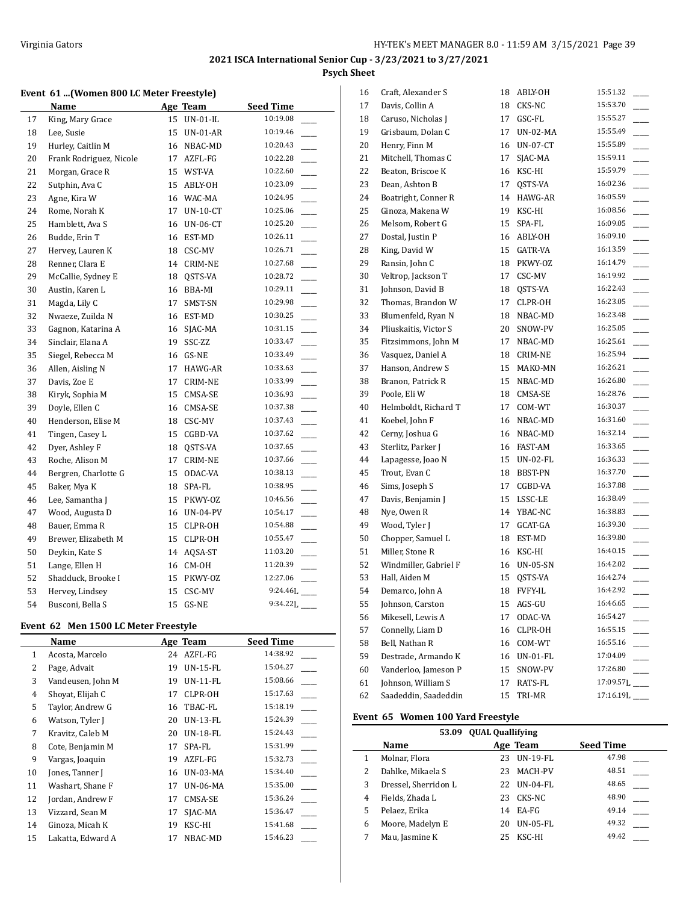#### **Event 61 ...(Women 800 LC Meter Freestyle)**

|    | Name                    |    | Age Team        | <b>Seed Time</b> |
|----|-------------------------|----|-----------------|------------------|
| 17 | King, Mary Grace        | 15 | <b>UN-01-IL</b> | 10:19.08         |
| 18 | Lee, Susie              | 15 | <b>UN-01-AR</b> | 10:19.46         |
| 19 | Hurley, Caitlin M       | 16 | NBAC-MD         | 10:20.43         |
| 20 | Frank Rodriguez, Nicole | 17 | AZFL-FG         | 10:22.28         |
| 21 | Morgan, Grace R         | 15 | WST-VA          | 10:22.60         |
| 22 | Sutphin, Ava C          | 15 | ABLY-OH         | 10:23.09         |
| 23 | Agne, Kira W            | 16 | WAC-MA          | 10:24.95         |
| 24 | Rome, Norah K           | 17 | $UN-10-CT$      | 10:25.06         |
| 25 | Hamblett, Ava S         | 16 | <b>UN-06-CT</b> | 10:25.20         |
| 26 | Budde, Erin T           | 16 | EST-MD          | 10:26.11         |
| 27 | Hervey, Lauren K        | 18 | CSC-MV          | 10:26.71         |
| 28 | Renner, Clara E         | 14 | CRIM-NE         | 10:27.68         |
| 29 | McCallie, Sydney E      | 18 | QSTS-VA         | 10:28.72         |
| 30 | Austin, Karen L         | 16 | BBA-MI          | 10:29.11         |
| 31 | Magda, Lily C           | 17 | SMST-SN         | 10:29.98         |
| 32 | Nwaeze, Zuilda N        | 16 | EST-MD          | 10:30.25         |
| 33 | Gagnon, Katarina A      | 16 | SJAC-MA         | 10:31.15         |
| 34 | Sinclair, Elana A       | 19 | SSC-ZZ          | 10:33.47         |
| 35 | Siegel, Rebecca M       | 16 | GS-NE           | 10:33.49         |
| 36 | Allen, Aisling N        | 17 | HAWG-AR         | 10:33.63         |
| 37 | Davis, Zoe E            | 17 | CRIM-NE         | 10:33.99         |
| 38 | Kiryk, Sophia M         | 15 | CMSA-SE         | 10:36.93         |
| 39 | Doyle, Ellen C          | 16 | CMSA-SE         | 10:37.38         |
| 40 | Henderson, Elise M      | 18 | CSC-MV          | 10:37.43         |
| 41 | Tingen, Casey L         | 15 | CGBD-VA         | 10:37.62         |
| 42 | Dyer, Ashley F          | 18 | QSTS-VA         | 10:37.65         |
| 43 | Roche, Alison M         | 17 | CRIM-NE         | 10:37.66         |
| 44 | Bergren, Charlotte G    | 15 | ODAC-VA         | 10:38.13         |
| 45 | Baker, Mya K            | 18 | SPA-FL          | 10:38.95         |
| 46 | Lee, Samantha J         | 15 | PKWY-OZ         | 10:46.56         |
| 47 | Wood, Augusta D         | 16 | <b>UN-04-PV</b> | 10:54.17         |
| 48 | Bauer, Emma R           | 15 | CLPR-OH         | 10:54.88         |
| 49 | Brewer, Elizabeth M     | 15 | CLPR-OH         | 10:55.47         |
| 50 | Deykin, Kate S          | 14 | AQSA-ST         | 11:03.20         |
| 51 | Lange, Ellen H          | 16 | CM-OH           | 11:20.39         |
| 52 | Shadduck, Brooke I      | 15 | PKWY-OZ         | 12:27.06         |
| 53 | Hervey, Lindsey         | 15 | CSC-MV          | 9:24.46L         |
| 54 | Busconi, Bella S        | 15 | GS-NE           | 9:34.22L         |

#### **Event 62 Men 1500 LC Meter Freestyle**

|    | Name              |    | Age Team        | <b>Seed Time</b> |
|----|-------------------|----|-----------------|------------------|
| 1  | Acosta, Marcelo   | 24 | AZFL-FG         | 14:38.92         |
| 2  | Page, Advait      | 19 | $UN-15-FL$      | 15:04.27         |
| 3  | Vandeusen, John M | 19 | <b>UN-11-FL</b> | 15:08.66         |
| 4  | Shovat, Elijah C  | 17 | CLPR-OH         | 15:17.63         |
| 5  | Taylor, Andrew G  | 16 | TBAC-FL         | 15:18.19         |
| 6  | Watson, Tyler J   | 20 | $UN-13-FL$      | 15:24.39         |
| 7  | Kravitz, Caleb M  | 20 | $UN-18-FL$      | 15:24.43         |
| 8  | Cote, Benjamin M  | 17 | SPA-FL          | 15:31.99         |
| 9  | Vargas, Joaquin   | 19 | AZFL-FG         | 15:32.73         |
| 10 | Jones, Tanner J   | 16 | <b>UN-03-MA</b> | 15:34.40         |
| 11 | Washart, Shane F  | 17 | UN-06-MA        | 15:35.00         |
| 12 | Jordan, Andrew F  | 17 | CMSA-SE         | 15:36.24         |
| 13 | Vizzard, Sean M   | 17 | SJAC-MA         | 15:36.47         |
| 14 | Ginoza, Micah K   | 19 | KSC-HI          | 15:41.68         |
| 15 | Lakatta, Edward A | 17 | NBAC-MD         | 15:46.23         |

| 16 | Craft, Alexander S    | 18 | ABLY-OH         | 15:51.32  |
|----|-----------------------|----|-----------------|-----------|
| 17 | Davis, Collin A       | 18 | CKS-NC          | 15:53.70  |
| 18 | Caruso, Nicholas J    | 17 | GSC-FL          | 15:55.27  |
| 19 | Grisbaum, Dolan C     | 17 | UN-02-MA        | 15:55.49  |
| 20 | Henry, Finn M         | 16 | $UN-07-CT$      | 15:55.89  |
| 21 | Mitchell, Thomas C    | 17 | SJAC-MA         | 15:59.11  |
| 22 | Beaton, Briscoe K     | 16 | KSC-HI          | 15:59.79  |
| 23 | Dean, Ashton B        | 17 | QSTS-VA         | 16:02.36  |
| 24 | Boatright, Conner R   | 14 | HAWG-AR         | 16:05.59  |
| 25 | Ginoza, Makena W      | 19 | KSC-HI          | 16:08.56  |
| 26 | Melsom, Robert G      | 15 | SPA-FL          | 16:09.05  |
| 27 | Dostal, Justin P      | 16 | ABLY-OH         | 16:09.10  |
| 28 | King, David W         | 15 | GATR-VA         | 16:13.59  |
| 29 | Ransin, John C        | 18 | PKWY-OZ         | 16:14.79  |
| 30 | Veltrop, Jackson T    | 17 | CSC-MV          | 16:19.92  |
| 31 | Johnson, David B      | 18 | QSTS-VA         | 16:22.43  |
| 32 | Thomas, Brandon W     | 17 | CLPR-OH         | 16:23.05  |
| 33 | Blumenfeld, Ryan N    | 18 | NBAC-MD         | 16:23.48  |
| 34 | Pliuskaitis, Victor S | 20 | SNOW-PV         | 16:25.05  |
| 35 | Fitzsimmons, John M   | 17 | NBAC-MD         | 16:25.61  |
| 36 | Vasquez, Daniel A     | 18 | CRIM-NE         | 16:25.94  |
| 37 | Hanson, Andrew S      | 15 | MAKO-MN         | 16:26.21  |
| 38 | Branon, Patrick R     | 15 | NBAC-MD         | 16:26.80  |
| 39 | Poole, Eli W          | 18 | CMSA-SE         | 16:28.76  |
| 40 | Helmboldt, Richard T  | 17 | COM-WT          | 16:30.37  |
| 41 | Koebel, John F        | 16 | NBAC-MD         | 16:31.60  |
| 42 | Cerny, Joshua G       | 16 | NBAC-MD         | 16:32.14  |
| 43 | Sterlitz, Parker J    | 16 | FAST-AM         | 16:33.65  |
| 44 | Lapagesse, Joao N     | 15 | UN-02-FL        | 16:36.33  |
| 45 | Trout, Evan C         | 18 | BBST-PN         | 16:37.70  |
| 46 | Sims, Joseph S        | 17 | CGBD-VA         | 16:37.88  |
| 47 | Davis, Benjamin J     | 15 | LSSC-LE         | 16:38.49  |
| 48 | Nye, Owen R           | 14 | YBAC-NC         | 16:38.83  |
| 49 | Wood, Tyler J         | 17 | GCAT-GA         | 16:39.30  |
| 50 | Chopper, Samuel L     | 18 | EST-MD          | 16:39.80  |
| 51 | Miller, Stone R       | 16 | KSC-HI          | 16:40.15  |
| 52 | Windmiller, Gabriel F | 16 | UN-05-SN        | 16:42.02  |
| 53 | Hall, Aiden M         | 15 | QSTS-VA         | 16:42.74  |
| 54 | Demarco, John A       | 18 | FVFY-IL         | 16:42.92  |
| 55 | Johnson, Carston      | 15 | AGS-GU          | 16:46.65  |
| 56 | Mikesell, Lewis A     | 17 | ODAC-VA         | 16:54.27  |
| 57 | Connelly, Liam D      | 16 | CLPR-OH         | 16:55.15  |
| 58 | Bell, Nathan R        | 16 | COM-WT          | 16:55.16  |
| 59 | Destrade, Armando K   | 16 | <b>UN-01-FL</b> | 17:04.09  |
| 60 | Vanderloo, Jameson P  | 15 | SNOW-PV         | 17:26.80  |
| 61 | Johnson, William S    | 17 | RATS-FL         | 17:09.57L |
| 62 | Saadeddin, Saadeddin  | 15 | TRI-MR          | 17:16.19[ |

## **Event 65 Women 100 Yard Freestyle**

|   | 53.09                | <b>QUAL Quallifying</b> |                 |                  |
|---|----------------------|-------------------------|-----------------|------------------|
|   | Name                 |                         | Age Team        | <b>Seed Time</b> |
|   | Molnar, Flora        | 23                      | $UN-19-FL$      | 47.98            |
| 2 | Dahlke, Mikaela S    | 23                      | <b>MACH-PV</b>  | 48.51            |
| 3 | Dressel, Sherridon L | 22                      | UN-04-FL        | 48.65            |
| 4 | Fields, Zhada L      | 23                      | CKS-NC          | 48.90            |
| 5 | Pelaez, Erika        | 14                      | EA-FG           | 49.14            |
| 6 | Moore, Madelyn E     | 20                      | <b>UN-05-FL</b> | 49.32            |
|   | Mau, Jasmine K       | 25                      | KSC-HI          | 49.42            |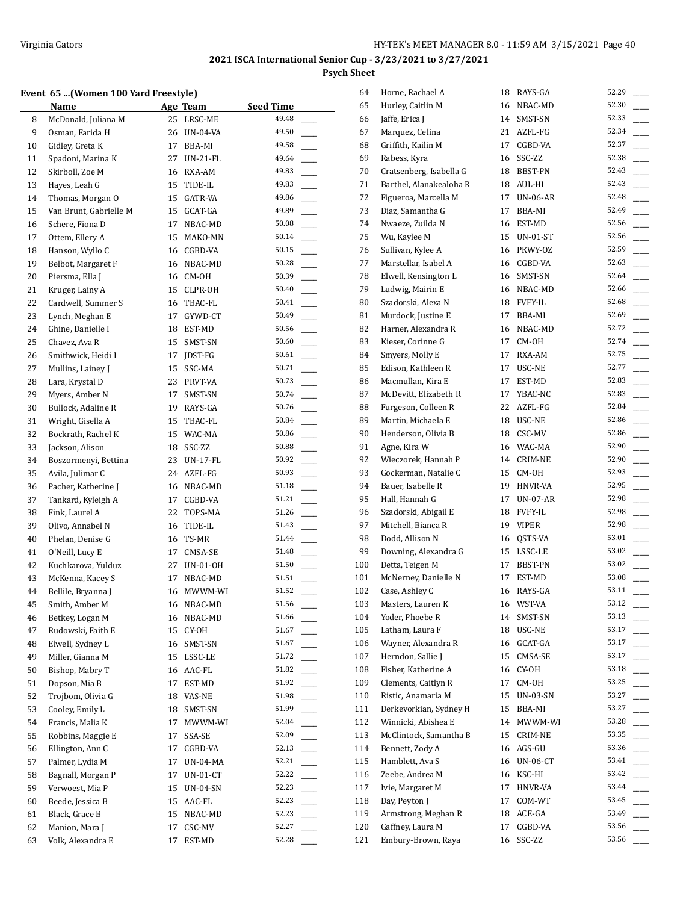## **Event 65 ...(Women 100 Yard Freestyle)**

|          | Event 65 (Women 100 Yard Freestyle) |    |            |                                   |
|----------|-------------------------------------|----|------------|-----------------------------------|
|          | Name                                |    | Age Team   | Seed Time                         |
| 8        | McDonald, Juliana M                 | 25 | LRSC-ME    | 49.48                             |
| 9        | Osman, Farida H                     | 26 | UN-04-VA   | 49.50                             |
| 10       | Gidley, Greta K                     | 17 | BBA-MI     | 49.58                             |
| 11       | Spadoni, Marina K                   | 27 | UN-21-FL   | 49.64                             |
| 12       | Skirboll, Zoe M                     |    | 16 RXA-AM  | 49.83                             |
| 13       | Hayes, Leah G                       | 15 | TIDE-IL    | 49.83                             |
| 14       | Thomas, Morgan O                    | 15 | GATR-VA    | 49.86                             |
| 15       | Van Brunt, Gabrielle M              | 15 | GCAT-GA    | 49.89                             |
| 16       | Schere, Fiona D                     | 17 | NBAC-MD    | 50.08                             |
| 17       | Ottem, Ellery A                     | 15 | MAKO-MN    | 50.14                             |
| 18       | Hanson, Wyllo C                     | 16 | CGBD-VA    | 50.15                             |
| 19       | Belbot, Margaret F                  | 16 | NBAC-MD    | 50.28                             |
| 20       | Piersma, Ella J                     | 16 | CM-OH      | 50.39                             |
| 21       | Kruger, Lainy A                     | 15 | CLPR-OH    | 50.40                             |
| 22       | Cardwell, Summer S                  | 16 | TBAC-FL    | 50.41                             |
| 23       | Lynch, Meghan E                     | 17 | GYWD-CT    | 50.49                             |
| 24       | Ghine, Danielle I                   | 18 | EST-MD     | 50.56<br>$\overline{\phantom{0}}$ |
| 25       | Chavez, Ava R                       | 15 | SMST-SN    | 50.60                             |
| 26       | Smithwick, Heidi I                  | 17 | JDST-FG    | 50.61                             |
| 27       | Mullins, Lainey J                   | 15 | SSC-MA     | 50.71                             |
| 28       | Lara, Krystal D                     | 23 | PRVT-VA    | 50.73                             |
| 29       | Myers, Amber N                      | 17 | SMST-SN    | 50.74                             |
| 30       | Bullock, Adaline R                  | 19 | RAYS-GA    | 50.76                             |
| 31       | Wright, Gisella A                   | 15 | TBAC-FL    | 50.84<br>$\mathbb{R}$             |
| 32       | Bockrath, Rachel K                  | 15 | WAC-MA     | 50.86                             |
| 33       | Jackson, Alison                     | 18 | SSC-ZZ     | 50.88                             |
| 34       | Boszormenyi, Bettina                | 23 | UN-17-FL   | 50.92                             |
| 35       | Avila, Julimar C                    | 24 | AZFL-FG    | 50.93                             |
| 36       | Pacher, Katherine J                 | 16 | NBAC-MD    | $\overline{\phantom{a}}$<br>51.18 |
| 37       | Tankard, Kyleigh A                  | 17 | CGBD-VA    | 51.21                             |
| 38       | Fink, Laurel A                      | 22 | TOPS-MA    | 51.26                             |
| 39       | Olivo, Annabel N                    | 16 | TIDE-IL    | 51.43                             |
| 40       |                                     |    | TS-MR      | 51.44                             |
|          | Phelan, Denise G                    | 16 |            | 51.48                             |
| 41<br>42 | O'Neill, Lucy E                     | 17 | CMSA-SE    | 51.50                             |
|          | Kuchkarova, Yulduz                  | 27 | UN-01-OH   | 51.51                             |
| 43       | McKenna, Kacey S                    | 17 | NBAC-MD    |                                   |
| 44       | Bellile, Bryanna J                  |    | 16 MWWM-WI | 51.52                             |
| 45       | Smith, Amber M                      | 16 | NBAC-MD    | 51.56                             |
| 46       | Betkey, Logan M                     | 16 | NBAC-MD    | 51.66                             |
| 47       | Rudowski, Faith E                   | 15 | CY-OH      | 51.67                             |
| 48       | Elwell, Sydney L                    | 16 | SMST-SN    | 51.67                             |
| 49       | Miller, Gianna M                    | 15 | LSSC-LE    | 51.72                             |
| 50       | Bishop, Mabry T                     | 16 | AAC-FL     | 51.82                             |
| 51       | Dopson, Mia B                       | 17 | EST-MD     | 51.92                             |
| 52       | Trojbom, Olivia G                   | 18 | VAS-NE     | 51.98                             |
| 53       | Cooley, Emily L                     | 18 | SMST-SN    | 51.99                             |
| 54       | Francis, Malia K                    | 17 | MWWM-WI    | 52.04                             |
| 55       | Robbins, Maggie E                   | 17 | SSA-SE     | 52.09                             |
| 56       | Ellington, Ann C                    | 17 | CGBD-VA    | 52.13                             |
| 57       | Palmer, Lydia M                     | 17 | UN-04-MA   | 52.21                             |
| 58       | Bagnall, Morgan P                   | 17 | UN-01-CT   | 52.22                             |
| 59       | Verwoest, Mia P                     | 15 | UN-04-SN   | 52.23                             |
| 60       | Beede, Jessica B                    | 15 | AAC-FL     | 52.23                             |
| 61       | Black, Grace B                      | 15 | NBAC-MD    | 52.23                             |
| 62       | Manion, Mara J                      | 17 | CSC-MV     | 52.27                             |
| 63       | Volk, Alexandra E                   | 17 | EST-MD     | 52.28                             |
|          |                                     |    |            |                                   |

| 52.30<br>52.33<br>52.34<br>52.37<br>52.38<br>52.43<br>52.43<br>52.48<br>52.49<br>52.56<br>52.56<br>52.59<br>52.63<br>52.64<br>52.66<br>52.68<br>52.69 |
|-------------------------------------------------------------------------------------------------------------------------------------------------------|
|                                                                                                                                                       |
|                                                                                                                                                       |
|                                                                                                                                                       |
|                                                                                                                                                       |
|                                                                                                                                                       |
|                                                                                                                                                       |
|                                                                                                                                                       |
|                                                                                                                                                       |
|                                                                                                                                                       |
|                                                                                                                                                       |
|                                                                                                                                                       |
|                                                                                                                                                       |
|                                                                                                                                                       |
|                                                                                                                                                       |
|                                                                                                                                                       |
|                                                                                                                                                       |
|                                                                                                                                                       |
| 52.72                                                                                                                                                 |
| 52.74                                                                                                                                                 |
| 52.75                                                                                                                                                 |
| 52.77                                                                                                                                                 |
| 52.83                                                                                                                                                 |
| 52.83                                                                                                                                                 |
| 52.84                                                                                                                                                 |
| 52.86                                                                                                                                                 |
| 52.86                                                                                                                                                 |
| 52.90                                                                                                                                                 |
| 52.90                                                                                                                                                 |
| 52.93                                                                                                                                                 |
| 52.95                                                                                                                                                 |
| 52.98                                                                                                                                                 |
| 52.98                                                                                                                                                 |
| 52.98                                                                                                                                                 |
| 53.01                                                                                                                                                 |
| 53.02                                                                                                                                                 |
| 53.02                                                                                                                                                 |
| 53.08                                                                                                                                                 |
|                                                                                                                                                       |
| 53.11                                                                                                                                                 |
| 53.12                                                                                                                                                 |
| 53.13                                                                                                                                                 |
| 53.17                                                                                                                                                 |
| 53.17                                                                                                                                                 |
| 53.17                                                                                                                                                 |
| 53.18                                                                                                                                                 |
| 53.25                                                                                                                                                 |
| 53.27                                                                                                                                                 |
| 53.27                                                                                                                                                 |
| 53.28                                                                                                                                                 |
| 53.35                                                                                                                                                 |
| 53.36                                                                                                                                                 |
| 53.41                                                                                                                                                 |
| 53.42                                                                                                                                                 |
| 53.44                                                                                                                                                 |
| 53.45                                                                                                                                                 |
|                                                                                                                                                       |
| 53.49                                                                                                                                                 |
| 53.56<br>53.56                                                                                                                                        |
|                                                                                                                                                       |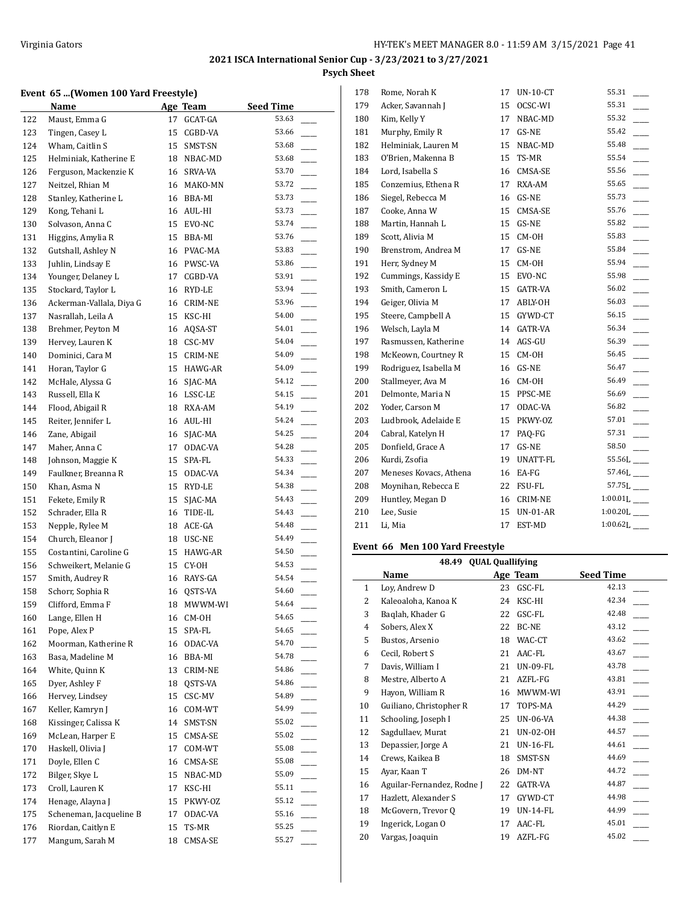## **Event 65 ...(Women 100 Yard Freestyle)**

|     | Name                     |    | <b>Age Team</b> | <b>Seed Time</b>                  |
|-----|--------------------------|----|-----------------|-----------------------------------|
| 122 | Maust, Emma G            | 17 | GCAT-GA         | 53.63                             |
| 123 | Tingen, Casey L          | 15 | CGBD-VA         | 53.66                             |
| 124 | Wham, Caitlin S          | 15 | SMST-SN         | 53.68                             |
| 125 | Helminiak, Katherine E   | 18 | NBAC-MD         | 53.68                             |
| 126 | Ferguson, Mackenzie K    | 16 | SRVA-VA         | 53.70                             |
| 127 | Neitzel, Rhian M         |    | 16 MAKO-MN      | 53.72                             |
| 128 | Stanley, Katherine L     |    | 16 BBA-MI       | 53.73                             |
| 129 | Kong, Tehani L           |    | 16 AUL-HI       | 53.73                             |
| 130 | Solvason, Anna C         |    | 15 EVO-NC       | 53.74                             |
| 131 | Higgins, Amylia R        |    | 15 BBA-MI       | 53.76                             |
| 132 | Gutshall, Ashley N       |    | 16 PVAC-MA      | 53.83                             |
| 133 | Juhlin, Lindsay E        |    | 16 PWSC-VA      | 53.86                             |
| 134 | Younger, Delaney L       | 17 | CGBD-VA         | 53.91                             |
| 135 | Stockard, Taylor L       |    | 16 RYD-LE       | 53.94                             |
| 136 | Ackerman-Vallala, Diya G | 16 | CRIM-NE         | 53.96                             |
| 137 | Nasrallah, Leila A       | 15 | KSC-HI          | 54.00                             |
| 138 | Brehmer, Peyton M        |    | 16 AQSA-ST      | 54.01                             |
| 139 | Hervey, Lauren K         |    | 18 CSC-MV       | 54.04                             |
| 140 | Dominici, Cara M         | 15 | CRIM-NE         | 54.09                             |
| 141 | Horan, Taylor G          |    | 15 HAWG-AR      | 54.09                             |
| 142 | McHale, Alyssa G         | 16 | SJAC-MA         | 54.12                             |
| 143 | Russell, Ella K          |    | 16 LSSC-LE      | 54.15                             |
| 144 | Flood, Abigail R         | 18 | RXA-AM          | 54.19                             |
| 145 | Reiter, Jennifer L       | 16 | AUL-HI          | 54.24                             |
| 146 | Zane, Abigail            | 16 | SJAC-MA         | 54.25                             |
| 147 | Maher, Anna C            | 17 | ODAC-VA         | 54.28                             |
| 148 | Johnson, Maggie K        | 15 | SPA-FL          | 54.33                             |
| 149 | Faulkner, Breanna R      | 15 | ODAC-VA         | 54.34                             |
| 150 | Khan, Asma N             | 15 | RYD-LE          | 54.38                             |
| 151 | Fekete, Emily R          | 15 | SJAC-MA         | 54.43                             |
| 152 | Schrader, Ella R         | 16 | TIDE-IL         | 54.43                             |
| 153 | Nepple, Rylee M          |    | 18 ACE-GA       | 54.48                             |
| 154 | Church, Eleanor J        |    | 18 USC-NE       | 54.49                             |
| 155 | Costantini, Caroline G   |    | 15 HAWG-AR      | 54.50                             |
| 156 | Schweikert, Melanie G    | 15 | CY-OH           | 54.53                             |
| 157 | Smith, Audrey R          | 16 | RAYS-GA         | 54.54                             |
| 158 | Schorr, Sophia R         | 16 | QSTS-VA         | 54.60                             |
| 159 | Clifford, Emma F         | 18 | MWWM-WI         | 54.64                             |
| 160 | Lange, Ellen H           | 16 | CM-OH           | 54.65                             |
| 161 | Pope, Alex P             | 15 | SPA-FL          | 54.65                             |
| 162 | Moorman, Katherine R     | 16 | ODAC-VA         | 54.70                             |
| 163 | Basa, Madeline M         | 16 | BBA-MI          | 54.78                             |
| 164 | White, Quinn K           | 13 | CRIM-NE         | 54.86                             |
| 165 | Dyer, Ashley F           | 18 | QSTS-VA         | 54.86                             |
| 166 | Hervey, Lindsey          | 15 | CSC-MV          | 54.89                             |
| 167 | Keller, Kamryn J         | 16 | COM-WT          | 54.99                             |
| 168 | Kissinger, Calissa K     | 14 | SMST-SN         | 55.02                             |
| 169 | McLean, Harper E         | 15 | CMSA-SE         | 55.02                             |
| 170 | Haskell, Olivia J        | 17 | COM-WT          | 55.08                             |
| 171 | Doyle, Ellen C           | 16 | CMSA-SE         | 55.08                             |
| 172 | Bilger, Skye L           | 15 | NBAC-MD         | 55.09                             |
| 173 | Croll, Lauren K          | 17 | KSC-HI          | 55.11<br>$\overline{\phantom{a}}$ |
| 174 | Henage, Alayna J         | 15 | PKWY-OZ         | 55.12<br>$\overline{\phantom{a}}$ |
| 175 | Scheneman, Jacqueline B  | 17 | ODAC-VA         | 55.16                             |
| 176 | Riordan, Caitlyn E       | 15 | TS-MR           | 55.25                             |
| 177 | Mangum, Sarah M          | 18 | CMSA-SE         | 55.27                             |
|     |                          |    |                 |                                   |

| 178 | Rome, Norah K          | 17 | <b>UN-10-CT</b> | 55.31                     |
|-----|------------------------|----|-----------------|---------------------------|
| 179 | Acker, Savannah J      | 15 | OCSC-WI         | 55.31                     |
| 180 | Kim, Kelly Y           | 17 | NBAC-MD         | 55.32                     |
| 181 | Murphy, Emily R        | 17 | GS-NE           | 55.42                     |
| 182 | Helminiak, Lauren M    | 15 | NBAC-MD         | 55.48                     |
| 183 | O'Brien, Makenna B     | 15 | TS-MR           | 55.54                     |
| 184 | Lord, Isabella S       | 16 | CMSA-SE         | 55.56                     |
| 185 | Conzemius, Ethena R    | 17 | RXA-AM          | 55.65                     |
| 186 | Siegel, Rebecca M      | 16 | GS-NE           | 55.73                     |
| 187 | Cooke, Anna W          | 15 | CMSA-SE         | 55.76                     |
| 188 | Martin, Hannah L       | 15 | GS-NE           | 55.82                     |
| 189 | Scott, Alivia M        | 15 | $CM-OH$         | 55.83                     |
| 190 | Brenstrom, Andrea M    | 17 | GS-NE           | 55.84                     |
| 191 | Herr, Sydney M         | 15 | CM-OH           | 55.94                     |
| 192 | Cummings, Kassidy E    | 15 | EVO-NC          | 55.98                     |
| 193 | Smith, Cameron L       | 15 | GATR-VA         | 56.02                     |
| 194 | Geiger, Olivia M       | 17 | ABLY-OH         | 56.03                     |
| 195 | Steere, Campbell A     | 15 | GYWD-CT         | 56.15                     |
| 196 | Welsch, Layla M        | 14 | <b>GATR-VA</b>  | 56.34                     |
| 197 | Rasmussen, Katherine   | 14 | AGS-GU          | 56.39                     |
| 198 | McKeown, Courtney R    | 15 | CM-OH           | 56.45                     |
| 199 | Rodriguez, Isabella M  | 16 | GS-NE           | 56.47                     |
| 200 | Stallmeyer, Ava M      | 16 | CM-OH           | 56.49                     |
| 201 | Delmonte, Maria N      | 15 | PPSC-ME         | 56.69                     |
| 202 | Yoder, Carson M        | 17 | ODAC-VA         | 56.82                     |
| 203 | Ludbrook, Adelaide E   | 15 | PKWY-OZ         | 57.01                     |
| 204 | Cabral, Katelyn H      | 17 | PAQ-FG          | 57.31                     |
| 205 | Donfield, Grace A      | 17 | GS-NE           | 58.50                     |
| 206 | Kurdi, Zsofia          | 19 | <b>UNATT-FL</b> |                           |
| 207 | Meneses Kovacs, Athena | 16 | EA-FG           | 57.46L                    |
| 208 | Moynihan, Rebecca E    | 22 | FSU-FL          | $57.75L$ <sub>---</sub>   |
| 209 | Huntley, Megan D       | 16 | <b>CRIM-NE</b>  | $1:00.01L$ <sub>---</sub> |
| 210 | Lee, Susie             | 15 | $UN-01-AR$      | $1:00.20L$ <sub>---</sub> |
| 211 | Li, Mia                | 17 | EST-MD          | $1:00.62L$ <sub>___</sub> |
|     |                        |    |                 |                           |

## **Event 66 Men 100 Yard Freestyle**

 $\overline{\phantom{a}}$ 

|              | 48.49                      |    | <b>QUAL Quallifying</b> |                  |
|--------------|----------------------------|----|-------------------------|------------------|
|              | Name                       |    | Age Team                | <b>Seed Time</b> |
| $\mathbf{1}$ | Loy, Andrew D              | 23 | GSC-FL                  | 42.13            |
| 2            | Kaleoaloha, Kanoa K        | 24 | KSC-HI                  | 42.34            |
| 3            | Baglah, Khader G           | 22 | GSC-FL                  | 42.48            |
| 4            | Sobers, Alex X             | 22 | BC-NE                   | 43.12            |
| 5            | Bustos, Arsenio            | 18 | WAC-CT                  | 43.62            |
| 6            | Cecil, Robert S            | 21 | AAC-FL                  | 43.67            |
| 7            | Davis, William I           | 21 | UN-09-FL                | 43.78            |
| 8            | Mestre, Alberto A          | 21 | AZFL-FG                 | 43.81            |
| 9            | Hayon, William R           | 16 | MWWM-WI                 | 43.91            |
| 10           | Guiliano, Christopher R    | 17 | TOPS-MA                 | 44.29            |
| 11           | Schooling, Joseph I        | 25 | <b>UN-06-VA</b>         | 44.38            |
| 12           | Sagdullaev, Murat          | 21 | UN-02-OH                | 44.57            |
| 13           | Depassier, Jorge A         | 21 | UN-16-FL                | 44.61            |
| 14           | Crews, Kaikea B            | 18 | SMST-SN                 | 44.69            |
| 15           | Ayar, Kaan T               | 26 | DM-NT                   | 44.72            |
| 16           | Aguilar-Fernandez, Rodne J | 22 | GATR-VA                 | 44.87            |
| 17           | Hazlett, Alexander S       | 17 | GYWD-CT                 | 44.98            |
| 18           | McGovern, Trevor Q         | 19 | <b>UN-14-FL</b>         | 44.99            |
| 19           | Ingerick, Logan O          | 17 | AAC-FL                  | 45.01            |
| 20           | Vargas, Joaquin            | 19 | AZFL-FG                 | 45.02            |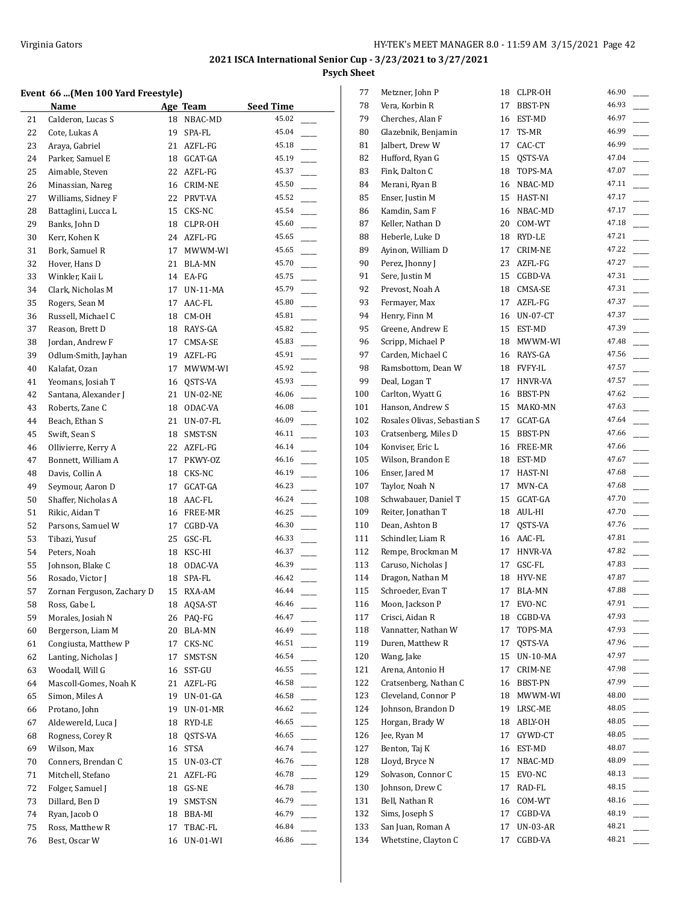## **Event 66 ...(Men 100 Yard Freestyle)**

|    | $100 - 100$                |    |                   |                  |  |
|----|----------------------------|----|-------------------|------------------|--|
|    | Name                       |    | Age Team          | <b>Seed Time</b> |  |
| 21 | Calderon, Lucas S          | 18 | NBAC-MD           | 45.02            |  |
| 22 | Cote, Lukas A              | 19 | SPA-FL            | 45.04            |  |
| 23 | Araya, Gabriel             | 21 | AZFL-FG           | 45.18            |  |
| 24 | Parker, Samuel E           | 18 | GCAT-GA           | 45.19            |  |
| 25 | Aimable, Steven            | 22 | AZFL-FG           | 45.37            |  |
| 26 | Minassian, Nareg           | 16 | CRIM-NE           | 45.50            |  |
| 27 | Williams, Sidney F         | 22 | PRVT-VA           | 45.52            |  |
| 28 | Battaglini, Lucca L        | 15 | CKS-NC            | 45.54            |  |
| 29 | Banks, John D              | 18 | CLPR-OH           | 45.60            |  |
|    |                            |    |                   | 45.65            |  |
| 30 | Kerr, Kohen K              | 24 | AZFL-FG           |                  |  |
| 31 | Bork, Samuel R             | 17 | MWWM-WI           | 45.65            |  |
| 32 | Hover, Hans D              | 21 | BLA-MN            | 45.70            |  |
| 33 | Winkler, Kaii L            | 14 | EA-FG             | 45.75            |  |
| 34 | Clark, Nicholas M          | 17 | UN-11-MA          | 45.79            |  |
| 35 | Rogers, Sean M             | 17 | AAC-FL            | 45.80            |  |
| 36 | Russell, Michael C         | 18 | CM-OH             | 45.81            |  |
| 37 | Reason, Brett D            |    | 18 RAYS-GA        | 45.82            |  |
| 38 | Jordan, Andrew F           | 17 | CMSA-SE           | 45.83            |  |
| 39 | Odlum-Smith, Jayhan        |    | 19 AZFL-FG        | 45.91            |  |
| 40 | Kalafat, Ozan              | 17 | MWWM-WI           | 45.92            |  |
| 41 | Yeomans, Josiah T          | 16 | QSTS-VA           | 45.93            |  |
| 42 | Santana, Alexander J       | 21 | UN-02-NE          | 46.06            |  |
| 43 | Roberts, Zane C            | 18 | ODAC-VA           | 46.08            |  |
| 44 | Beach, Ethan S             | 21 | UN-07-FL          | 46.09            |  |
| 45 | Swift, Sean S              | 18 | SMST-SN           | 46.11            |  |
| 46 | Ollivierre, Kerry A        | 22 | AZFL-FG           | 46.14            |  |
| 47 | Bonnett, William A         | 17 | PKWY-OZ           | 46.16            |  |
| 48 | Davis, Collin A            | 18 | CKS-NC            | 46.19            |  |
| 49 | Seymour, Aaron D           | 17 | GCAT-GA           | 46.23            |  |
| 50 | Shaffer, Nicholas A        | 18 | AAC-FL            | 46.24            |  |
| 51 | Rikic, Aidan T             | 16 | FREE-MR           | 46.25            |  |
| 52 | Parsons, Samuel W          | 17 | CGBD-VA           | 46.30            |  |
| 53 | Tibazi, Yusuf              | 25 | GSC-FL            | 46.33            |  |
| 54 | Peters, Noah               | 18 | KSC-HI            | 46.37            |  |
| 55 | Johnson, Blake C           | 18 |                   | 46.39            |  |
| 56 | Rosado, Victor J           | 18 | ODAC-VA<br>SPA-FL | 46.42            |  |
|    |                            |    |                   | 46.44            |  |
| 57 | Zornan Ferguson, Zachary D | 15 | RXA-AM            |                  |  |
| 58 | Ross, Gabe L               |    | 18 AQSA-ST        | 46.46            |  |
| 59 | Morales, Josiah N          | 26 | PAQ-FG            | 46.47<br>46.49   |  |
| 60 | Bergerson, Liam M          | 20 | BLA-MN            |                  |  |
| 61 | Congiusta, Matthew P       | 17 | CKS-NC            | 46.51            |  |
| 62 | Lanting, Nicholas J        | 17 | SMST-SN           | 46.54            |  |
| 63 | Woodall, Will G            | 16 | SST-GU            | 46.55            |  |
| 64 | Mascoll-Gomes, Noah K      | 21 | AZFL-FG           | 46.58            |  |
| 65 | Simon, Miles A             | 19 | UN-01-GA          | 46.58            |  |
| 66 | Protano, John              | 19 | $UN-01-MR$        | 46.62            |  |
| 67 | Aldewereld, Luca J         | 18 | RYD-LE            | 46.65            |  |
| 68 | Rogness, Corey R           | 18 | QSTS-VA           | 46.65            |  |
| 69 | Wilson, Max                | 16 | STSA              | 46.74            |  |
| 70 | Conners, Brendan C         | 15 | UN-03-CT          | 46.76            |  |
| 71 | Mitchell, Stefano          | 21 | AZFL-FG           | 46.78            |  |
| 72 | Folger, Samuel J           | 18 | GS-NE             | 46.78            |  |
| 73 | Dillard, Ben D             | 19 | SMST-SN           | 46.79            |  |
| 74 | Ryan, Jacob O              | 18 | BBA-MI            | 46.79            |  |
| 75 | Ross, Matthew R            | 17 | TBAC-FL           | 46.84            |  |
| 76 | Best, Oscar W              | 16 | <b>UN-01-WI</b>   | 46.86            |  |

| 77  | Metzner, John P             | 18 | CLPR-OH         | 46.90 |
|-----|-----------------------------|----|-----------------|-------|
| 78  | Vera, Korbin R              | 17 | BBST-PN         | 46.93 |
| 79  | Cherches, Alan F            | 16 | EST-MD          | 46.97 |
| 80  | Glazebnik, Benjamin         | 17 | TS-MR           | 46.99 |
| 81  | Jalbert, Drew W             | 17 | CAC-CT          | 46.99 |
| 82  | Hufford, Ryan G             | 15 | QSTS-VA         | 47.04 |
| 83  | Fink, Dalton C              | 18 | TOPS-MA         | 47.07 |
| 84  | Merani, Ryan B              | 16 | NBAC-MD         | 47.11 |
| 85  | Enser, Justin M             |    | 15 HAST-NI      | 47.17 |
| 86  | Kamdin, Sam F               |    | 16 NBAC-MD      | 47.17 |
| 87  | Keller, Nathan D            |    | 20 COM-WT       | 47.18 |
| 88  | Heberle, Luke D             | 18 | RYD-LE          | 47.21 |
| 89  | Ayinon, William D           | 17 | CRIM-NE         | 47.22 |
| 90  | Perez, Jhonny J             | 23 | AZFL-FG         | 47.27 |
| 91  | Sere, Justin M              | 15 | CGBD-VA         | 47.31 |
| 92  | Prevost, Noah A             | 18 | CMSA-SE         | 47.31 |
| 93  | Fermayer, Max               | 17 | AZFL-FG         | 47.37 |
| 94  | Henry, Finn M               |    | 16 UN-07-CT     | 47.37 |
| 95  | Greene, Andrew E            |    | 15 EST-MD       | 47.39 |
| 96  | Scripp, Michael P           | 18 | MWWM-WI         | 47.48 |
| 97  | Carden, Michael C           |    | 16 RAYS-GA      | 47.56 |
| 98  | Ramsbottom, Dean W          |    | 18 FVFY-IL      | 47.57 |
| 99  | Deal, Logan T               | 17 | HNVR-VA         | 47.57 |
| 100 | Carlton, Wyatt G            | 16 | BBST-PN         | 47.62 |
| 101 | Hanson, Andrew S            | 15 | MAKO-MN         | 47.63 |
| 102 | Rosales Olivas, Sebastian S | 17 | GCAT-GA         | 47.64 |
| 103 | Cratsenberg, Miles D        | 15 | BBST-PN         | 47.66 |
| 104 | Konviser, Eric L            | 16 | FREE-MR         | 47.66 |
| 105 | Wilson, Brandon E           | 18 | EST-MD          | 47.67 |
| 106 | Enser, Jared M              | 17 | HAST-NI         | 47.68 |
| 107 | Taylor, Noah N              | 17 | MVN-CA          | 47.68 |
| 108 | Schwabauer, Daniel T        | 15 | GCAT-GA         | 47.70 |
| 109 | Reiter, Jonathan T          |    | 18 AUL-HI       | 47.70 |
| 110 | Dean, Ashton B              | 17 | QSTS-VA         | 47.76 |
| 111 | Schindler, Liam R           |    | 16 AAC-FL       | 47.81 |
| 112 | Rempe, Brockman M           |    | 17 HNVR-VA      | 47.82 |
| 113 | Caruso, Nicholas J          | 17 | GSC-FL          | 47.83 |
| 114 | Dragon, Nathan M            | 18 | HYV-NE          | 47.87 |
| 115 | Schroeder, Evan T           | 17 | <b>BLA-MN</b>   | 47.88 |
| 116 | Moon, Jackson P             | 17 | EVO-NC          | 47.91 |
| 117 | Crisci, Aidan R             | 18 | CGBD-VA         | 47.93 |
| 118 | Vannatter, Nathan W         | 17 | TOPS-MA         | 47.93 |
| 119 | Duren, Matthew R            | 17 | OSTS-VA         | 47.96 |
| 120 | Wang, Jake                  | 15 | <b>UN-10-MA</b> | 47.97 |
| 121 | Arena, Antonio H            | 17 | CRIM-NE         | 47.98 |
| 122 | Cratsenberg, Nathan C       | 16 | BBST-PN         | 47.99 |
| 123 | Cleveland, Connor P         | 18 | MWWM-WI         | 48.00 |
| 124 | Johnson, Brandon D          | 19 | LRSC-ME         | 48.05 |
| 125 | Horgan, Brady W             | 18 | ABLY-OH         | 48.05 |
| 126 | Jee, Ryan M                 | 17 | GYWD-CT         | 48.05 |
| 127 | Benton, Taj K               | 16 | EST-MD          | 48.07 |
| 128 | Lloyd, Bryce N              | 17 | NBAC-MD         | 48.09 |
| 129 | Solvason, Connor C          | 15 | EVO-NC          | 48.13 |
| 130 | Johnson, Drew C             | 17 | RAD-FL          | 48.15 |
| 131 | Bell, Nathan R              | 16 | COM-WT          | 48.16 |
| 132 | Sims, Joseph S              | 17 | CGBD-VA         | 48.19 |
| 133 | San Juan, Roman A           | 17 | UN-03-AR        | 48.21 |
| 134 | Whetstine, Clayton C        | 17 | CGBD-VA         | 48.21 |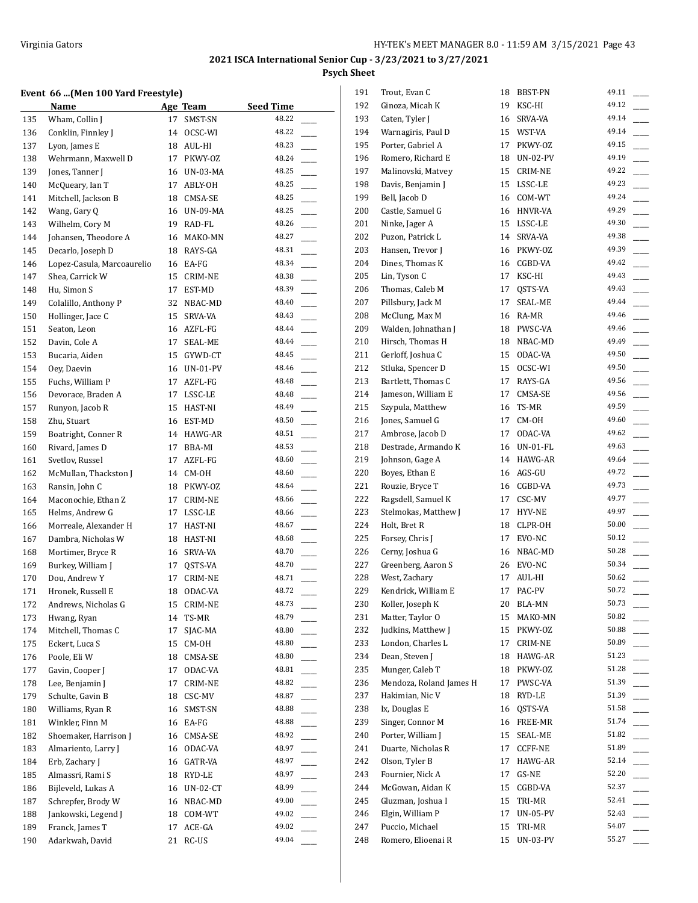## **Event 66 ...(Men 100 Yard Freestyle)**

|     | EVEIIL OO (MEII 100 TALU FIEESLYIEJ |    |             |                  | ᅩ  |
|-----|-------------------------------------|----|-------------|------------------|----|
|     | Name                                |    | Age Team    | <b>Seed Time</b> | 19 |
| 135 | Wham, Collin J                      | 17 | SMST-SN     | 48.22            | 19 |
| 136 | Conklin, Finnley J                  | 14 | OCSC-WI     | 48.22            | 19 |
| 137 | Lyon, James E                       | 18 | AUL-HI      | 48.23            | 19 |
| 138 | Wehrmann, Maxwell D                 | 17 | PKWY-OZ     | 48.24            | 19 |
| 139 | Jones, Tanner J                     |    | 16 UN-03-MA | 48.25            | 19 |
| 140 | McQueary, Ian T                     | 17 | ABLY-OH     | 48.25            | 19 |
| 141 | Mitchell, Jackson B                 | 18 | CMSA-SE     | 48.25            | 19 |
| 142 | Wang, Gary Q                        |    | 16 UN-09-MA | 48.25            | 20 |
| 143 | Wilhelm, Cory M                     | 19 | RAD-FL      | 48.26            | 20 |
| 144 | Johansen, Theodore A                |    | 16 MAKO-MN  | 48.27            | 20 |
| 145 | Decarlo, Joseph D                   |    | 18 RAYS-GA  | 48.31            | 20 |
| 146 | Lopez-Casula, Marcoaurelio          |    | 16 EA-FG    | 48.34            | 20 |
| 147 | Shea, Carrick W                     | 15 | CRIM-NE     | 48.38            | 20 |
| 148 | Hu, Simon S                         | 17 | EST-MD      | 48.39            | 20 |
| 149 | Colalillo, Anthony P                | 32 | NBAC-MD     | 48.40            | 20 |
| 150 | Hollinger, Jace C                   | 15 | SRVA-VA     | 48.43            | 20 |
| 151 | Seaton, Leon                        | 16 | AZFL-FG     | 48.44            | 20 |
| 152 | Davin, Cole A                       | 17 | SEAL-ME     | 48.44            | 21 |
| 153 | Bucaria, Aiden                      | 15 | GYWD-CT     | 48.45            | 21 |
| 154 | Oey, Daevin                         | 16 | UN-01-PV    | 48.46            | 21 |
| 155 | Fuchs, William P                    | 17 | AZFL-FG     | 48.48            | 21 |
| 156 | Devorace, Braden A                  | 17 | LSSC-LE     | 48.48            | 21 |
| 157 | Runyon, Jacob R                     |    | 15 HAST-NI  | 48.49            | 21 |
| 158 | Zhu, Stuart                         |    | 16 EST-MD   | 48.50            | 21 |
| 159 | Boatright, Conner R                 |    | 14 HAWG-AR  | 48.51            | 21 |
| 160 | Rivard, James D                     | 17 |             | 48.53            | 21 |
|     |                                     |    | BBA-MI      | 48.60            | 21 |
| 161 | Svetlov, Russel                     | 17 | AZFL-FG     |                  |    |
| 162 | McMullan, Thackston J               | 14 | CM-OH       | 48.60            | 22 |
| 163 | Ransin, John C                      |    | 18 PKWY-OZ  | 48.64            | 22 |
| 164 | Maconochie, Ethan Z                 | 17 | CRIM-NE     | 48.66            | 22 |
| 165 | Helms, Andrew G                     | 17 | LSSC-LE     | 48.66            | 22 |
| 166 | Morreale, Alexander H               | 17 | HAST-NI     | 48.67            | 22 |
| 167 | Dambra, Nicholas W                  |    | 18 HAST-NI  | 48.68            | 22 |
| 168 | Mortimer, Bryce R                   |    | 16 SRVA-VA  | 48.70            | 22 |
| 169 | Burkey, William J                   | 17 | QSTS-VA     | 48.70            | 22 |
| 170 | Dou, Andrew Y                       | 17 | CRIM-NE     | 48.71            | 22 |
| 171 | Hronek, Russell E                   |    | 18 ODAC-VA  | 48.72            | 22 |
| 172 | Andrews, Nicholas G                 |    | 15 CRIM-NE  | 48.73            | 23 |
| 173 | Hwang, Ryan                         | 14 | TS-MR       | 48.79            | 23 |
| 174 | Mitchell, Thomas C                  | 17 | SJAC-MA     | 48.80            | 23 |
| 175 | Eckert, Luca S                      | 15 | CM-OH       | 48.80            | 23 |
| 176 | Poole, Eli W                        | 18 | CMSA-SE     | 48.80            | 23 |
| 177 | Gavin, Cooper J                     | 17 | ODAC-VA     | 48.81            | 23 |
| 178 | Lee, Benjamin J                     | 17 | CRIM-NE     | 48.82            | 23 |
| 179 | Schulte, Gavin B                    | 18 | CSC-MV      | 48.87            | 23 |
| 180 | Williams, Ryan R                    | 16 | SMST-SN     | 48.88            | 23 |
| 181 | Winkler, Finn M                     | 16 | EA-FG       | 48.88            | 23 |
| 182 | Shoemaker, Harrison J               | 16 | CMSA-SE     | 48.92            | 24 |
| 183 | Almariento, Larry J                 | 16 | ODAC-VA     | 48.97            | 24 |
| 184 | Erb, Zachary J                      | 16 | GATR-VA     | 48.97            | 24 |
| 185 | Almassri, Rami S                    | 18 | RYD-LE      | 48.97            | 24 |
| 186 | Bijleveld, Lukas A                  | 16 | UN-02-CT    | 48.99            | 24 |
| 187 | Schrepfer, Brody W                  | 16 | NBAC-MD     | 49.00            | 24 |
| 188 | Jankowski, Legend J                 | 18 | COM-WT      | 49.02            | 24 |
| 189 | Franck, James T                     | 17 | ACE-GA      | 49.02            | 24 |
| 190 | Adarkwah, David                     | 21 | RC-US       | 49.04            |    |
|     |                                     |    |             |                  | 24 |

| 191 | Trout, Evan C           | 18 | BBST-PN         | 49.11          |
|-----|-------------------------|----|-----------------|----------------|
| 192 | Ginoza, Micah K         | 19 | KSC-HI          | 49.12          |
| 193 | Caten, Tyler J          | 16 | SRVA-VA         | 49.14          |
| 194 | Warnagiris, Paul D      | 15 | WST-VA          | 49.14          |
| 195 | Porter, Gabriel A       | 17 | PKWY-OZ         | 49.15          |
| 196 | Romero, Richard E       | 18 | UN-02-PV        | 49.19          |
| 197 | Malinovski, Matvey      | 15 | CRIM-NE         | 49.22          |
| 198 | Davis, Benjamin J       | 15 | LSSC-LE         | 49.23          |
| 199 | Bell, Jacob D           |    | 16 COM-WT       | 49.24          |
| 200 | Castle, Samuel G        | 16 | HNVR-VA         | 49.29          |
| 201 | Ninke, Jager A          | 15 | LSSC-LE         | 49.30          |
| 202 | Puzon, Patrick L        | 14 | SRVA-VA         | 49.38          |
| 203 | Hansen, Trevor J        | 16 | PKWY-OZ         | 49.39          |
| 204 | Dines, Thomas K         | 16 | CGBD-VA         | 49.42          |
| 205 | Lin, Tyson C            | 17 | KSC-HI          | 49.43          |
| 206 | Thomas, Caleb M         | 17 | QSTS-VA         | 49.43          |
| 207 | Pillsbury, Jack M       | 17 | SEAL-ME         | 49.44          |
| 208 | McClung, Max M          |    | 16 RA-MR        | 49.46          |
| 209 | Walden, Johnathan J     | 18 | PWSC-VA         | 49.46          |
| 210 | Hirsch, Thomas H        | 18 | NBAC-MD         | 49.49          |
| 211 | Gerloff, Joshua C       | 15 | ODAC-VA         | 49.50          |
| 212 | Stluka, Spencer D       | 15 | OCSC-WI         | 49.50          |
| 213 | Bartlett, Thomas C      | 17 | RAYS-GA         | 49.56          |
| 214 | Jameson, William E      | 17 | CMSA-SE         | 49.56          |
| 215 | Szypula, Matthew        | 16 | TS-MR           | 49.59          |
| 216 | Jones, Samuel G         | 17 | CM-OH           | 49.60          |
| 217 | Ambrose, Jacob D        | 17 | ODAC-VA         | 49.62          |
|     | Destrade, Armando K     | 16 |                 | 49.63          |
| 218 |                         |    | UN-01-FL        | 49.64          |
| 219 | Johnson, Gage A         | 14 | HAWG-AR         | 49.72          |
| 220 | Boyes, Ethan E          | 16 | AGS-GU          | 49.73          |
| 221 | Rouzie, Bryce T         |    | 16 CGBD-VA      | 49.77          |
| 222 | Ragsdell, Samuel K      | 17 | CSC-MV          |                |
| 223 | Stelmokas, Matthew J    | 17 | HYV-NE          | 49.97<br>50.00 |
| 224 | Holt, Bret R            |    | 18 CLPR-OH      |                |
| 225 | Forsey, Chris J         | 17 | EVO-NC          | 50.12          |
| 226 | Cerny, Joshua G         | 16 | NBAC-MD         | 50.28<br>50.34 |
| 227 | Greenberg, Aaron S      | 26 | EVO-NC          |                |
| 228 | West, Zachary           | 17 | AUL-HI          | 50.62          |
| 229 | Kendrick, William E     | 17 | PAC-PV          | 50.72          |
| 230 | Koller, Joseph K        | 20 | BLA-MN          | 50.73          |
| 231 | Matter, Taylor O        | 15 | MAKO-MN         | 50.82          |
| 232 | Judkins, Matthew J      | 15 | PKWY-OZ         | 50.88          |
| 233 | London, Charles L       | 17 | CRIM-NE         | 50.89          |
| 234 | Dean, Steven J          | 18 | HAWG-AR         | 51.23          |
| 235 | Munger, Caleb T         | 18 | PKWY-OZ         | 51.28          |
| 236 | Mendoza, Roland James H | 17 | PWSC-VA         | 51.39          |
| 237 | Hakimian, Nic V         | 18 | RYD-LE          | 51.39          |
| 238 | Ix, Douglas E           | 16 | QSTS-VA         | 51.58          |
| 239 | Singer, Connor M        | 16 | FREE-MR         | 51.74          |
| 240 | Porter, William J       | 15 | SEAL-ME         | 51.82          |
| 241 | Duarte, Nicholas R      | 17 | $CCFF-NE$       | 51.89          |
| 242 | Olson, Tyler B          | 17 | HAWG-AR         | 52.14          |
| 243 | Fournier, Nick A        | 17 | GS-NE           | 52.20          |
| 244 | McGowan, Aidan K        | 15 | CGBD-VA         | 52.37          |
| 245 | Gluzman, Joshua I       | 15 | TRI-MR          | 52.41          |
| 246 | Elgin, William P        | 17 | <b>UN-05-PV</b> | 52.43          |
| 247 | Puccio, Michael         | 15 | TRI-MR          | 54.07          |
| 248 | Romero, Elioenai R      | 15 | UN-03-PV        | 55.27          |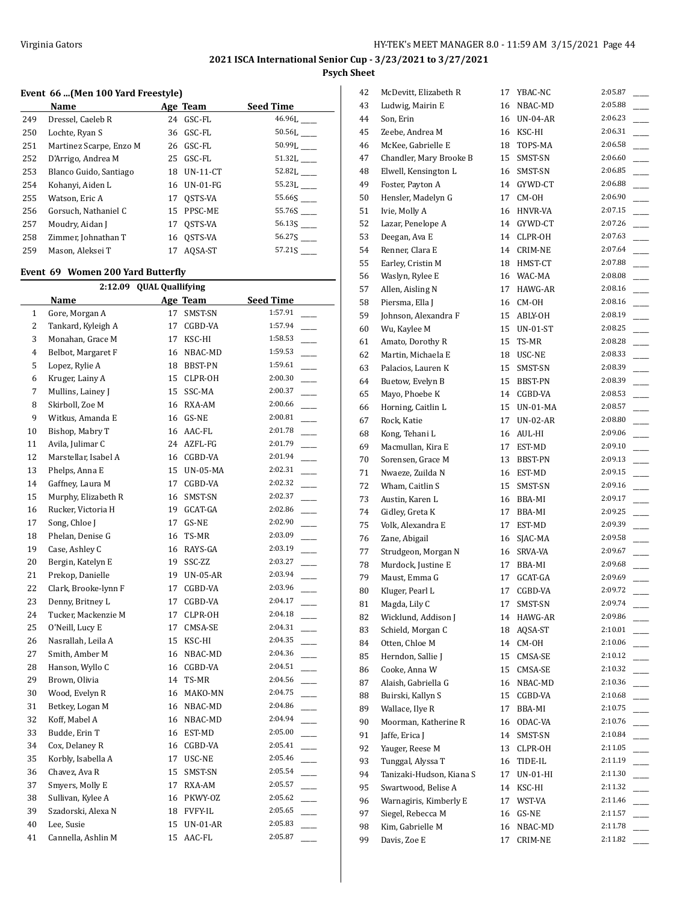## **Event 66 ...(Men 100 Yard Freestyle)**

|     | Name                    |    | Age Team    | <b>Seed Time</b> |
|-----|-------------------------|----|-------------|------------------|
| 249 | Dressel, Caeleb R       |    | 24 GSC-FL   | 46.96L           |
| 250 | Lochte, Ryan S          |    | 36 GSC-FL   | 50.56L           |
| 251 | Martinez Scarpe, Enzo M |    | 26 GSC-FL   | 50.99L           |
| 252 | D'Arrigo, Andrea M      |    | 25 GSC-FL   | 51.32L           |
| 253 | Blanco Guido, Santiago  |    | 18 UN-11-CT | 52.82L           |
| 254 | Kohanyi, Aiden L        |    | 16 UN-01-FG | 55.23L           |
| 255 | Watson, Eric A          |    | 17 OSTS-VA  | 55.66S           |
| 256 | Gorsuch. Nathaniel C    |    | 15 PPSC-ME  | 55.76S           |
| 257 | Moudry, Aidan J         | 17 | OSTS-VA     | 56.13S           |
| 258 | Zimmer, Johnathan T     |    | 16 OSTS-VA  | 56.27S           |
| 259 | Mason, Aleksei T        | 17 | AOSA-ST     | 57.21S           |

## **Event 69 Women 200 Yard Butterfly**

|                | 2:12.09 QUAL Quallifying |    |            |                  |  |  |  |
|----------------|--------------------------|----|------------|------------------|--|--|--|
|                | <b>Name</b>              |    | Age Team   | <b>Seed Time</b> |  |  |  |
| 1              | Gore, Morgan A           | 17 | SMST-SN    | 1:57.91          |  |  |  |
| 2              | Tankard, Kyleigh A       | 17 | CGBD-VA    | 1:57.94          |  |  |  |
| 3              | Monahan, Grace M         | 17 | KSC-HI     | 1:58.53          |  |  |  |
| 4              | Belbot, Margaret F       | 16 | NBAC-MD    | 1:59.53          |  |  |  |
| 5              | Lopez, Rylie A           | 18 | BBST-PN    | 1:59.61          |  |  |  |
| 6              | Kruger, Lainy A          | 15 | CLPR-OH    | 2:00.30          |  |  |  |
| $\overline{7}$ | Mullins, Lainey J        | 15 | SSC-MA     | 2:00.37          |  |  |  |
| 8              | Skirboll, Zoe M          | 16 | RXA-AM     | 2:00.66          |  |  |  |
| 9              | Witkus, Amanda E         |    | 16 GS-NE   | 2:00.81          |  |  |  |
| 10             | Bishop, Mabry T          | 16 | AAC-FL     | 2:01.78          |  |  |  |
| 11             | Avila, Julimar C         |    | 24 AZFL-FG | 2:01.79          |  |  |  |
| 12             | Marstellar, Isabel A     |    | 16 CGBD-VA | 2:01.94          |  |  |  |
| 13             | Phelps, Anna E           | 15 | UN-05-MA   | 2:02.31          |  |  |  |
| 14             | Gaffney, Laura M         | 17 | CGBD-VA    | 2:02.32          |  |  |  |
| 15             | Murphy, Elizabeth R      | 16 | SMST-SN    | 2:02.37          |  |  |  |
| 16             | Rucker, Victoria H       | 19 | GCAT-GA    | 2:02.86          |  |  |  |
| 17             | Song, Chloe J            | 17 | GS-NE      | 2:02.90          |  |  |  |
| 18             | Phelan, Denise G         | 16 | TS-MR      | 2:03.09          |  |  |  |
| 19             | Case, Ashley C           | 16 | RAYS-GA    | 2:03.19          |  |  |  |
| 20             | Bergin, Katelyn E        | 19 | SSC-ZZ     | 2:03.27          |  |  |  |
| 21             | Prekop, Danielle         | 19 | $UN-05-AR$ | 2:03.94          |  |  |  |
| 22             | Clark, Brooke-lynn F     | 17 | CGBD-VA    | 2:03.96          |  |  |  |
| 23             | Denny, Britney L         | 17 | CGBD-VA    | 2:04.17          |  |  |  |
| 24             | Tucker, Mackenzie M      | 17 | CLPR-OH    | 2:04.18          |  |  |  |
| 25             | O'Neill, Lucy E          | 17 | CMSA-SE    | 2:04.31          |  |  |  |
| 26             | Nasrallah, Leila A       | 15 | KSC-HI     | 2:04.35          |  |  |  |
| 27             | Smith, Amber M           | 16 | NBAC-MD    | 2:04.36          |  |  |  |
| 28             | Hanson, Wyllo C          |    | 16 CGBD-VA | 2:04.51          |  |  |  |
| 29             | Brown, Olivia            | 14 | TS-MR      | 2:04.56          |  |  |  |
| 30             | Wood, Evelyn R           | 16 | MAKO-MN    | 2:04.75          |  |  |  |
| 31             | Betkey, Logan M          |    | 16 NBAC-MD | 2:04.86          |  |  |  |
| 32             | Koff, Mabel A            |    | 16 NBAC-MD | 2:04.94          |  |  |  |
| 33             | Budde, Erin T            |    | 16 EST-MD  | 2:05.00          |  |  |  |
| 34             | Cox, Delaney R           | 16 | CGBD-VA    | 2:05.41          |  |  |  |
| 35             | Korbly, Isabella A       | 17 | USC-NE     | 2:05.46          |  |  |  |
| 36             | Chavez, Ava R            | 15 | SMST-SN    | 2:05.54          |  |  |  |
| 37             | Smyers, Molly E          | 17 | RXA-AM     | 2:05.57          |  |  |  |
| 38             | Sullivan, Kylee A        | 16 | PKWY-0Z    | 2:05.62          |  |  |  |
| 39             | Szadorski, Alexa N       |    | 18 FVFY-IL | 2:05.65          |  |  |  |
| 40             | Lee, Susie               | 15 | $UN-01-AR$ | 2:05.83          |  |  |  |
| 41             | Cannella, Ashlin M       | 15 | AAC-FL     | 2:05.87          |  |  |  |

| 42 | McDevitt, Elizabeth R    | 17 | YBAC-NC         | 2:05.87 |
|----|--------------------------|----|-----------------|---------|
| 43 | Ludwig, Mairin E         | 16 | NBAC-MD         | 2:05.88 |
| 44 | Son, Erin                |    | 16 UN-04-AR     | 2:06.23 |
| 45 | Zeebe, Andrea M          | 16 | KSC-HI          | 2:06.31 |
| 46 | McKee, Gabrielle E       | 18 | TOPS-MA         | 2:06.58 |
| 47 | Chandler, Mary Brooke B  | 15 | SMST-SN         | 2:06.60 |
| 48 | Elwell, Kensington L     | 16 | SMST-SN         | 2:06.85 |
| 49 | Foster, Payton A         | 14 | GYWD-CT         | 2:06.88 |
| 50 | Hensler, Madelyn G       | 17 | CM-OH           | 2:06.90 |
| 51 | Ivie, Molly A            | 16 | HNVR-VA         | 2:07.15 |
| 52 | Lazar, Penelope A        | 14 | GYWD-CT         | 2:07.26 |
| 53 | Deegan, Ava E            |    | 14 CLPR-OH      | 2:07.63 |
| 54 | Renner, Clara E          |    | 14 CRIM-NE      | 2:07.64 |
| 55 | Earley, Cristin M        | 18 | HMST-CT         | 2:07.88 |
| 56 | Waslyn, Rylee E          | 16 | WAC-MA          | 2:08.08 |
| 57 | Allen, Aisling N         | 17 | HAWG-AR         | 2:08.16 |
| 58 | Piersma, Ella J          | 16 | CM-OH           | 2:08.16 |
| 59 | Johnson, Alexandra F     | 15 | ABLY-OH         | 2:08.19 |
| 60 | Wu, Kaylee M             | 15 | $UN-01-ST$      | 2:08.25 |
| 61 | Amato, Dorothy R         | 15 | TS-MR           | 2:08.28 |
| 62 | Martin, Michaela E       | 18 | USC-NE          | 2:08.33 |
| 63 | Palacios, Lauren K       | 15 | SMST-SN         | 2:08.39 |
| 64 | Buetow, Evelyn B         | 15 | BBST-PN         | 2:08.39 |
| 65 | Mayo, Phoebe K           | 14 | CGBD-VA         | 2:08.53 |
| 66 | Horning, Caitlin L       | 15 | UN-01-MA        | 2:08.57 |
| 67 | Rock, Katie              | 17 | <b>UN-02-AR</b> | 2:08.80 |
| 68 | Kong, Tehani L           | 16 | AUL-HI          | 2:09.06 |
| 69 | Macmullan, Kira E        | 17 | EST-MD          | 2:09.10 |
| 70 | Sorensen, Grace M        | 13 | BBST-PN         | 2:09.13 |
| 71 | Nwaeze, Zuilda N         | 16 | EST-MD          | 2:09.15 |
| 72 | Wham, Caitlin S          | 15 | SMST-SN         | 2:09.16 |
| 73 | Austin, Karen L          | 16 | BBA-MI          | 2:09.17 |
| 74 | Gidley, Greta K          | 17 | BBA-MI          | 2:09.25 |
| 75 | Volk, Alexandra E        | 17 | EST-MD          | 2:09.39 |
| 76 | Zane, Abigail            | 16 | SJAC-MA         | 2:09.58 |
| 77 | Strudgeon, Morgan N      | 16 | SRVA-VA         | 2:09.67 |
| 78 | Murdock, Justine E       | 17 | BBA-MI          | 2:09.68 |
| 79 | Maust, Emma G            | 17 | GCAT-GA         | 2:09.69 |
| 80 | Kluger, Pearl L          | 17 | CGBD-VA         | 2:09.72 |
| 81 | Magda, Lily C            | 17 | SMST-SN         | 2:09.74 |
| 82 | Wicklund, Addison J      | 14 | HAWG-AR         | 2:09.86 |
| 83 | Schield, Morgan C        | 18 | AOSA-ST         | 2:10.01 |
| 84 | Otten, Chloe M           | 14 | CM-OH           | 2:10.06 |
| 85 | Herndon, Sallie J        | 15 | CMSA-SE         | 2:10.12 |
| 86 | Cooke, Anna W            | 15 | CMSA-SE         | 2:10.32 |
| 87 | Alaish, Gabriella G      | 16 | NBAC-MD         | 2:10.36 |
| 88 | Buirski, Kallyn S        | 15 | CGBD-VA         | 2:10.68 |
| 89 | Wallace, Ilye R          | 17 | BBA-MI          | 2:10.75 |
| 90 | Moorman, Katherine R     | 16 | ODAC-VA         | 2:10.76 |
| 91 | Jaffe, Erica J           | 14 | SMST-SN         | 2:10.84 |
| 92 | Yauger, Reese M          | 13 | CLPR-OH         | 2:11.05 |
| 93 | Tunggal, Alyssa T        | 16 | TIDE-IL         | 2:11.19 |
| 94 | Tanizaki-Hudson, Kiana S | 17 | UN-01-HI        | 2:11.30 |
| 95 | Swartwood, Belise A      | 14 | KSC-HI          | 2:11.32 |
| 96 | Warnagiris, Kimberly E   | 17 | WST-VA          | 2:11.46 |
| 97 | Siegel, Rebecca M        | 16 | GS-NE           | 2:11.57 |
| 98 | Kim, Gabrielle M         | 16 | NBAC-MD         | 2:11.78 |
| 99 | Davis, Zoe E             | 17 | CRIM-NE         | 2:11.82 |
|    |                          |    |                 |         |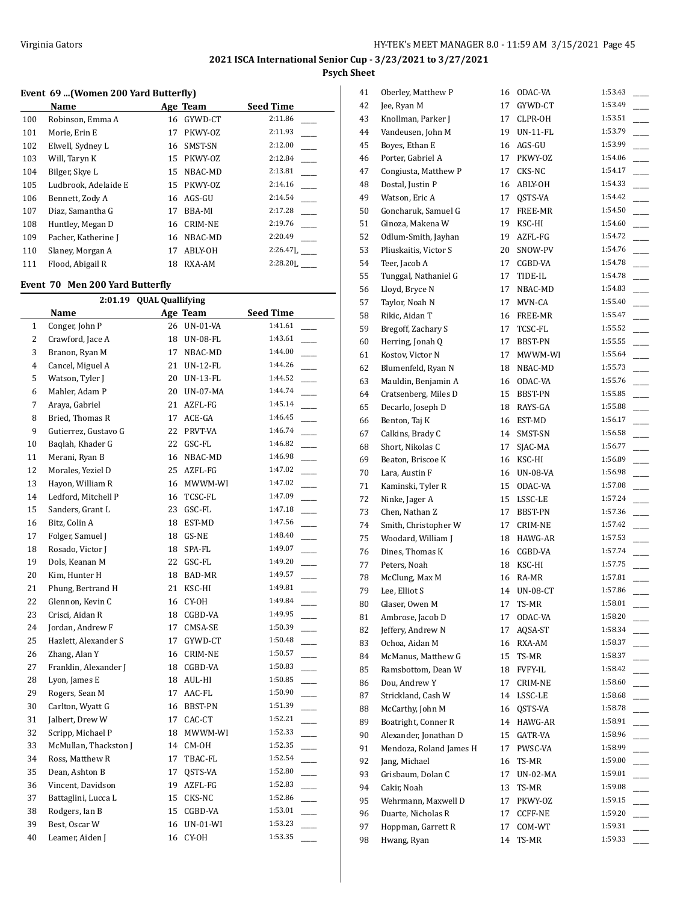## **Event 69 ...(Women 200 Yard Butterfly)**

|     | Name                 |    | Age Team       | <b>Seed Time</b> |
|-----|----------------------|----|----------------|------------------|
| 100 | Robinson, Emma A     | 16 | GYWD-CT        | 2:11.86          |
| 101 | Morie, Erin E        | 17 | PKWY-OZ        | 2:11.93          |
| 102 | Elwell, Sydney L     | 16 | SMST-SN        | 2:12.00          |
| 103 | Will, Taryn K        | 15 | PKWY-OZ        | 2:12.84          |
| 104 | Bilger, Skye L       | 15 | NBAC-MD        | 2:13.81          |
| 105 | Ludbrook, Adelaide E | 15 | PKWY-OZ        | 2:14.16          |
| 106 | Bennett, Zody A      | 16 | AGS-GU         | 2:14.54          |
| 107 | Diaz, Samantha G     | 17 | BBA-MI         | 2:17.28          |
| 108 | Huntley, Megan D     | 16 | <b>CRIM-NE</b> | 2:19.76          |
| 109 | Pacher, Katherine J  | 16 | NBAC-MD        | 2:20.49          |
| 110 | Slaney, Morgan A     | 17 | ABLY-OH        | $2:26.47$ .      |
| 111 | Flood, Abigail R     | 18 | RXA-AM         | $2:28.20$ .      |

#### **Event 70 Men 200 Yard Butterfly**

L

| 2:01.19 QUAL Quallifying |                       |    |                 |         |  |
|--------------------------|-----------------------|----|-----------------|---------|--|
|                          | <b>Seed Time</b>      |    |                 |         |  |
| $\mathbf{1}$             | Conger, John P        | 26 | UN-01-VA        | 1:41.61 |  |
| $\overline{2}$           | Crawford, Jace A      | 18 | <b>UN-08-FL</b> | 1:43.61 |  |
| 3                        | Branon, Ryan M        | 17 | NBAC-MD         | 1:44.00 |  |
| 4                        | Cancel, Miguel A      | 21 | UN-12-FL        | 1:44.26 |  |
| 5                        | Watson, Tyler J       | 20 | <b>UN-13-FL</b> | 1:44.52 |  |
| 6                        | Mahler, Adam P        | 20 | UN-07-MA        | 1:44.74 |  |
| 7                        | Araya, Gabriel        | 21 | AZFL-FG         | 1:45.14 |  |
| 8                        | Bried, Thomas R       | 17 | ACE-GA          | 1:46.45 |  |
| 9                        | Gutierrez, Gustavo G  | 22 | PRVT-VA         | 1:46.74 |  |
| 10                       | Baqlah, Khader G      | 22 | GSC-FL          | 1:46.82 |  |
| 11                       | Merani, Ryan B        | 16 | NBAC-MD         | 1:46.98 |  |
| 12                       | Morales, Yeziel D     | 25 | AZFL-FG         | 1:47.02 |  |
| 13                       | Hayon, William R      | 16 | MWWM-WI         | 1:47.02 |  |
| 14                       | Ledford, Mitchell P   | 16 | TCSC-FL         | 1:47.09 |  |
| 15                       | Sanders, Grant L      | 23 | GSC-FL          | 1:47.18 |  |
| 16                       | Bitz, Colin A         | 18 | EST-MD          | 1:47.56 |  |
| 17                       | Folger, Samuel J      | 18 | GS-NE           | 1:48.40 |  |
| 18                       | Rosado, Victor J      | 18 | SPA-FL          | 1:49.07 |  |
| 19                       | Dols, Keanan M        | 22 | GSC-FL          | 1:49.20 |  |
| 20                       | Kim, Hunter H         | 18 | BAD-MR          | 1:49.57 |  |
| 21                       | Phung, Bertrand H     | 21 | KSC-HI          | 1:49.81 |  |
| 22                       | Glennon, Kevin C      | 16 | CY-OH           | 1:49.84 |  |
| 23                       | Crisci, Aidan R       | 18 | CGBD-VA         | 1:49.95 |  |
| 24                       | Jordan, Andrew F      | 17 | CMSA-SE         | 1:50.39 |  |
| 25                       | Hazlett, Alexander S  | 17 | GYWD-CT         | 1:50.48 |  |
| 26                       | Zhang, Alan Y         | 16 | CRIM-NE         | 1:50.57 |  |
| 27                       | Franklin, Alexander J | 18 | CGBD-VA         | 1:50.83 |  |
| 28                       | Lyon, James E         | 18 | AUL-HI          | 1:50.85 |  |
| 29                       | Rogers, Sean M        | 17 | AAC-FL          | 1:50.90 |  |
| 30                       | Carlton, Wyatt G      | 16 | BBST-PN         | 1:51.39 |  |
| 31                       | Jalbert, Drew W       | 17 | CAC-CT          | 1:52.21 |  |
| 32                       | Scripp, Michael P     | 18 | MWWM-WI         | 1:52.33 |  |
| 33                       | McMullan, Thackston J | 14 | CM-OH           | 1:52.35 |  |
| 34                       | Ross, Matthew R       | 17 | TBAC-FL         | 1:52.54 |  |
| 35                       | Dean, Ashton B        | 17 | OSTS-VA         | 1:52.80 |  |
| 36                       | Vincent, Davidson     | 19 | AZFL-FG         | 1:52.83 |  |
| 37                       | Battaglini, Lucca L   | 15 | CKS-NC          | 1:52.86 |  |
| 38                       | Rodgers, Ian B        | 15 | CGBD-VA         | 1:53.01 |  |
| 39                       | Best, Oscar W         | 16 | UN-01-WI        | 1:53.23 |  |
| 40                       | Leamer, Aiden J       | 16 | CY-OH           | 1:53.35 |  |
|                          |                       |    |                 |         |  |

| 41 | Oberley, Matthew P      |    | 16 ODAC-VA      | 1:53.43 |
|----|-------------------------|----|-----------------|---------|
| 42 | Jee, Ryan M             | 17 | GYWD-CT         | 1:53.49 |
| 43 | Knollman, Parker J      | 17 | CLPR-OH         | 1:53.51 |
| 44 | Vandeusen, John M       | 19 | <b>UN-11-FL</b> | 1:53.79 |
| 45 | Boyes, Ethan E          | 16 | AGS-GU          | 1:53.99 |
| 46 | Porter, Gabriel A       | 17 | PKWY-OZ         | 1:54.06 |
| 47 | Congiusta, Matthew P    | 17 | CKS-NC          | 1:54.17 |
| 48 | Dostal, Justin P        | 16 | ABLY-OH         | 1:54.33 |
| 49 | Watson, Eric A          | 17 | QSTS-VA         | 1:54.42 |
| 50 | Goncharuk, Samuel G     | 17 | FREE-MR         | 1:54.50 |
| 51 | Ginoza, Makena W        | 19 | KSC-HI          | 1:54.60 |
| 52 | Odlum-Smith, Jayhan     | 19 | AZFL-FG         | 1:54.72 |
| 53 | Pliuskaitis, Victor S   | 20 | SNOW-PV         | 1:54.76 |
| 54 | Teer, Jacob A           | 17 | CGBD-VA         | 1:54.78 |
| 55 | Tunggal, Nathaniel G    | 17 | TIDE-IL         | 1:54.78 |
| 56 | Lloyd, Bryce N          | 17 | NBAC-MD         | 1:54.83 |
| 57 | Taylor, Noah N          | 17 | MVN-CA          | 1:55.40 |
| 58 | Rikic, Aidan T          | 16 | FREE-MR         | 1:55.47 |
| 59 | Bregoff, Zachary S      | 17 | TCSC-FL         | 1:55.52 |
| 60 | Herring, Jonah Q        | 17 | BBST-PN         | 1:55.55 |
| 61 | Kostov, Victor N        | 17 | MWWM-WI         | 1:55.64 |
| 62 | Blumenfeld, Ryan N      | 18 | NBAC-MD         | 1:55.73 |
| 63 | Mauldin, Benjamin A     |    | 16 ODAC-VA      | 1:55.76 |
| 64 | Cratsenberg, Miles D    | 15 | BBST-PN         | 1:55.85 |
|    |                         | 18 | RAYS-GA         | 1:55.88 |
| 65 | Decarlo, Joseph D       |    |                 | 1:56.17 |
| 66 | Benton, Taj K           | 16 | EST-MD          | 1:56.58 |
| 67 | Calkins, Brady C        | 14 | SMST-SN         | 1:56.77 |
| 68 | Short, Nikolas C        | 17 | SJAC-MA         |         |
| 69 | Beaton, Briscoe K       | 16 | KSC-HI          | 1:56.89 |
| 70 | Lara, Austin F          | 16 | UN-08-VA        | 1:56.98 |
| 71 | Kaminski, Tyler R       | 15 | ODAC-VA         | 1:57.08 |
| 72 | Ninke, Jager A          | 15 | LSSC-LE         | 1:57.24 |
| 73 | Chen, Nathan Z          | 17 | BBST-PN         | 1:57.36 |
| 74 | Smith, Christopher W    | 17 | CRIM-NE         | 1:57.42 |
| 75 | Woodard, William J      | 18 | HAWG-AR         | 1:57.53 |
| 76 | Dines, Thomas K         |    | 16 CGBD-VA      | 1:57.74 |
| 77 | Peters, Noah            | 18 | KSC-HI          | 1:57.75 |
| 78 | McClung, Max M          | 16 | RA-MR           | 1:57.81 |
| 79 | Lee, Elliot S           | 14 | <b>UN-08-CT</b> | 1:57.86 |
| 80 | Glaser, Owen M          | 17 | TS-MR           | 1:58.01 |
| 81 | Ambrose, Jacob D        | 17 | ODAC-VA         | 1:58.20 |
| 82 | Jeffery, Andrew N       | 17 | AQSA-ST         | 1:58.34 |
| 83 | Ochoa, Aidan M          | 16 | RXA-AM          | 1:58.37 |
| 84 | McManus, Matthew G      | 15 | TS-MR           | 1:58.37 |
| 85 | Ramsbottom, Dean W      | 18 | FVFY-IL         | 1:58.42 |
| 86 | Dou, Andrew Y           | 17 | CRIM-NE         | 1:58.60 |
| 87 | Strickland, Cash W      | 14 | LSSC-LE         | 1:58.68 |
| 88 | McCarthy, John M        | 16 | QSTS-VA         | 1:58.78 |
| 89 | Boatright, Conner R     | 14 | HAWG-AR         | 1:58.91 |
| 90 | Alexander, Jonathan D   | 15 | GATR-VA         | 1:58.96 |
| 91 | Mendoza, Roland James H | 17 | PWSC-VA         | 1:58.99 |
| 92 | Jang, Michael           | 16 | TS-MR           | 1:59.00 |
| 93 | Grisbaum, Dolan C       | 17 | UN-02-MA        | 1:59.01 |
| 94 | Cakir, Noah             | 13 | TS-MR           | 1:59.08 |
| 95 | Wehrmann, Maxwell D     | 17 | PKWY-OZ         | 1:59.15 |
| 96 | Duarte, Nicholas R      | 17 | CCFF-NE         | 1:59.20 |
| 97 | Hoppman, Garrett R      | 17 | COM-WT          | 1:59.31 |
| 98 | Hwang, Ryan             | 14 | TS-MR           | 1:59.33 |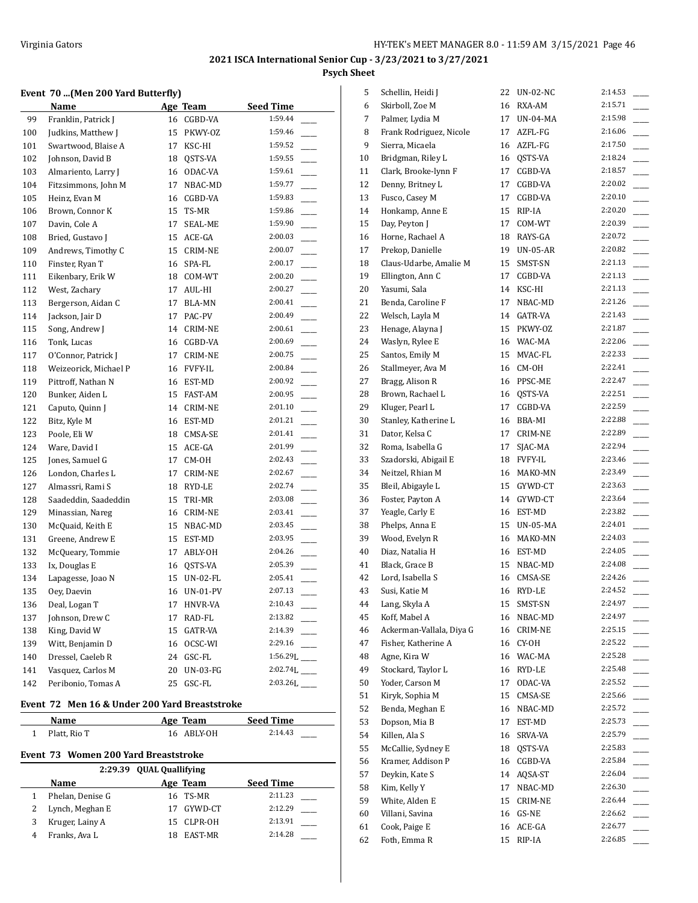#### **Event 70 ...(Men 200 Yard Butterfly)**

|     | <u>Name</u>           |    | Age Team        | <b>Seed Time</b>           |
|-----|-----------------------|----|-----------------|----------------------------|
| 99  | Franklin, Patrick J   |    | 16 CGBD-VA      | 1:59.44                    |
| 100 | Judkins, Matthew J    | 15 | PKWY-OZ         | 1:59.46                    |
| 101 | Swartwood, Blaise A   | 17 | KSC-HI          | 1:59.52                    |
| 102 | Johnson, David B      | 18 | QSTS-VA         | 1:59.55                    |
| 103 | Almariento, Larry J   | 16 | ODAC-VA         | 1:59.61                    |
| 104 | Fitzsimmons, John M   | 17 | NBAC-MD         | 1:59.77                    |
| 105 | Heinz, Evan M         | 16 | CGBD-VA         | 1:59.83                    |
| 106 | Brown, Connor K       | 15 | TS-MR           | 1:59.86                    |
| 107 | Davin, Cole A         | 17 | SEAL-ME         | 1:59.90                    |
| 108 | Bried, Gustavo J      | 15 | ACE-GA          | 2:00.03                    |
| 109 | Andrews, Timothy C    | 15 | CRIM-NE         | 2:00.07                    |
| 110 | Finster, Ryan T       | 16 | SPA-FL          | 2:00.17                    |
| 111 | Eikenbary, Erik W     |    | 18 COM-WT       | 2:00.20                    |
| 112 | West, Zachary         | 17 | AUL-HI          | 2:00.27                    |
| 113 | Bergerson, Aidan C    | 17 | BLA-MN          | 2:00.41                    |
| 114 | Jackson, Jair D       | 17 | PAC-PV          | 2:00.49                    |
| 115 | Song, Andrew J        | 14 | <b>CRIM-NE</b>  | 2:00.61                    |
| 116 | Tonk, Lucas           | 16 | CGBD-VA         | 2:00.69                    |
| 117 | O'Connor, Patrick J   | 17 | <b>CRIM-NE</b>  | 2:00.75                    |
| 118 | Weizeorick, Michael P | 16 | <b>FVFY-IL</b>  | 2:00.84                    |
| 119 | Pittroff, Nathan N    |    | 16 EST-MD       | 2:00.92                    |
| 120 | Bunker, Aiden L       | 15 | FAST-AM         | 2:00.95                    |
| 121 | Caputo, Quinn J       | 14 | CRIM-NE         | 2:01.10                    |
| 122 | Bitz, Kyle M          | 16 | EST-MD          | 2:01.21                    |
| 123 | Poole, Eli W          |    | 18 CMSA-SE      | 2:01.41                    |
| 124 | Ware, David I         | 15 | ACE-GA          | 2:01.99                    |
| 125 | Jones, Samuel G       | 17 | CM-OH           | 2:02.43                    |
| 126 | London, Charles L     | 17 | <b>CRIM-NE</b>  | 2:02.67                    |
| 127 | Almassri, Rami S      | 18 | RYD-LE          | 2:02.74                    |
| 128 | Saadeddin, Saadeddin  | 15 | TRI-MR          | 2:03.08                    |
| 129 | Minassian, Nareg      | 16 | CRIM-NE         | 2:03.41                    |
| 130 | McQuaid, Keith E      | 15 | NBAC-MD         | 2:03.45                    |
| 131 | Greene, Andrew E      | 15 | EST-MD          | 2:03.95                    |
| 132 | McQueary, Tommie      | 17 | ABLY-OH         | 2:04.26                    |
| 133 | Ix, Douglas E         | 16 | QSTS-VA         | 2:05.39                    |
| 134 | Lapagesse, Joao N     | 15 | UN-02-FL        | 2:05.41                    |
| 135 | Oey, Daevin           | 16 | <b>UN-01-PV</b> | 2:07.13                    |
| 136 | Deal, Logan T         | 17 | HNVR-VA         | 2:10.43                    |
| 137 | Johnson, Drew C       | 17 | RAD-FL          | 2:13.82                    |
| 138 | King, David W         | 15 | GATR-VA         | 2:14.39                    |
| 139 | Witt, Benjamin D      | 16 | OCSC-WI         | 2:29.16                    |
| 140 | Dressel, Caeleb R     | 24 | GSC-FL          | $1:56.29L$ <sub>____</sub> |
| 141 | Vasquez, Carlos M     | 20 | <b>UN-03-FG</b> | $2:02.74L$ <sub>____</sub> |
| 142 | Peribonio, Tomas A    | 25 | GSC-FL          | $2:03.26L$ <sub>____</sub> |

#### **Event 72 Men 16 & Under 200 Yard Breaststroke**

|                          | Name         | Age Team   | <b>Seed Time</b> |
|--------------------------|--------------|------------|------------------|
|                          | Platt. Rio T | 16 ABLY-OH | 2:14.43          |
| $\overline{\phantom{a}}$ | $    -$      | .          |                  |

## **Event 73 Women 200 Yard Breaststroke**

| 2:29.39 OUAL Quallifying |                  |    |            |                  |  |
|--------------------------|------------------|----|------------|------------------|--|
|                          | Name             |    | Age Team   | <b>Seed Time</b> |  |
|                          | Phelan, Denise G |    | 16 TS-MR   | 2:11.23          |  |
|                          | Lynch, Meghan E  | 17 | GYWD-CT    | 2:12.29          |  |
|                          | Kruger, Lainy A  |    | 15 CLPR-OH | 2:13.91          |  |
|                          | Franks, Ava L    | 18 | EAST-MR    | 2:14.28          |  |

| 5  | Schellin, Heidi J        | 22 | UN-02-NC    | 2:14.53 |  |
|----|--------------------------|----|-------------|---------|--|
| 6  | Skirboll, Zoe M          | 16 | RXA-AM      | 2:15.71 |  |
| 7  | Palmer, Lydia M          | 17 | UN-04-MA    | 2:15.98 |  |
| 8  | Frank Rodriguez, Nicole  | 17 | AZFL-FG     | 2:16.06 |  |
| 9  | Sierra, Micaela          | 16 | AZFL-FG     | 2:17.50 |  |
| 10 | Bridgman, Riley L        | 16 | QSTS-VA     | 2:18.24 |  |
| 11 | Clark, Brooke-lynn F     | 17 | CGBD-VA     | 2:18.57 |  |
| 12 | Denny, Britney L         | 17 | CGBD-VA     | 2:20.02 |  |
| 13 | Fusco, Casey M           | 17 | CGBD-VA     | 2:20.10 |  |
| 14 | Honkamp, Anne E          | 15 | RIP-IA      | 2:20.20 |  |
| 15 | Day, Peyton J            | 17 | COM-WT      | 2:20.39 |  |
| 16 | Horne, Rachael A         | 18 | RAYS-GA     | 2:20.72 |  |
| 17 | Prekop, Danielle         | 19 | UN-05-AR    | 2:20.82 |  |
| 18 | Claus-Udarbe, Amalie M   | 15 | SMST-SN     | 2:21.13 |  |
| 19 | Ellington, Ann C         | 17 | CGBD-VA     | 2:21.13 |  |
| 20 | Yasumi, Sala             | 14 | KSC-HI      | 2:21.13 |  |
| 21 | Benda, Caroline F        | 17 | NBAC-MD     | 2:21.26 |  |
| 22 | Welsch, Layla M          | 14 | GATR-VA     | 2:21.43 |  |
| 23 | Henage, Alayna J         | 15 | PKWY-OZ     | 2:21.87 |  |
| 24 | Waslyn, Rylee E          | 16 | WAC-MA      | 2:22.06 |  |
|    |                          | 15 | MVAC-FL     | 2:22.33 |  |
| 25 | Santos, Emily M          |    |             | 2:22.41 |  |
| 26 | Stallmeyer, Ava M        |    | 16 CM-0H    |         |  |
| 27 | Bragg, Alison R          |    | 16 PPSC-ME  | 2:22.47 |  |
| 28 | Brown, Rachael L         | 16 | QSTS-VA     | 2:22.51 |  |
| 29 | Kluger, Pearl L          | 17 | CGBD-VA     | 2:22.59 |  |
| 30 | Stanley, Katherine L     | 16 | BBA-MI      | 2:22.88 |  |
| 31 | Dator, Kelsa C           | 17 | CRIM-NE     | 2:22.89 |  |
| 32 | Roma, Isabella G         | 17 | SJAC-MA     | 2:22.94 |  |
| 33 | Szadorski, Abigail E     | 18 | FVFY-IL     | 2:23.46 |  |
| 34 | Neitzel, Rhian M         | 16 | MAKO-MN     | 2:23.49 |  |
| 35 | Bleil, Abigayle L        | 15 | GYWD-CT     | 2:23.63 |  |
| 36 | Foster, Payton A         | 14 | GYWD-CT     | 2:23.64 |  |
| 37 | Yeagle, Carly E          | 16 | EST-MD      | 2:23.82 |  |
| 38 | Phelps, Anna E           |    | 15 UN-05-MA | 2:24.01 |  |
| 39 | Wood, Evelyn R           | 16 | MAKO-MN     | 2:24.03 |  |
| 40 | Diaz, Natalia H          | 16 | EST-MD      | 2:24.05 |  |
| 41 | Black, Grace B           | 15 | NBAC-MD     | 2:24.08 |  |
| 42 | Lord, Isabella S         | 16 | CMSA-SE     | 2:24.26 |  |
| 43 | Susi, Katie M            | 16 | RYD-LE      | 2:24.52 |  |
| 44 | Lang, Skyla A            | 15 | SMST-SN     | 2:24.97 |  |
| 45 | Koff, Mabel A            | 16 | NBAC-MD     | 2:24.97 |  |
| 46 | Ackerman-Vallala, Diya G | 16 | CRIM-NE     | 2:25.15 |  |
| 47 | Fisher, Katherine A      | 16 | CY-OH       | 2:25.22 |  |
| 48 | Agne, Kira W             | 16 | WAC-MA      | 2:25.28 |  |
| 49 | Stockard, Taylor L       | 16 | RYD-LE      | 2:25.48 |  |
| 50 | Yoder, Carson M          | 17 | ODAC-VA     | 2:25.52 |  |
| 51 | Kiryk, Sophia M          |    |             | 2:25.66 |  |
|    | Benda, Meghan E          | 15 | CMSA-SE     | 2:25.72 |  |
| 52 |                          | 16 | NBAC-MD     |         |  |
| 53 | Dopson, Mia B            | 17 | EST-MD      | 2:25.73 |  |
| 54 | Killen, Ala S            | 16 | SRVA-VA     | 2:25.79 |  |
| 55 | McCallie, Sydney E       | 18 | QSTS-VA     | 2:25.83 |  |
| 56 | Kramer, Addison P        | 16 | CGBD-VA     | 2:25.84 |  |
| 57 | Deykin, Kate S           | 14 | AQSA-ST     | 2:26.04 |  |
| 58 | Kim, Kelly Y             | 17 | NBAC-MD     | 2:26.30 |  |
| 59 | White, Alden E           | 15 | CRIM-NE     | 2:26.44 |  |
| 60 | Villani, Savina          | 16 | GS-NE       | 2:26.62 |  |
| 61 | Cook, Paige E            | 16 | ACE-GA      | 2:26.77 |  |
| 62 | Foth, Emma R             | 15 | RIP-IA      | 2:26.85 |  |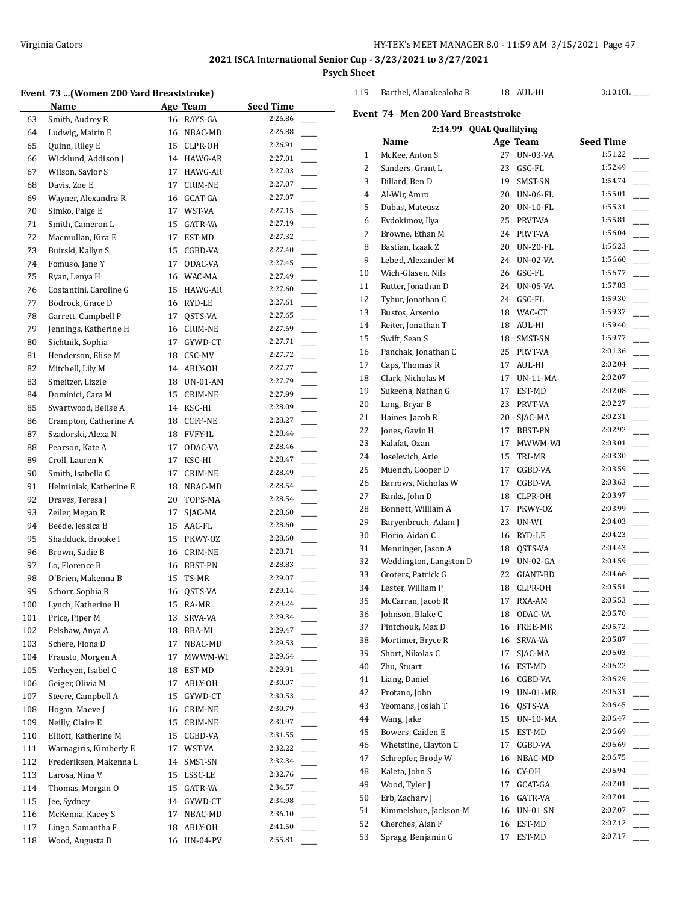119 Barthel, Alanakealoha R 18 AUL-HI 3:10.10L \_\_\_\_

**Event 74 Men 200 Yard Breaststroke**

# **2021 ISCA International Senior Cup - 3/23/2021 to 3/27/2021**

 $\overline{a}$ 

**Psych Sheet**

#### **Event 73 ...(Women 200 Yard Breaststroke)**

|     | 75 a., WOMEN 200 Taru Dreaststrone |    |                 |                  |
|-----|------------------------------------|----|-----------------|------------------|
|     | Name                               |    | <b>Age Team</b> | <b>Seed Time</b> |
| 63  | Smith, Audrey R                    | 16 | RAYS-GA         | 2:26.86          |
| 64  | Ludwig, Mairin E                   | 16 | NBAC-MD         | 2:26.88          |
| 65  | Quinn, Riley E                     | 15 | CLPR-OH         | 2:26.91          |
| 66  | Wicklund, Addison J                | 14 | HAWG-AR         | 2:27.01          |
| 67  | Wilson, Saylor S                   | 17 | HAWG-AR         | 2:27.03          |
| 68  | Davis, Zoe E                       | 17 | CRIM-NE         | 2:27.07          |
| 69  | Wayner, Alexandra R                | 16 | GCAT-GA         | 2:27.07          |
| 70  | Simko, Paige E                     | 17 | WST-VA          | 2:27.15          |
| 71  | Smith, Cameron L                   | 15 | GATR-VA         | 2:27.19          |
| 72  | Macmullan, Kira E                  | 17 | EST-MD          | 2:27.32          |
| 73  | Buirski, Kallyn S                  | 15 | CGBD-VA         | 2:27.40          |
| 74  | Fomuso, Jane Y                     | 17 | ODAC-VA         | 2:27.45          |
| 75  | Ryan, Lenya H                      | 16 | WAC-MA          | 2:27.49          |
| 76  | Costantini, Caroline G             | 15 | HAWG-AR         | 2:27.60          |
| 77  | Bodrock, Grace D                   | 16 | RYD-LE          | 2:27.61          |
| 78  | Garrett, Campbell P                | 17 | QSTS-VA         | 2:27.65          |
| 79  | Jennings, Katherine H              | 16 | CRIM-NE         | 2:27.69          |
| 80  | Sichtnik, Sophia                   | 17 | GYWD-CT         | 2:27.71          |
| 81  | Henderson, Elise M                 | 18 | CSC-MV          | 2:27.72          |
| 82  | Mitchell, Lily M                   | 14 | ABLY-OH         | 2:27.77          |
| 83  | Smeitzer, Lizzie                   |    | 18 UN-01-AM     | 2:27.79          |
| 84  | Dominici, Cara M                   | 15 | CRIM-NE         | 2:27.99          |
| 85  | Swartwood, Belise A                | 14 | KSC-HI          | 2:28.09          |
| 86  | Crampton, Catherine A              | 18 | <b>CCFF-NE</b>  | 2:28.27          |
| 87  | Szadorski, Alexa N                 | 18 | <b>FVFY-IL</b>  | 2:28.44          |
| 88  | Pearson, Kate A                    | 17 | ODAC-VA         | 2:28.46          |
| 89  | Croll, Lauren K                    | 17 | KSC-HI          | 2:28.47          |
| 90  | Smith, Isabella C                  | 17 | CRIM-NE         | 2:28.49          |
| 91  | Helminiak, Katherine E             | 18 | NBAC-MD         | 2:28.54          |
| 92  | Draves, Teresa J                   | 20 | TOPS-MA         | 2:28.54          |
| 93  | Zeiler, Megan R                    | 17 | SJAC-MA         | 2:28.60          |
| 94  | Beede, Jessica B                   | 15 | AAC-FL          | 2:28.60          |
| 95  | Shadduck, Brooke I                 | 15 | PKWY-OZ         | 2:28.60          |
| 96  | Brown, Sadie B                     | 16 | CRIM-NE         | 2:28.71          |
| 97  | Lo, Florence B                     | 16 | BBST-PN         | 2:28.83          |
| 98  | O'Brien, Makenna B                 | 15 | TS-MR           | 2:29.07          |
| 99  | Schorr, Sophia R                   | 16 | QSTS-VA         | 2:29.14          |
| 100 | Lynch, Katherine H                 |    | 15 RA-MR        | 2:29.24          |
| 101 | Price, Piper M                     | 13 | SRVA-VA         | 2:29.34          |
| 102 | Pelshaw, Anya A                    | 18 | BBA-MI          | 2:29.47          |
| 103 | Schere, Fiona D                    | 17 | NBAC-MD         | 2:29.53          |
| 104 | Frausto, Morgen A                  | 17 | MWWM-WI         | 2:29.64          |
| 105 | Verheyen, Isabel C                 | 18 | EST-MD          | 2:29.91          |
| 106 | Geiger, Olivia M                   | 17 | ABLY-OH         | 2:30.07          |
| 107 | Steere, Campbell A                 | 15 | GYWD-CT         | 2:30.53          |
| 108 | Hogan, Maeve J                     | 16 | CRIM-NE         | 2:30.79          |
| 109 | Neilly, Claire E                   | 15 | CRIM-NE         | 2:30.97          |
| 110 | Elliott, Katherine M               | 15 | CGBD-VA         | 2:31.55          |
| 111 | Warnagiris, Kimberly E             | 17 | WST-VA          | 2:32.22          |
| 112 | Frederiksen, Makenna L             | 14 | SMST-SN         | 2:32.34          |
| 113 | Larosa, Nina V                     | 15 | LSSC-LE         | 2:32.76          |
| 114 | Thomas, Morgan O                   | 15 | GATR-VA         | 2:34.57          |
| 115 | Jee, Sydney                        | 14 | GYWD-CT         | 2:34.98          |
|     | McKenna, Kacey S                   |    |                 | 2:36.10          |
| 116 | Lingo, Samantha F                  | 17 | NBAC-MD         | 2:41.50          |
| 117 | Wood, Augusta D                    | 18 | ABLY-OH         | 2:55.81          |
| 118 |                                    | 16 | <b>UN-04-PV</b> |                  |

| 2:14.99 QUAL Quallifying |                        |    |             |                  |  |  |  |  |
|--------------------------|------------------------|----|-------------|------------------|--|--|--|--|
|                          | Name                   |    | Age Team    | <b>Seed Time</b> |  |  |  |  |
| 1                        | McKee, Anton S         | 27 | UN-03-VA    | 1:51.22          |  |  |  |  |
| 2                        | Sanders, Grant L       | 23 | GSC-FL      | 1:52.49          |  |  |  |  |
| 3                        | Dillard, Ben D         | 19 | SMST-SN     | 1:54.74          |  |  |  |  |
| 4                        | Al-Wir, Amro           | 20 | UN-06-FL    | 1:55.01          |  |  |  |  |
| 5                        | Dubas, Mateusz         | 20 | UN-10-FL    | 1:55.31          |  |  |  |  |
| 6                        | Evdokimov, Ilya        | 25 | PRVT-VA     | 1:55.81          |  |  |  |  |
| 7                        | Browne, Ethan M        | 24 | PRVT-VA     | 1:56.04          |  |  |  |  |
| 8                        | Bastian, Izaak Z       | 20 | UN-20-FL    | 1:56.23          |  |  |  |  |
| 9                        | Lebed, Alexander M     | 24 | UN-02-VA    | 1:56.60          |  |  |  |  |
| 10                       | Wich-Glasen, Nils      | 26 | GSC-FL      | 1:56.77          |  |  |  |  |
| 11                       | Rutter, Jonathan D     |    | 24 UN-05-VA | 1:57.83          |  |  |  |  |
| 12                       | Tybur, Jonathan C      |    | 24 GSC-FL   | 1:59.30          |  |  |  |  |
| 13                       | Bustos, Arsenio        | 18 | WAC-CT      | 1:59.37          |  |  |  |  |
| 14                       | Reiter, Jonathan T     | 18 | AUL-HI      | 1:59.40          |  |  |  |  |
| 15                       | Swift, Sean S          | 18 | SMST-SN     | 1:59.77          |  |  |  |  |
| 16                       | Panchak, Jonathan C    | 25 | PRVT-VA     | 2:01.36          |  |  |  |  |
| 17                       | Caps, Thomas R         | 17 | AUL-HI      | 2:02.04          |  |  |  |  |
| 18                       | Clark, Nicholas M      | 17 | UN-11-MA    | 2:02.07          |  |  |  |  |
| 19                       | Sukeena, Nathan G      | 17 | EST-MD      | 2:02.08          |  |  |  |  |
| 20                       | Long, Bryar B          | 23 | PRVT-VA     | 2:02.27          |  |  |  |  |
| 21                       | Haines, Jacob R        | 20 | SJAC-MA     | 2:02.31          |  |  |  |  |
| 22                       |                        | 17 |             | 2:02.92          |  |  |  |  |
|                          | Jones, Gavin H         |    | BBST-PN     | 2:03.01          |  |  |  |  |
| 23                       | Kalafat, Ozan          | 17 | MWWM-WI     | 2:03.30          |  |  |  |  |
| 24                       | Ioselevich, Arie       | 15 | TRI-MR      | 2:03.59          |  |  |  |  |
| 25                       | Muench, Cooper D       | 17 | CGBD-VA     |                  |  |  |  |  |
| 26                       | Barrows, Nicholas W    | 17 | CGBD-VA     | 2:03.63          |  |  |  |  |
| 27                       | Banks, John D          | 18 | CLPR-OH     | 2:03.97          |  |  |  |  |
| 28                       | Bonnett, William A     | 17 | PKWY-0Z     | 2:03.99          |  |  |  |  |
| 29                       | Baryenbruch, Adam J    | 23 | UN-WI       | 2:04.03          |  |  |  |  |
| 30                       | Florio, Aidan C        | 16 | RYD-LE      | 2:04.23          |  |  |  |  |
| 31                       | Menninger, Jason A     | 18 | QSTS-VA     | 2:04.43          |  |  |  |  |
| 32                       | Weddington, Langston D | 19 | UN-02-GA    | 2:04.59          |  |  |  |  |
| 33                       | Groters, Patrick G     | 22 | GIANT-BD    | 2:04.66          |  |  |  |  |
| 34                       | Lester, William P      | 18 | CLPR-OH     | 2:05.51          |  |  |  |  |
| 35                       | McCarran, Jacob R      | 17 | RXA-AM      | 2:05.53          |  |  |  |  |
| 36                       | Johnson, Blake C       | 18 | ODAC-VA     | 2:05.70          |  |  |  |  |
| 37                       | Pintchouk, Max D       | 16 | FREE-MR     | 2:05.72          |  |  |  |  |
| 38                       | Mortimer, Bryce R      | 16 | SRVA-VA     | 2:05.87          |  |  |  |  |
| 39                       | Short, Nikolas C       | 17 | SJAC-MA     | 2:06.03          |  |  |  |  |
| 40                       | Zhu, Stuart            | 16 | EST-MD      | 2:06.22          |  |  |  |  |
| 41                       | Liang, Daniel          | 16 | CGBD-VA     | 2:06.29          |  |  |  |  |
| 42                       | Protano, John          | 19 | UN-01-MR    | 2:06.31          |  |  |  |  |
| 43                       | Yeomans, Josiah T      | 16 | QSTS-VA     | 2:06.45          |  |  |  |  |
| 44                       | Wang, Jake             | 15 | UN-10-MA    | 2:06.47          |  |  |  |  |
| 45                       | Bowers, Caiden E       | 15 | EST-MD      | 2:06.69          |  |  |  |  |
| 46                       | Whetstine, Clayton C   | 17 | CGBD-VA     | 2:06.69          |  |  |  |  |
| 47                       | Schrepfer, Brody W     | 16 | NBAC-MD     | 2:06.75          |  |  |  |  |
| $\bf 48$                 | Kaleta, John S         | 16 | CY-OH       | 2:06.94          |  |  |  |  |
| 49                       | Wood, Tyler J          | 17 | GCAT-GA     | 2:07.01          |  |  |  |  |
| 50                       | Erb, Zachary J         | 16 | GATR-VA     | 2:07.01          |  |  |  |  |
| 51                       | Kimmelshue, Jackson M  | 16 | UN-01-SN    | 2:07.07          |  |  |  |  |
| 52                       | Cherches, Alan F       | 16 | EST-MD      | 2:07.12          |  |  |  |  |
| 53                       | Spragg, Benjamin G     | 17 | EST-MD      | 2:07.17          |  |  |  |  |